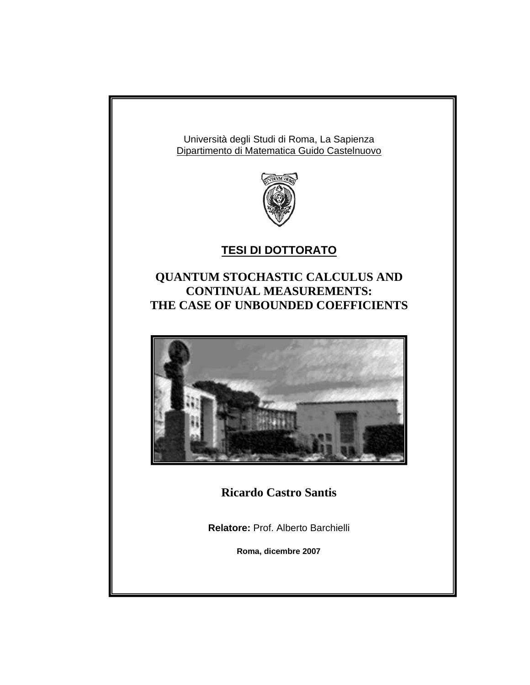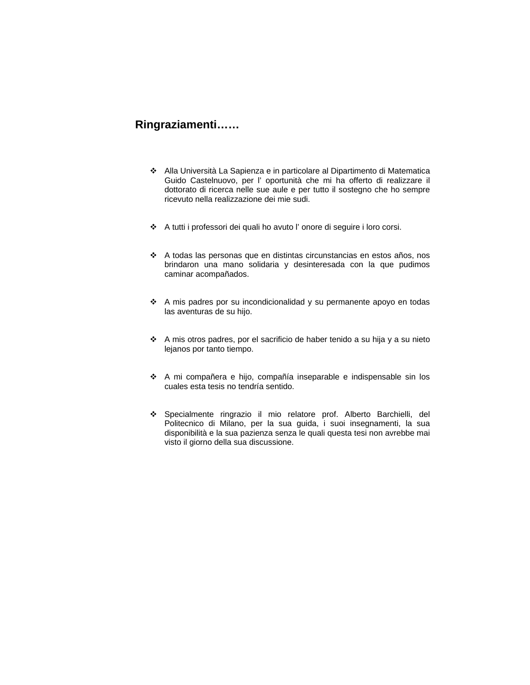## **Ringraziamenti……**

- Alla Università La Sapienza e in particolare al Dipartimento di Matematica Guido Castelnuovo, per l' oportunità che mi ha offerto di realizzare il dottorato di ricerca nelle sue aule e per tutto il sostegno che ho sempre ricevuto nella realizzazione dei mie sudi.
- A tutti i professori dei quali ho avuto l' onore di seguire i loro corsi.
- A todas las personas que en distintas circunstancias en estos años, nos brindaron una mano solidaria y desinteresada con la que pudimos caminar acompañados.
- A mis padres por su incondicionalidad y su permanente apoyo en todas las aventuras de su hijo.
- A mis otros padres, por el sacrificio de haber tenido a su hija y a su nieto lejanos por tanto tiempo.
- A mi compañera e hijo, compañía inseparable e indispensable sin los cuales esta tesis no tendría sentido.
- Specialmente ringrazio il mio relatore prof. Alberto Barchielli, del Politecnico di Milano, per la sua guida, i suoi insegnamenti, la sua disponibilità e la sua pazienza senza le quali questa tesi non avrebbe mai visto il giorno della sua discussione.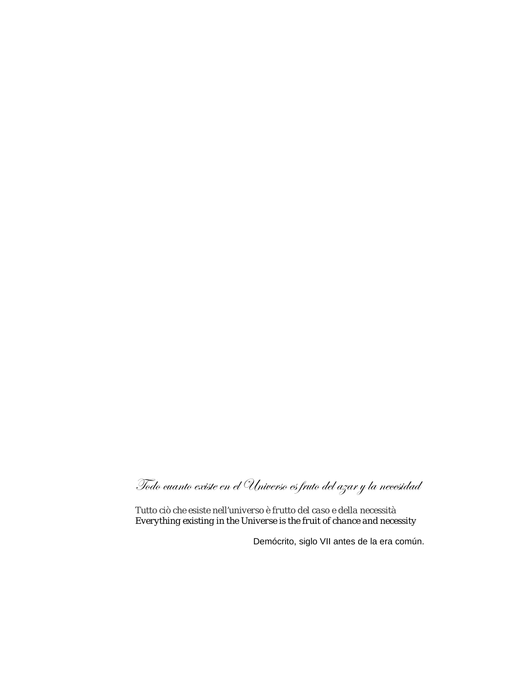Todo cuanto existe en el Universo es fruto del azar y la necesidad

*Tutto ciò che esiste nell'universo è frutto del caso e della necessità Everything existing in the Universe is the fruit of chance and necessity* 

Demócrito, siglo VII antes de la era común.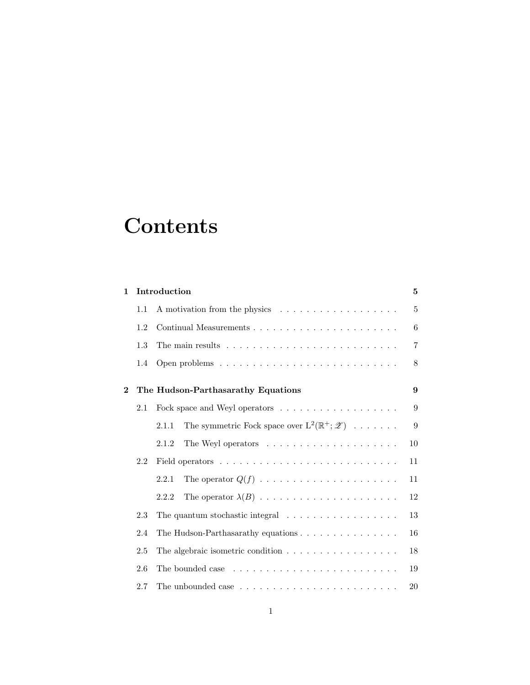# **Contents**

| $\mathbf 1$             |     | Introduction                                                                                                                                                                                                                                                                                                                                                                                     | 5              |
|-------------------------|-----|--------------------------------------------------------------------------------------------------------------------------------------------------------------------------------------------------------------------------------------------------------------------------------------------------------------------------------------------------------------------------------------------------|----------------|
|                         | 1.1 |                                                                                                                                                                                                                                                                                                                                                                                                  | $\overline{5}$ |
|                         | 1.2 |                                                                                                                                                                                                                                                                                                                                                                                                  | 6              |
|                         | 1.3 | The main results $\dots \dots \dots \dots \dots \dots \dots \dots \dots \dots$                                                                                                                                                                                                                                                                                                                   | $\overline{7}$ |
|                         | 1.4 |                                                                                                                                                                                                                                                                                                                                                                                                  | 8              |
| $\overline{\mathbf{2}}$ |     | The Hudson-Parthasarathy Equations                                                                                                                                                                                                                                                                                                                                                               | 9              |
|                         | 2.1 | Fock space and Weyl operators $\hphantom{a} \hphantom{a} \hphantom{a} \hphantom{a} \hphantom{a} \hphantom{a} \hphantom{a} \hphantom{a} \hphantom{a} \hphantom{a} \hphantom{a} \hphantom{a} \hphantom{a} \hphantom{a} \hphantom{a} \hphantom{a} \hphantom{a} \hphantom{a} \hphantom{a} \hphantom{a} \hphantom{a} \hphantom{a} \hphantom{a} \hphantom{a} \hphantom{a} \hphantom{a} \hphantom{a} \$ | 9              |
|                         |     | The symmetric Fock space over $L^2(\mathbb{R}^+;\mathscr{Z}) \dots \dots$<br>2.1.1                                                                                                                                                                                                                                                                                                               | 9              |
|                         |     | 2.1.2                                                                                                                                                                                                                                                                                                                                                                                            | 10             |
|                         | 2.2 |                                                                                                                                                                                                                                                                                                                                                                                                  | 11             |
|                         |     | The operator $Q(f)$<br>2.2.1                                                                                                                                                                                                                                                                                                                                                                     | 11             |
|                         |     | The operator $\lambda(B)$<br>2.2.2                                                                                                                                                                                                                                                                                                                                                               | 12             |
|                         | 2.3 | The quantum stochastic integral $\ldots \ldots \ldots \ldots \ldots$                                                                                                                                                                                                                                                                                                                             | 13             |
|                         | 2.4 | The Hudson-Parthasarathy equations $\dots \dots \dots \dots \dots$                                                                                                                                                                                                                                                                                                                               | 16             |
|                         | 2.5 | The algebraic isometric condition                                                                                                                                                                                                                                                                                                                                                                | 18             |
|                         | 2.6 |                                                                                                                                                                                                                                                                                                                                                                                                  | 19             |
|                         | 2.7 |                                                                                                                                                                                                                                                                                                                                                                                                  | $20\,$         |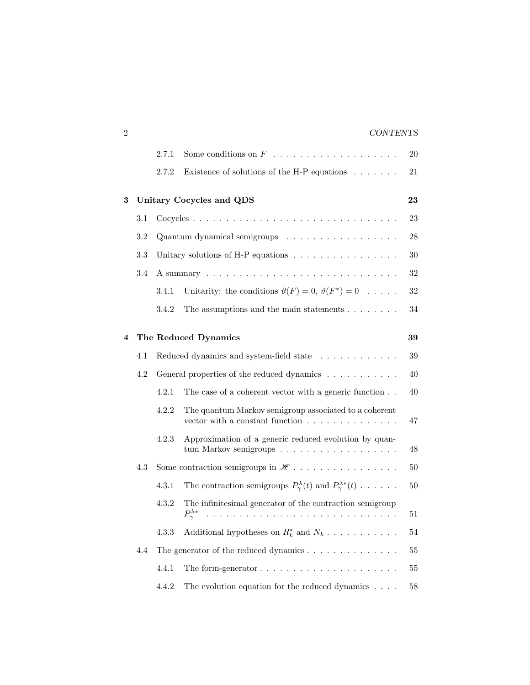|   |         | 2.7.1                                                              | Some conditions on $F$                                                                                                 | $20\,$ |  |  |  |  |  |
|---|---------|--------------------------------------------------------------------|------------------------------------------------------------------------------------------------------------------------|--------|--|--|--|--|--|
|   |         | 2.7.2                                                              | Existence of solutions of the H-P equations $\ldots \ldots$                                                            | 21     |  |  |  |  |  |
| 3 |         | Unitary Cocycles and QDS                                           |                                                                                                                        |        |  |  |  |  |  |
|   | 3.1     |                                                                    |                                                                                                                        |        |  |  |  |  |  |
|   | 3.2     | Quantum dynamical semigroups                                       |                                                                                                                        |        |  |  |  |  |  |
|   | $3.3\,$ | Unitary solutions of H-P equations $\dots \dots \dots \dots \dots$ |                                                                                                                        |        |  |  |  |  |  |
|   | 3.4     |                                                                    |                                                                                                                        |        |  |  |  |  |  |
|   |         | 3.4.1                                                              | Unitarity: the conditions $\vartheta(F) = 0$ , $\vartheta(F^*) = 0$                                                    | $32\,$ |  |  |  |  |  |
|   |         | 3.4.2                                                              | The assumptions and the main statements $\dots \dots$                                                                  | 34     |  |  |  |  |  |
| 4 |         |                                                                    | The Reduced Dynamics                                                                                                   | 39     |  |  |  |  |  |
|   | 4.1     | Reduced dynamics and system-field state                            |                                                                                                                        |        |  |  |  |  |  |
|   | 4.2     | General properties of the reduced dynamics                         |                                                                                                                        |        |  |  |  |  |  |
|   |         | 4.2.1                                                              | The case of a coherent vector with a generic function                                                                  | 40     |  |  |  |  |  |
|   |         | 4.2.2                                                              | The quantum Markov semigroup associated to a coherent<br>vector with a constant function $\ldots \ldots \ldots \ldots$ | 47     |  |  |  |  |  |
|   |         | 4.2.3                                                              | Approximation of a generic reduced evolution by quan-<br>tum Markov semigroups                                         | 48     |  |  |  |  |  |
|   | 4.3     |                                                                    | Some contraction semigroups in $\mathscr{H} \ldots \ldots \ldots \ldots \ldots$                                        | 50     |  |  |  |  |  |
|   |         | 4.3.1                                                              | The contraction semigroups $P_{\gamma}^{\lambda}(t)$ and $P_{\gamma}^{\lambda*}(t)$                                    | 50     |  |  |  |  |  |
|   |         | 4.3.2                                                              | The infinitesimal generator of the contraction semigroup                                                               | 51     |  |  |  |  |  |
|   |         | 4.3.3                                                              | Additional hypotheses on $R_k^*$ and $N_k$                                                                             | 54     |  |  |  |  |  |
|   | 4.4     |                                                                    | The generator of the reduced dynamics $\dots \dots \dots \dots \dots$                                                  | 55     |  |  |  |  |  |
|   |         | 4.4.1                                                              | The form-generator $\dots \dots \dots \dots \dots \dots \dots \dots$                                                   | 55     |  |  |  |  |  |
|   |         | 4.4.2                                                              | The evolution equation for the reduced dynamics $\ldots$ .                                                             | 58     |  |  |  |  |  |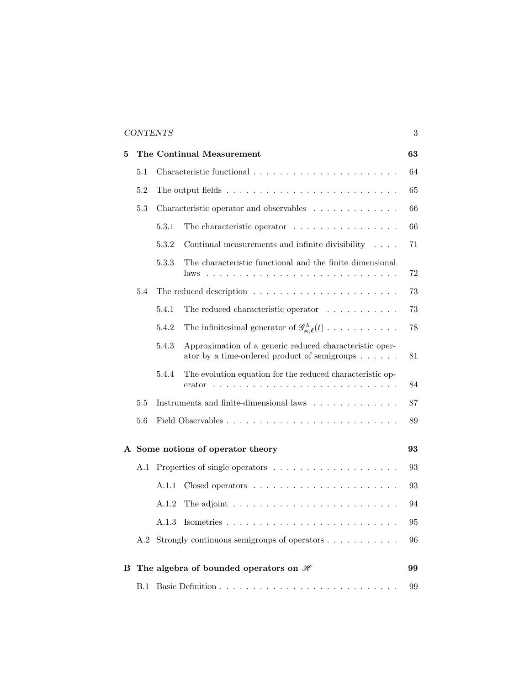## CONTENTS 3

| 5            |     |                                             | The Continual Measurement                                                                                               | 63 |  |  |  |  |  |  |  |
|--------------|-----|---------------------------------------------|-------------------------------------------------------------------------------------------------------------------------|----|--|--|--|--|--|--|--|
|              | 5.1 |                                             |                                                                                                                         | 64 |  |  |  |  |  |  |  |
|              | 5.2 |                                             | The output fields $\dots \dots \dots \dots \dots \dots \dots \dots \dots \dots$                                         | 65 |  |  |  |  |  |  |  |
|              | 5.3 |                                             | Characteristic operator and observables                                                                                 | 66 |  |  |  |  |  |  |  |
|              |     | 5.3.1                                       | The characteristic operator $\ldots \ldots \ldots \ldots \ldots$                                                        | 66 |  |  |  |  |  |  |  |
|              |     | 5.3.2                                       | Continual measurements and infinite divisibility $\phantom{1} \phantom{1} \ldots$ .                                     | 71 |  |  |  |  |  |  |  |
|              |     | 5.3.3                                       | The characteristic functional and the finite dimensional<br><i>laws</i>                                                 | 72 |  |  |  |  |  |  |  |
|              | 5.4 |                                             |                                                                                                                         | 73 |  |  |  |  |  |  |  |
|              |     | 5.4.1                                       | The reduced characteristic operator $\ldots \ldots \ldots$                                                              | 73 |  |  |  |  |  |  |  |
|              |     | 5.4.2                                       | The infinitesimal generator of $\mathscr{G}_{\kappa,\ell}^{\lambda}(t)$                                                 | 78 |  |  |  |  |  |  |  |
|              |     | 5.4.3                                       | Approximation of a generic reduced characteristic oper-<br>ator by a time-ordered product of semigroups $\ldots \ldots$ | 81 |  |  |  |  |  |  |  |
|              |     | 5.4.4                                       | The evolution equation for the reduced characteristic op-<br>erator                                                     | 84 |  |  |  |  |  |  |  |
|              | 5.5 | Instruments and finite-dimensional laws     |                                                                                                                         |    |  |  |  |  |  |  |  |
|              | 5.6 |                                             |                                                                                                                         |    |  |  |  |  |  |  |  |
| $\mathbf{A}$ |     | Some notions of operator theory             |                                                                                                                         |    |  |  |  |  |  |  |  |
|              | A.1 |                                             |                                                                                                                         |    |  |  |  |  |  |  |  |
|              |     | A.1.1                                       |                                                                                                                         | 93 |  |  |  |  |  |  |  |
|              |     | A.1.2                                       | The adjoint $\ldots \ldots \ldots \ldots \ldots \ldots \ldots \ldots \ldots$                                            | 94 |  |  |  |  |  |  |  |
|              |     | A.1.3                                       |                                                                                                                         | 95 |  |  |  |  |  |  |  |
|              | A.2 | Strongly continuous semigroups of operators |                                                                                                                         |    |  |  |  |  |  |  |  |
| в            |     |                                             | The algebra of bounded operators on $\mathcal H$                                                                        | 99 |  |  |  |  |  |  |  |
|              | B.1 | 99                                          |                                                                                                                         |    |  |  |  |  |  |  |  |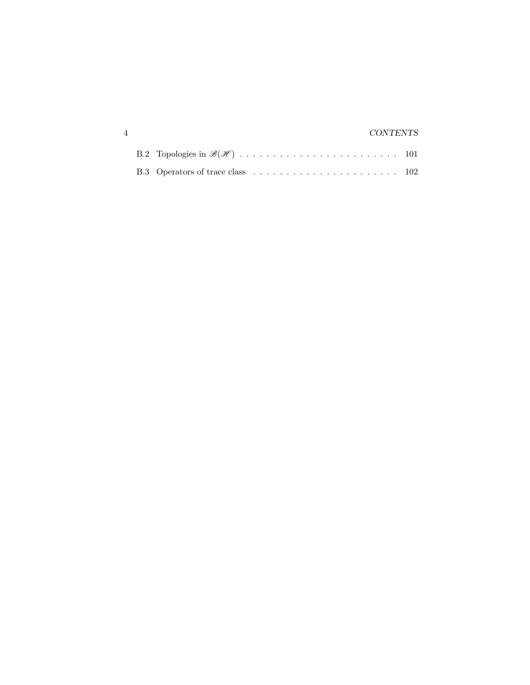## 4 CONTENTS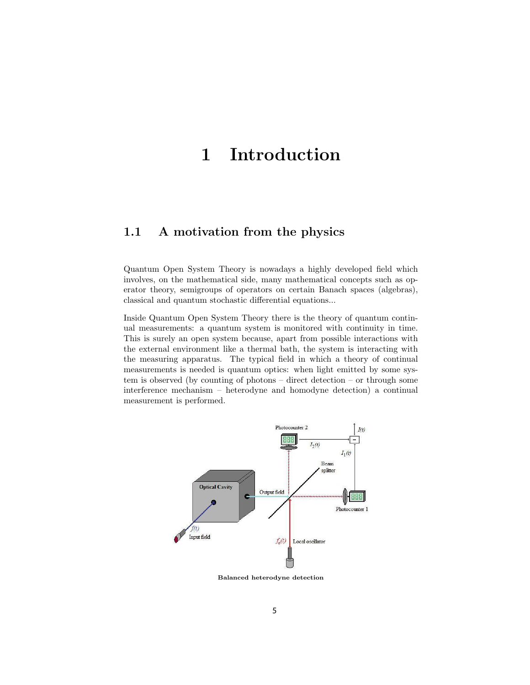## 1 Introduction

## 1.1 A motivation from the physics

Quantum Open System Theory is nowadays a highly developed field which involves, on the mathematical side, many mathematical concepts such as operator theory, semigroups of operators on certain Banach spaces (algebras), classical and quantum stochastic differential equations...

Inside Quantum Open System Theory there is the theory of quantum continual measurements: a quantum system is monitored with continuity in time. This is surely an open system because, apart from possible interactions with the external environment like a thermal bath, the system is interacting with the measuring apparatus. The typical field in which a theory of continual measurements is needed is quantum optics: when light emitted by some system is observed (by counting of photons – direct detection – or through some interference mechanism – heterodyne and homodyne detection) a continual measurement is performed.



Balanced heterodyne detection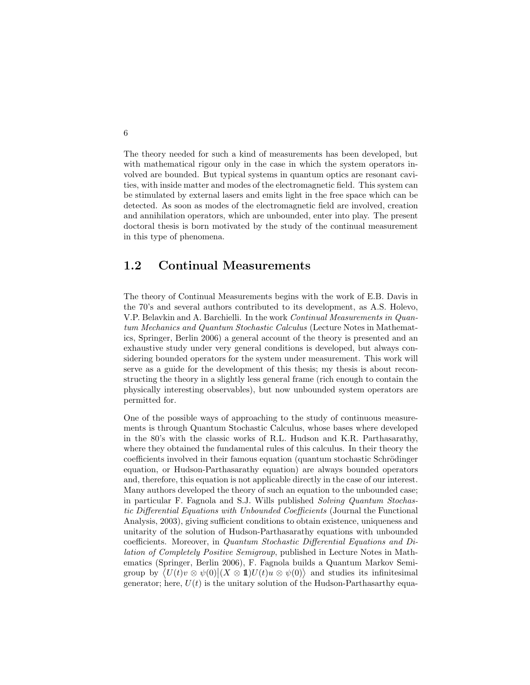The theory needed for such a kind of measurements has been developed, but with mathematical rigour only in the case in which the system operators involved are bounded. But typical systems in quantum optics are resonant cavities, with inside matter and modes of the electromagnetic field. This system can be stimulated by external lasers and emits light in the free space which can be detected. As soon as modes of the electromagnetic field are involved, creation and annihilation operators, which are unbounded, enter into play. The present doctoral thesis is born motivated by the study of the continual measurement in this type of phenomena.

## 1.2 Continual Measurements

The theory of Continual Measurements begins with the work of E.B. Davis in the 70's and several authors contributed to its development, as A.S. Holevo, V.P. Belavkin and A. Barchielli. In the work Continual Measurements in Quantum Mechanics and Quantum Stochastic Calculus (Lecture Notes in Mathematics, Springer, Berlin 2006) a general account of the theory is presented and an exhaustive study under very general conditions is developed, but always considering bounded operators for the system under measurement. This work will serve as a guide for the development of this thesis; my thesis is about reconstructing the theory in a slightly less general frame (rich enough to contain the physically interesting observables), but now unbounded system operators are permitted for.

One of the possible ways of approaching to the study of continuous measurements is through Quantum Stochastic Calculus, whose bases where developed in the 80's with the classic works of R.L. Hudson and K.R. Parthasarathy, where they obtained the fundamental rules of this calculus. In their theory the coefficients involved in their famous equation (quantum stochastic Schrödinger equation, or Hudson-Parthasarathy equation) are always bounded operators and, therefore, this equation is not applicable directly in the case of our interest. Many authors developed the theory of such an equation to the unbounded case; in particular F. Fagnola and S.J. Wills published Solving Quantum Stochastic Differential Equations with Unbounded Coefficients (Journal the Functional Analysis, 2003), giving sufficient conditions to obtain existence, uniqueness and unitarity of the solution of Hudson-Parthasarathy equations with unbounded coefficients. Moreover, in Quantum Stochastic Differential Equations and Dilation of Completely Positive Semigroup, published in Lecture Notes in Mathematics (Springer, Berlin 2006), F. Fagnola builds a Quantum Markov Semigroup by  $\langle U(t)v \otimes \psi(0) | (X \otimes \mathbf{1}) U(t) u \otimes \psi(0) \rangle$  and studies its infinitesimal generator; here,  $U(t)$  is the unitary solution of the Hudson-Parthasarthy equa-

6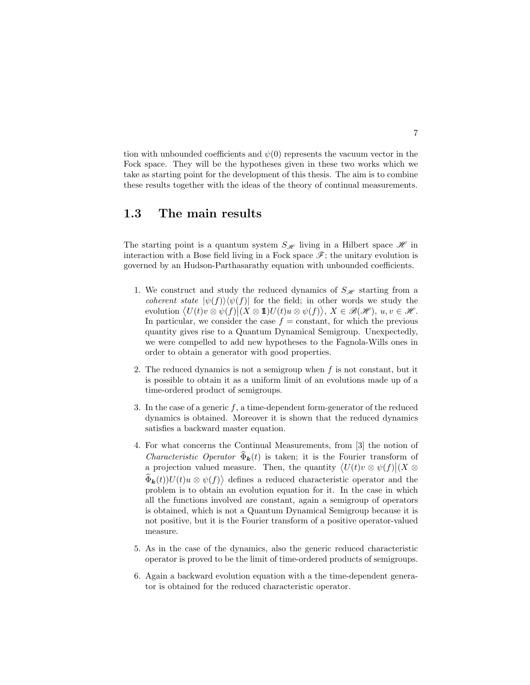tion with unbounded coefficients and  $\psi(0)$  represents the vacuum vector in the Fock space. They will be the hypotheses given in these two works which we take as starting point for the development of this thesis. The aim is to combine these results together with the ideas of the theory of continual measurements.

## 1.3 The main results

The starting point is a quantum system  $S_{\mathscr{H}}$  living in a Hilbert space  $\mathscr{H}$  in interaction with a Bose field living in a Fock space  $\mathscr{F}$ ; the unitary evolution is governed by an Hudson-Parthasarathy equation with unbounded coefficients.

- 1. We construct and study the reduced dynamics of  $S_{\mathscr{H}}$  starting from a coherent state  $|\psi(f)\rangle\langle\psi(f)|$  for the field; in other words we study the evolution  $\langle U(t)v \otimes \psi(f) | (X \otimes \mathbf{1}) U(t) u \otimes \psi(f) \rangle$ ,  $X \in \mathscr{B}(\mathscr{H})$ ,  $u, v \in \mathscr{H}$ . In particular, we consider the case  $f = constant$ , for which the previous quantity gives rise to a Quantum Dynamical Semigroup. Unexpectedly, we were compelled to add new hypotheses to the Fagnola-Wills ones in order to obtain a generator with good properties.
- 2. The reduced dynamics is not a semigroup when  $f$  is not constant, but it is possible to obtain it as a uniform limit of an evolutions made up of a time-ordered product of semigroups.
- 3. In the case of a generic  $f$ , a time-dependent form-generator of the reduced dynamics is obtained. Moreover it is shown that the reduced dynamics satisfies a backward master equation.
- 4. For what concerns the Continual Measurements, from [3] the notion of *Characteristic Operator*  $\widehat{\Phi}_{\mathbf{k}}(t)$  is taken; it is the Fourier transform of a projection valued measure. Then, the quantity  $\langle U(t)v \otimes \psi(f) | (X \otimes$  $\widehat{\Phi}_{\bm{k}}(t)U(t)u\otimes\psi(f)\rangle$  defines a reduced characteristic operator and the problem is to obtain an evolution equation for it. In the case in which all the functions involved are constant, again a semigroup of operators is obtained, which is not a Quantum Dynamical Semigroup because it is not positive, but it is the Fourier transform of a positive operator-valued measure.
- 5. As in the case of the dynamics, also the generic reduced characteristic operator is proved to be the limit of time-ordered products of semigroups.
- 6. Again a backward evolution equation with a the time-dependent generator is obtained for the reduced characteristic operator.

### 7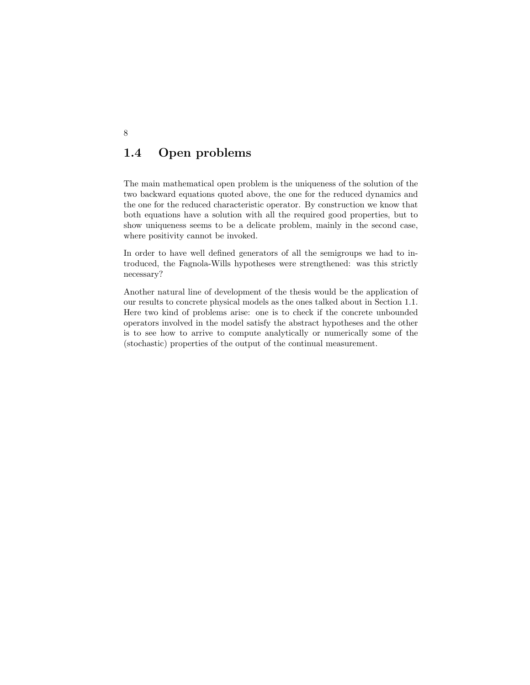## 1.4 Open problems

The main mathematical open problem is the uniqueness of the solution of the two backward equations quoted above, the one for the reduced dynamics and the one for the reduced characteristic operator. By construction we know that both equations have a solution with all the required good properties, but to show uniqueness seems to be a delicate problem, mainly in the second case, where positivity cannot be invoked.

In order to have well defined generators of all the semigroups we had to introduced, the Fagnola-Wills hypotheses were strengthened: was this strictly necessary?

Another natural line of development of the thesis would be the application of our results to concrete physical models as the ones talked about in Section 1.1. Here two kind of problems arise: one is to check if the concrete unbounded operators involved in the model satisfy the abstract hypotheses and the other is to see how to arrive to compute analytically or numerically some of the (stochastic) properties of the output of the continual measurement.

8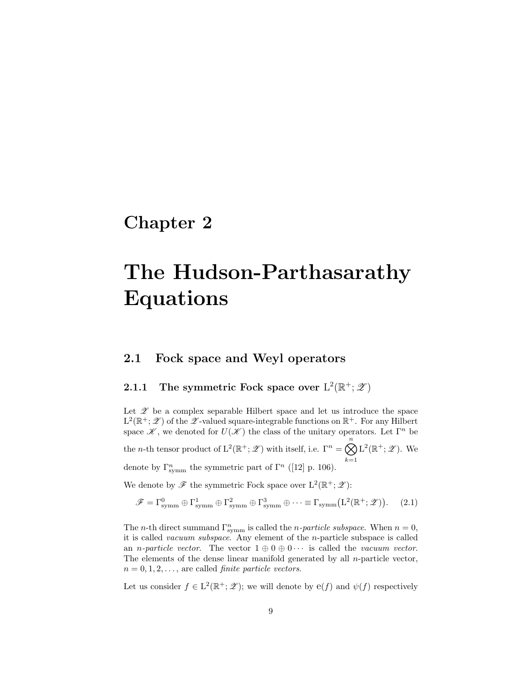## Chapter 2

## The Hudson-Parthasarathy Equations

### 2.1 Fock space and Weyl operators

## 2.1.1 The symmetric Fock space over  $L^2(\mathbb{R}^+;\mathscr{Z})$

Let  $\mathscr Z$  be a complex separable Hilbert space and let us introduce the space  $L^2(\mathbb{R}^+;\mathscr{Z})$  of the  $\mathscr{Z}$ -valued square-integrable functions on  $\mathbb{R}^+$ . For any Hilbert space  $\mathscr K$ , we denoted for  $U(\mathscr K)$  the class of the unitary operators. Let  $\Gamma^n$  be the *n*-th tensor product of  $L^2(\mathbb{R}^+;\mathscr{Z})$  with itself, i.e.  $\Gamma^n = \bigotimes^n$  $k=1$  $L^2(\mathbb{R}^+;\mathscr{Z})$ . We denote by  $\Gamma_{\text{symm}}^n$  the symmetric part of  $\Gamma^n$  ([12] p. 106).

We denote by  $\mathscr{F}$  the symmetric Fock space over  $L^2(\mathbb{R}^+;\mathscr{Z})$ :

$$
\mathscr{F} = \Gamma_{\text{symm}}^0 \oplus \Gamma_{\text{symm}}^1 \oplus \Gamma_{\text{symm}}^2 \oplus \Gamma_{\text{symm}}^3 \oplus \cdots \equiv \Gamma_{\text{symm}} \big( L^2(\mathbb{R}^+; \mathscr{Z}) \big). \tag{2.1}
$$

The *n*-th direct summand  $\Gamma_{symm}^{n}$  is called the *n*-particle subspace. When  $n = 0$ , it is called vacuum subspace. Any element of the n-particle subspace is called an *n*-particle vector. The vector  $1 \oplus 0 \oplus 0 \cdots$  is called the vacuum vector. The elements of the dense linear manifold generated by all  $n$ -particle vector,  $n = 0, 1, 2, \ldots$ , are called *finite particle vectors*.

Let us consider  $f \in L^2(\mathbb{R}^+; \mathscr{Z})$ ; we will denote by  $e(f)$  and  $\psi(f)$  respectively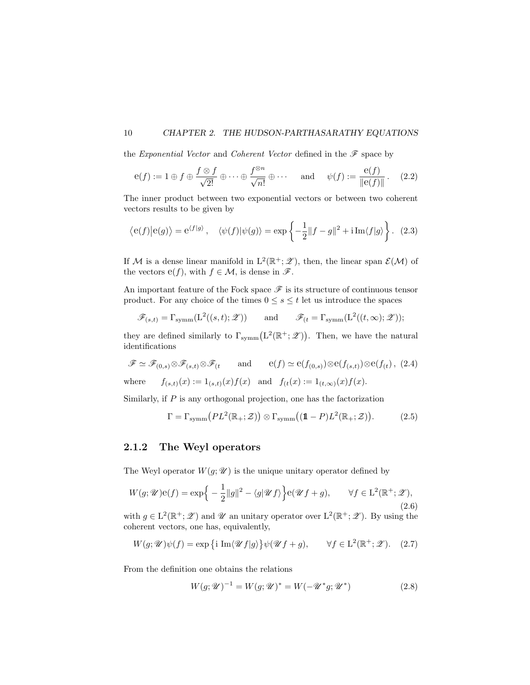#### 10 CHAPTER 2. THE HUDSON-PARTHASARATHY EQUATIONS

the Exponential Vector and Coherent Vector defined in the  $\mathscr F$  space by

$$
e(f) := 1 \oplus f \oplus \frac{f \otimes f}{\sqrt{2!}} \oplus \cdots \oplus \frac{f^{\otimes n}}{\sqrt{n!}} \oplus \cdots \quad \text{and} \quad \psi(f) := \frac{e(f)}{\|e(f)\|}.
$$
 (2.2)

The inner product between two exponential vectors or between two coherent vectors results to be given by

$$
\langle e(f)|e(g)\rangle = e^{\langle f|g\rangle}, \quad \langle \psi(f)|\psi(g)\rangle = \exp\left\{-\frac{1}{2}||f-g||^2 + i\operatorname{Im}\langle f|g\rangle\right\}.
$$
 (2.3)

If M is a dense linear manifold in  $L^2(\mathbb{R}^+;\mathscr{Z})$ , then, the linear span  $\mathcal{E}(\mathcal{M})$  of the vectors  $e(f)$ , with  $f \in \mathcal{M}$ , is dense in  $\mathscr{F}$ .

An important feature of the Fock space  ${\mathscr F}$  is its structure of continuous tensor product. For any choice of the times  $0 \leq s \leq t$  let us introduce the spaces

$$
\mathscr{F}_{(s,t)} = \Gamma_{\text{symm}}(L^2((s,t); \mathscr{Z}))
$$
 and  $\mathscr{F}_{(t)} = \Gamma_{\text{symm}}(L^2((t,\infty); \mathscr{Z}));$ 

they are defined similarly to  $\Gamma_{\text{symm}}(L^2(\mathbb{R}^+;\mathscr{Z}))$ . Then, we have the natural identifications

$$
\mathscr{F} \simeq \mathscr{F}_{(0,s)} \otimes \mathscr{F}_{(s,t)} \otimes \mathscr{F}_{(t)} \quad \text{and} \quad e(f) \simeq e(f_{(0,s)}) \otimes e(f_{(s,t)}) \otimes e(f_{(t)}, (2.4)
$$
  
where  $f_{(s,t)}(x) := 1_{(s,t)}(x)f(x)$  and  $f_{(t}(x) := 1_{(t,\infty)}(x)f(x)$ .

Similarly, if  $P$  is any orthogonal projection, one has the factorization

$$
\Gamma = \Gamma_{\text{symm}}(PL^2(\mathbb{R}_+;\mathcal{Z})) \otimes \Gamma_{\text{symm}}((1\!\!1-P)L^2(\mathbb{R}_+;\mathcal{Z})).\tag{2.5}
$$

#### 2.1.2 The Weyl operators

The Weyl operator  $W(g, \mathcal{U})$  is the unique unitary operator defined by

$$
W(g; \mathcal{U})e(f) = \exp\Big{-\frac{1}{2}||g||^2 - \langle g|\mathcal{U}f\rangle\Big}e(\mathcal{U}f + g), \qquad \forall f \in \mathcal{L}^2(\mathbb{R}^+; \mathcal{Z}),
$$
\n(2.6)

with  $g \in L^2(\mathbb{R}^+; \mathscr{Z})$  and  $\mathscr{U}$  an unitary operator over  $L^2(\mathbb{R}^+; \mathscr{Z})$ . By using the coherent vectors, one has, equivalently,

$$
W(g; \mathscr{U})\psi(f) = \exp\left\{i \operatorname{Im}\langle \mathscr{U}f|g\rangle\right\}\psi(\mathscr{U}f + g), \qquad \forall f \in \mathcal{L}^2(\mathbb{R}^+; \mathscr{Z}). \tag{2.7}
$$

From the definition one obtains the relations

$$
W(g; \mathcal{U})^{-1} = W(g; \mathcal{U})^* = W(-\mathcal{U}^*g; \mathcal{U}^*)
$$
\n(2.8)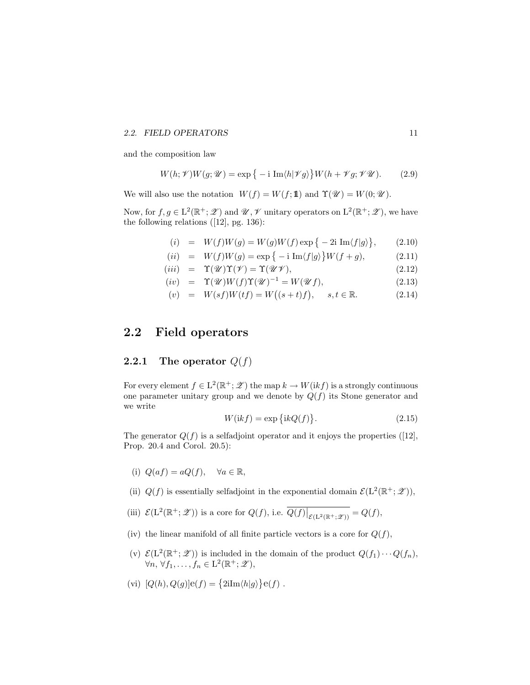#### 2.2. FIELD OPERATORS 11

and the composition law

$$
W(h; \mathcal{V})W(g; \mathcal{U}) = \exp\{-i \operatorname{Im}\langle h|\mathcal{V}g\rangle\}W(h + \mathcal{V}g; \mathcal{V}\mathcal{U}).
$$
 (2.9)

We will also use the notation  $W(f) = W(f; \mathbf{1})$  and  $\Upsilon(\mathcal{U}) = W(0; \mathcal{U})$ .

Now, for  $f, g \in L^2(\mathbb{R}^+; \mathscr{Z})$  and  $\mathscr{U}, \mathscr{V}$  unitary operators on  $L^2(\mathbb{R}^+; \mathscr{Z})$ , we have the following relations ([12], pg. 136):

(i) = 
$$
W(f)W(g) = W(g)W(f) \exp\{-2i \operatorname{Im}\langle f|g\rangle\},
$$
 (2.10)

 $(ii) = W(f)W(g) = \exp\{-i \operatorname{Im}(f|g)\}W(f+g),$  (2.11)

$$
(iii) = \Upsilon(\mathcal{U})\Upsilon(\mathcal{V}) = \Upsilon(\mathcal{U}\mathcal{V}), \qquad (2.12)
$$

$$
(iv) = \Upsilon(\mathscr{U})W(f)\Upsilon(\mathscr{U})^{-1} = W(\mathscr{U}f), \qquad (2.13)
$$

$$
(v) = W(sf)W(tf) = W((s+t)f), \quad s, t \in \mathbb{R}.
$$
 (2.14)

### 2.2 Field operators

#### **2.2.1** The operator  $Q(f)$

For every element  $f \in L^2(\mathbb{R}^+; \mathscr{Z})$  the map  $k \to W(ikf)$  is a strongly continuous one parameter unitary group and we denote by  $Q(f)$  its Stone generator and we write

$$
W(ikf) = \exp\{ikQ(f)\}.
$$
\n(2.15)

The generator  $Q(f)$  is a selfadjoint operator and it enjoys the properties ([12], Prop. 20.4 and Corol. 20.5):

- (i)  $Q(af) = aQ(f)$ ,  $\forall a \in \mathbb{R}$ ,
- (ii)  $Q(f)$  is essentially selfadjoint in the exponential domain  $\mathcal{E}(L^2(\mathbb{R}^+;\mathscr{Z}))$ ,
- (iii)  $\mathcal{E}(\mathcal{L}^2(\mathbb{R}^+;\mathscr{Z}))$  is a core for  $Q(f)$ , i.e.  $\overline{Q(f)}|_{\mathcal{E}(\mathcal{L}^2(\mathbb{R}^+;\mathscr{Z}))} = Q(f)$ ,
- (iv) the linear manifold of all finite particle vectors is a core for  $Q(f)$ ,
- (v)  $\mathcal{E}(L^2(\mathbb{R}^+;\mathscr{Z}))$  is included in the domain of the product  $Q(f_1)\cdots Q(f_n)$ ,  $\forall n, \forall f_1, \ldots, f_n \in \mathrm{L}^2(\mathbb{R}^+; \mathscr{Z}),$
- (vi)  $[Q(h), Q(g)]e(f) = \{2i\text{Im}\langle h|g\rangle\}e(f)$ .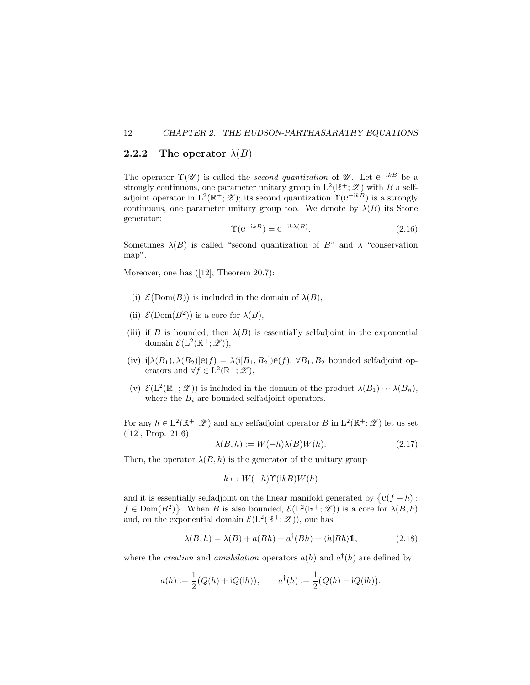#### 12 CHAPTER 2. THE HUDSON-PARTHASARATHY EQUATIONS

### 2.2.2 The operator  $\lambda(B)$

The operator  $\Upsilon(\mathcal{U})$  is called the *second quantization* of  $\mathcal{U}$ . Let  $e^{-ikB}$  be a strongly continuous, one parameter unitary group in  $L^2(\mathbb{R}^+; \mathscr{Z})$  with B a selfadjoint operator in  $L^2(\mathbb{R}^+;\mathscr{Z})$ ; its second quantization  $\Upsilon(e^{-ikB})$  is a strongly continuous, one parameter unitary group too. We denote by  $\lambda(B)$  its Stone generator:

$$
\Upsilon(e^{-ikB}) = e^{-ik\lambda(B)}.
$$
\n(2.16)

Sometimes  $\lambda(B)$  is called "second quantization of B" and  $\lambda$  "conservation" map".

Moreover, one has ([12], Theorem 20.7):

- (i)  $\mathcal{E}(\text{Dom}(B))$  is included in the domain of  $\lambda(B)$ ,
- (ii)  $\mathcal{E}(\text{Dom}(B^2))$  is a core for  $\lambda(B)$ ,
- (iii) if B is bounded, then  $\lambda(B)$  is essentially selfadjoint in the exponential domain  $\mathcal{E}(L^2(\mathbb{R}^+;\mathscr{Z})),$
- (iv)  $i[\lambda(B_1), \lambda(B_2)]e(f) = \lambda(i[B_1, B_2])e(f), \forall B_1, B_2$  bounded selfadjoint operators and  $\forall f \in \mathcal{L}^2(\mathbb{R}^+; \mathscr{Z}),$
- (v)  $\mathcal{E}(L^2(\mathbb{R}^+;\mathscr{Z}))$  is included in the domain of the product  $\lambda(B_1)\cdots\lambda(B_n)$ , where the  $B_i$  are bounded selfadjoint operators.

For any  $h \in L^2(\mathbb{R}^+; \mathscr{Z})$  and any selfadjoint operator B in  $L^2(\mathbb{R}^+; \mathscr{Z})$  let us set ([12], Prop. 21.6)

$$
\lambda(B, h) := W(-h)\lambda(B)W(h). \tag{2.17}
$$

Then, the operator  $\lambda(B, h)$  is the generator of the unitary group

$$
k \mapsto W(-h)\Upsilon(ikB)W(h)
$$

and it is essentially selfadjoint on the linear manifold generated by  $\{e(f - h):$  $f \in \text{Dom}(B^2)$ . When B is also bounded,  $\mathcal{E}(\mathcal{L}^2(\mathbb{R}^+; \mathscr{Z}))$  is a core for  $\lambda(B, h)$ and, on the exponential domain  $\mathcal{E}(L^2(\mathbb{R}^+;\mathscr{Z}))$ , one has

$$
\lambda(B, h) = \lambda(B) + a(Bh) + a^{\dagger}(Bh) + \langle h|Bh \rangle \mathbf{1}, \tag{2.18}
$$

where the *creation* and *annihilation* operators  $a(h)$  and  $a^{\dagger}(h)$  are defined by

$$
a(h) := \frac{1}{2}(Q(h) + iQ(ih)),
$$
  $a^{\dagger}(h) := \frac{1}{2}(Q(h) - iQ(ih)).$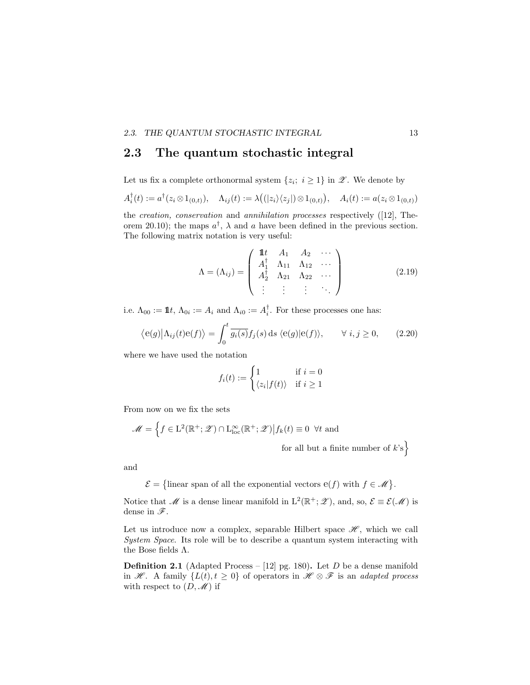#### 2.3. THE QUANTUM STOCHASTIC INTEGRAL

## 2.3 The quantum stochastic integral

Let us fix a complete orthonormal system  $\{z_i; i \geq 1\}$  in  $\mathscr{Z}$ . We denote by

$$
A_i^{\dagger}(t) := a^{\dagger}(z_i \otimes 1_{(0,t)}), \quad \Lambda_{ij}(t) := \lambda((z_i \setminus \langle z_j \rangle) \otimes 1_{(0,t)}), \quad A_i(t) := a(z_i \otimes 1_{(0,t)})
$$

the creation, conservation and annihilation processes respectively ([12], Theorem 20.10); the maps  $a^{\dagger}$ ,  $\lambda$  and  $a$  have been defined in the previous section. The following matrix notation is very useful:

$$
\Lambda = (\Lambda_{ij}) = \begin{pmatrix} \mathbf{1}t & A_1 & A_2 & \cdots \\ A_1^{\dagger} & \Lambda_{11} & \Lambda_{12} & \cdots \\ A_2^{\dagger} & \Lambda_{21} & \Lambda_{22} & \cdots \\ \vdots & \vdots & \vdots & \ddots \end{pmatrix}
$$
(2.19)

i.e.  $\Lambda_{00} := \mathbf{1}t$ ,  $\Lambda_{0i} := A_i$  and  $\Lambda_{i0} := A_i^{\dagger}$ . For these processes one has:

$$
\langle e(g) | \Lambda_{ij}(t) e(f) \rangle = \int_0^t \overline{g_i(s)} f_j(s) \, ds \, \langle e(g) | e(f) \rangle, \qquad \forall \ i, j \ge 0,
$$
 (2.20)

where we have used the notation

$$
f_i(t) := \begin{cases} 1 & \text{if } i = 0\\ \langle z_i | f(t) \rangle & \text{if } i \ge 1 \end{cases}
$$

From now on we fix the sets

$$
\mathcal{M} = \left\{ f \in L^2(\mathbb{R}^+; \mathcal{Z}) \cap L^{\infty}_{loc}(\mathbb{R}^+; \mathcal{Z}) \middle| f_k(t) \equiv 0 \quad \forall t \text{ and}
$$
  
for all but a finite number of k's

and

$$
\mathcal{E} = \{ \text{linear span of all the exponential vectors } e(f) \text{ with } f \in \mathcal{M} \}.
$$

Notice that  $\mathscr M$  is a dense linear manifold in  $L^2(\mathbb{R}^+;\mathscr{Z})$ , and, so,  $\mathscr E\equiv\mathscr E(\mathscr M)$  is dense in  $\mathscr{F}.$ 

Let us introduce now a complex, separable Hilbert space  $\mathscr{H}$ , which we call System Space. Its role will be to describe a quantum system interacting with the Bose fields Λ.

**Definition 2.1** (Adapted Process – [12] pg. 180). Let  $D$  be a dense manifold in H. A family  $\{L(t), t \geq 0\}$  of operators in  $\mathcal{H} \otimes \mathcal{F}$  is an adapted process with respect to  $(D,\mathscr{M})$  if

$$
13\quad
$$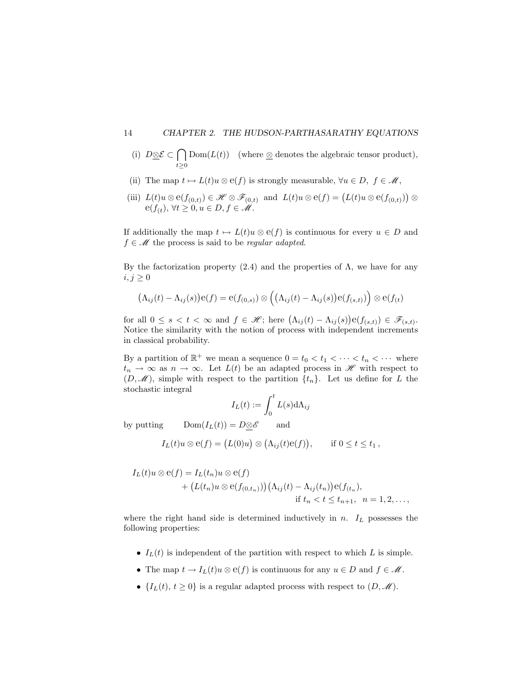#### 14 CHAPTER 2. THE HUDSON-PARTHASARATHY EQUATIONS

- (i)  $D \otimes \mathcal{E} \subset \bigcap$  $t\geq 0$  $Dom(L(t))$  (where  $\otimes$  denotes the algebraic tensor product),
- (ii) The map  $t \mapsto L(t)u \otimes e(f)$  is strongly measurable,  $\forall u \in D, f \in \mathcal{M}$ ,
- (iii)  $L(t)u \otimes e(f_{(0,t)}) \in \mathscr{H} \otimes \mathscr{F}_{(0,t)}$  and  $L(t)u \otimes e(f) = (L(t)u \otimes e(f_{(0,t)})) \otimes$  $e(f_{(t)}, \forall t \geq 0, u \in D, f \in \mathcal{M}.$

If additionally the map  $t \mapsto L(t)u \otimes e(f)$  is continuous for every  $u \in D$  and  $f \in \mathcal{M}$  the process is said to be *regular adapted*.

By the factorization property  $(2.4)$  and the properties of  $\Lambda$ , we have for any  $i, j \geq 0$ 

$$
(\Lambda_{ij}(t) - \Lambda_{ij}(s))e(f) = e(f_{(0,s)}) \otimes ((\Lambda_{ij}(t) - \Lambda_{ij}(s))e(f_{(s,t)})) \otimes e(f_{(t)})
$$

for all  $0 \le s < t < \infty$  and  $f \in \mathcal{H}$ ; here  $(\Lambda_{ij}(t) - \Lambda_{ij}(s))e(f_{(s,t)}) \in \mathcal{F}_{(s,t)}$ . Notice the similarity with the notion of process with independent increments in classical probability.

By a partition of  $\mathbb{R}^+$  we mean a sequence  $0 = t_0 < t_1 < \cdots < t_n < \cdots$  where  $t_n \to \infty$  as  $n \to \infty$ . Let  $L(t)$  be an adapted process in H with respect to  $(D,\mathscr{M})$ , simple with respect to the partition  $\{t_n\}$ . Let us define for L the stochastic integral

$$
I_L(t) := \int_0^t L(s) \mathrm{d} \Lambda_{ij}
$$

by putting  $\text{Dom}(I_L(t)) = D \otimes \mathscr{E}$  and

$$
I_L(t)u\otimes e(f) = (L(0)u)\otimes (\Lambda_{ij}(t)e(f)), \quad \text{if } 0 \le t \le t_1,
$$

$$
I_L(t)u \otimes e(f) = I_L(t_n)u \otimes e(f)
$$
  
+ 
$$
(L(t_n)u \otimes e(f_{(0,t_n)}))(\Lambda_{ij}(t) - \Lambda_{ij}(t_n))e(f_{(t_n)},
$$
  
if  $t_n < t \le t_{n+1}$ ,  $n = 1, 2, ...$ ,

where the right hand side is determined inductively in  $n$ .  $I_L$  possesses the following properties:

- $I_L(t)$  is independent of the partition with respect to which L is simple.
- The map  $t \to I_L(t)u \otimes e(f)$  is continuous for any  $u \in D$  and  $f \in \mathcal{M}$ .
- $\{I_L(t), t \geq 0\}$  is a regular adapted process with respect to  $(D, \mathcal{M})$ .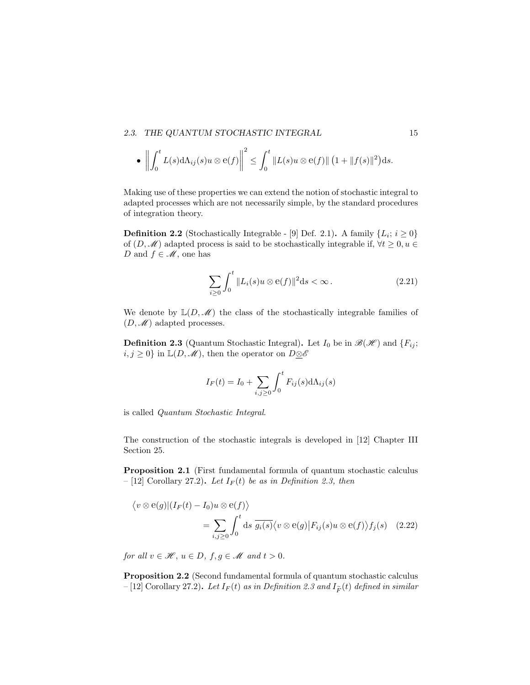#### 2.3. THE QUANTUM STOCHASTIC INTEGRAL 15

• 
$$
\left\| \int_0^t L(s) d\Lambda_{ij}(s) u \otimes e(f) \right\|^2 \leq \int_0^t \|L(s) u \otimes e(f)\| (1 + \|f(s)\|^2) ds.
$$

Making use of these properties we can extend the notion of stochastic integral to adapted processes which are not necessarily simple, by the standard procedures of integration theory.

**Definition 2.2** (Stochastically Integrable - [9] Def. 2.1). A family  $\{L_i; i \geq 0\}$ of  $(D,\mathscr{M})$  adapted process is said to be stochastically integrable if,  $\forall t \geq 0, u \in$ D and  $f \in \mathcal{M}$ , one has

$$
\sum_{i\geq 0} \int_0^t \|L_i(s)u \otimes \mathbf{e}(f)\|^2 ds < \infty. \tag{2.21}
$$

We denote by  $\mathbb{L}(D,\mathcal{M})$  the class of the stochastically integrable families of  $(D,\mathcal{M})$  adapted processes.

**Definition 2.3** (Quantum Stochastic Integral). Let  $I_0$  be in  $\mathscr{B}(\mathscr{H})$  and  $\{F_{ij};$  $i, j \geq 0$ } in  $\mathbb{L}(D, \mathcal{M})$ , then the operator on  $D \otimes \mathcal{E}$ 

$$
I_F(t) = I_0 + \sum_{i,j \ge 0} \int_0^t F_{ij}(s) d\Lambda_{ij}(s)
$$

is called Quantum Stochastic Integral.

The construction of the stochastic integrals is developed in [12] Chapter III Section 25.

Proposition 2.1 (First fundamental formula of quantum stochastic calculus  $-$  [12] Corollary 27.2). Let  $I_F(t)$  be as in Definition 2.3, then

$$
\langle v \otimes e(g) | (I_F(t) - I_0) u \otimes e(f) \rangle
$$
  
= 
$$
\sum_{i,j \ge 0} \int_0^t ds \overline{g_i(s)} \langle v \otimes e(g) | F_{ij}(s) u \otimes e(f) \rangle f_j(s) \quad (2.22)
$$

for all  $v \in \mathcal{H}$ ,  $u \in D$ ,  $f, g \in \mathcal{M}$  and  $t > 0$ .

Proposition 2.2 (Second fundamental formula of quantum stochastic calculus  $-[12]$  Corollary 27.2). Let  $I_F(t)$  as in Definition 2.3 and  $I_{\widetilde{F}}(t)$  defined in similar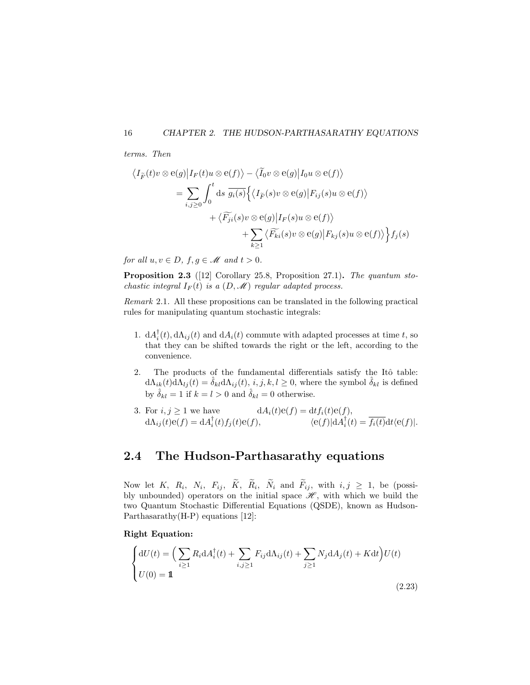terms. Then

$$
\langle I_{\widetilde{F}}(t)v \otimes e(g) | I_{F}(t)u \otimes e(f) \rangle - \langle I_{0}v \otimes e(g) | I_{0}u \otimes e(f) \rangle
$$
  

$$
= \sum_{i,j\geq 0} \int_{0}^{t} ds \overline{g_{i}(s)} \Big\{ \langle I_{\widetilde{F}}(s)v \otimes e(g) | F_{ij}(s)u \otimes e(f) \rangle
$$
  

$$
+ \langle \widetilde{F_{ji}}(s)v \otimes e(g) | I_{F}(s)u \otimes e(f) \rangle
$$
  

$$
+ \sum_{k\geq 1} \langle \widetilde{F_{ki}}(s)v \otimes e(g) | F_{kj}(s)u \otimes e(f) \rangle \Big\} f_{j}(s)
$$

for all  $u, v \in D$ ,  $f, g \in M$  and  $t > 0$ .

Proposition 2.3 ([12] Corollary 25.8, Proposition 27.1). The quantum stochastic integral  $I_F(t)$  is a  $(D, \mathcal{M})$  regular adapted process.

Remark 2.1. All these propositions can be translated in the following practical rules for manipulating quantum stochastic integrals:

- 1.  $dA_i^{\dagger}(t), dA_{ij}(t)$  and  $dA_i(t)$  commute with adapted processes at time t, so that they can be shifted towards the right or the left, according to the convenience.
- 2. The products of the fundamental differentials satisfy the Itô table:  $d\Lambda_{ik}(t)d\Lambda_{lj}(t) = \hat{\delta}_{kl}d\Lambda_{ij}(t), i, j, k, l \geq 0$ , where the symbol  $\hat{\delta}_{kl}$  is defined by  $\hat{\delta}_{kl} = 1$  if  $k = l > 0$  and  $\hat{\delta}_{kl} = 0$  otherwise.
- 3. For  $i, j \ge 1$  we have  $dA_i(t)e(f) = dt f_i(t)e(f)$ ,  $d\Lambda_{ij}(t)e(f) = dA_i^{\dagger}(t)f_j(t)e(f),$   $\langle e(f)|dA_i^{\dagger}(t) = \overline{f_i(t)}dt\langle e(f)|.$

## 2.4 The Hudson-Parthasarathy equations

Now let K,  $R_i$ ,  $N_i$ ,  $F_{ij}$ , K,  $R_i$ ,  $N_i$  and  $F_{ij}$ , with  $i, j \geq 1$ , be (possibly unbounded) operators on the initial space  $\mathscr{H}$ , with which we build the two Quantum Stochastic Differential Equations (QSDE), known as Hudson-Parthasarathy(H-P) equations [12]:

#### Right Equation:

$$
\begin{cases} dU(t) = \Big(\sum_{i\geq 1} R_i dA_i^\dagger(t) + \sum_{i,j\geq 1} F_{ij} dA_{ij}(t) + \sum_{j\geq 1} N_j dA_j(t) + K dt\Big) U(t) \\ U(0) = \mathbf{1} \end{cases}
$$
\n(2.23)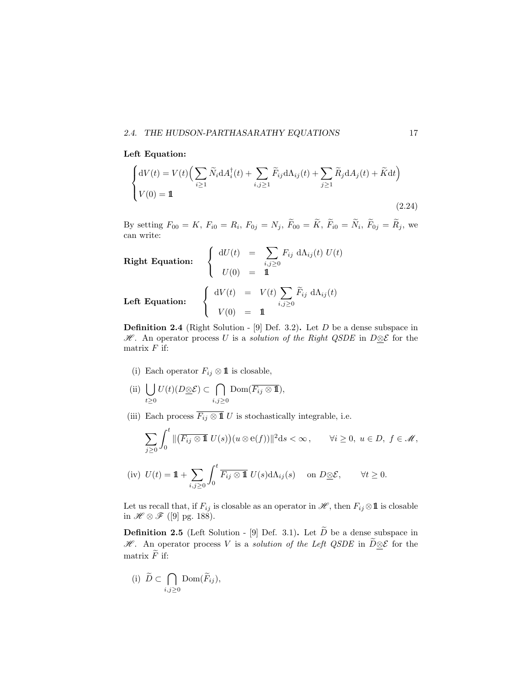#### 2.4. THE HUDSON-PARTHASARATHY EQUATIONS 17

#### Left Equation:

$$
\begin{cases} dV(t) = V(t) \Big( \sum_{i \ge 1} \widetilde{N}_i \mathrm{d}A_i^\dagger(t) + \sum_{i,j \ge 1} \widetilde{F}_{ij} \mathrm{d}\Lambda_{ij}(t) + \sum_{j \ge 1} \widetilde{R}_j \mathrm{d}A_j(t) + \widetilde{K} \mathrm{d}t \Big) \\ V(0) = \mathbf{1} \end{cases}
$$
\n(2.24)

By setting  $F_{00} = K$ ,  $F_{i0} = R_i$ ,  $F_{0j} = N_j$ ,  $F_{00} = K$ ,  $F_{i0} = N_i$ ,  $F_{0j} = R_j$ , we can write:

Right Equation: 
$$
\begin{cases} dU(t) = \sum_{i,j\geq 0} F_{ij} d\Lambda_{ij}(t) U(t) \\ U(0) = 1 \end{cases}
$$
  
Left Equation: 
$$
\begin{cases} dV(t) = V(t) \sum_{i,j\geq 0} \widetilde{F}_{ij} d\Lambda_{ij}(t) \\ V(0) = 1 \end{cases}
$$

**Definition 2.4** (Right Solution - [9] Def. 3.2). Let  $D$  be a dense subspace in  $\mathscr{H}$ . An operator process U is a solution of the Right QSDE in  $D \otimes \mathcal{E}$  for the matrix  $F$  if:

- (i) Each operator  $F_{ij} \otimes \mathbf{1}$  is closable,
- $(ii)$  |  $t\geq 0$  $U(t)(D\otimes\mathcal{E})\subset\bigcap$ i,j≥0 Dom $(\overline{F_{ij}\otimes \mathbf{1}}),$
- (iii) Each process  $\overline{F_{ij} \otimes \mathbf{1}} U$  is stochastically integrable, i.e.

$$
\sum_{j\geq 0} \int_0^t \|(\overline{F_{ij}\otimes \mathbf{1}}\,U(s))(u\otimes e(f))\|^2 ds < \infty, \qquad \forall i\geq 0, \ u\in D, \ f\in \mathcal{M},
$$

(iv) 
$$
U(t) = \mathbf{1} + \sum_{i,j\geq 0} \int_0^t \overline{F_{ij} \otimes \mathbf{1}} \ U(s) d\Lambda_{ij}(s)
$$
 on  $D \underline{\otimes} \mathcal{E}$ ,  $\forall t \geq 0$ .

Let us recall that, if  $F_{ij}$  is closable as an operator in  $\mathscr{H}$ , then  $F_{ij} \otimes \mathbb{1}$  is closable in  $\mathscr{H} \otimes \mathscr{F}$  ([9] pg. 188).

**Definition 2.5** (Left Solution - [9] Def. 3.1). Let  $\widetilde{D}$  be a dense subspace in  $\mathscr H$ . An operator process V is a *solution of the Left QSDE* in  $\widetilde{D}\underline{\otimes}\mathcal{E}$  for the matrix  $\widetilde{F}$  if:

(i) 
$$
\widetilde{D} \subset \bigcap_{i,j\geq 0} \text{Dom}(\widetilde{F}_{ij}),
$$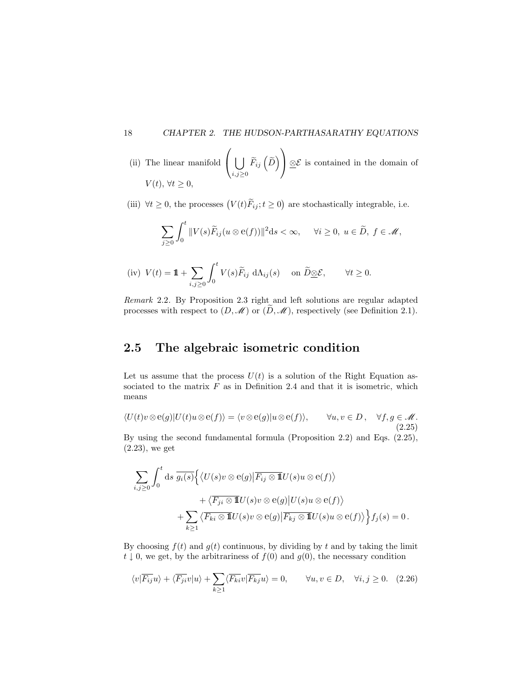#### 18 CHAPTER 2. THE HUDSON-PARTHASARATHY EQUATIONS

(ii) The linear manifold 
$$
\left(\bigcup_{i,j\geq 0} \widetilde{F}_{ij}(\widetilde{D})\right) \underline{\otimes} \mathcal{E}
$$
 is contained in the domain of  $V(t)$ ,  $\forall t \geq 0$ ,

(iii)  $\forall t \geq 0$ , the processes  $(V(t)\overline{F}_{ij}; t \geq 0)$  are stochastically integrable, i.e.

$$
\sum_{j\geq 0} \int_0^t \|V(s)\widetilde{F}_{ij}(u\otimes \mathbf{e}(f))\|^2 ds < \infty, \quad \forall i \geq 0, \ u \in \widetilde{D}, \ f \in \mathcal{M},
$$

(iv) 
$$
V(t) = 1\!\!1 + \sum_{i,j \geq 0} \int_0^t V(s) \widetilde{F}_{ij} d\Lambda_{ij}(s)
$$
 on  $\widetilde{D} \underline{\otimes} \mathcal{E}$ ,  $\forall t \geq 0$ .

Remark 2.2. By Proposition 2.3 right and left solutions are regular adapted processes with respect to  $(D, \mathcal{M})$  or  $(D, \mathcal{M})$ , respectively (see Definition 2.1).

## 2.5 The algebraic isometric condition

Let us assume that the process  $U(t)$  is a solution of the Right Equation associated to the matrix  $F$  as in Definition 2.4 and that it is isometric, which means

$$
\langle U(t)v \otimes \mathbf{e}(g) | U(t)u \otimes \mathbf{e}(f) \rangle = \langle v \otimes \mathbf{e}(g) | u \otimes \mathbf{e}(f) \rangle, \qquad \forall u, v \in D, \quad \forall f, g \in \mathcal{M}.
$$
\n(2.25)

By using the second fundamental formula (Proposition 2.2) and Eqs. (2.25), (2.23), we get

$$
\sum_{i,j\geq 0} \int_0^t ds \overline{g_i(s)} \Big\{ \langle U(s)v \otimes e(g) | \overline{F_{ij} \otimes \mathbf{1}} U(s)u \otimes e(f) \rangle
$$
  
+  $\langle \overline{F_{ji} \otimes \mathbf{1}} U(s)v \otimes e(g) | U(s)u \otimes e(f) \rangle$   
+  $\sum_{k\geq 1} \langle \overline{F_{ki} \otimes \mathbf{1}} U(s)v \otimes e(g) | \overline{F_{kj} \otimes \mathbf{1}} U(s)u \otimes e(f) \rangle \Big\} f_j(s) = 0.$ 

By choosing  $f(t)$  and  $g(t)$  continuous, by dividing by t and by taking the limit  $t \downarrow 0$ , we get, by the arbitrariness of  $f(0)$  and  $g(0)$ , the necessary condition

$$
\langle v|\overline{F_{ij}}u\rangle + \langle \overline{F_{ji}}v|u\rangle + \sum_{k\geq 1} \langle \overline{F_{ki}}v|\overline{F_{kj}}u\rangle = 0, \qquad \forall u, v \in D, \quad \forall i, j \geq 0. \tag{2.26}
$$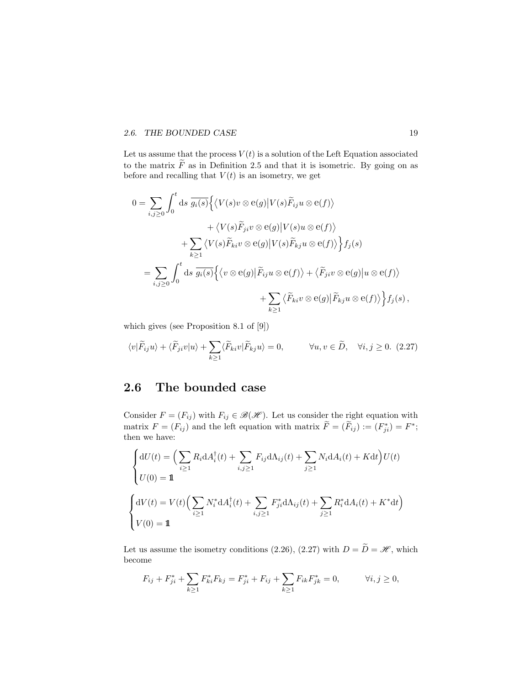#### 2.6. THE BOUNDED CASE 19

Let us assume that the process  $V(t)$  is a solution of the Left Equation associated to the matrix  $\tilde{F}$  as in Definition 2.5 and that it is isometric. By going on as before and recalling that  $V(t)$  is an isometry, we get

$$
0 = \sum_{i,j\geq 0} \int_0^t ds \overline{g_i(s)} \Big\{ \langle V(s)v \otimes e(g) | V(s) \widetilde{F}_{ij} u \otimes e(f) \rangle
$$
  
+  $\langle V(s) \widetilde{F}_{ji} v \otimes e(g) | V(s) u \otimes e(f) \rangle$   
+  $\sum_{k\geq 1} \langle V(s) \widetilde{F}_{ki} v \otimes e(g) | V(s) \widetilde{F}_{kj} u \otimes e(f) \rangle \Big\} f_j(s)$   
=  $\sum_{i,j\geq 0} \int_0^t ds \overline{g_i(s)} \Big\{ \langle v \otimes e(g) | \widetilde{F}_{ij} u \otimes e(f) \rangle + \langle \widetilde{F}_{ji} v \otimes e(g) | u \otimes e(f) \rangle \Big\} f_j(s) ,$   
+  $\sum_{k\geq 1} \langle \widetilde{F}_{ki} v \otimes e(g) | \widetilde{F}_{kj} u \otimes e(f) \rangle \Big\} f_j(s) ,$ 

which gives (see Proposition 8.1 of [9])

$$
\langle v|\widetilde{F}_{ij}u\rangle + \langle \widetilde{F}_{ji}v|u\rangle + \sum_{k\geq 1} \langle \widetilde{F}_{ki}v|\widetilde{F}_{kj}u\rangle = 0, \qquad \forall u, v \in \widetilde{D}, \quad \forall i, j \geq 0. \tag{2.27}
$$

## 2.6 The bounded case

Consider  $F = (F_{ij})$  with  $F_{ij} \in \mathcal{B}(\mathcal{H})$ . Let us consider the right equation with matrix  $F = (F_{ij})$  and the left equation with matrix  $\tilde{F} = (\tilde{F}_{ij}) := (F_{ji}^*) = F^*;$ then we have:

$$
\begin{cases} dU(t) = \Big( \sum_{i \ge 1} R_i \mathrm{d}A_i^{\dagger}(t) + \sum_{i,j \ge 1} F_{ij} \mathrm{d}\Lambda_{ij}(t) + \sum_{j \ge 1} N_i \mathrm{d}A_i(t) + K \mathrm{d}t \Big) U(t) \\ U(0) = \mathbf{1} \end{cases}
$$

$$
\begin{cases} dV(t) = V(t) \Big( \sum_{i \ge 1} N_i^* \mathrm{d}A_i^{\dagger}(t) + \sum_{i,j \ge 1} F_{ji}^* \mathrm{d}\Lambda_{ij}(t) + \sum_{j \ge 1} R_i^* \mathrm{d}A_i(t) + K^* \mathrm{d}t \Big) \\ V(0) = \mathbf{1} \end{cases}
$$

Let us assume the isometry conditions (2.26), (2.27) with  $D = \widetilde{D} = \mathscr{H}$ , which become

$$
F_{ij} + F_{ji}^* + \sum_{k \ge 1} F_{ki}^* F_{kj} = F_{ji}^* + F_{ij} + \sum_{k \ge 1} F_{ik} F_{jk}^* = 0, \qquad \forall i, j \ge 0,
$$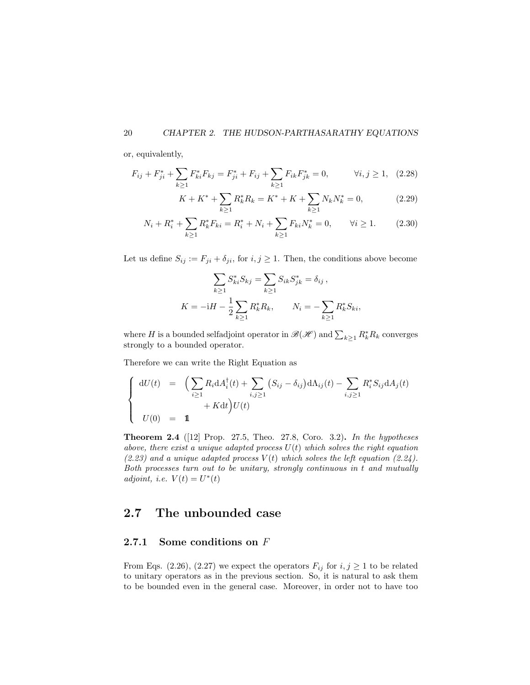or, equivalently,

$$
F_{ij} + F_{ji}^* + \sum_{k \ge 1} F_{ki}^* F_{kj} = F_{ji}^* + F_{ij} + \sum_{k \ge 1} F_{ik} F_{jk}^* = 0, \qquad \forall i, j \ge 1, \quad (2.28)
$$

$$
K + K^* + \sum_{k \ge 1} R_k^* R_k = K^* + K + \sum_{k \ge 1} N_k N_k^* = 0,
$$
 (2.29)

$$
N_i + R_i^* + \sum_{k \ge 1} R_k^* F_{ki} = R_i^* + N_i + \sum_{k \ge 1} F_{ki} N_k^* = 0, \qquad \forall i \ge 1.
$$
 (2.30)

Let us define  $S_{ij} := F_{ji} + \delta_{ji}$ , for  $i, j \ge 1$ . Then, the conditions above become

$$
\sum_{k\geq 1} S_{ki}^* S_{kj} = \sum_{k\geq 1} S_{ik} S_{jk}^* = \delta_{ij},
$$
  

$$
K = -iH - \frac{1}{2} \sum_{k\geq 1} R_k^* R_k, \qquad N_i = -\sum_{k\geq 1} R_k^* S_{ki},
$$

where H is a bounded selfadjoint operator in  $\mathscr{B}(\mathscr{H})$  and  $\sum_{k\geq 1} R_k^* R_k$  converges strongly to a bounded operator.

Therefore we can write the Right Equation as

$$
\begin{cases}\n\mathrm{d}U(t) = \left( \sum_{i \geq 1} R_i \mathrm{d}A_i^{\dagger}(t) + \sum_{i,j \geq 1} (S_{ij} - \delta_{ij}) \mathrm{d} \Lambda_{ij}(t) - \sum_{i,j \geq 1} R_i^* S_{ij} \mathrm{d}A_j(t) \right. \\
\left. + K \mathrm{d}t \right) U(t) \\
U(0) = \mathbf{1}\n\end{cases}
$$

Theorem 2.4 ([12] Prop. 27.5, Theo. 27.8, Coro. 3.2). In the hypotheses above, there exist a unique adapted process  $U(t)$  which solves the right equation  $(2.23)$  and a unique adapted process  $V(t)$  which solves the left equation (2.24). Both processes turn out to be unitary, strongly continuous in t and mutually adjoint, i.e.  $V(t) = U^*(t)$ 

## 2.7 The unbounded case

#### 2.7.1 Some conditions on  $F$

From Eqs. (2.26), (2.27) we expect the operators  $F_{ij}$  for  $i, j \ge 1$  to be related to unitary operators as in the previous section. So, it is natural to ask them to be bounded even in the general case. Moreover, in order not to have too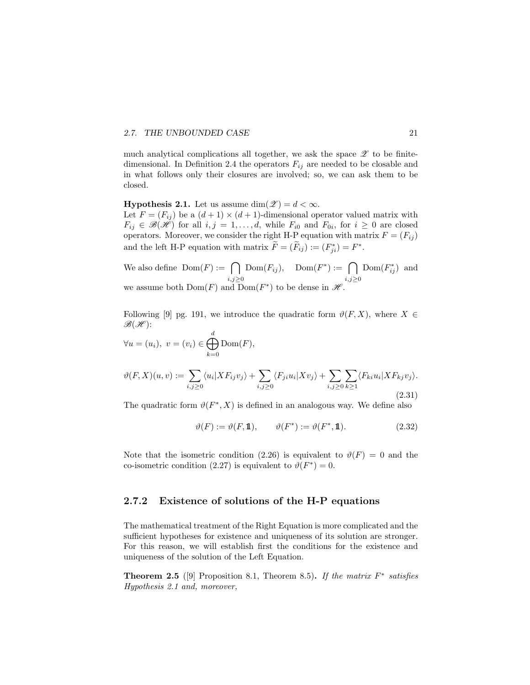#### 2.7. THE UNBOUNDED CASE 21

much analytical complications all together, we ask the space  $\mathscr Z$  to be finitedimensional. In Definition 2.4 the operators  $F_{ij}$  are needed to be closable and in what follows only their closures are involved; so, we can ask them to be closed.

**Hypothesis 2.1.** Let us assume dim $(\mathscr{Z}) = d < \infty$ .

Let  $F = (F_{ij})$  be a  $(d+1) \times (d+1)$ -dimensional operator valued matrix with  $F_{ij} \in \mathscr{B}(\mathscr{H})$  for all  $i, j = 1, \ldots, d$ , while  $F_{i0}$  and  $F_{0i}$ , for  $i \geq 0$  are closed operators. Moreover, we consider the right H-P equation with matrix  $F = (F_{ij})$ and the left H-P equation with matrix  $\widetilde{F} = (\widetilde{F}_{ij}) := (F_{ji}^*) = F^*$ .

We also define  $Dom(F) := \bigcap$  $i,j\geq 0$  $Dom(F_{ij}),$   $Dom(F^*) := \bigcap$  $i,j\geq 0$  $Dom(F_{ij}^*)$  and we assume both  $Dom(F)$  and  $Dom(F^*)$  to be dense in  $\mathcal{H}$ .

Following [9] pg. 191, we introduce the quadratic form  $\vartheta(F, X)$ , where  $X \in$  $\mathscr{B}(\mathscr{H})$ :

$$
\forall u = (u_i), \ v = (v_i) \in \bigoplus_{k=0}^d \text{Dom}(F),
$$

$$
\vartheta(F,X)(u,v) := \sum_{i,j\geq 0} \langle u_i | X F_{ij} v_j \rangle + \sum_{i,j\geq 0} \langle F_{ji} u_i | X v_j \rangle + \sum_{i,j\geq 0} \sum_{k\geq 1} \langle F_{ki} u_i | X F_{kj} v_j \rangle.
$$
\n(2.31)

The quadratic form  $\vartheta(F^*, X)$  is defined in an analogous way. We define also

$$
\vartheta(F) := \vartheta(F, \mathbf{1}), \qquad \vartheta(F^*) := \vartheta(F^*, \mathbf{1}). \tag{2.32}
$$

Note that the isometric condition (2.26) is equivalent to  $\vartheta(F) = 0$  and the co-isometric condition (2.27) is equivalent to  $\vartheta(F^*)=0$ .

#### 2.7.2 Existence of solutions of the H-P equations

The mathematical treatment of the Right Equation is more complicated and the sufficient hypotheses for existence and uniqueness of its solution are stronger. For this reason, we will establish first the conditions for the existence and uniqueness of the solution of the Left Equation.

**Theorem 2.5** ([9] Proposition 8.1, Theorem 8.5). If the matrix  $F^*$  satisfies Hypothesis 2.1 and, moreover,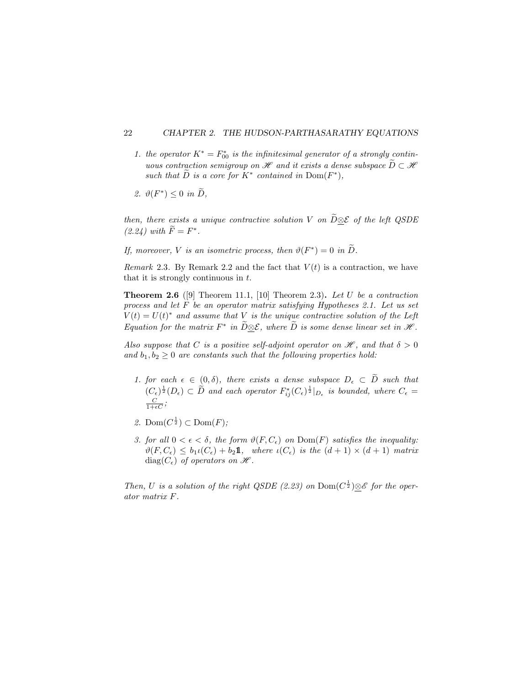#### 22 CHAPTER 2. THE HUDSON-PARTHASARATHY EQUATIONS

1. the operator  $K^* = F_{00}^*$  is the infinitesimal generator of a strongly continuous contraction semigroup on H and it exists a dense subspace  $\tilde{D} \subset \mathcal{H}$ such that  $\widetilde{D}$  is a core for  $K^*$  contained in  $Dom(F^*)$ ,

$$
2. \ \vartheta(F^*) \le 0 \ \text{in } \widetilde{D},
$$

then, there exists a unique contractive solution V on  $\widetilde{D} \otimes \mathcal{E}$  of the left QSDE  $(2.24)$  with  $\widetilde{F} = F^*$ .

If, moreover, V is an isometric process, then  $\vartheta(F^*) = 0$  in  $\widetilde{D}$ .

Remark 2.3. By Remark 2.2 and the fact that  $V(t)$  is a contraction, we have that it is strongly continuous in  $t$ .

**Theorem 2.6** ([9] Theorem 11.1, [10] Theorem 2.3). Let U be a contraction process and let  $F$  be an operator matrix satisfying Hypotheses 2.1. Let us set  $V(t) = U(t)^*$  and assume that V is the unique contractive solution of the Left Equation for the matrix  $F^*$  in  $\widetilde{D}\otimes \mathcal{E}$ , where  $\widetilde{D}$  is some dense linear set in  $\mathscr{H}$ .

Also suppose that C is a positive self-adjoint operator on  $\mathcal{H}$ , and that  $\delta > 0$ and  $b_1, b_2 \geq 0$  are constants such that the following properties hold:

- 1. for each  $\epsilon \in (0,\delta)$ , there exists a dense subspace  $D_{\epsilon} \subset \tilde{D}$  such that  $(C_{\epsilon})^{\frac{1}{2}}(D_{\epsilon}) \subset \widetilde{D}$  and each operator  $F_{ij}^*(C_{\epsilon})^{\frac{1}{2}}|_{D_{\epsilon}}$  is bounded, where  $C_{\epsilon} =$  $\frac{C}{1+\epsilon C}$ ;
- 2. Dom $(C^{\frac{1}{2}}) \subset \text{Dom}(F);$
- 3. for all  $0 < \epsilon < \delta$ , the form  $\vartheta(F, C_{\epsilon})$  on  $Dom(F)$  satisfies the inequality:  $\vartheta(F, C_{\epsilon}) \leq b_1 \iota(C_{\epsilon}) + b_2 \mathbf{1}, \text{ where } \iota(C_{\epsilon}) \text{ is the } (d+1) \times (d+1) \text{ matrix}$ diag( $C_{\epsilon}$ ) of operators on  $\mathscr{H}$ .

Then, U is a solution of the right QSDE (2.23) on Dom $(C^{\frac{1}{2}}) \otimes \mathscr{E}$  for the operator matrix F.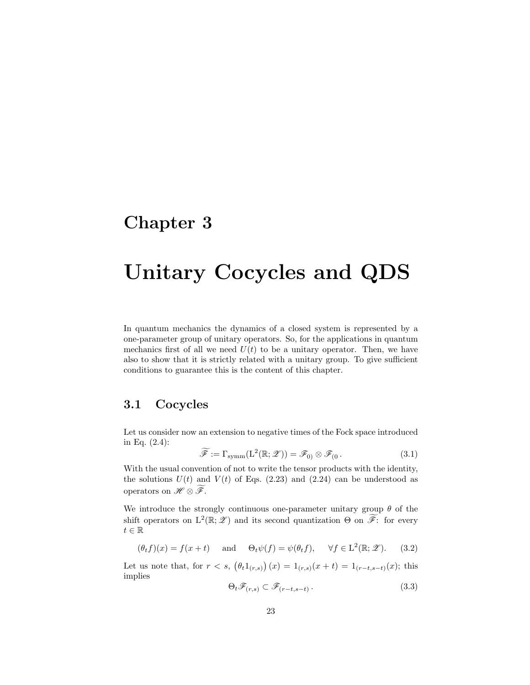## Chapter 3

## Unitary Cocycles and QDS

In quantum mechanics the dynamics of a closed system is represented by a one-parameter group of unitary operators. So, for the applications in quantum mechanics first of all we need  $U(t)$  to be a unitary operator. Then, we have also to show that it is strictly related with a unitary group. To give sufficient conditions to guarantee this is the content of this chapter.

## 3.1 Cocycles

Let us consider now an extension to negative times of the Fock space introduced in Eq. (2.4):

$$
\widetilde{\mathscr{F}} := \Gamma_{\text{symm}}(L^2(\mathbb{R}; \mathscr{Z})) = \mathscr{F}_{0} \otimes \mathscr{F}_{(0)}.
$$
 (3.1)

With the usual convention of not to write the tensor products with the identity, the solutions  $U(t)$  and  $V(t)$  of Eqs. (2.23) and (2.24) can be understood as operators on  $\mathscr{H} \otimes \widetilde{\mathscr{F}}$ .

We introduce the strongly continuous one-parameter unitary group  $\theta$  of the shift operators on  $L^2(\mathbb{R}; \mathscr{Z})$  and its second quantization  $\Theta$  on  $\widetilde{\mathscr{F}}$ : for every  $t \in \mathbb{R}$ 

$$
(\theta_t f)(x) = f(x+t) \quad \text{and} \quad \Theta_t \psi(f) = \psi(\theta_t f), \quad \forall f \in \mathcal{L}^2(\mathbb{R}; \mathcal{Z}). \tag{3.2}
$$

Let us note that, for  $r < s$ ,  $(\theta_t 1_{(r,s)}) (x) = 1_{(r,s)}(x+t) = 1_{(r-t,s-t)}(x)$ ; this implies

$$
\Theta_t \mathcal{F}_{(r,s)} \subset \mathcal{F}_{(r-t,s-t)}\,. \tag{3.3}
$$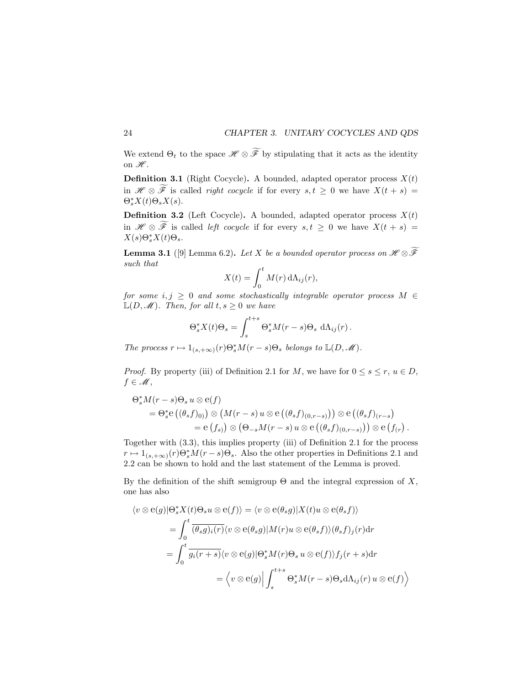#### 24 CHAPTER 3. UNITARY COCYCLES AND QDS

We extend  $\Theta_t$  to the space  $\mathscr{H} \otimes \widetilde{\mathscr{F}}$  by stipulating that it acts as the identity on  $\mathscr{H}$ .

**Definition 3.1** (Right Cocycle). A bounded, adapted operator process  $X(t)$ in  $\mathscr{H} \otimes \widetilde{\mathscr{F}}$  is called *right cocycle* if for every  $s, t \geq 0$  we have  $X(t + s) =$  $\Theta_s^* X(t) \Theta_s X(s)$ .

**Definition 3.2** (Left Cocycle). A bounded, adapted operator process  $X(t)$ in  $\mathscr{H} \otimes \widetilde{\mathscr{F}}$  is called *left cocycle* if for every  $s, t \geq 0$  we have  $X(t + s) =$  $X(s)\Theta_s^*X(t)\Theta_s.$ 

**Lemma 3.1** ([9] Lemma 6.2). Let X be a bounded operator process on  $\mathscr{H} \otimes \widetilde{\mathscr{F}}$ such that

$$
X(t) = \int_0^t M(r) \, \mathrm{d}\Lambda_{ij}(r),
$$

for some  $i, j \geq 0$  and some stochastically integrable operator process  $M \in$  $\mathbb{L}(D,\mathscr{M})$ . Then, for all  $t,s\geq 0$  we have

$$
\Theta_s^* X(t) \Theta_s = \int_s^{t+s} \Theta_s^* M(r-s) \Theta_s \, d\Lambda_{ij}(r) \, .
$$

The process  $r \mapsto 1_{(s, +\infty)}(r)\Theta_s^*M(r-s)\Theta_s$  belongs to  $\mathbb{L}(D, \mathcal{M})$ .

*Proof.* By property (iii) of Definition 2.1 for M, we have for  $0 \leq s \leq r$ ,  $u \in D$ ,  $f \in \mathcal{M},$ 

$$
\Theta_s^* M(r-s) \Theta_s u \otimes e(f)
$$
  
=  $\Theta_s^* e ((\theta_s f)_{0}) \otimes (M(r-s) u \otimes e ((\theta_s f)_{(0,r-s)})) \otimes e ((\theta_s f)_{(r-s)})$   
=  $e (f_s) \otimes (\Theta_{-s} M(r-s) u \otimes e ((\theta_s f)_{(0,r-s)})) \otimes e (f_{(r)}).$ 

Together with (3.3), this implies property (iii) of Definition 2.1 for the process  $r \mapsto 1_{(s, +\infty)}(r)\Theta_s^*M(r-s)\Theta_s$ . Also the other properties in Definitions 2.1 and 2.2 can be shown to hold and the last statement of the Lemma is proved.

By the definition of the shift semigroup  $\Theta$  and the integral expression of X, one has also

$$
\langle v \otimes e(g) | \Theta_s^* X(t) \Theta_s u \otimes e(f) \rangle = \langle v \otimes e(\theta_s g) | X(t) u \otimes e(\theta_s f) \rangle
$$
  
= 
$$
\int_0^t \overline{(\theta_s g)_i(r)} \langle v \otimes e(\theta_s g) | M(r) u \otimes e(\theta_s f) \rangle (\theta_s f)_j(r) dr
$$
  
= 
$$
\int_0^t \overline{g_i(r+s)} \langle v \otimes e(g) | \Theta_s^* M(r) \Theta_s u \otimes e(f) \rangle f_j(r+s) dr
$$
  
= 
$$
\langle v \otimes e(g) | \int_s^{t+s} \Theta_s^* M(r-s) \Theta_s d\Lambda_{ij}(r) u \otimes e(f) \rangle
$$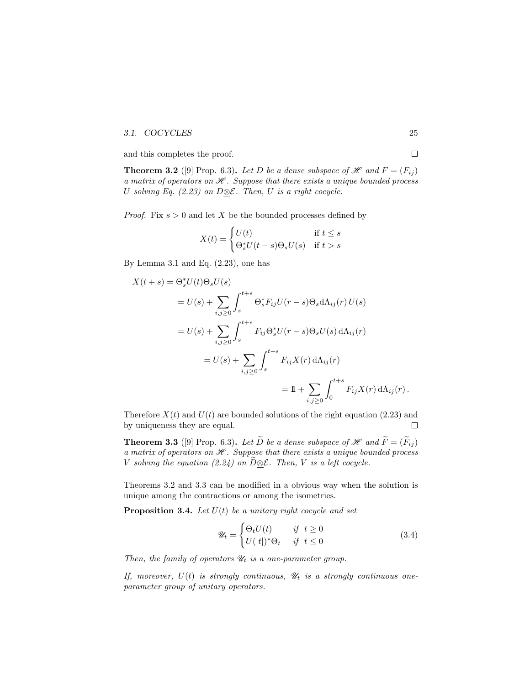#### 3.1. COCYCLES 25

and this completes the proof.

**Theorem 3.2** ([9] Prop. 6.3). Let D be a dense subspace of  $\mathcal{H}$  and  $F = (F_{ij})$ a matrix of operators on  $\mathcal H$ . Suppose that there exists a unique bounded process U solving Eq.  $(2.23)$  on D⊗ $\mathcal{E}$ . Then, U is a right cocycle.

*Proof.* Fix  $s > 0$  and let X be the bounded processes defined by

$$
X(t) = \begin{cases} U(t) & \text{if } t \le s \\ \Theta_s^* U(t-s) \Theta_s U(s) & \text{if } t > s \end{cases}
$$

By Lemma 3.1 and Eq. (2.23), one has

$$
X(t+s) = \Theta_s^* U(t) \Theta_s U(s)
$$
  
=  $U(s) + \sum_{i,j \ge 0} \int_s^{t+s} \Theta_s^* F_{ij} U(r-s) \Theta_s d\Lambda_{ij}(r) U(s)$   
=  $U(s) + \sum_{i,j \ge 0} \int_s^{t+s} F_{ij} \Theta_s^* U(r-s) \Theta_s U(s) d\Lambda_{ij}(r)$   
=  $U(s) + \sum_{i,j \ge 0} \int_s^{t+s} F_{ij} X(r) d\Lambda_{ij}(r)$   
=  $\mathbf{1} + \sum_{i,j \ge 0} \int_0^{t+s} F_{ij} X(r) d\Lambda_{ij}(r).$ 

Therefore  $X(t)$  and  $U(t)$  are bounded solutions of the right equation (2.23) and by uniqueness they are equal.  $\Box$ 

**Theorem 3.3** ([9] Prop. 6.3). Let  $\widetilde{D}$  be a dense subspace of  $\mathscr{H}$  and  $\widetilde{F} = (\widetilde{F}_{ij})$ a matrix of operators on  $\mathcal H$ . Suppose that there exists a unique bounded process V solving the equation (2.24) on D $\otimes \mathcal{E}$ . Then, V is a left cocycle.

Theorems 3.2 and 3.3 can be modified in a obvious way when the solution is unique among the contractions or among the isometries.

**Proposition 3.4.** Let  $U(t)$  be a unitary right cocycle and set

$$
\mathscr{U}_t = \begin{cases} \Theta_t U(t) & \text{if } t \ge 0\\ U(|t|)^* \Theta_t & \text{if } t \le 0 \end{cases} \tag{3.4}
$$

Then, the family of operators  $\mathscr{U}_t$  is a one-parameter group.

If, moreover,  $U(t)$  is strongly continuous,  $\mathscr{U}_t$  is a strongly continuous oneparameter group of unitary operators.

 $\Box$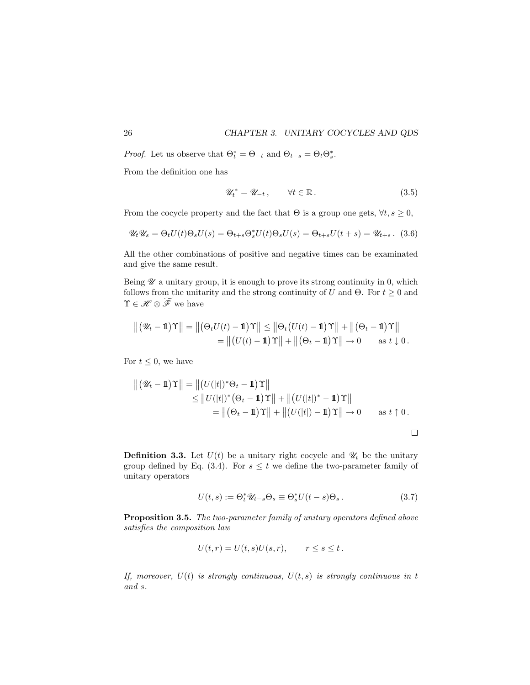*Proof.* Let us observe that  $\Theta_t^* = \Theta_{-t}$  and  $\Theta_{t-s} = \Theta_t \Theta_s^*$ .

From the definition one has

$$
\mathscr{U}_t^* = \mathscr{U}_{-t}, \qquad \forall t \in \mathbb{R} \,. \tag{3.5}
$$

From the cocycle property and the fact that  $\Theta$  is a group one gets,  $\forall t, s \geq 0$ ,

$$
\mathscr{U}_t \mathscr{U}_s = \Theta_t U(t) \Theta_s U(s) = \Theta_{t+s} \Theta_s^* U(t) \Theta_s U(s) = \Theta_{t+s} U(t+s) = \mathscr{U}_{t+s}.
$$
 (3.6)

All the other combinations of positive and negative times can be examinated and give the same result.

Being  $\mathscr U$  a unitary group, it is enough to prove its strong continuity in 0, which follows from the unitarity and the strong continuity of U and  $\Theta$ . For  $t \geq 0$  and  $\Upsilon \in \mathscr{H} \otimes \widetilde{\mathscr{F}}$  we have

$$
\left\| \left( \mathscr{U}_t - \mathbf{1} \right) \Upsilon \right\| = \left\| \left( \Theta_t U(t) - \mathbf{1} \right) \Upsilon \right\| \le \left\| \Theta_t \left( U(t) - \mathbf{1} \right) \Upsilon \right\| + \left\| \left( \Theta_t - \mathbf{1} \right) \Upsilon \right\|
$$
  
=  $\left\| \left( U(t) - \mathbf{1} \right) \Upsilon \right\| + \left\| \left( \Theta_t - \mathbf{1} \right) \Upsilon \right\| \to 0$  as  $t \downarrow 0$ .

For  $t \leq 0$ , we have

$$
\|(\mathscr{U}_t - \mathbf{1})\Upsilon\| = \| (U(|t|)^* \Theta_t - \mathbf{1})\Upsilon \| \leq \| U(|t|)^* (\Theta_t - \mathbf{1})\Upsilon \| + \| (U(|t|)^* - \mathbf{1})\Upsilon \| = \| (\Theta_t - \mathbf{1})\Upsilon \| + \| (U(|t|) - \mathbf{1})\Upsilon \| \to 0 \quad \text{as } t \uparrow 0.
$$

**Definition 3.3.** Let  $U(t)$  be a unitary right cocycle and  $\mathcal{U}_t$  be the unitary group defined by Eq. (3.4). For  $s \leq t$  we define the two-parameter family of unitary operators

$$
U(t,s) := \Theta_t^* \mathscr{U}_{t-s} \Theta_s \equiv \Theta_s^* U(t-s) \Theta_s. \tag{3.7}
$$

Proposition 3.5. The two-parameter family of unitary operators defined above satisfies the composition law

$$
U(t,r) = U(t,s)U(s,r), \qquad r \le s \le t.
$$

If, moreover,  $U(t)$  is strongly continuous,  $U(t, s)$  is strongly continuous in t and s.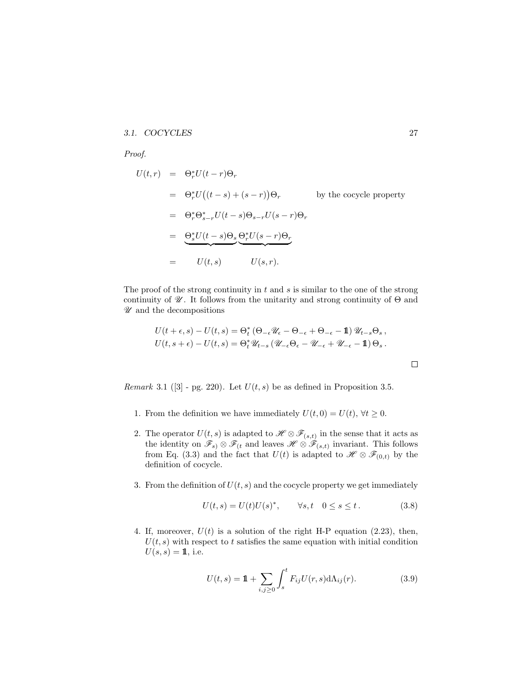#### 3.1. COCYCLES 27

Proof.

$$
U(t,r) = \Theta_r^* U(t-r)\Theta_r
$$
  
\n
$$
= \Theta_r^* U((t-s) + (s-r))\Theta_r
$$
 by the cocycle property  
\n
$$
= \Theta_r^* \Theta_{s-r}^* U(t-s)\Theta_{s-r} U(s-r)\Theta_r
$$
  
\n
$$
= \Theta_s^* U(t-s)\Theta_s \Theta_r^* U(s-r)\Theta_r
$$
  
\n
$$
= U(t,s) \qquad U(s,r).
$$

The proof of the strong continuity in  $t$  and  $s$  is similar to the one of the strong continuity of  $\mathscr U$ . It follows from the unitarity and strong continuity of  $\Theta$  and  $\mathscr U$  and the decompositions

$$
U(t+\epsilon,s) - U(t,s) = \Theta_t^* \left( \Theta_{-\epsilon} \mathcal{U}_{\epsilon} - \Theta_{-\epsilon} + \Theta_{-\epsilon} - \mathbf{1} \right) \mathcal{U}_{t-s} \Theta_s,
$$
  

$$
U(t,s+\epsilon) - U(t,s) = \Theta_t^* \mathcal{U}_{t-s} \left( \mathcal{U}_{-\epsilon} \Theta_{\epsilon} - \mathcal{U}_{-\epsilon} + \mathcal{U}_{-\epsilon} - \mathbf{1} \right) \Theta_s.
$$

Remark 3.1 ([3] - pg. 220). Let  $U(t, s)$  be as defined in Proposition 3.5.

- 1. From the definition we have immediately  $U(t, 0) = U(t)$ ,  $\forall t \geq 0$ .
- 2. The operator  $U(t, s)$  is adapted to  $\mathscr{H} \otimes \mathscr{F}_{(s,t)}$  in the sense that it acts as the identity on  $\mathscr{F}_{s} \otimes \mathscr{F}_{(t)}$  and leaves  $\mathscr{H} \otimes \mathscr{F}_{(s,t)}$  invariant. This follows from Eq. (3.3) and the fact that  $U(t)$  is adapted to  $\mathscr{H} \otimes \mathscr{F}_{(0,t)}$  by the definition of cocycle.
- 3. From the definition of  $U(t, s)$  and the cocycle property we get immediately

$$
U(t,s) = U(t)U(s)^*, \qquad \forall s, t \quad 0 \le s \le t. \tag{3.8}
$$

4. If, moreover,  $U(t)$  is a solution of the right H-P equation (2.23), then,  $U(t, s)$  with respect to t satisfies the same equation with initial condition  $U(s, s) = 1$ , i.e.

$$
U(t,s) = \mathbf{1} + \sum_{i,j \ge 0} \int_s^t F_{ij} U(r,s) d\Lambda_{ij}(r).
$$
 (3.9)

 $\hfill \square$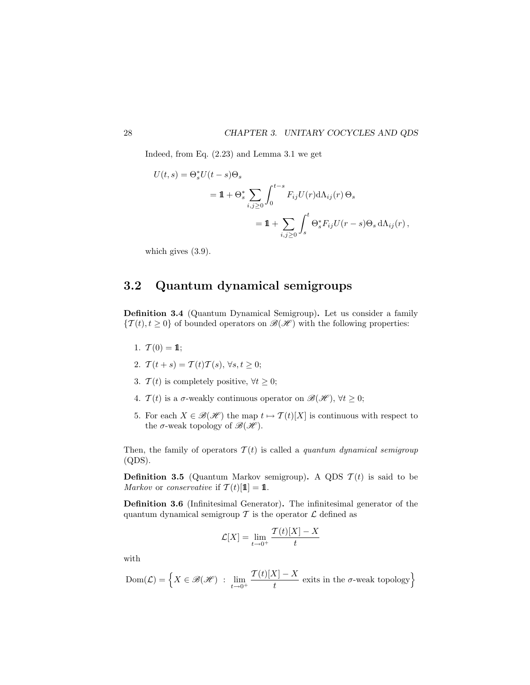Indeed, from Eq. (2.23) and Lemma 3.1 we get

$$
U(t,s) = \Theta_s^* U(t-s) \Theta_s
$$
  
=  $\mathbf{1} + \Theta_s^* \sum_{i,j \ge 0} \int_0^{t-s} F_{ij} U(r) d\Lambda_{ij}(r) \Theta_s$   
=  $\mathbf{1} + \sum_{i,j \ge 0} \int_s^t \Theta_s^* F_{ij} U(r-s) \Theta_s d\Lambda_{ij}(r),$ 

which gives (3.9).

## 3.2 Quantum dynamical semigroups

Definition 3.4 (Quantum Dynamical Semigroup). Let us consider a family  ${\mathcal{T}(t), t \geq 0}$  of bounded operators on  $\mathcal{B}(\mathcal{H})$  with the following properties:

- 1.  $\mathcal{T}(0) = 1$ ;
- 2.  $\mathcal{T}(t+s) = \mathcal{T}(t)\mathcal{T}(s), \forall s,t \geq 0;$
- 3.  $\mathcal{T}(t)$  is completely positive,  $\forall t \geq 0$ ;
- 4.  $\mathcal{T}(t)$  is a  $\sigma$ -weakly continuous operator on  $\mathscr{B}(\mathscr{H}), \forall t \geq 0;$
- 5. For each  $X \in \mathcal{B}(\mathcal{H})$  the map  $t \mapsto \mathcal{T}(t)[X]$  is continuous with respect to the  $\sigma$ -weak topology of  $\mathcal{B}(\mathcal{H})$ .

Then, the family of operators  $T(t)$  is called a *quantum dynamical semigroup* (QDS).

**Definition 3.5** (Quantum Markov semigroup). A QDS  $\mathcal{T}(t)$  is said to be Markov or conservative if  $\mathcal{T}(t)[1] = 1$ .

Definition 3.6 (Infinitesimal Generator). The infinitesimal generator of the quantum dynamical semigroup  $\mathcal T$  is the operator  $\mathcal L$  defined as

$$
\mathcal{L}[X] = \lim_{t \to 0^+} \frac{\mathcal{T}(t)[X] - X}{t}
$$

with

$$
\text{Dom}(\mathcal{L}) = \left\{ X \in \mathcal{B}(\mathcal{H}) \; : \; \lim_{t \to 0^+} \frac{\mathcal{T}(t)[X] - X}{t} \text{ exists in the } \sigma\text{-weak topology} \right\}
$$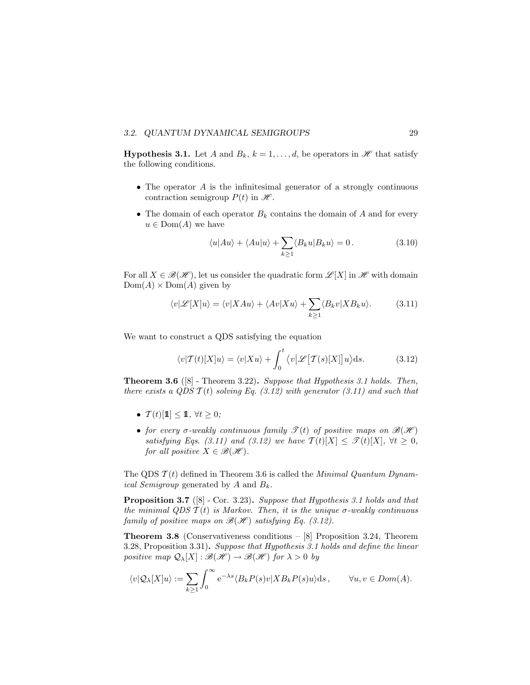#### 3.2. QUANTUM DYNAMICAL SEMIGROUPS 29

**Hypothesis 3.1.** Let A and  $B_k$ ,  $k = 1, \ldots, d$ , be operators in  $\mathcal{H}$  that satisfy the following conditions.

- The operator A is the infinitesimal generator of a strongly continuous contraction semigroup  $P(t)$  in  $\mathscr{H}$ .
- The domain of each operator  $B_k$  contains the domain of A and for every  $u \in \text{Dom}(A)$  we have

$$
\langle u|Au\rangle + \langle Au|u\rangle + \sum_{k\geq 1} \langle B_k u|B_k u\rangle = 0.
$$
 (3.10)

For all  $X \in \mathcal{B}(\mathcal{H})$ , let us consider the quadratic form  $\mathcal{L}[X]$  in  $\mathcal{H}$  with domain  $Dom(A) \times Dom(A)$  given by

$$
\langle v|\mathcal{L}[X]u\rangle = \langle v|XAu\rangle + \langle Av|Xu\rangle + \sum_{k\geq 1} \langle B_k v|XB_ku\rangle.
$$
 (3.11)

We want to construct a QDS satisfying the equation

$$
\langle v|\mathcal{T}(t)[X]u\rangle = \langle v|Xu\rangle + \int_0^t \langle v|\mathcal{L}[\mathcal{T}(s)[X]]u\rangle ds.
$$
 (3.12)

**Theorem 3.6** ( $[8]$  - Theorem 3.22). Suppose that Hypothesis 3.1 holds. Then, there exists a QDS  $\mathcal{T}(t)$  solving Eq. (3.12) with generator (3.11) and such that

- $T(t)[1] \leq 1, \forall t \geq 0;$
- for every  $\sigma$ -weakly continuous family  $\mathcal{T}(t)$  of positive maps on  $\mathcal{B}(\mathcal{H})$ satisfying Eqs. (3.11) and (3.12) we have  $T(t)[X] \leq \mathcal{T}(t)[X], \forall t \geq 0$ , for all positive  $X \in \mathcal{B}(\mathcal{H})$ .

The QDS  $T(t)$  defined in Theorem 3.6 is called the *Minimal Quantum Dynam*ical Semigroup generated by A and  $B_k$ .

**Proposition 3.7** ([8] - Cor. 3.23). Suppose that Hypothesis 3.1 holds and that the minimal QDS  $T(t)$  is Markov. Then, it is the unique  $\sigma$ -weakly continuous family of positive maps on  $\mathcal{B}(\mathcal{H})$  satisfying Eq. (3.12).

**Theorem 3.8** (Conservativeness conditions  $-$  [8] Proposition 3.24, Theorem 3.28, Proposition 3.31). Suppose that Hypothesis 3.1 holds and define the linear positive map  $\mathcal{Q}_{\lambda}[X]: \mathscr{B}(\mathscr{H}) \to \mathscr{B}(\mathscr{H})$  for  $\lambda > 0$  by

$$
\langle v | \mathcal{Q}_{\lambda}[X]u \rangle := \sum_{k \ge 1} \int_0^\infty e^{-\lambda s} \langle B_k P(s)v | X B_k P(s) u \rangle ds, \qquad \forall u, v \in Dom(A).
$$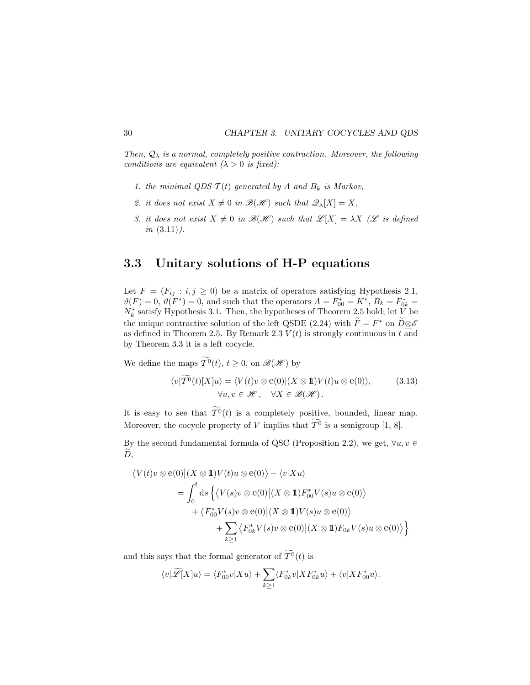#### 30 CHAPTER 3. UNITARY COCYCLES AND QDS

Then,  $\mathcal{Q}_{\lambda}$  is a normal, completely positive contraction. Moreover, the following conditions are equivalent  $(\lambda > 0$  is fixed):

- 1. the minimal QDS  $T(t)$  generated by A and  $B_k$  is Markov,
- 2. it does not exist  $X \neq 0$  in  $\mathcal{B}(\mathcal{H})$  such that  $\mathcal{Q}_{\lambda}[X] = X$ ,
- 3. it does not exist  $X \neq 0$  in  $\mathcal{B}(\mathcal{H})$  such that  $\mathcal{L}[X] = \lambda X$  (Let is defined *in*  $(3.11)$ .

### 3.3 Unitary solutions of H-P equations

Let  $F = (F_{ij} : i, j \geq 0)$  be a matrix of operators satisfying Hypothesis 2.1,  $\vartheta(F) = 0, \, \vartheta(F^*) = 0$ , and such that the operators  $A = F_{00}^* = K^*, B_k = F_{0k}^* =$  $N_k^\ast$  satisfy Hypothesis 3.1. Then, the hypotheses of Theorem 2.5 hold; let  $\overline{V}$  be the unique contractive solution of the left QSDE (2.24) with  $\tilde{F} = F^*$  on  $\tilde{D} \otimes \mathcal{E}$ as defined in Theorem 2.5. By Remark 2.3  $V(t)$  is strongly continuous in t and by Theorem 3.3 it is a left cocycle.

We define the maps  $\widetilde{\mathcal{T}}^{0}(t), t \geq 0$ , on  $\mathscr{B}(\mathscr{H})$  by

$$
\langle v|\widetilde{T}^0(t)[X]u\rangle = \langle V(t)v \otimes e(0)|(X \otimes \mathbf{1})V(t)u \otimes e(0)\rangle, \qquad (3.13)
$$
  

$$
\forall u, v \in \mathscr{H}, \quad \forall X \in \mathscr{B}(\mathscr{H}).
$$

It is easy to see that  $\widetilde{\mathcal{T}}^{0}(t)$  is a completely positive, bounded, linear map. Moreover, the cocycle property of V implies that  $\widetilde{\mathcal{T}}^0$  is a semigroup [1, 8].

By the second fundamental formula of QSC (Proposition 2.2), we get,  $\forall u, v \in$  $\tilde{D}$ ,

$$
\langle V(t)v \otimes e(0) | (X \otimes \mathbf{1})V(t)u \otimes e(0) \rangle - \langle v | Xu \rangle
$$
  
= 
$$
\int_0^t ds \left\{ \langle V(s)v \otimes e(0) | (X \otimes \mathbf{1})F_{00}^*V(s)u \otimes e(0) \rangle + \langle F_{00}^*V(s)v \otimes e(0) | (X \otimes \mathbf{1})V(s)u \otimes e(0) \rangle + \sum_{k \ge 1} \langle F_{0k}^*V(s)v \otimes e(0) | (X \otimes \mathbf{1})F_{0k}V(s)u \otimes e(0) \rangle \right\}
$$

and this says that the formal generator of  $\widetilde{\mathcal{T}}^{0}(t)$  is

$$
\langle v|\widetilde{\mathscr{L}}[X]u\rangle = \langle F_{00}^*v|Xu\rangle + \sum_{k\geq 1} \langle F_{0k}^*v|XF_{0k}^*u\rangle + \langle v|XF_{00}^*u\rangle.
$$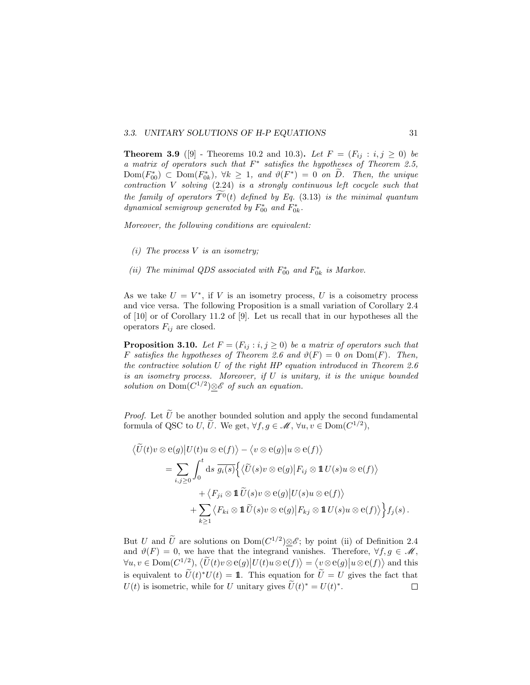### 3.3. UNITARY SOLUTIONS OF H-P EQUATIONS 31

**Theorem 3.9** ([9] - Theorems 10.2 and 10.3). Let  $F = (F_{ij} : i, j \ge 0)$  be a matrix of operators such that  $F^*$  satisfies the hypotheses of Theorem 2.5,  $Dom(F_{00}^*) \subset Dom(F_{0k}^*)$ ,  $\forall k \geq 1$ , and  $\vartheta(F^*) = 0$  on  $D$ . Then, the unique  $contraction V solving (2.24) is a strongly continuous left cocycle such that$ the family of operators  $T^0(t)$  defined by Eq. (3.13) is the minimal quantum dynamical semigroup generated by  $F_{00}^*$  and  $F_{0k}^*$ .

Moreover, the following conditions are equivalent:

- (i) The process  $V$  is an isometry;
- (ii) The minimal QDS associated with  $F_{00}^*$  and  $F_{0k}^*$  is Markov.

As we take  $U = V^*$ , if V is an isometry process, U is a coisometry process and vice versa. The following Proposition is a small variation of Corollary 2.4 of [10] or of Corollary 11.2 of [9]. Let us recall that in our hypotheses all the operators  $F_{ij}$  are closed.

**Proposition 3.10.** Let  $F = (F_{ij} : i, j \ge 0)$  be a matrix of operators such that F satisfies the hypotheses of Theorem 2.6 and  $\vartheta(F) = 0$  on  $Dom(F)$ . Then, the contractive solution U of the right HP equation introduced in Theorem 2.6 is an isometry process. Moreover, if U is unitary, it is the unique bounded solution on  $Dom(C^{1/2})\otimes \mathscr{E}$  of such an equation.

*Proof.* Let  $\overline{U}$  be another bounded solution and apply the second fundamental formula of QSC to  $U, \tilde{U}$ . We get,  $\forall f, g \in \mathcal{M}$ ,  $\forall u, v \in \text{Dom}(C^{1/2})$ ,

$$
\langle \widetilde{U}(t)v \otimes e(g) | U(t)u \otimes e(f) \rangle - \langle v \otimes e(g) | u \otimes e(f) \rangle
$$
  
= 
$$
\sum_{i,j \geq 0} \int_0^t ds \overline{g_i(s)} \Big\{ \langle \widetilde{U}(s)v \otimes e(g) | F_{ij} \otimes \mathbf{1} U(s)u \otimes e(f) \rangle
$$
  
+ 
$$
\langle F_{ji} \otimes \mathbf{1} \widetilde{U}(s)v \otimes e(g) | U(s)u \otimes e(f) \rangle
$$
  
+ 
$$
\sum_{k \geq 1} \langle F_{ki} \otimes \mathbf{1} \widetilde{U}(s)v \otimes e(g) | F_{kj} \otimes \mathbf{1} U(s)u \otimes e(f) \rangle \Big\} f_j(s) .
$$

But U and  $\tilde{U}$  are solutions on  $Dom(C^{1/2})\otimes \mathscr{E}$ ; by point (ii) of Definition 2.4 and  $\vartheta(F) = 0$ , we have that the integrand vanishes. Therefore,  $\forall f, g \in \mathcal{M}$ ,  $\forall u, v \in \text{Dom}(C^{1/2}), \langle \tilde{U}(t)v \otimes e(g) | U(t)u \otimes e(f) \rangle = \langle \underline{v} \otimes e(g) | u \otimes e(f) \rangle$  and this is equivalent to  $\widetilde{U}(t)^*U(t) = 1$ . This equation for  $\widetilde{U} = U$  gives the fact that  $U(t)$  is isometric, while for U unitary gives  $\tilde{U}(t)^* = U(t)^*$ .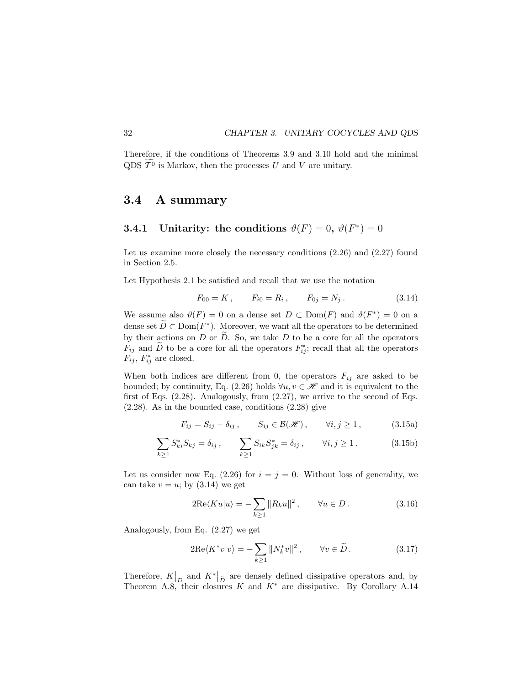### 32 CHAPTER 3. UNITARY COCYCLES AND QDS

Therefore, if the conditions of Theorems 3.9 and 3.10 hold and the minimal QDS  $T^0$  is Markov, then the processes U and V are unitary.

### 3.4 A summary

### **3.4.1** Unitarity: the conditions  $\vartheta(F) = 0$ ,  $\vartheta(F^*) = 0$

Let us examine more closely the necessary conditions  $(2.26)$  and  $(2.27)$  found in Section 2.5.

Let Hypothesis 2.1 be satisfied and recall that we use the notation

$$
F_{00} = K, \qquad F_{i0} = R_i, \qquad F_{0j} = N_j. \tag{3.14}
$$

We assume also  $\vartheta(F) = 0$  on a dense set  $D \subset Dom(F)$  and  $\vartheta(F^*) = 0$  on a dense set  $\widetilde{D} \subset \text{Dom}(F^*)$ . Moreover, we want all the operators to be determined by their actions on D or  $\widetilde{D}$ . So, we take D to be a core for all the operators  $F_{ij}$  and  $\tilde{D}$  to be a core for all the operators  $F_{ij}^*$ ; recall that all the operators  $F_{ij}$ ,  $F_{ij}^*$  are closed.

When both indices are different from 0, the operators  $F_{ij}$  are asked to be bounded; by continuity, Eq. (2.26) holds  $\forall u, v \in \mathcal{H}$  and it is equivalent to the first of Eqs. (2.28). Analogously, from (2.27), we arrive to the second of Eqs. (2.28). As in the bounded case, conditions (2.28) give

$$
F_{ij} = S_{ij} - \delta_{ij}, \qquad S_{ij} \in \mathcal{B}(\mathcal{H}), \qquad \forall i, j \ge 1,
$$
 (3.15a)

$$
\sum_{k\geq 1} S_{ki}^* S_{kj} = \delta_{ij}, \qquad \sum_{k\geq 1} S_{ik} S_{jk}^* = \delta_{ij}, \qquad \forall i, j \geq 1. \tag{3.15b}
$$

Let us consider now Eq. (2.26) for  $i = j = 0$ . Without loss of generality, we can take  $v = u$ ; by (3.14) we get

$$
2\text{Re}\langle Ku|u\rangle = -\sum_{k\geq 1} ||R_k u||^2, \qquad \forall u \in D. \tag{3.16}
$$

Analogously, from Eq. (2.27) we get

$$
2\text{Re}\langle K^*v|v\rangle = -\sum_{k\geq 1} ||N_k^*v||^2, \qquad \forall v \in \widetilde{D}.
$$
 (3.17)

Therefore,  $K|_{D}$  and  $K^*|_{\tilde{D}}$  are densely defined dissipative operators and, by Theorem A.8, their closures K and  $K^*$  are dissipative. By Corollary A.14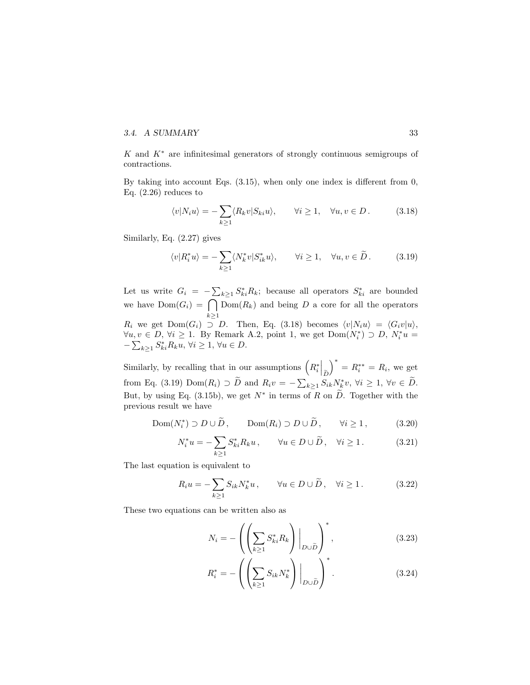### 3.4. A SUMMARY 33

 $K$  and  $K^*$  are infinitesimal generators of strongly continuous semigroups of contractions.

By taking into account Eqs. (3.15), when only one index is different from 0, Eq.  $(2.26)$  reduces to

$$
\langle v | N_i u \rangle = -\sum_{k \ge 1} \langle R_k v | S_{ki} u \rangle, \qquad \forall i \ge 1, \quad \forall u, v \in D. \tag{3.18}
$$

Similarly, Eq. (2.27) gives

$$
\langle v | R_i^* u \rangle = -\sum_{k \ge 1} \langle N_k^* v | S_{ik}^* u \rangle, \qquad \forall i \ge 1, \quad \forall u, v \in \tilde{D}.
$$
 (3.19)

Let us write  $G_i = -\sum_{k\geq 1} S_{ki}^* R_k$ ; because all operators  $S_{ki}^*$  are bounded we have  $Dom(G_i) = \bigcap Dom(R_k)$  and being D a core for all the operators  $k\geq 1$  $R_i$  we get  $Dom(G_i) \supset D$ . Then, Eq. (3.18) becomes  $\langle v|N_i u\rangle = \langle G_i v|u\rangle$ ,  $\forall u, v \in D, \forall i \geq 1$ . By Remark A.2, point 1, we get  $Dom(N_i^*) \supset D, N_i^*u =$  $-\sum_{k\geq 1} S_{ki}^* R_k u, \forall i \geq 1, \forall u \in D.$ 

Similarly, by recalling that in our assumptions  $\left(R_i^*\right)$  $\frac{D}{\infty}$  $\Big)^{*} = R_{i}^{**} = R_{i},$  we get from Eq. (3.19) Dom $(R_i) \supset \tilde{D}$  and  $R_i v = -\sum_{k\geq 1} S_{ik} N_k^* v$ ,  $\forall i \geq 1$ ,  $\forall v \in \tilde{D}$ . But, by using Eq. (3.15b), we get  $N^*$  in terms of R on  $\tilde{D}$ . Together with the previous result we have

$$
Dom(N_i^*) \supset D \cup \widetilde{D}, \qquad Dom(R_i) \supset D \cup \widetilde{D}, \qquad \forall i \ge 1, \tag{3.20}
$$

$$
N_i^* u = -\sum_{k \ge 1} S_{ki}^* R_k u, \qquad \forall u \in D \cup \tilde{D}, \quad \forall i \ge 1.
$$
 (3.21)

The last equation is equivalent to

$$
R_i u = -\sum_{k \ge 1} S_{ik} N_k^* u, \qquad \forall u \in D \cup \widetilde{D}, \quad \forall i \ge 1.
$$
 (3.22)

These two equations can be written also as

$$
N_i = -\left(\left(\sum_{k\geq 1} S_{ki}^* R_k\right) \bigg|_{D\cup \tilde{D}}\right)^*,\tag{3.23}
$$

$$
R_i^* = -\left(\left(\sum_{k\geq 1} S_{ik} N_k^*\right)\bigg|_{D\cup \widetilde{D}}\right)^*.
$$
\n(3.24)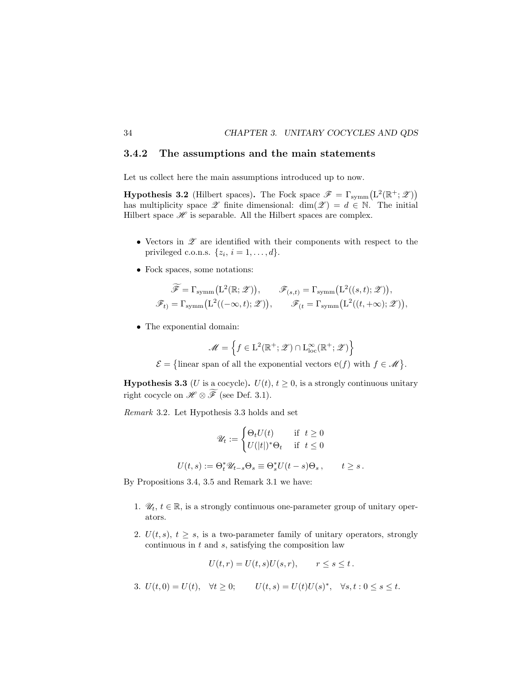#### 3.4.2 The assumptions and the main statements

Let us collect here the main assumptions introduced up to now.

**Hypothesis 3.2** (Hilbert spaces). The Fock space  $\mathscr{F} = \Gamma_{\text{symm}}(L^2(\mathbb{R}^+;\mathscr{Z}))$ has multiplicity space  $\mathscr Z$  finite dimensional: dim $(\mathscr Z) = d \in \mathbb N$ . The initial Hilbert space  $\mathscr H$  is separable. All the Hilbert spaces are complex.

- Vectors in  $\mathscr X$  are identified with their components with respect to the privileged c.o.n.s.  $\{z_i, i = 1, \ldots, d\}.$
- Fock spaces, some notations:

$$
\widetilde{\mathscr{F}} = \Gamma_{\text{symm}}\big(L^2(\mathbb{R}; \mathscr{Z})\big), \qquad \mathscr{F}_{(s,t)} = \Gamma_{\text{symm}}\big(L^2((s,t); \mathscr{Z})\big),
$$
  

$$
\mathscr{F}_t = \Gamma_{\text{symm}}\big(L^2((-\infty, t); \mathscr{Z})\big), \qquad \mathscr{F}_t = \Gamma_{\text{symm}}\big(L^2((t, +\infty); \mathscr{Z})\big),
$$

• The exponential domain:

$$
\mathscr{M} = \left\{ f \in \mathrm{L}^2(\mathbb{R}^+; \mathscr{Z}) \cap \mathrm{L}^\infty_\mathrm{loc}(\mathbb{R}^+; \mathscr{Z}) \right\}
$$

 $\mathcal{E} = \{\text{linear span of all the exponential vectors } e(f) \text{ with } f \in \mathcal{M}\}.$ 

**Hypothesis 3.3** (*U* is a cocycle).  $U(t)$ ,  $t \geq 0$ , is a strongly continuous unitary right cocycle on  $\mathscr{H} \otimes \widetilde{\mathscr{F}}$  (see Def. 3.1).

Remark 3.2. Let Hypothesis 3.3 holds and set

$$
\mathscr{U}_t := \begin{cases} \Theta_t U(t) & \text{if } t \ge 0 \\ U(|t|)^* \Theta_t & \text{if } t \le 0 \end{cases}
$$

 $U(t,s) := \Theta_t^* \mathscr{U}_{t-s} \Theta_s \equiv \Theta_s^* U(t-s) \Theta_s, \qquad t \geq s.$ 

By Propositions 3.4, 3.5 and Remark 3.1 we have:

- 1.  $\mathscr{U}_t, t \in \mathbb{R}$ , is a strongly continuous one-parameter group of unitary operators.
- 2.  $U(t, s)$ ,  $t \geq s$ , is a two-parameter family of unitary operators, strongly continuous in  $t$  and  $s$ , satisfying the composition law

$$
U(t,r) = U(t,s)U(s,r), \qquad r \le s \le t.
$$

3. 
$$
U(t,0) = U(t), \quad \forall t \ge 0;
$$
  $U(t,s) = U(t)U(s)^*, \quad \forall s, t : 0 \le s \le t.$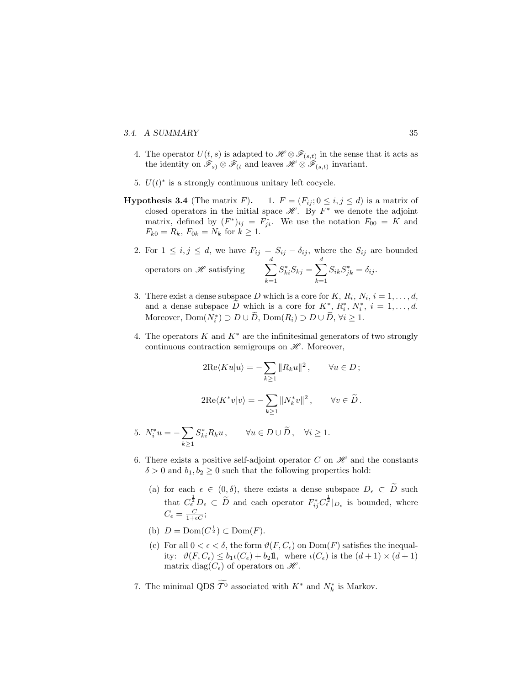### 3.4. A SUMMARY 35

- 4. The operator  $U(t, s)$  is adapted to  $\mathscr{H} \otimes \mathscr{F}_{(s,t)}$  in the sense that it acts as the identity on  $\mathscr{F}_{s}$   $\otimes$   $\mathscr{F}_{(t)}$  and leaves  $\mathscr{H} \otimes \mathscr{F}_{(s,t)}$  invariant.
- 5.  $U(t)^*$  is a strongly continuous unitary left cocycle.
- **Hypothesis 3.4** (The matrix F). 1.  $F = (F_{ij}; 0 \le i, j \le d)$  is a matrix of closed operators in the initial space  $\mathscr{H}$ . By  $F^*$  we denote the adjoint matrix, defined by  $(F^*)_{ij} = F^*_{ji}$ . We use the notation  $F_{00} = K$  and  $F_{k0} = R_k, F_{0k} = N_k \text{ for } k \ge 1.$ 
	- 2. For  $1 \leq i, j \leq d$ , we have  $F_{ij} = S_{ij} \delta_{ij}$ , where the  $S_{ij}$  are bounded operators on  $\mathscr H$  satisfying d  $k=1$  $S^*_{ki}S_{kj}=\sum^d$  $k=1$  $S_{ik}S_{jk}^* = \delta_{ij}.$
	- 3. There exist a dense subspace D which is a core for K,  $R_i$ ,  $N_i$ ,  $i = 1, \ldots, d$ , and a dense subspace  $\widetilde{D}$  which is a core for  $K^*, R^*, N^*, i = 1, \ldots, d$ . Moreover,  $Dom(N_i^*) \supset D \cup \widetilde{D}$ ,  $Dom(R_i) \supset D \cup \widetilde{D}$ ,  $\forall i \geq 1$ .
	- 4. The operators K and  $K^*$  are the infinitesimal generators of two strongly continuous contraction semigroups on  $\mathscr{H}$ . Moreover,

$$
2\text{Re}\langle Ku|u\rangle = -\sum_{k\geq 1} ||R_k u||^2, \qquad \forall u \in D ;
$$

$$
2\text{Re}\langle K^*v|v\rangle = -\sum_{k\geq 1} ||N_k^*v||^2, \qquad \forall v \in \widetilde{D}.
$$

5. 
$$
N_i^* u = -\sum_{k\geq 1} S_{ki}^* R_k u
$$
,  $\forall u \in D \cup \tilde{D}$ ,  $\forall i \geq 1$ .

- 6. There exists a positive self-adjoint operator C on  $\mathscr H$  and the constants  $\delta > 0$  and  $b_1, b_2 \geq 0$  such that the following properties hold:
	- (a) for each  $\epsilon \in (0, \delta)$ , there exists a dense subspace  $D_{\epsilon} \subset \tilde{D}$  such that  $C_{\epsilon}^{\frac{1}{2}}D_{\epsilon} \subset \tilde{D}$  and each operator  $F_{ij}^* C_{\epsilon}^{\frac{1}{2}}|_{D_{\epsilon}}$  is bounded, where  $C_{\epsilon} = \frac{C}{1+\epsilon C};$
	- (b)  $D = \text{Dom}(C^{\frac{1}{2}}) \subset \text{Dom}(F)$ .
	- (c) For all  $0 < \epsilon < \delta$ , the form  $\vartheta(F, C_{\epsilon})$  on  $Dom(F)$  satisfies the inequality:  $\vartheta(F, C_{\epsilon}) \leq b_1 \iota(C_{\epsilon}) + b_2 \mathbf{1}$ , where  $\iota(C_{\epsilon})$  is the  $(d+1) \times (d+1)$ matrix diag( $C_{\epsilon}$ ) of operators on  $\mathscr{H}$ .
- 7. The minimal QDS  $\overline{T}{}^0$  associated with  $K^*$  and  $N^*_k$  is Markov.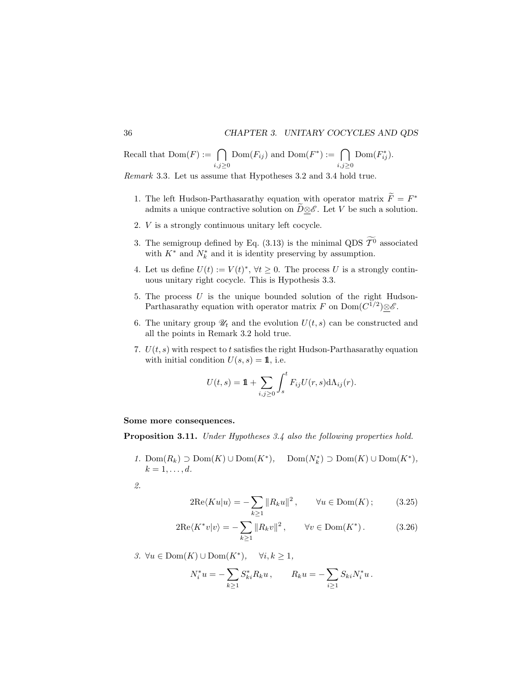#### 36 CHAPTER 3. UNITARY COCYCLES AND QDS

Recall that  $Dom(F) := \bigcap$  $i,j\geq 0$  $Dom(F_{ij})$  and  $Dom(F^*) := \bigcap$  $i,j\geq 0$  $Dom(F_{ij}^*)$ .

Remark 3.3. Let us assume that Hypotheses 3.2 and 3.4 hold true.

- 1. The left Hudson-Parthasarathy equation with operator matrix  $\widetilde{F} = F^*$ admits a unique contractive solution on  $\widetilde{D} \otimes \mathscr{E}$ . Let V be such a solution.
- 2. V is a strongly continuous unitary left cocycle.
- 3. The semigroup defined by Eq. (3.13) is the minimal QDS  $\widetilde{\mathcal{T}}^0$  associated with  $K^*$  and  $N_k^*$  and it is identity preserving by assumption.
- 4. Let us define  $U(t) := V(t)^*$ ,  $\forall t \geq 0$ . The process U is a strongly continuous unitary right cocycle. This is Hypothesis 3.3.
- 5. The process  $U$  is the unique bounded solution of the right Hudson-Parthasarathy equation with operator matrix F on  $Dom(C^{1/2})\otimes \mathscr{E}$ .
- 6. The unitary group  $\mathscr{U}_t$  and the evolution  $U(t, s)$  can be constructed and all the points in Remark 3.2 hold true.
- 7.  $U(t, s)$  with respect to t satisfies the right Hudson-Parthasarathy equation with initial condition  $U(s, s) = 1$ , i.e.

$$
U(t,s) = \mathbf{1} + \sum_{i,j \ge 0} \int_s^t F_{ij} U(r,s) d\Lambda_{ij}(r).
$$

#### Some more consequences.

Proposition 3.11. Under Hypotheses 3.4 also the following properties hold.

- 1.  $\text{Dom}(R_k) \supset \text{Dom}(K) \cup \text{Dom}(K^*)$ ,  $\text{Dom}(N_k^*) \supset \text{Dom}(K) \cup \text{Dom}(K^*)$ ,  $k=1,\ldots,d.$
- 2.

$$
2\text{Re}\langle Ku|u\rangle = -\sum_{k\geq 1} ||R_k u||^2, \qquad \forall u \in \text{Dom}(K); \tag{3.25}
$$

$$
2\text{Re}\langle K^*v|v\rangle = -\sum_{k\geq 1} ||R_k v||^2, \qquad \forall v \in \text{Dom}(K^*).
$$
 (3.26)

3.  $\forall u \in \text{Dom}(K) \cup \text{Dom}(K^*)$ ,  $\forall i, k \geq 1$ ,

$$
N_i^* u = -\sum_{k \ge 1} S_{ki}^* R_k u , \qquad R_k u = -\sum_{i \ge 1} S_{ki} N_i^* u .
$$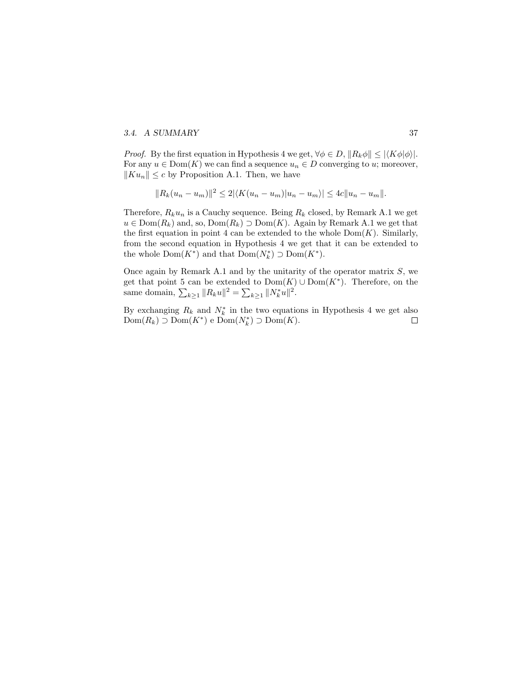3.4. A SUMMARY 37

*Proof.* By the first equation in Hypothesis 4 we get,  $\forall \phi \in D$ ,  $||R_k \phi|| \leq |\langle K\phi | \phi \rangle|$ . For any  $u \in \text{Dom}(K)$  we can find a sequence  $u_n \in D$  converging to u; moreover,  $||Ku_n|| \leq c$  by Proposition A.1. Then, we have

$$
||R_k(u_n - u_m)||^2 \le 2|\langle K(u_n - u_m)|u_n - u_m\rangle| \le 4c||u_n - u_m||.
$$

Therefore,  $R_k u_n$  is a Cauchy sequence. Being  $R_k$  closed, by Remark A.1 we get  $u \in \text{Dom}(R_k)$  and, so,  $\text{Dom}(R_k) \supset \text{Dom}(K)$ . Again by Remark A.1 we get that the first equation in point 4 can be extended to the whole  $Dom(K)$ . Similarly, from the second equation in Hypothesis 4 we get that it can be extended to the whole  $Dom(K^*)$  and that  $Dom(N_k^*)$  ⊃  $Dom(K^*)$ .

Once again by Remark A.1 and by the unitarity of the operator matrix  $S$ , we get that point 5 can be extended to  $Dom(K) \cup Dom(K^*)$ . Therefore, on the same domain,  $\sum_{k\geq 1} ||R_k u||^2 = \sum_{k\geq 1} ||N_k^* u||^2$ .

By exchanging  $R_k$  and  $N_k^*$  in the two equations in Hypothesis 4 we get also  $Dom(R_k) \supset Dom(K^*)$  e  $Dom(N_k^*) \supset Dom(K)$ .  $\Box$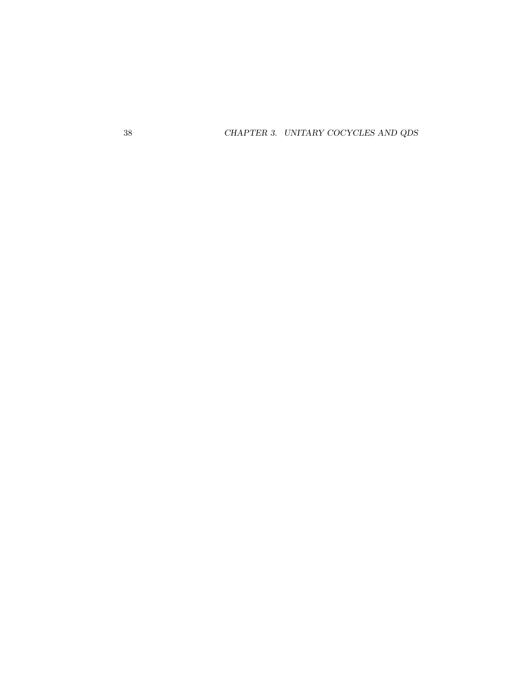CHAPTER 3. UNITARY COCYCLES AND QDS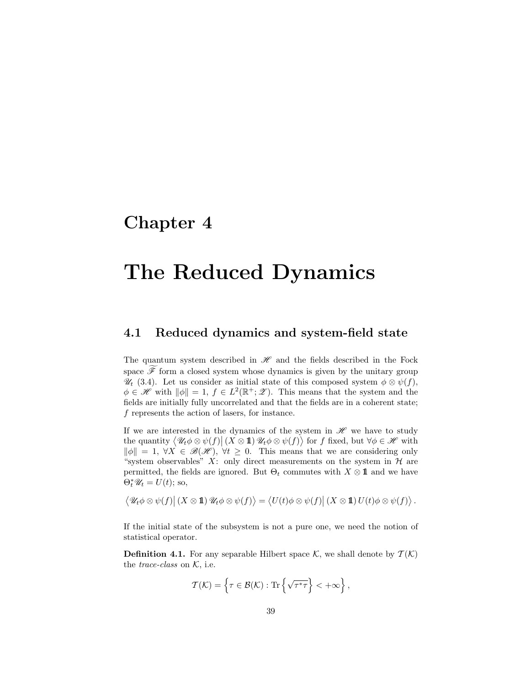## Chapter 4

## The Reduced Dynamics

### 4.1 Reduced dynamics and system-field state

The quantum system described in  $\mathcal{H}$  and the fields described in the Fock space  $\widetilde{\mathscr{F}}$  form a closed system whose dynamics is given by the unitary group  $\mathscr{U}_t$  (3.4). Let us consider as initial state of this composed system  $\phi \otimes \psi(f)$ ,  $\phi \in \mathscr{H}$  with  $\|\phi\| = 1$ ,  $f \in L^2(\mathbb{R}^+; \mathscr{Z})$ . This means that the system and the fields are initially fully uncorrelated and that the fields are in a coherent state; f represents the action of lasers, for instance.

If we are interested in the dynamics of the system in  $\mathcal H$  we have to study the quantity  $\langle \mathcal{U}_t \phi \otimes \psi(f) | (X \otimes \mathbf{1}) \mathcal{U}_t \phi \otimes \psi(f) \rangle$  for f fixed, but  $\forall \phi \in \mathcal{H}$  with  $\|\phi\| = 1, \ \forall X \in \mathcal{B}(\mathcal{H}), \ \forall t \geq 0.$  This means that we are considering only "system observables"  $X$ : only direct measurements on the system in  $H$  are permitted, the fields are ignored. But  $\Theta_t$  commutes with  $X \otimes \mathbf{1}$  and we have  $\Theta_t^* \mathscr{U}_t = U(t)$ ; so,

$$
\langle \mathscr{U}_t \phi \otimes \psi(f) | (X \otimes \mathbf{1}) \mathscr{U}_t \phi \otimes \psi(f) \rangle = \langle U(t) \phi \otimes \psi(f) | (X \otimes \mathbf{1}) U(t) \phi \otimes \psi(f) \rangle.
$$

If the initial state of the subsystem is not a pure one, we need the notion of statistical operator.

**Definition 4.1.** For any separable Hilbert space  $\mathcal{K}$ , we shall denote by  $\mathcal{T}(\mathcal{K})$ the *trace-class* on  $K$ , i.e.

$$
\mathcal{T}(\mathcal{K}) = \left\{ \tau \in \mathcal{B}(\mathcal{K}) : \mathrm{Tr} \left\{ \sqrt{\tau^*\tau} \right\} < +\infty \right\},\
$$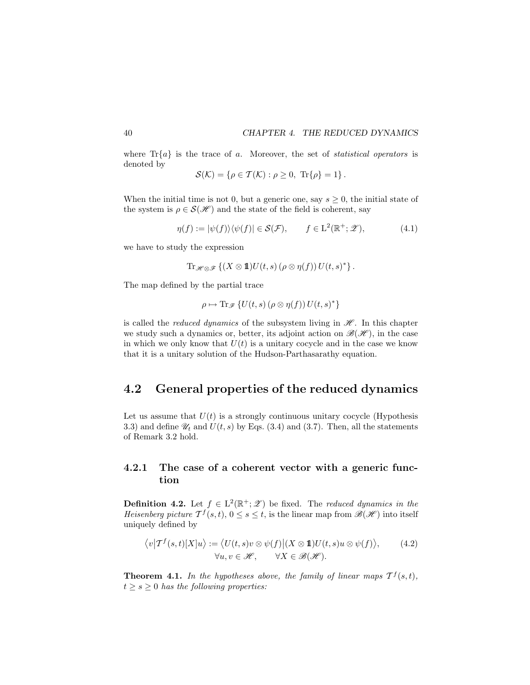where  $\text{Tr}\{a\}$  is the trace of a. Moreover, the set of *statistical operators* is denoted by

$$
\mathcal{S}(\mathcal{K}) = \{ \rho \in \mathcal{T}(\mathcal{K}) : \rho \geq 0, \text{ Tr}\{\rho\} = 1 \}.
$$

When the initial time is not 0, but a generic one, say  $s \geq 0$ , the initial state of the system is  $\rho \in \mathcal{S}(\mathcal{H})$  and the state of the field is coherent, say

$$
\eta(f) := |\psi(f)\rangle\langle\psi(f)| \in \mathcal{S}(\mathcal{F}), \qquad f \in \mathcal{L}^2(\mathbb{R}^+; \mathcal{Z}), \tag{4.1}
$$

we have to study the expression

$$
\mathrm{Tr}_{\mathscr{H} \otimes \mathscr{F}} \left\{ (X \otimes \mathbf{1}) U(t,s) \left( \rho \otimes \eta(f) \right) U(t,s)^* \right\}.
$$

The map defined by the partial trace

$$
\rho \mapsto \mathrm{Tr}_{\mathscr{F}} \left\{ U(t,s) \left( \rho \otimes \eta(f) \right) U(t,s)^* \right\}
$$

is called the *reduced dynamics* of the subsystem living in  $\mathcal{H}$ . In this chapter we study such a dynamics or, better, its adjoint action on  $\mathscr{B}(\mathscr{H})$ , in the case in which we only know that  $U(t)$  is a unitary cocycle and in the case we know that it is a unitary solution of the Hudson-Parthasarathy equation.

### 4.2 General properties of the reduced dynamics

Let us assume that  $U(t)$  is a strongly continuous unitary cocycle (Hypothesis 3.3) and define  $\mathcal{U}_t$  and  $U(t, s)$  by Eqs. (3.4) and (3.7). Then, all the statements of Remark 3.2 hold.

### 4.2.1 The case of a coherent vector with a generic function

**Definition 4.2.** Let  $f \in L^2(\mathbb{R}^+; \mathcal{Z})$  be fixed. The *reduced dynamics in the* Heisenberg picture  $\mathcal{T}^f(s,t)$ ,  $0 \le s \le t$ , is the linear map from  $\mathscr{B}(\mathscr{H})$  into itself uniquely defined by

$$
\langle v|T^f(s,t)[X]u\rangle := \langle U(t,s)v \otimes \psi(f) | (X \otimes \mathbf{1})U(t,s)u \otimes \psi(f) \rangle, \qquad (4.2)
$$
  

$$
\forall u, v \in \mathcal{H}, \qquad \forall X \in \mathcal{B}(\mathcal{H}).
$$

**Theorem 4.1.** In the hypotheses above, the family of linear maps  $T^f(s,t)$ ,  $t \geq s \geq 0$  has the following properties: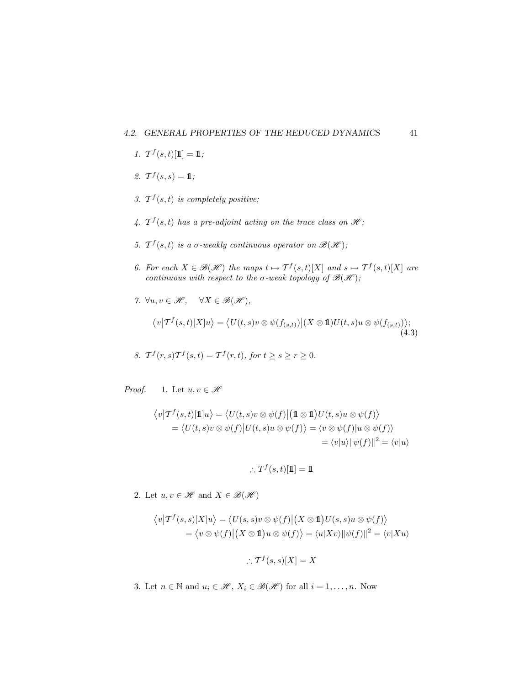### 4.2. GENERAL PROPERTIES OF THE REDUCED DYNAMICS 41

- 1.  $T^f(s,t)[1] = 1;$
- 2.  $T^f(s,s) = 1.$ ;
- 3.  $\mathcal{T}^f(s,t)$  is completely positive;
- 4.  $T^f(s,t)$  has a pre-adjoint acting on the trace class on  $\mathscr{H};$
- 5.  $T^f(s,t)$  is a  $\sigma$ -weakly continuous operator on  $\mathcal{B}(\mathcal{H})$ ;
- 6. For each  $X \in \mathcal{B}(\mathcal{H})$  the maps  $t \mapsto \mathcal{T}^f(s,t)[X]$  and  $s \mapsto \mathcal{T}^f(s,t)[X]$  are continuous with respect to the  $\sigma$ -weak topology of  $\mathcal{B}(\mathcal{H})$ ;
- 7.  $\forall u, v \in \mathcal{H}$ ,  $\forall X \in \mathcal{B}(\mathcal{H})$ ,

$$
\langle v|T^f(s,t)[X]u\rangle = \langle U(t,s)v \otimes \psi(f_{(s,t)})|(X \otimes \mathbf{1})U(t,s)u \otimes \psi(f_{(s,t)})\rangle; \tag{4.3}
$$

8. 
$$
T^f(r,s)T^f(s,t) = T^f(r,t)
$$
, for  $t \ge s \ge r \ge 0$ .

*Proof.* 1. Let  $u, v \in \mathcal{H}$ 

$$
\langle v | Tf(s,t) [\mathbf{1}]u \rangle = \langle U(t,s)v \otimes \psi(f) | (\mathbf{1} \otimes \mathbf{1})U(t,s)u \otimes \psi(f) \rangle
$$
  
=  $\langle U(t,s)v \otimes \psi(f) | U(t,s)u \otimes \psi(f) \rangle = \langle v \otimes \psi(f) | u \otimes \psi(f) \rangle$   
=  $\langle v | u \rangle ||\psi(f)||^2 = \langle v | u \rangle$ 

$$
\therefore T^f(s,t)[1\!mathbb{1}]=1
$$

2. Let  $u, v \in \mathcal{H}$  and  $X \in \mathcal{B}(\mathcal{H})$ 

$$
\langle v|\mathcal{T}^f(s,s)[X]u\rangle = \langle U(s,s)v \otimes \psi(f)|\big(X \otimes \mathbf{1}\big)U(s,s)u \otimes \psi(f)\rangle
$$
  
=  $\langle v \otimes \psi(f)|\big(X \otimes \mathbf{1}\big)u \otimes \psi(f)\rangle = \langle u|Xv\rangle ||\psi(f)||^2 = \langle v|Xu\rangle$ 

$$
\therefore \mathcal{T}^f(s,s)[X] = X
$$

3. Let  $n \in \mathbb{N}$  and  $u_i \in \mathcal{H}$ ,  $X_i \in \mathcal{B}(\mathcal{H})$  for all  $i = 1, \ldots, n$ . Now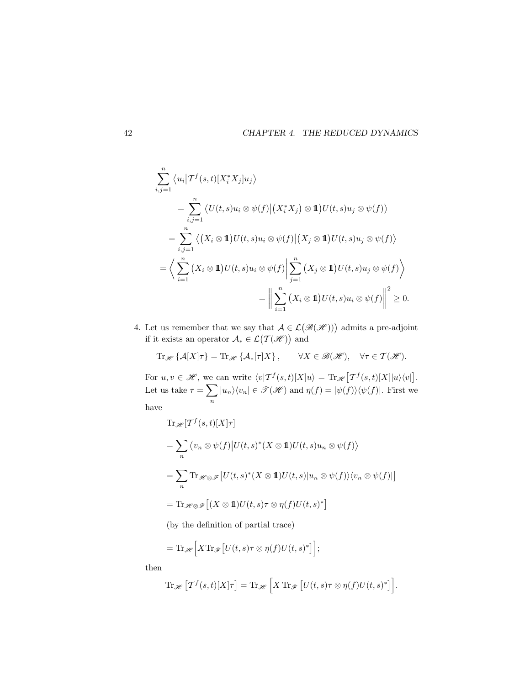$$
\sum_{i,j=1}^{n} \langle u_i | T^f(s,t) [X_i^* X_j] u_j \rangle
$$
\n
$$
= \sum_{i,j=1}^{n} \langle U(t,s) u_i \otimes \psi(f) | (X_i^* X_j) \otimes \mathbf{1} \rangle U(t,s) u_j \otimes \psi(f) \rangle
$$
\n
$$
= \sum_{i,j=1}^{n} \langle (X_i \otimes \mathbf{1}) U(t,s) u_i \otimes \psi(f) | (X_j \otimes \mathbf{1}) U(t,s) u_j \otimes \psi(f) \rangle
$$
\n
$$
= \langle \sum_{i=1}^{n} (X_i \otimes \mathbf{1}) U(t,s) u_i \otimes \psi(f) | \sum_{j=1}^{n} (X_j \otimes \mathbf{1}) U(t,s) u_j \otimes \psi(f) \rangle
$$
\n
$$
= \left\| \sum_{i=1}^{n} (X_i \otimes \mathbf{1}) U(t,s) u_i \otimes \psi(f) \right\|^2 \ge 0.
$$

4. Let us remember that we say that  $\mathcal{A} \in \mathcal{L}(\mathcal{B}(\mathcal{H}))$  admits a pre-adjoint if it exists an operator  $\mathcal{A}_{*} \in \mathcal{L}(\mathcal{T}(\mathscr{H}))$  and

$$
\operatorname{Tr}_{\mathscr{H}}\{\mathcal{A}[X]\tau\} = \operatorname{Tr}_{\mathscr{H}}\{\mathcal{A}_{*}[\tau]X\}, \qquad \forall X \in \mathscr{B}(\mathscr{H}), \quad \forall \tau \in \mathcal{T}(\mathscr{H}).
$$

For  $u, v \in \mathcal{H}$ , we can write  $\langle v | \mathcal{T}^f(s, t) | X | u \rangle = \text{Tr}_{\mathcal{H}} [\mathcal{T}^f(s, t) | X | u \rangle \langle v |].$ Let us take  $\tau = \sum$ n  $|u_n\rangle\langle v_n|\in \mathscr{T}(\mathscr{H})$  and  $\eta(f)=|\psi(f)\rangle\langle\psi(f)|$ . First we

have

$$
\begin{aligned} &\text{Tr}_{\mathscr{H}}[\mathcal{T}^f(s,t)[X]\tau] \\ &= \sum_n \left\langle v_n \otimes \psi(f) \middle| U(t,s)^*(X \otimes \mathbf{1}) U(t,s) u_n \otimes \psi(f) \right\rangle \\ &= \sum_n \text{Tr}_{\mathscr{H} \otimes \mathscr{F}} \left[ U(t,s)^*(X \otimes \mathbf{1}) U(t,s) | u_n \otimes \psi(f) \rangle \langle v_n \otimes \psi(f) | \right] \\ &= \text{Tr}_{\mathscr{H} \otimes \mathscr{F}} \left[ (X \otimes \mathbf{1}) U(t,s) \tau \otimes \eta(f) U(t,s)^* \right] \end{aligned}
$$

(by the definition of partial trace)

$$
= \mathrm{Tr}_{\mathscr{H}}\Big[X\mathrm{Tr}_{\mathscr{F}}\big[U(t,s)\tau\otimes \eta(f)U(t,s)^*\big]\Big];
$$

then

$$
\operatorname{Tr}_{\mathscr{H}}\left[\mathcal{T}^f(s,t)[X]\tau\right] = \operatorname{Tr}_{\mathscr{H}}\left[X\operatorname{Tr}_{\mathscr{F}}\left[U(t,s)\tau\otimes\eta(f)U(t,s)^*\right]\right].
$$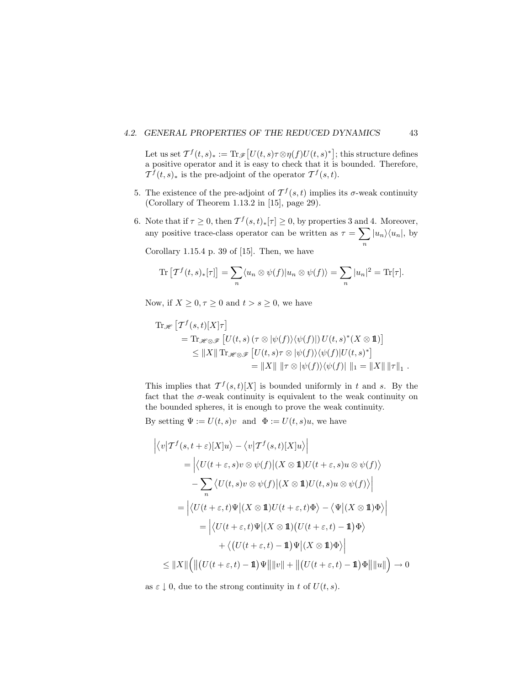### 4.2. GENERAL PROPERTIES OF THE REDUCED DYNAMICS 43

Let us set  $\mathcal{T}^f(t,s)_* := \text{Tr}_{\mathscr{F}}\big[U(t,s)\tau \otimes \eta(f) U(t,s)^*\big];$  this structure defines a positive operator and it is easy to check that it is bounded. Therefore,  $\mathcal{T}^f(t,s)_*$  is the pre-adjoint of the operator  $\mathcal{T}^f(s,t)$ .

- 5. The existence of the pre-adjoint of  $\mathcal{T}^f(s,t)$  implies its  $\sigma$ -weak continuity (Corollary of Theorem 1.13.2 in [15], page 29).
- 6. Note that if  $\tau \geq 0$ , then  $\mathcal{T}^f(s,t)_{*}[\tau] \geq 0$ , by properties 3 and 4. Moreover, any positive trace-class operator can be written as  $\tau = \sum$  $|u_n\rangle\langle u_n|$ , by

Corollary 1.15.4 p. 39 of [15]. Then, we have

$$
\operatorname{Tr}\left[\mathcal{T}^f(t,s)_*[\tau]\right] = \sum_n \langle u_n \otimes \psi(f) | u_n \otimes \psi(f) \rangle = \sum_n |u_n|^2 = \operatorname{Tr}[\tau].
$$

n

Now, if  $X \geq 0, \tau \geq 0$  and  $t > s \geq 0$ , we have

$$
\begin{aligned} \text{Tr}_{\mathscr{H}} \left[ T^{f}(s,t)[X] \tau \right] \\ &= \text{Tr}_{\mathscr{H} \otimes \mathscr{F}} \left[ U(t,s) \left( \tau \otimes |\psi(f) \rangle \langle \psi(f)| \right) U(t,s)^{*}(X \otimes \mathbb{1}) \right] \\ &\leq \|X\| \text{Tr}_{\mathscr{H} \otimes \mathscr{F}} \left[ U(t,s) \tau \otimes |\psi(f) \rangle \langle \psi(f)| U(t,s)^{*} \right] \\ &= \|X\| \, \|\tau \otimes |\psi(f) \rangle \langle \psi(f)| \, \|_{1} = \|X\| \, \|\tau\|_{1} \; . \end{aligned}
$$

This implies that  $\mathcal{T}^f(s,t)[X]$  is bounded uniformly in t and s. By the fact that the  $\sigma$ -weak continuity is equivalent to the weak continuity on the bounded spheres, it is enough to prove the weak continuity.

By setting  $\Psi := U(t, s)v$  and  $\Phi := U(t, s)u$ , we have

$$
\left| \langle v | T^f(s, t + \varepsilon) [X] u \rangle - \langle v | T^f(s, t) [X] u \rangle \right|
$$
  
\n
$$
= \left| \langle U(t + \varepsilon, s) v \otimes \psi(f) | (X \otimes \mathbf{1}) U(t + \varepsilon, s) u \otimes \psi(f) \rangle \right|
$$
  
\n
$$
- \sum_{n} \langle U(t, s) v \otimes \psi(f) | (X \otimes \mathbf{1}) U(t, s) u \otimes \psi(f) \rangle \right|
$$
  
\n
$$
= \left| \langle U(t + \varepsilon, t) \Psi | (X \otimes \mathbf{1}) U(t + \varepsilon, t) \Phi \rangle - \langle \Psi | (X \otimes \mathbf{1}) \Phi \rangle \right|
$$
  
\n
$$
= \left| \langle U(t + \varepsilon, t) \Psi | (X \otimes \mathbf{1}) (U(t + \varepsilon, t) - \mathbf{1}) \Phi \rangle \right|
$$
  
\n
$$
+ \langle (U(t + \varepsilon, t) - \mathbf{1}) \Psi | (X \otimes \mathbf{1}) \Phi \rangle \right|
$$
  
\n
$$
\leq ||X|| \Big( || (U(t + \varepsilon, t) - \mathbf{1}) \Psi || ||v|| + || (U(t + \varepsilon, t) - \mathbf{1}) \Phi || ||u|| \Big) \rightarrow 0
$$

as  $\varepsilon \downarrow 0$ , due to the strong continuity in t of  $U(t, s)$ .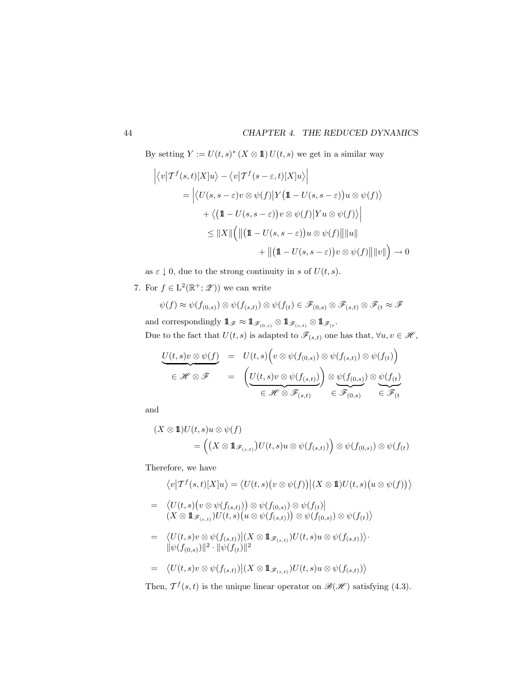By setting  $Y := U(t, s)^* (X \otimes \mathbf{1}) U(t, s)$  we get in a similar way

$$
\left| \langle v | T^f(s,t) [X] u \rangle - \langle v | T^f(s-\varepsilon,t) [X] u \rangle \right|
$$
  
\n
$$
= \left| \langle U(s,s-\varepsilon) v \otimes \psi(f) | Y (\mathbf{1} - U(s,s-\varepsilon)) u \otimes \psi(f) \rangle \right|
$$
  
\n
$$
+ \left\langle (\mathbf{1} - U(s,s-\varepsilon)) v \otimes \psi(f) | Y u \otimes \psi(f) \rangle \right|
$$
  
\n
$$
\leq ||X|| (\| (\mathbf{1} - U(s,s-\varepsilon)) u \otimes \psi(f) || ||u||
$$
  
\n
$$
+ \| (\mathbf{1} - U(s,s-\varepsilon)) v \otimes \psi(f) || ||v|| ) \rightarrow 0
$$

as  $\varepsilon \downarrow 0$ , due to the strong continuity in s of  $U(t, s)$ .

7. For  $f \in L^2(\mathbb{R}^+; \mathscr{Z})$  we can write

$$
\psi(f) \approx \psi(f_{(0,s)}) \otimes \psi(f_{(s,t)}) \otimes \psi(f_{(t)} \in \mathcal{F}_{(0,s)} \otimes \mathcal{F}_{(s,t)} \otimes \mathcal{F}_{(t} \approx \mathcal{F}_{(s,t)})
$$

and correspondingly  $1\hbox{I}_{\mathscr{F}} \approx 1\hbox{I}_{\mathscr{F}_{(0,s)}} \otimes 1\hbox{I}_{\mathscr{F}_{(s,t)}} \otimes 1\hbox{I}_{\mathscr{F}_{(t}}$ . Due to the fact that  $U(t, s)$  is adapted to  $\mathscr{F}_{(s,t)}$  one has that,  $\forall u, v \in \mathscr{H}$ ,

$$
\underbrace{U(t,s)v \otimes \psi(f)}_{\in \mathscr{H} \otimes \mathscr{F}} = U(t,s) \bigg( v \otimes \psi(f_{(0,s)}) \otimes \psi(f_{(s,t)}) \otimes \psi(f_{(t)}) \bigg) \n\in \mathscr{H} \otimes \mathscr{F} = \bigg( \underbrace{U(t,s)v \otimes \psi(f_{(s,t)})}_{\in \mathscr{H} \otimes \mathscr{F}_{(s,t)}} \bigg) \otimes \underbrace{\psi(f_{(0,s)}) \otimes \psi(f_{(t)})}_{\in \mathscr{F}_{(0,s)}} \bigg)
$$

and

$$
(X \otimes \mathbf{1})U(t,s)u \otimes \psi(f)
$$
  
= 
$$
((X \otimes \mathbf{1}_{\mathscr{F}_{(s,t)}})U(t,s)u \otimes \psi(f_{(s,t)}) ) \otimes \psi(f_{(0,s)}) \otimes \psi(f_{(t)})
$$

Therefore, we have

$$
\langle v|T^f(s,t)[X]u\rangle = \langle U(t,s)(v \otimes \psi(f))|(X \otimes \mathbf{1})U(t,s)(u \otimes \psi(f))\rangle
$$
  
\n
$$
= \langle U(t,s)(v \otimes \psi(f_{(s,t)})) \otimes \psi(f_{(0,s)}) \otimes \psi(f_{(t)})|
$$
  
\n
$$
(X \otimes \mathbf{1}_{\mathscr{F}_{(s,t)}})U(t,s)(u \otimes \psi(f_{(s,t)})) \otimes \psi(f_{(0,s)}) \otimes \psi(f_{(t)})
$$
  
\n
$$
= \langle U(t,s)v \otimes \psi(f_{(s,t)})|(X \otimes \mathbf{1}_{\mathscr{F}_{(s,t)}})U(t,s)u \otimes \psi(f_{(s,t)})\rangle
$$
  
\n
$$
= \langle U(t,s)v \otimes \psi(f_{(s,t)})|(X \otimes \mathbf{1}_{\mathscr{F}_{(s,t)}})U(t,s)u \otimes \psi(f_{(s,t)})\rangle
$$

Then,  $\mathcal{T}^f(s,t)$  is the unique linear operator on  $\mathscr{B}(\mathscr{H})$  satisfying (4.3).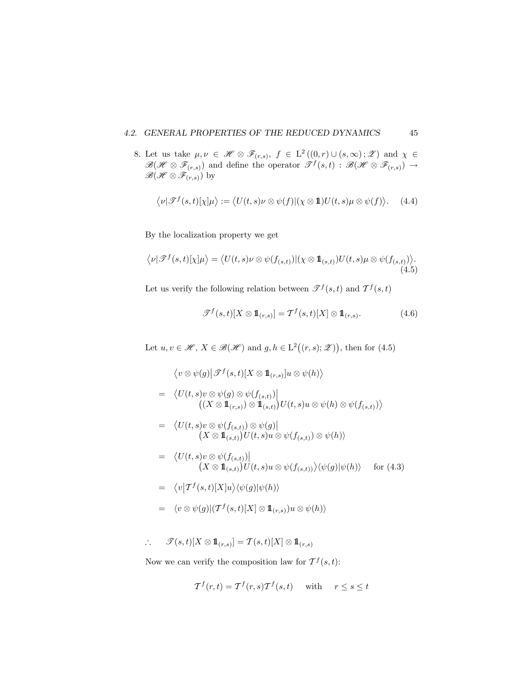### 4.2. GENERAL PROPERTIES OF THE REDUCED DYNAMICS 45

8. Let us take  $\mu, \nu \in \mathscr{H} \otimes \mathscr{F}_{(r,s)}, f \in L^2((0,r) \cup (s,\infty); \mathscr{Z})$  and  $\chi \in$  $\mathscr{B}(\mathscr{H}\otimes\mathscr{F}_{(r,s)})$  and define the operator  $\mathscr{T}^f(s,t):\mathscr{B}(\mathscr{H}\otimes\mathscr{F}_{(r,s)})\to$  $\mathscr{B}(\mathscr{H}\otimes\mathscr{F}_{(r,s)})$  by

$$
\langle \nu | \mathcal{T}^f(s,t) [\chi] \mu \rangle := \langle U(t,s) \nu \otimes \psi(f) | (\chi \otimes \mathbf{1}) U(t,s) \mu \otimes \psi(f) \rangle. \tag{4.4}
$$

By the localization property we get

$$
\langle \nu | \mathcal{T}^f(s,t) [\chi] \mu \rangle = \langle U(t,s) \nu \otimes \psi(f_{(s,t)}) | (\chi \otimes \mathbf{1}_{(s,t)}) U(t,s) \mu \otimes \psi(f_{(s,t)}) \rangle. \tag{4.5}
$$

Let us verify the following relation between  $\mathscr{T}^{f}(s,t)$  and  $\mathcal{T}^{f}(s,t)$ 

$$
\mathcal{T}^f(s,t)[X \otimes \mathbf{1}_{(r,s)}] = T^f(s,t)[X] \otimes \mathbf{1}_{(r,s)}.
$$
 (4.6)

Let  $u, v \in \mathcal{H}, X \in \mathcal{B}(\mathcal{H})$  and  $g, h \in L^2((r, s); \mathcal{L})$ , then for  $(4.5)$ 

$$
\langle v \otimes \psi(g) | \mathcal{F}^f(s,t) [X \otimes \mathbf{1}_{(r,s)}] u \otimes \psi(h) \rangle
$$
  
\n
$$
= \langle U(t,s) v \otimes \psi(g) \otimes \psi(f_{(s,t)}) | ( (X \otimes \mathbf{1}_{(r,s)}) \otimes \mathbf{1}_{(s,t)}) U(t,s) u \otimes \psi(h) \otimes \psi(f_{(s,t)}) \rangle
$$
  
\n
$$
= \langle U(t,s) v \otimes \psi(f_{(s,t)}) \otimes \psi(g) | (X \otimes \mathbf{1}_{(s,t)}) U(t,s) u \otimes \psi(f_{(s,t)}) \otimes \psi(h) \rangle
$$
  
\n
$$
= \langle U(t,s) v \otimes \psi(f_{(s,t)}) | (X \otimes \mathbf{1}_{(s,t)}) U(t,s) u \otimes \psi(f_{(s,t)}) \rangle \langle \psi(g) | \psi(h) \rangle \quad \text{for (4.3)}
$$
  
\n
$$
= \langle v | \mathcal{T}^f(s,t) [X] u \rangle \langle \psi(g) | \psi(h) \rangle
$$
  
\n
$$
= \langle v \otimes \psi(g) | (\mathcal{T}^f(s,t) [X] \otimes \mathbf{1}_{(r,s)}) u \otimes \psi(h) \rangle
$$

$$
\therefore \qquad \mathscr{T}(s,t)[X\otimes 1\!\!1_{(r,s)}] = \mathscr{T}(s,t)[X]\otimes 1\!\!1_{(r,s)}
$$

Now we can verify the composition law for  $\mathcal{T}^f(s,t)$ :

$$
\mathcal{T}^f(r,t) = \mathcal{T}^f(r,s)\mathcal{T}^f(s,t) \quad \text{ with } \quad r \le s \le t
$$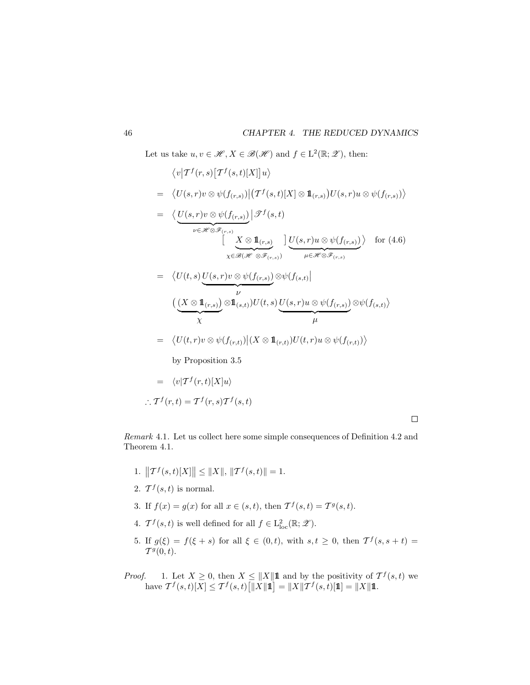Let us take  $u, v \in \mathcal{H}, X \in \mathcal{B}(\mathcal{H})$  and  $f \in L^2(\mathbb{R}; \mathcal{Z})$ , then:  $\langle v \big| {\mathcal T}^f(r,s) \big[ {\mathcal T}^f(s,t)[X] \big] u \rangle$  $=\ \langle U(s,r)v\otimes \psi(f_{(r,s)})\big\vert \big(T^f(s,t)[X]\otimes{1\!\!1}_{(r,s)}\big)U(s,r)u\otimes \psi(f_{(r,s)})\big\rangle$  $= \langle U(s,r)v \otimes \psi(f_{(r,s)}) \rangle$  $v \in \mathscr{H} \otimes \mathscr{F}_{(r,s)}$  $\mathscr{T}^f(s,t)$  $\begin{bmatrix} X \otimes \mathbf{1}_{(r,s)} \end{bmatrix}$  $\chi \in \mathscr{B}(\overbrace{\mathscr{H}} \otimes \mathscr{F}_{(r,s)})$  $\big] U(s,r)u \otimes \psi(f_{(r,s)})$  $\mu {\in} \mathscr{H} {\otimes} \mathscr{F}_{(r,s)}$  $\angle$  for (4.6)  $= \langle U(t,s) U(s,r) v \otimes \psi(f_{(r,s)}) \rangle$  $\overbrace{u}$  $\otimes \psi(f_{(s,t)}|$ ν  $((X \otimes \mathbf{1}_{(r,s)})$  $\overline{y}$  $\otimes 1\hspace{-1.5pt}1_{(s,t)})U(t,s)\,U(s,r)u\otimes \psi(f_{(r,s)})$  $\overbrace{a}$  $\otimes \psi(f_{(s,t)})$  $\chi$   $\mu$  $= \langle U(t,r)v \otimes \psi(f_{(r,t)}) \big| (X \otimes \mathbf{1}_{(r,t)}) U(t,r) u \otimes \psi(f_{(r,t)}) \rangle$ by Proposition 3.5  $= \langle v | \mathcal{T}^f(r,t) | X | u \rangle$  $\therefore \mathcal{T}^f(r,t) = \mathcal{T}^f(r,s)\mathcal{T}^f(s,t)$ 

 $\hfill \square$ 

Remark 4.1. Let us collect here some simple consequences of Definition 4.2 and Theorem 4.1.

- 1.  $\|\mathcal{T}^f(s,t)[X]\| \leq \|X\|, \|\mathcal{T}^f(s,t)\| = 1.$
- 2.  $\mathcal{T}^f(s,t)$  is normal.
- 3. If  $f(x) = g(x)$  for all  $x \in (s,t)$ , then  $\mathcal{T}^f(s,t) = \mathcal{T}^g(s,t)$ .
- 4.  $\mathcal{T}^f(s,t)$  is well defined for all  $f \in L^2_{loc}(\mathbb{R}; \mathscr{Z})$ .
- 5. If  $g(\xi) = f(\xi + s)$  for all  $\xi \in (0, t)$ , with  $s, t \geq 0$ , then  $\mathcal{T}^f(s, s + t) =$  $\mathcal{T}^g(0,t)$ .
- *Proof.* 1. Let  $X \geq 0$ , then  $X \leq ||X|| \mathbf{1}$  and by the positivity of  $\mathcal{T}^{f}(s,t)$  we have  $\mathcal{T}^f(s,t)[X] \leq \mathcal{T}^f(s,t)[\|X\|\mathbf{1}\|] = \|X\|\mathcal{T}^f(s,t)[\mathbf{1}\|] = \|X\|\mathbf{1}.$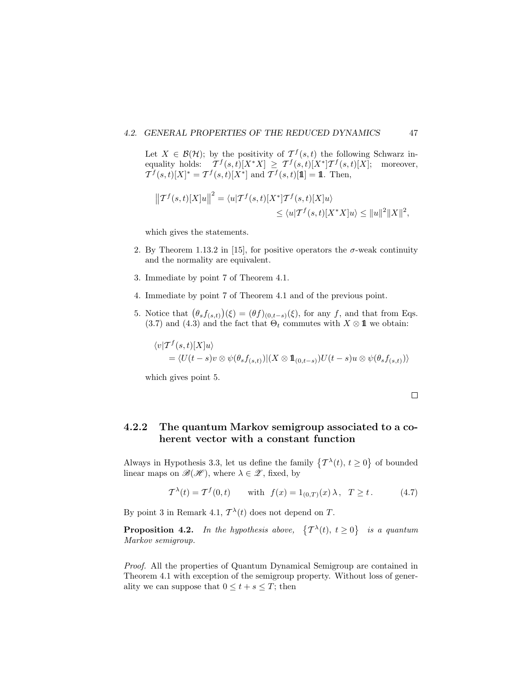### 4.2. GENERAL PROPERTIES OF THE REDUCED DYNAMICS 47

Let  $X \in \mathcal{B}(\mathcal{H})$ ; by the positivity of  $\mathcal{T}^f(s,t)$  the following Schwarz inequality holds:  $\mathcal{T}^f(s,t)[X^*X] \geq \mathcal{T}^f(s,t)[X^*]\mathcal{T}^f(s,t)[X]$ ; moreover,  $\mathcal{T}^{f}(s,t)[X]^* = \mathcal{T}^{f}(s,t)[X^*]$  and  $\mathcal{T}^{f}(s,t)[1] = 1$ . Then,

$$
\|T^f(s,t)[X]u\|^2 = \langle u|T^f(s,t)[X^*]T^f(s,t)[X]u\rangle \leq \langle u|T^f(s,t)[X^*X]u\rangle \leq ||u||^2||X||^2,
$$

which gives the statements.

- 2. By Theorem 1.13.2 in [15], for positive operators the  $\sigma$ -weak continuity and the normality are equivalent.
- 3. Immediate by point 7 of Theorem 4.1.
- 4. Immediate by point 7 of Theorem 4.1 and of the previous point.
- 5. Notice that  $(\theta_s f_{(s,t)})(\xi) = (\theta f)_{(0,t-s)}(\xi)$ , for any f, and that from Eqs. (3.7) and (4.3) and the fact that  $\Theta_t$  commutes with  $X \otimes \mathbb{1}$  we obtain:

$$
\langle v|\mathcal{T}^f(s,t)[X]u\rangle =\langle U(t-s)v\otimes \psi(\theta_sf_{(s,t)})|(X\otimes \mathbf{1}_{(0,t-s)})U(t-s)u\otimes \psi(\theta_sf_{(s,t)})\rangle
$$

which gives point 5.

 $\Box$ 

### 4.2.2 The quantum Markov semigroup associated to a coherent vector with a constant function

Always in Hypothesis 3.3, let us define the family  $\{\mathcal{T}^{\lambda}(t), t \geq 0\}$  of bounded linear maps on  $\mathcal{B}(\mathcal{H})$ , where  $\lambda \in \mathcal{Z}$ , fixed, by

$$
\mathcal{T}^{\lambda}(t) = \mathcal{T}^f(0, t) \quad \text{with} \quad f(x) = 1_{(0,T)}(x) \lambda, \quad T \ge t. \tag{4.7}
$$

By point 3 in Remark 4.1,  $T^{\lambda}(t)$  does not depend on T.

**Proposition 4.2.** In the hypothesis above,  $\{\mathcal{T}^{\lambda}(t), t \geq 0\}$  is a quantum Markov semigroup.

Proof. All the properties of Quantum Dynamical Semigroup are contained in Theorem 4.1 with exception of the semigroup property. Without loss of generality we can suppose that  $0 \leq t + s \leq T$ ; then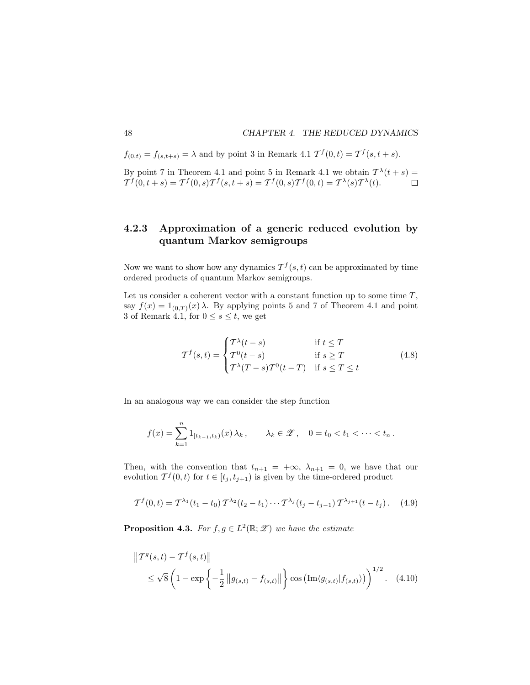$$
f_{(0,t)} = f_{(s,t+s)} = \lambda
$$
 and by point 3 in Remark 4.1  $\mathcal{T}^f(0,t) = \mathcal{T}^f(s,t+s)$ .  
By point 7 in Theorem 4.1 and point 5 in Remark 4.1 we obtain  $\mathcal{T}^{\lambda}(t+s) =$ 

 $\mathcal{T}^f(0,t+s) = \mathcal{T}^f(0,s)\mathcal{T}^f(s,t+s) = \mathcal{T}^f(0,s)\mathcal{T}^f(0,t) = \mathcal{T}^{\lambda}(s)\mathcal{T}^{\lambda}(t).$ 

### 4.2.3 Approximation of a generic reduced evolution by quantum Markov semigroups

Now we want to show how any dynamics  $\mathcal{T}^{f}(s,t)$  can be approximated by time ordered products of quantum Markov semigroups.

Let us consider a coherent vector with a constant function up to some time  $T$ , say  $f(x) = 1_{(0,T)}(x)$ . By applying points 5 and 7 of Theorem 4.1 and point 3 of Remark 4.1, for  $0 \leq s \leq t$ , we get

$$
\mathcal{T}^f(s,t) = \begin{cases}\n\mathcal{T}^{\lambda}(t-s) & \text{if } t \le T \\
\mathcal{T}^0(t-s) & \text{if } s \ge T \\
\mathcal{T}^{\lambda}(T-s)\mathcal{T}^0(t-T) & \text{if } s \le T \le t\n\end{cases}
$$
\n(4.8)

In an analogous way we can consider the step function

$$
f(x) = \sum_{k=1}^{n} 1_{[t_{k-1}, t_k)}(x) \lambda_k, \qquad \lambda_k \in \mathscr{Z}, \quad 0 = t_0 < t_1 < \cdots < t_n.
$$

Then, with the convention that  $t_{n+1} = +\infty$ ,  $\lambda_{n+1} = 0$ , we have that our evolution  $\mathcal{T}^f(0,t)$  for  $t \in [t_j, t_{j+1})$  is given by the time-ordered product

$$
\mathcal{T}^{f}(0,t) = \mathcal{T}^{\lambda_1}(t_1 - t_0) \mathcal{T}^{\lambda_2}(t_2 - t_1) \cdots \mathcal{T}^{\lambda_j}(t_j - t_{j-1}) \mathcal{T}^{\lambda_{j+1}}(t - t_j). \tag{4.9}
$$

**Proposition 4.3.** For  $f, g \in L^2(\mathbb{R}; \mathcal{Z})$  we have the estimate

$$
\left\|T^g(s,t) - T^f(s,t)\right\|
$$
  
\$\leq \sqrt{8}\left(1 - \exp\left\{-\frac{1}{2} \left\|g\_{(s,t)} - f\_{(s,t)}\right\|\right\}\cos\left(\text{Im}\langle g\_{(s,t)}|f\_{(s,t)}\rangle\right)\right)^{1/2}\$. (4.10)\$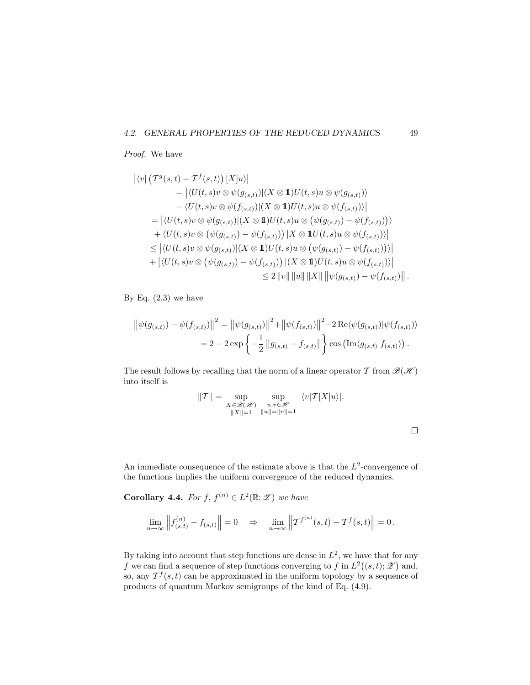### 4.2. GENERAL PROPERTIES OF THE REDUCED DYNAMICS 49

Proof. We have

$$
\begin{aligned}\n\left| \langle v | \left( \mathcal{T}^g(s,t) - \mathcal{T}^f(s,t) \right) [X] u \rangle \right| \\
&= \left| \langle U(t,s)v \otimes \psi(g_{(s,t)}) | (X \otimes \mathbf{1}) U(t,s) u \otimes \psi(g_{(s,t)}) \rangle \right. \\
&\left. - \langle U(t,s)v \otimes \psi(f_{(s,t)}) | (X \otimes \mathbf{1}) U(t,s) u \otimes \psi(f_{(s,t)}) \rangle \right| \\
&= \left| \langle U(t,s)v \otimes \psi(g_{(s,t)}) | (X \otimes \mathbf{1}) U(t,s) u \otimes (\psi(g_{(s,t)}) - \psi(f_{(s,t)})) \rangle \right. \\
&\left. + \langle U(t,s)v \otimes (\psi(g_{(s,t)}) - \psi(f_{(s,t)})) | X \otimes \mathbf{1} U(t,s) u \otimes \psi(f_{(s,t)}) ) \rangle \right| \\
&\leq \left| \langle U(t,s)v \otimes \psi(g_{(s,t)}) | (X \otimes \mathbf{1}) U(t,s) u \otimes (\psi(g_{(s,t)}) - \psi(f_{(s,t)})) \rangle \right| \\
&+ \left| \langle U(t,s)v \otimes (\psi(g_{(s,t)}) - \psi(f_{(s,t)})) | (X \otimes \mathbf{1}) U(t,s) u \otimes \psi(f_{(s,t)}) \rangle \right| \\
&\leq 2 \left| \left| v \right| \left| \left| u \right| \left| \left| X \right| \left| \left| \psi(g_{(s,t)}) - \psi(f_{(s,t)}) \right| \right| \right.\n\end{aligned}
$$

By Eq.  $(2.3)$  we have

$$
\|\psi(g_{(s,t)}) - \psi(f_{(s,t)})\|^2 = \|\psi(g_{(s,t)})\|^2 + \|\psi(f_{(s,t)})\|^2 - 2 \operatorname{Re} \langle \psi(g_{(s,t)})| \psi(f_{(s,t)}) \rangle
$$
  
= 2 - 2 \exp \left\{-\frac{1}{2} ||g\_{(s,t)} - f\_{(s,t)}|| \right\} \cos (\operatorname{Im} \langle g\_{(s,t)}|f\_{(s,t)} \rangle).

The result follows by recalling that the norm of a linear operator  $T$  from  $\mathcal{B}(\mathcal{H})$ into itself is

$$
\|T\| = \sup_{\substack{X \in \mathscr{B}(\mathscr{H}) \\ \|X\|=1}} \sup_{\substack{u,v \in \mathscr{H} \\ \|u\|=\|v\|=1}} |\langle v|T[X]u \rangle|.
$$

 $\Box$ 

|  | An immediate consequence of the estimate above is that the $L^2$ -convergence of |  |  |  |
|--|----------------------------------------------------------------------------------|--|--|--|
|  | the functions implies the uniform convergence of the reduced dynamics.           |  |  |  |

**Corollary 4.4.** For  $f, f^{(n)} \in L^2(\mathbb{R}; \mathcal{Z})$  we have

$$
\lim_{n \to \infty} \left\| f_{(s,t)}^{(n)} - f_{(s,t)} \right\| = 0 \quad \Rightarrow \quad \lim_{n \to \infty} \left\| T^{f^{(n)}}(s,t) - T^f(s,t) \right\| = 0.
$$

By taking into account that step functions are dense in  $L^2$ , we have that for any f we can find a sequence of step functions converging to f in  $L^2((s,t); \mathscr{Z})$  and, so, any  $\mathcal{T}^{f}(s,t)$  can be approximated in the uniform topology by a sequence of products of quantum Markov semigroups of the kind of Eq. (4.9).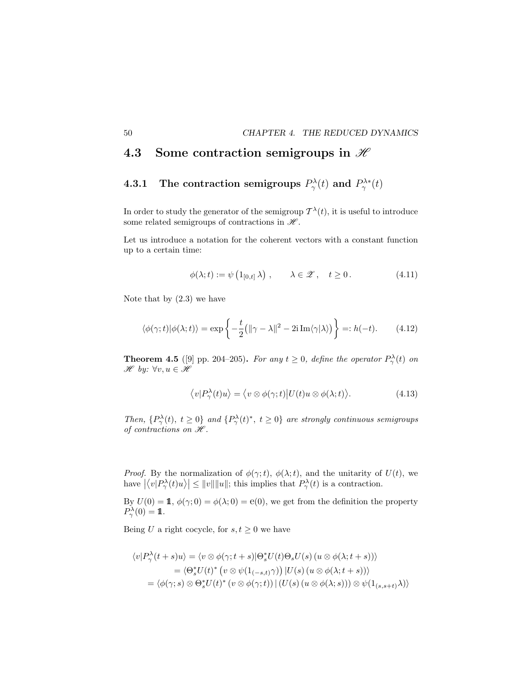4.3 Some contraction semigroups in  $\mathcal{H}$ 

## **4.3.1** The contraction semigroups  $P^{\lambda}_{\gamma}(t)$  and  $P^{\lambda *}_{\gamma}(t)$

In order to study the generator of the semigroup  $T^{\lambda}(t)$ , it is useful to introduce some related semigroups of contractions in  $\mathcal{H}$ .

Let us introduce a notation for the coherent vectors with a constant function up to a certain time:

$$
\phi(\lambda; t) := \psi\left(1_{[0,t]}\lambda\right), \qquad \lambda \in \mathscr{Z}, \quad t \ge 0. \tag{4.11}
$$

Note that by (2.3) we have

$$
\langle \phi(\gamma; t) | \phi(\lambda; t) \rangle = \exp\left\{-\frac{t}{2} \left( ||\gamma - \lambda||^2 - 2i \operatorname{Im} \langle \gamma | \lambda \rangle \right) \right\} =: h(-t). \tag{4.12}
$$

**Theorem 4.5** ([9] pp. 204–205). For any  $t \geq 0$ , define the operator  $P^{\lambda}_{\gamma}(t)$  on  $\mathscr{H}$  by:  $\forall v, u \in \mathscr{H}$ 

$$
\langle v|P_{\gamma}^{\lambda}(t)u\rangle = \langle v \otimes \phi(\gamma;t)|U(t)u \otimes \phi(\lambda;t)\rangle.
$$
 (4.13)

Then,  $\{P_\gamma^\lambda(t), t \geq 0\}$  and  $\{P_\gamma^\lambda(t)^*, t \geq 0\}$  are strongly continuous semigroups of contractions on  $\mathcal{H}$ .

*Proof.* By the normalization of  $\phi(\gamma;t)$ ,  $\phi(\lambda;t)$ , and the unitarity of  $U(t)$ , we have  $|\langle v|P^{\lambda}_{\gamma}(t)u\rangle| \le ||v|| ||u||$ ; this implies that  $P^{\lambda}_{\gamma}(t)$  is a contraction.

By  $U(0) = \mathbf{1}, \phi(\gamma; 0) = \phi(\lambda; 0) = e(0)$ , we get from the definition the property  $P^{\lambda}_{\gamma}(0)=11.$ 

Being U a right cocycle, for  $s, t \geq 0$  we have

$$
\langle v|P^{\lambda}_{\gamma}(t+s)u\rangle = \langle v \otimes \phi(\gamma;t+s)|\Theta^*_{s}U(t)\Theta_sU(s) (u \otimes \phi(\lambda;t+s))\rangle
$$
  

$$
= \langle \Theta^*_{s}U(t)^* (v \otimes \psi(1_{(-s,t)}\gamma))|U(s) (u \otimes \phi(\lambda;t+s))\rangle
$$
  

$$
= \langle \phi(\gamma;s) \otimes \Theta^*_{s}U(t)^* (v \otimes \phi(\gamma;t))| (U(s) (u \otimes \phi(\lambda;s))) \otimes \psi(1_{(s,s+t)}\lambda)\rangle
$$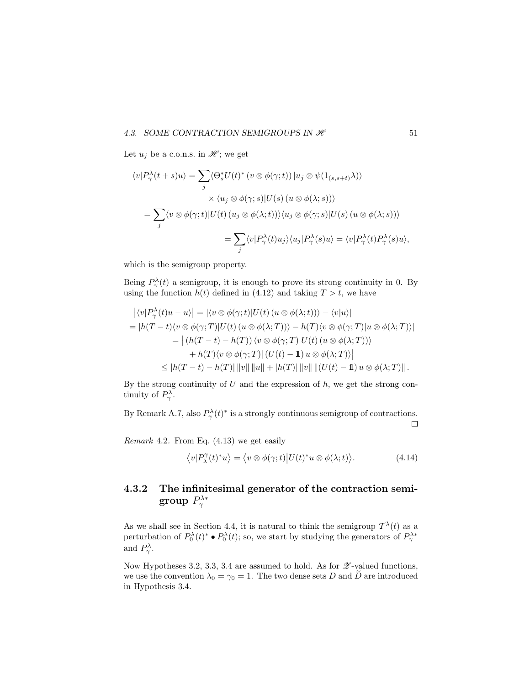### 4.3. SOME CONTRACTION SEMIGROUPS IN  $\mathscr H$  51

Let  $u_j$  be a c.o.n.s. in  $\mathcal{H}$ ; we get

$$
\langle v|P^{\lambda}_{\gamma}(t+s)u\rangle = \sum_{j} \langle \Theta^{*}_{s}U(t)^{*} \left(v \otimes \phi(\gamma;t)\right)|u_{j} \otimes \psi(1_{(s,s+t)}\lambda)\rangle
$$

$$
\times \langle u_{j} \otimes \phi(\gamma;s)|U(s) \left(u \otimes \phi(\lambda;s)\right)\rangle
$$

$$
= \sum_{j} \langle v \otimes \phi(\gamma;t)|U(t) \left(u_{j} \otimes \phi(\lambda;t)\right)\rangle \langle u_{j} \otimes \phi(\gamma;s)|U(s) \left(u \otimes \phi(\lambda;s)\right)\rangle
$$

$$
= \sum_{j} \langle v|P^{\lambda}_{\gamma}(t)u_{j}\rangle \langle u_{j}|P^{\lambda}_{\gamma}(s)u\rangle = \langle v|P^{\lambda}_{\gamma}(t)P^{\lambda}_{\gamma}(s)u\rangle,
$$

which is the semigroup property.

Being  $P^{\lambda}_{\gamma}(t)$  a semigroup, it is enough to prove its strong continuity in 0. By using the function  $h(t)$  defined in (4.12) and taking  $T > t$ , we have

$$
\begin{aligned}\n\left| \langle v | P^{\lambda}_{\gamma}(t) u - u \rangle \right| &= \left| \langle v \otimes \phi(\gamma; t) | U(t) (u \otimes \phi(\lambda; t)) \rangle - \langle v | u \rangle \right| \\
&= |h(T - t) \langle v \otimes \phi(\gamma; T) | U(t) (u \otimes \phi(\lambda; T)) \rangle - h(T) \langle v \otimes \phi(\gamma; T) | u \otimes \phi(\lambda; T) \rangle | \\
&= \left| (h(T - t) - h(T)) \langle v \otimes \phi(\gamma; T) | U(t) (u \otimes \phi(\lambda; T)) \rangle \right. \\
&\left. + h(T) \langle v \otimes \phi(\gamma; T) | (U(t) - \mathbf{1}) u \otimes \phi(\lambda; T) \rangle \right| \\
&\leq |h(T - t) - h(T)| ||v|| ||u|| + |h(T)| ||v|| ||(U(t) - \mathbf{1}) u \otimes \phi(\lambda; T) ||.\n\end{aligned}
$$

By the strong continuity of  $U$  and the expression of  $h$ , we get the strong continuity of  $P_{\gamma}^{\lambda}$ .

By Remark A.7, also  $P^{\lambda}_{\gamma}(t)^*$  is a strongly continuous semigroup of contractions.  $\Box$ 

*Remark* 4.2. From Eq.  $(4.13)$  we get easily

$$
\langle v|P_{\lambda}^{\gamma}(t)^{*}u\rangle = \langle v\otimes\phi(\gamma;t)|U(t)^{*}u\otimes\phi(\lambda;t)\rangle.
$$
 (4.14)

### 4.3.2 The infinitesimal generator of the contraction semi- $\operatorname{group}\ P^{\lambda *}_\gamma$

As we shall see in Section 4.4, it is natural to think the semigroup  $\mathcal{T}^{\lambda}(t)$  as a perturbation of  $P_0^{\lambda}(t)^* \bullet P_0^{\lambda}(t)$ ; so, we start by studying the generators of  $P_{\gamma}^{\lambda*}$ and  $P_{\gamma}^{\lambda}$ .

Now Hypotheses 3.2, 3.3, 3.4 are assumed to hold. As for  $\mathscr{Z}\text{-valued functions}$ , we use the convention  $\lambda_0 = \gamma_0 = 1$ . The two dense sets D and D are introduced in Hypothesis 3.4.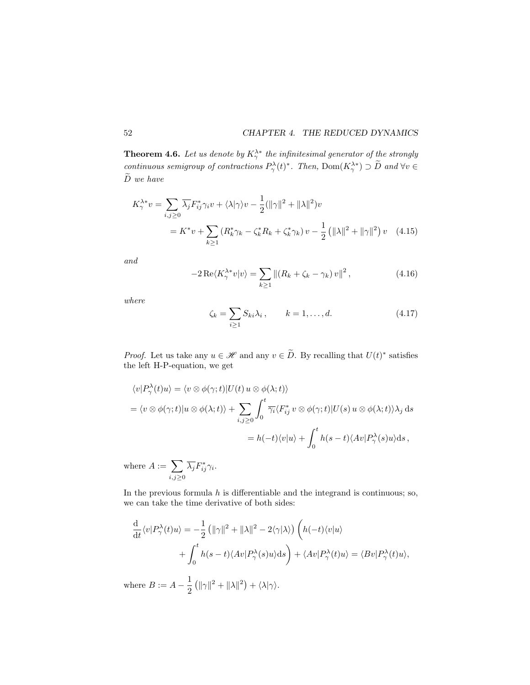### 52 CHAPTER 4. THE REDUCED DYNAMICS

**Theorem 4.6.** Let us denote by  $K_\gamma^{\lambda*}$  the infinitesimal generator of the strongly continuous semigroup of contractions  $P^{\lambda}_{\gamma}(t)^*$ . Then,  $\text{Dom}(K^{\lambda *}_{\gamma}) \supset \widetilde{D}$  and  $\forall v \in \widetilde{D}$  $\tilde{D}$  we have

$$
K^{\lambda *}_{\gamma} v = \sum_{i,j \ge 0} \overline{\lambda_j} F^*_{ij} \gamma_i v + \langle \lambda | \gamma \rangle v - \frac{1}{2} (||\gamma||^2 + ||\lambda||^2) v
$$
  
=  $K^* v + \sum_{k \ge 1} (R^*_{k} \gamma_k - \zeta^*_{k} R_k + \zeta^*_{k} \gamma_k) v - \frac{1}{2} (||\lambda||^2 + ||\gamma||^2) v$  (4.15)

and

$$
-2\operatorname{Re}\langle K_{\gamma}^{\lambda*}v|v\rangle = \sum_{k\geq 1} \left\| \left(R_k + \zeta_k - \gamma_k\right)v\right\|^2, \tag{4.16}
$$

where

$$
\zeta_k = \sum_{i \ge 1} S_{ki} \lambda_i, \qquad k = 1, \dots, d. \tag{4.17}
$$

*Proof.* Let us take any  $u \in \mathcal{H}$  and any  $v \in \tilde{D}$ . By recalling that  $U(t)^*$  satisfies the left H-P-equation, we get

$$
\langle v|P_{\gamma}^{\lambda}(t)u\rangle = \langle v \otimes \phi(\gamma;t)|U(t) u \otimes \phi(\lambda;t)\rangle
$$
  
=  $\langle v \otimes \phi(\gamma;t)|u \otimes \phi(\lambda;t)\rangle + \sum_{i,j\geq 0} \int_{0}^{t} \overline{\gamma_{i}} \langle F_{ij}^{*} v \otimes \phi(\gamma;t)|U(s) u \otimes \phi(\lambda;t)\rangle \lambda_{j} ds$   
=  $h(-t)\langle v|u\rangle + \int_{0}^{t} h(s-t) \langle Av|P_{\gamma}^{\lambda}(s)u\rangle ds$ ,

where  $A := \sum$  $i,j≥0$  $\overline{\lambda_j} F_{ij}^* \gamma_i$ .

In the previous formula  $h$  is differentiable and the integrand is continuous; so, we can take the time derivative of both sides:

$$
\frac{d}{dt}\langle v|P^{\lambda}_{\gamma}(t)u\rangle = -\frac{1}{2} \left( \|\gamma\|^2 + \|\lambda\|^2 - 2\langle \gamma|\lambda \rangle \right) \left( h(-t)\langle v|u\rangle \right)
$$

$$
+ \int_0^t h(s-t)\langle Av|P^{\lambda}_{\gamma}(s)u\rangle ds \right) + \langle Av|P^{\lambda}_{\gamma}(t)u\rangle = \langle Bv|P^{\lambda}_{\gamma}(t)u\rangle,
$$
where  $B := A - \frac{1}{2} (\|\gamma\|^2 + \|\lambda\|^2) + \langle \lambda|\gamma \rangle$ 

where  $B := A - \frac{1}{2}$  $\frac{1}{2}$   $(\|\gamma\|^2 + \|\lambda\|^2) + \langle \lambda | \gamma \rangle$ .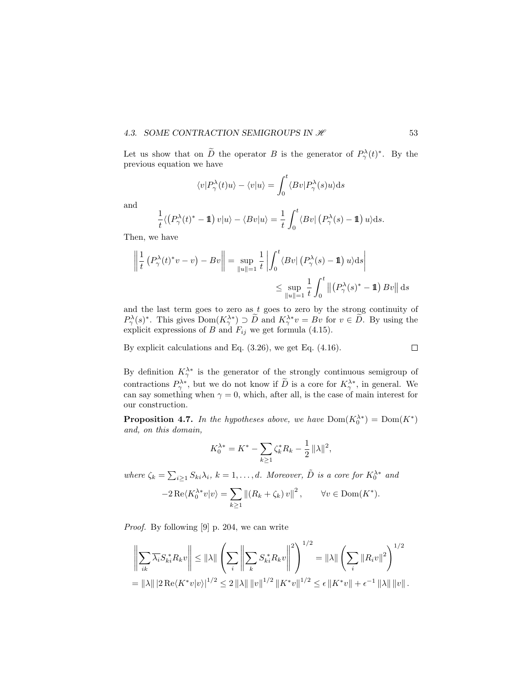### 4.3. SOME CONTRACTION SEMIGROUPS IN  $\mathscr H$  53

Let us show that on  $\tilde{D}$  the operator B is the generator of  $P^{\lambda}_{\gamma}(t)^{*}$ . By the previous equation we have

$$
\langle v|P_{\gamma}^{\lambda}(t)u\rangle - \langle v|u\rangle = \int_0^t \langle Bv|P_{\gamma}^{\lambda}(s)u\rangle ds
$$

and

$$
\frac{1}{t}\langle \left(P_\gamma^\lambda(t)^*-\mathbb{1}\right)v|u\rangle-\langle Bv|u\rangle=\frac{1}{t}\int_0^t\langle Bv|\left(P_\gamma^\lambda(s)-\mathbb{1}\right)u\rangle{\rm d} s.
$$

Then, we have

$$
\left\| \frac{1}{t} \left( P_{\gamma}^{\lambda}(t)^{*} v - v \right) - B v \right\| = \sup_{\|u\|=1} \frac{1}{t} \left| \int_{0}^{t} \langle B v | \left( P_{\gamma}^{\lambda}(s) - \mathbf{1} \right) u \rangle \mathrm{d}s \right|
$$
  

$$
\leq \sup_{\|u\|=1} \frac{1}{t} \int_{0}^{t} \left\| \left( P_{\gamma}^{\lambda}(s)^{*} - \mathbf{1} \right) B v \right\| \mathrm{d}s
$$

and the last term goes to zero as  $t$  goes to zero by the strong continuity of  $P_{\gamma}^{\lambda}(s)^{*}$ . This gives  $\text{Dom}(K_{\gamma}^{\lambda^{*}}) \supset \tilde{D}$  and  $K_{\gamma}^{\lambda^{*}}v = Bv$  for  $v \in \tilde{D}$ . By using the explicit expressions of B and  $F_{ij}$  we get formula (4.15).

By explicit calculations and Eq. (3.26), we get Eq. (4.16).

 $\Box$ 

By definition  $K_{\gamma}^{\lambda^*}$  is the generator of the strongly continuous semigroup of contractions  $P_{\gamma}^{\lambda*}$ , but we do not know if  $\widetilde{D}$  is a core for  $K_{\gamma}^{\lambda*}$ , in general. We can say something when  $\gamma = 0$ , which, after all, is the case of main interest for our construction.

**Proposition 4.7.** In the hypotheses above, we have  $Dom(K_0^{\lambda^*}) = Dom(K^*)$ and, on this domain,

$$
K_0^{\lambda^*} = K^* - \sum_{k \ge 1} \zeta_k^* R_k - \frac{1}{2} ||\lambda||^2,
$$

where  $\zeta_k = \sum_{i \geq 1} S_{ki} \lambda_i$ ,  $k = 1, ..., d$ . Moreover,  $\tilde{D}$  is a core for  $K_0^{\lambda*}$  and

$$
-2\operatorname{Re}\langle K_0^{\lambda*}v|v\rangle = \sum_{k\geq 1} \left\|(R_k + \zeta_k)v\right\|^2, \qquad \forall v \in \operatorname{Dom}(K^*).
$$

Proof. By following [9] p. 204, we can write

$$
\left\| \sum_{ik} \overline{\lambda_i} S_{ki}^* R_k v \right\| \leq \|\lambda\| \left( \sum_i \left\| \sum_k S_{ki}^* R_k v \right\|^2 \right)^{1/2} = \|\lambda\| \left( \sum_i \|R_i v\|^2 \right)^{1/2}
$$
  
=  $\|\lambda\| |2 \operatorname{Re} \langle K^* v | v \rangle|^{1/2} \leq 2 \|\lambda\| \|v\|^{1/2} \|K^* v\|^{1/2} \leq \epsilon \|K^* v\| + \epsilon^{-1} \|\lambda\| \|v\|.$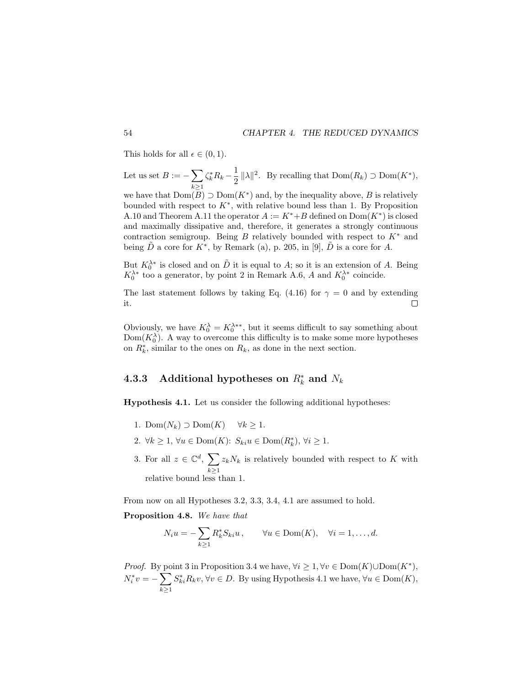This holds for all  $\epsilon \in (0,1)$ .

Let us set  $B := -\sum$  $k \geq 1$  $\zeta_k^* R_k - \frac{1}{2}$  $\frac{1}{2} ||\lambda||^2$ . By recalling that  $Dom(R_k) \supset Dom(K^*)$ ,

we have that  $Dom(B) \supset Dom(K^*)$  and, by the inequality above, B is relatively bounded with respect to  $K^*$ , with relative bound less than 1. By Proposition A.10 and Theorem A.11 the operator  $A := K^* + B$  defined on  $Dom(K^*)$  is closed and maximally dissipative and, therefore, it generates a strongly continuous contraction semigroup. Being B relatively bounded with respect to  $K^*$  and being  $\tilde{D}$  a core for  $K^*$ , by Remark (a), p. 205, in [9],  $\tilde{D}$  is a core for A.

But  $K_0^{\lambda *}$  is closed and on  $\tilde{D}$  it is equal to A; so it is an extension of A. Being  $K_0^{\lambda*}$  too a generator, by point 2 in Remark A.6, A and  $K_0^{\lambda*}$  coincide.

The last statement follows by taking Eq. (4.16) for  $\gamma = 0$  and by extending it.  $\Box$ 

Obviously, we have  $K_0^{\lambda} = K_0^{\lambda^{**}}$ , but it seems difficult to say something about  $Dom(K_0^{\lambda})$ . A way to overcome this difficulty is to make some more hypotheses on  $R_k^*$ , similar to the ones on  $R_k$ , as done in the next section.

## 4.3.3 Additional hypotheses on  $R_k^*$  and  $N_k$

Hypothesis 4.1. Let us consider the following additional hypotheses:

- 1. Dom $(N_k)$  ⊃ Dom $(K)$   $\forall k > 1$ .
- 2.  $\forall k \geq 1, \forall u \in \text{Dom}(K)$ :  $S_{ki}u \in \text{Dom}(R_k^*)$ ,  $\forall i \geq 1$ .
- 3. For all  $z \in \mathbb{C}^d$ ,  $\sum$  $k \geq 1$  $z_kN_k$  is relatively bounded with respect to K with relative bound less than 1.

From now on all Hypotheses 3.2, 3.3, 3.4, 4.1 are assumed to hold.

Proposition 4.8. We have that

$$
N_i u = -\sum_{k\geq 1} R_k^* S_{ki} u, \qquad \forall u \in \text{Dom}(K), \quad \forall i = 1, \dots, d.
$$

*Proof.* By point 3 in Proposition 3.4 we have,  $\forall i \geq 1, \forall v \in \text{Dom}(K) \cup \text{Dom}(K^*)$ ,  $N_i^*v = -\sum$  $k \geq 1$  $S_{ki}^*R_kv, \forall v \in D$ . By using Hypothesis 4.1 we have,  $\forall u \in \text{Dom}(K)$ ,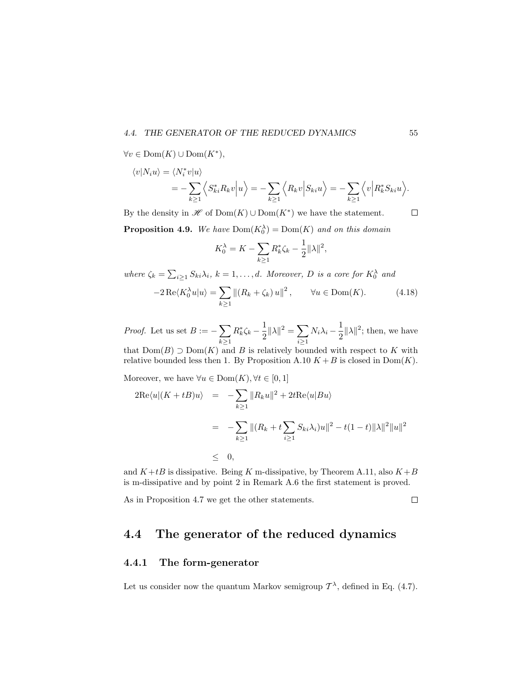### 4.4. THE GENERATOR OF THE REDUCED DYNAMICS 55

$$
\forall v \in \text{Dom}(K) \cup \text{Dom}(K^*),
$$

$$
\langle v|N_i u\rangle = \langle N_i^* v|u\rangle
$$
  
=  $-\sum_{k\geq 1} \langle S_{ki}^* R_k v|u\rangle = -\sum_{k\geq 1} \langle R_k v|S_{ki} u\rangle = -\sum_{k\geq 1} \langle v|R_k^* S_{ki} u\rangle.$ 

By the density in  $\mathscr{H}$  of  $Dom(K) \cup Dom(K^*)$  we have the statement.

**Proposition 4.9.** We have  $Dom(K_0^{\lambda}) = Dom(K)$  and on this domain

$$
K_0^{\lambda} = K - \sum_{k \ge 1} R_k^* \zeta_k - \frac{1}{2} ||\lambda||^2,
$$

where  $\zeta_k = \sum_{i \geq 1} S_{ki} \lambda_i$ ,  $k = 1, ..., d$ . Moreover, D is a core for  $K_0^{\lambda}$  and

$$
-2\operatorname{Re}\langle K_0^{\lambda}u|u\rangle = \sum_{k\geq 1} \left\| (R_k + \zeta_k) u \right\|^2, \qquad \forall u \in \operatorname{Dom}(K). \tag{4.18}
$$

*Proof.* Let us set  $B := -\sum$  $k \geq 1$  $R_k^* \zeta_k - \frac{1}{2}$  $\frac{1}{2}$ | $|\lambda|^2 = \sum_{i \geq 1}$  $i \geq 1$  $N_i\lambda_i-\frac{1}{2}$  $\frac{1}{2}$ || $\lambda$ ||<sup>2</sup>; then, we have

that  $Dom(B) \supset Dom(K)$  and B is relatively bounded with respect to K with relative bounded less then 1. By Proposition A.10  $K + B$  is closed in Dom(K).

Moreover, we have  $\forall u \in \text{Dom}(K), \forall t \in [0,1]$ 

$$
2\text{Re}\langle u|(K+tB)u\rangle = -\sum_{k\geq 1} ||R_ku||^2 + 2t\text{Re}\langle u|Bu\rangle
$$
  

$$
= -\sum_{k\geq 1} ||(R_k+t\sum_{i\geq 1} S_{ki}\lambda_i)u||^2 - t(1-t)||\lambda||^2||u||^2
$$
  

$$
\leq 0,
$$

and  $K+tB$  is dissipative. Being K m-dissipative, by Theorem A.11, also  $K+B$ is m-dissipative and by point 2 in Remark A.6 the first statement is proved.

As in Proposition 4.7 we get the other statements.

 $\Box$ 

### 4.4 The generator of the reduced dynamics

### 4.4.1 The form-generator

Let us consider now the quantum Markov semigroup  $\mathcal{T}^{\lambda}$ , defined in Eq. (4.7).

 $\Box$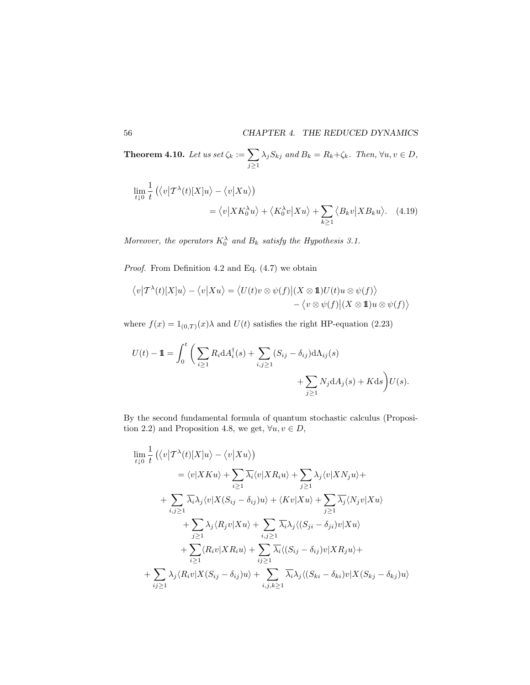**Theorem 4.10.** Let us set  $\zeta_k := \sum$  $j \geq 1$  $\lambda_j S_{kj}$  and  $B_k = R_k + \zeta_k$ . Then,  $\forall u, v \in D$ ,

$$
\lim_{t \downarrow 0} \frac{1}{t} \left( \langle v | \mathcal{T}^{\lambda}(t) [X] u \rangle - \langle v | X u \rangle \right)
$$
  
=  $\langle v | X K_0^{\lambda} u \rangle + \langle K_0^{\lambda} v | X u \rangle + \sum_{k \ge 1} \langle B_k v | X B_k u \rangle.$  (4.19)

Moreover, the operators  $K_0^{\lambda}$  and  $B_k$  satisfy the Hypothesis 3.1.

Proof. From Definition 4.2 and Eq. (4.7) we obtain

$$
\langle v|T^{\lambda}(t)[X]u\rangle - \langle v|Xu\rangle = \langle U(t)v \otimes \psi(f) | (X \otimes \mathbf{1})U(t)u \otimes \psi(f) \rangle - \langle v \otimes \psi(f) | (X \otimes \mathbf{1})u \otimes \psi(f) \rangle
$$

where  $f(x) = 1_{(0,T)}(x) \lambda$  and  $U(t)$  satisfies the right HP-equation (2.23)

$$
U(t) - \mathbb{1} = \int_0^t \bigg( \sum_{i \ge 1} R_i \mathrm{d}A_i^{\dagger}(s) + \sum_{i,j \ge 1} (S_{ij} - \delta_{ij}) \mathrm{d}\Lambda_{ij}(s) + \sum_{j \ge 1} N_j \mathrm{d}A_j(s) + K \mathrm{d}s \bigg) U(s).
$$

By the second fundamental formula of quantum stochastic calculus (Proposition 2.2) and Proposition 4.8, we get,  $\forall u, v \in D$ ,

$$
\lim_{t\downarrow 0} \frac{1}{t} \left( \langle v | \mathcal{T}^{\lambda}(t) | X | u \rangle - \langle v | X u \rangle \right)
$$
\n
$$
= \langle v | X K u \rangle + \sum_{i \ge 1} \overline{\lambda_i} \langle v | X R_i u \rangle + \sum_{j \ge 1} \lambda_j \langle v | X N_j u \rangle +
$$
\n
$$
+ \sum_{i,j \ge 1} \overline{\lambda_i} \lambda_j \langle v | X (S_{ij} - \delta_{ij}) u \rangle + \langle K v | X u \rangle + \sum_{j \ge 1} \overline{\lambda_j} \langle N_j v | X u \rangle
$$
\n
$$
+ \sum_{j \ge 1} \lambda_j \langle R_j v | X u \rangle + \sum_{i,j \ge 1} \overline{\lambda_i} \lambda_j \langle (S_{ji} - \delta_{ji}) v | X u \rangle
$$
\n
$$
+ \sum_{i \ge 1} \langle R_i v | X R_i u \rangle + \sum_{i,j \ge 1} \overline{\lambda_i} \langle (S_{ij} - \delta_{ij}) v | X R_j u \rangle +
$$
\n
$$
+ \sum_{i \ge 1} \lambda_j \langle R_i v | X (S_{ij} - \delta_{ij}) u \rangle + \sum_{i,j,k \ge 1} \overline{\lambda_i} \lambda_j \langle (S_{ki} - \delta_{ki}) v | X (S_{kj} - \delta_{kj}) u \rangle
$$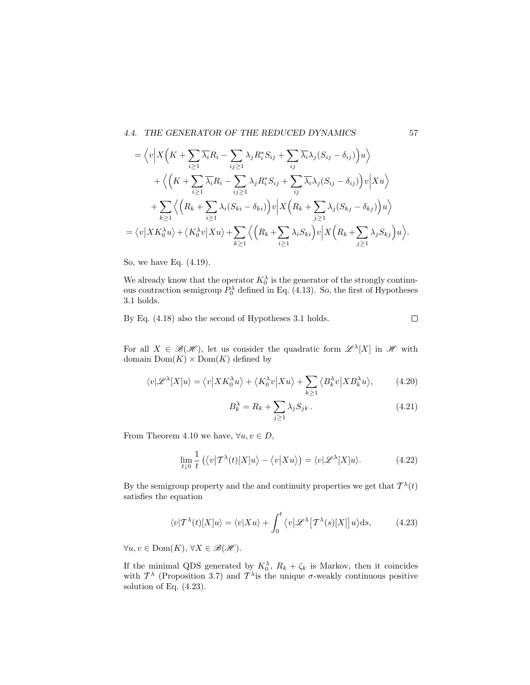#### 4.4. THE GENERATOR OF THE REDUCED DYNAMICS 57

$$
= \Big\langle v \Big| X \Big( K + \sum_{i \geq 1} \overline{\lambda_i} R_i - \sum_{ij \geq 1} \lambda_j R_i^* S_{ij} + \sum_{ij} \overline{\lambda_i} \lambda_j (S_{ij} - \delta_{ij}) \Big) u \Big\rangle + \Big\langle \Big( K + \sum_{i \geq 1} \overline{\lambda_i} R_i - \sum_{ij \geq 1} \lambda_j R_i^* S_{ij} + \sum_{ij} \overline{\lambda_i} \lambda_j (S_{ij} - \delta_{ij}) \Big) v \Big| X u \Big\rangle + \sum_{k \geq 1} \Big\langle \Big( R_k + \sum_{i \geq 1} \lambda_i (S_{ki} - \delta_{ki}) \Big) v \Big| X \Big( R_k + \sum_{j \geq 1} \lambda_j (S_{kj} - \delta_{kj}) \Big) u \Big\rangle = \Big\langle v \Big| X K_0^{\lambda} u \Big\rangle + \Big\langle K_0^{\lambda} v \Big| X u \Big\rangle + \sum_{k \geq 1} \Big\langle \Big( R_k + \sum_{i \geq 1} \lambda_i S_{ki} \Big) v \Big| X \Big( R_k + \sum_{j \geq 1} \lambda_j S_{kj} \Big) u \Big\rangle.
$$

So, we have Eq. (4.19).

We already know that the operator  $K_0^{\lambda}$  is the generator of the strongly continuous contraction semigroup  $P_0^{\lambda}$  defined in Eq. (4.13). So, the first of Hypotheses 3.1 holds.

By Eq. (4.18) also the second of Hypotheses 3.1 holds.  $\Box$ 

For all  $X \in \mathcal{B}(\mathcal{H})$ , let us consider the quadratic form  $\mathcal{L}^{\lambda}[X]$  in  $\mathcal{H}$  with domain  $Dom(K) \times Dom(K)$  defined by

$$
\langle v|\mathscr{L}^{\lambda}[X]u\rangle = \langle v|XK_0^{\lambda}u\rangle + \langle K_0^{\lambda}v|Xu\rangle + \sum_{k\geq 1} \langle B_k^{\lambda}v|XB_k^{\lambda}u\rangle, \tag{4.20}
$$

$$
B_k^{\lambda} = R_k + \sum_{j \ge 1} \lambda_j S_{jk} . \tag{4.21}
$$

From Theorem 4.10 we have,  $\forall u, v \in D$ ,

$$
\lim_{t \downarrow 0} \frac{1}{t} \left( \langle v | \mathcal{T}^{\lambda}(t) [X] u \rangle - \langle v | X u \rangle \right) = \langle v | \mathcal{L}^{\lambda}[X] u \rangle. \tag{4.22}
$$

By the semigroup property and the and continuity properties we get that  $\mathcal{T}^{\lambda}(t)$ satisfies the equation

$$
\langle v|\mathcal{T}^{\lambda}(t)[X]u\rangle = \langle v|Xu\rangle + \int_0^t \langle v|\mathcal{L}^{\lambda}[\mathcal{T}^{\lambda}(s)[X]]u\rangle ds, \qquad (4.23)
$$

 $\forall u, v \in \text{Dom}(K), \forall X \in \mathscr{B}(\mathscr{H}).$ 

If the minimal QDS generated by  $K_0^{\lambda}$ ,  $R_k + \zeta_k$  is Markov, then it coincides with  $\mathcal{T}^{\lambda}$  (Proposition 3.7) and  $\mathcal{T}^{\lambda}$  is the unique  $\sigma$ -weakly continuous positive solution of Eq. (4.23).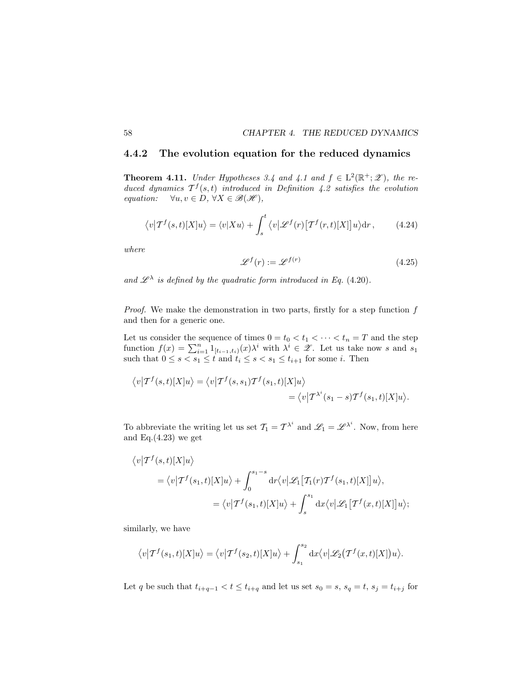#### 4.4.2 The evolution equation for the reduced dynamics

**Theorem 4.11.** Under Hypotheses 3.4 and 4.1 and  $f \in L^2(\mathbb{R}^+; \mathcal{Z})$ , the reduced dynamics  $\mathcal{T}^f(s,t)$  introduced in Definition 4.2 satisfies the evolution equation:  $\forall u, v \in D, \forall X \in \mathcal{B}(\mathcal{H}),$ 

$$
\langle v|T^f(s,t)[X]u\rangle = \langle v|Xu\rangle + \int_s^t \langle v|\mathcal{L}^f(r)[T^f(r,t)[X]]u\rangle dr, \qquad (4.24)
$$

where

$$
\mathcal{L}^f(r) := \mathcal{L}^{f(r)} \tag{4.25}
$$

and  $\mathscr{L}^{\lambda}$  is defined by the quadratic form introduced in Eq. (4.20).

Proof. We make the demonstration in two parts, firstly for a step function f and then for a generic one.

Let us consider the sequence of times  $0 = t_0 < t_1 < \cdots < t_n = T$  and the step function  $f(x) = \sum_{i=1}^n 1_{[t_{i-1},t_i)}(x)\lambda^i$  with  $\lambda^i \in \mathscr{Z}$ . Let us take now s and s<sub>1</sub> such that  $0 \leq s < s_1 \leq t$  and  $t_i \leq s < s_1 \leq t_{i+1}$  for some *i*. Then

$$
\langle v|T^f(s,t)[X]u\rangle = \langle v|T^f(s,s_1)T^f(s_1,t)[X]u\rangle
$$
  
= 
$$
\langle v|T^{\lambda^i}(s_1-s)T^f(s_1,t)[X]u\rangle.
$$

To abbreviate the writing let us set  $\mathcal{T}_1 = \mathcal{T}^{\lambda^i}$  and  $\mathcal{L}_1 = \mathcal{L}^{\lambda^i}$ . Now, from here and Eq.(4.23) we get

$$
\langle v|\mathcal{T}^f(s,t)[X]u\rangle
$$
  
=  $\langle v|\mathcal{T}^f(s_1,t)[X]u\rangle + \int_0^{s_1-s} dr \langle v|\mathcal{L}_1[\mathcal{T}_1(r)\mathcal{T}^f(s_1,t)[X]]u\rangle,$   
=  $\langle v|\mathcal{T}^f(s_1,t)[X]u\rangle + \int_s^{s_1} dx \langle v|\mathcal{L}_1[\mathcal{T}^f(x,t)[X]]u\rangle;$ 

similarly, we have

$$
\langle v|T^f(s_1,t)[X]u\rangle = \langle v|T^f(s_2,t)[X]u\rangle + \int_{s_1}^{s_2} dx \langle v|\mathscr{L}_2(T^f(x,t)[X])u\rangle.
$$

Let q be such that  $t_{i+q-1} < t \leq t_{i+q}$  and let us set  $s_0 = s$ ,  $s_q = t$ ,  $s_j = t_{i+j}$  for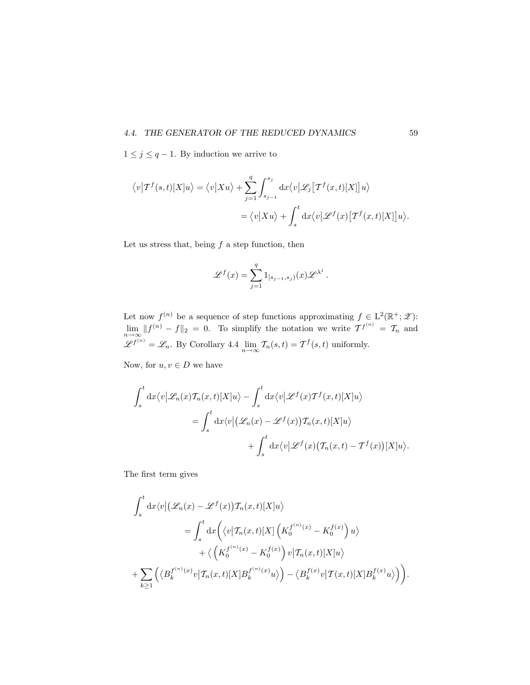### 4.4. THE GENERATOR OF THE REDUCED DYNAMICS 59

 $1\leq j\leq q-1.$  By induction we arrive to

$$
\langle v|T^f(s,t)[X]u\rangle = \langle v|Xu\rangle + \sum_{j=1}^q \int_{s_{j-1}}^{s_j} dx \langle v|\mathcal{L}_j[T^f(x,t)[X]]u\rangle
$$
  
=  $\langle v|Xu\rangle + \int_s^t dx \langle v|\mathcal{L}^f(x)[T^f(x,t)[X]]u\rangle.$ 

Let us stress that, being  $f$  a step function, then

$$
\mathscr{L}^f(x) = \sum_{j=1}^q 1_{[s_{j-1}, s_j)}(x) \mathscr{L}^{\lambda^j}.
$$

Let now  $f^{(n)}$  be a sequence of step functions approximating  $f \in L^2(\mathbb{R}^+; \mathscr{Z})$ :  $\lim_{n\to\infty} ||f^{(n)} - f||_2 = 0$ . To simplify the notation we write  $\mathcal{T}^{f^{(n)}} = \mathcal{T}_n$  and  $\mathscr{L}^{f^{(n)}} = \mathscr{L}_n$ . By Corollary 4.4  $\lim_{n \to \infty} \mathcal{T}_n(s,t) = \mathcal{T}^f(s,t)$  uniformly.

Now, for  $u, v \in D$  we have

$$
\int_{s}^{t} dx \langle v | \mathcal{L}_{n}(x) \mathcal{T}_{n}(x,t) | X | u \rangle - \int_{s}^{t} dx \langle v | \mathcal{L}^{f}(x) \mathcal{T}^{f}(x,t) | X | u \rangle
$$
  

$$
= \int_{s}^{t} dx \langle v | (\mathcal{L}_{n}(x) - \mathcal{L}^{f}(x)) \mathcal{T}_{n}(x,t) | X | u \rangle
$$
  

$$
+ \int_{s}^{t} dx \langle v | \mathcal{L}^{f}(x) (\mathcal{T}_{n}(x,t) - \mathcal{T}^{f}(x)) | X | u \rangle.
$$

The first term gives

$$
\int_{s}^{t} dx \langle v | (\mathcal{L}_{n}(x) - \mathcal{L}^{f}(x)) \mathcal{T}_{n}(x, t) | X | u \rangle
$$
  
\n
$$
= \int_{s}^{t} dx \Big( \langle v | \mathcal{T}_{n}(x, t) | X | \left( K_{0}^{f^{(n)}(x)} - K_{0}^{f(x)} \right) u \rangle
$$
  
\n
$$
+ \langle \left( K_{0}^{f^{(n)}(x)} - K_{0}^{f(x)} \right) v | \mathcal{T}_{n}(x, t) | X | u \rangle
$$
  
\n
$$
+ \sum_{k \geq 1} \Big( \langle B_{k}^{f^{(n)}(x)} v | \mathcal{T}_{n}(x, t) | X | B_{k}^{f^{(n)}(x)} u \rangle \Big) - \langle B_{k}^{f(x)} v | \mathcal{T}(x, t) | X | B_{k}^{f(x)} u \rangle \Big) \Big).
$$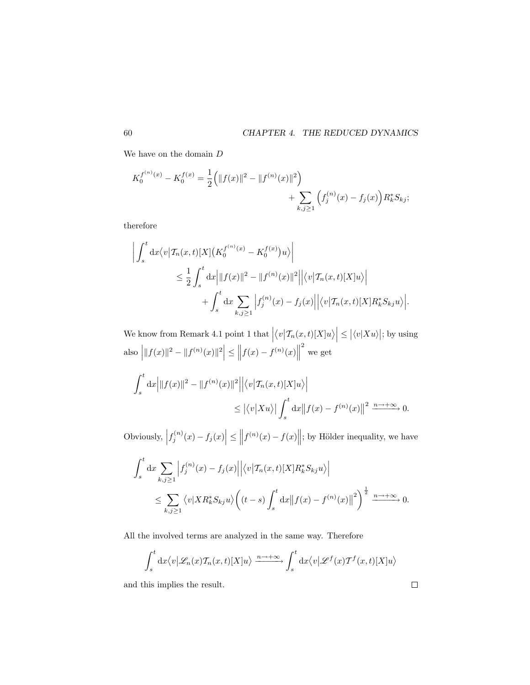### 60 CHAPTER 4. THE REDUCED DYNAMICS

We have on the domain  ${\cal D}$ 

$$
K_0^{f^{(n)}(x)} - K_0^{f(x)} = \frac{1}{2} \left( \|f(x)\|^2 - \|f^{(n)}(x)\|^2 \right) + \sum_{k,j \ge 1} \left( f_j^{(n)}(x) - f_j(x) \right) R_k^* S_{kj};
$$

therefore

$$
\left| \int_s^t dx \langle v | \mathcal{T}_n(x,t) [X] (K_0^{f^{(n)}(x)} - K_0^{f(x)}) u \rangle \right|
$$
  
\n
$$
\leq \frac{1}{2} \int_s^t dx \left| \| f(x) \|^2 - \| f^{(n)}(x) \|^2 \right| \left| \langle v | \mathcal{T}_n(x,t) [X] u \rangle \right|
$$
  
\n
$$
+ \int_s^t dx \sum_{k,j \geq 1} \left| f_j^{(n)}(x) - f_j(x) \right| \left| \langle v | \mathcal{T}_n(x,t) [X] R_k^* S_{kj} u \rangle \right|.
$$

We know from Remark 4.1 point 1 that  $\Big|$  $\langle v | \mathcal{T}_n(x,t) [X] u \rangle \Big| \leq |\langle v | X u \rangle|$ ; by using also  $\left| \|f(x)\|^2 - \|f^{(n)}(x)\|^2 \right| \le \left\| f(x) - f^{(n)}(x) \right\|$ 2 we get

$$
\int_{s}^{t} dx \Big| \|f(x)\|^2 - \|f^{(n)}(x)\|^2 \Big| \Big| \langle v|\mathcal{T}_n(x,t)[X]u\rangle \Big|
$$
  

$$
\leq |\langle v|Xu\rangle| \int_{s}^{t} dx \|f(x) - f^{(n)}(x)\|^2 \xrightarrow{n \to +\infty} 0.
$$

Obviously,  $\left| f_j^{(n)}(x) - f_j(x) \right| \leq \left\| f^{(n)}(x) - f(x) \right\|$ ; by Hölder inequality, we have

$$
\int_{s}^{t} dx \sum_{k,j\geq 1} \left| f_j^{(n)}(x) - f_j(x) \right| \left| \left\langle v | \mathcal{T}_n(x,t) [X] R_k^* S_{kj} u \right\rangle \right|
$$
  

$$
\leq \sum_{k,j\geq 1} \left| \left\langle v | X R_k^* S_{kj} u \right\rangle \left( (t-s) \int_s^t dx \left| | f(x) - f^{(n)}(x) | \right|^2 \right)^{\frac{1}{2}} \xrightarrow{n \to +\infty} 0.
$$

All the involved terms are analyzed in the same way. Therefore

$$
\int_{s}^{t} dx \langle v | \mathcal{L}_n(x) \mathcal{T}_n(x,t) [X] u \rangle \xrightarrow{n \to +\infty} \int_{s}^{t} dx \langle v | \mathcal{L}^f(x) \mathcal{T}^f(x,t) [X] u \rangle
$$

and this implies the result.

 $\Box$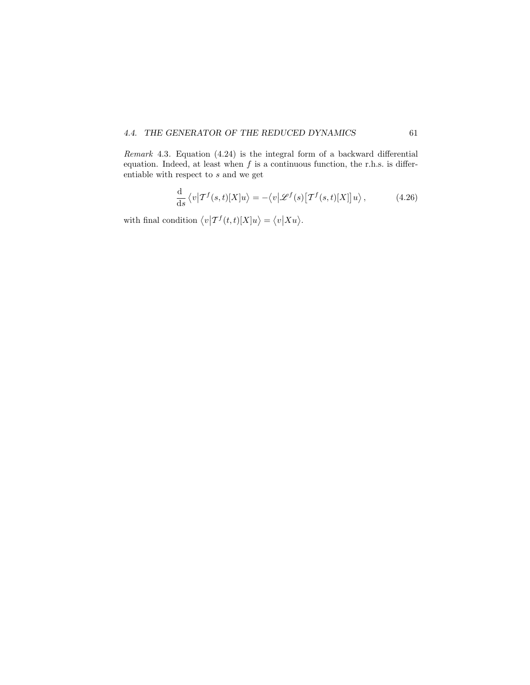### 4.4. THE GENERATOR OF THE REDUCED DYNAMICS 61

Remark 4.3. Equation (4.24) is the integral form of a backward differential equation. Indeed, at least when  $f$  is a continuous function, the r.h.s. is differentiable with respect to s and we get

$$
\frac{\mathrm{d}}{\mathrm{d}s} \left\langle v|\mathcal{T}^f(s,t)[X]u \right\rangle = -\left\langle v|\mathcal{L}^f(s)[\mathcal{T}^f(s,t)[X]]u \right\rangle, \tag{4.26}
$$

with final condition  $\langle v | T<sup>f</sup>(t,t) | X | u \rangle = \langle v | X u \rangle$ .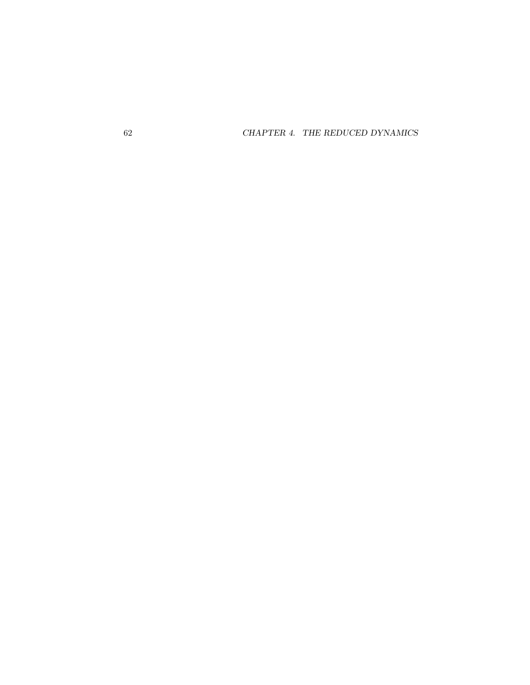CHAPTER 4. THE REDUCED DYNAMICS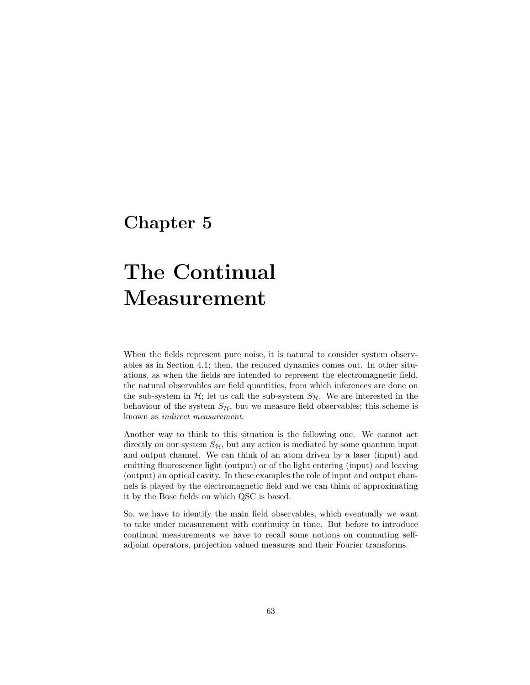## Chapter 5

# The Continual Measurement

When the fields represent pure noise, it is natural to consider system observables as in Section 4.1; then, the reduced dynamics comes out. In other situations, as when the fields are intended to represent the electromagnetic field, the natural observables are field quantities, from which inferences are done on the sub-system in  $H$ ; let us call the sub-system  $S_H$ . We are interested in the behaviour of the system  $S_{H}$ , but we measure field observables; this scheme is known as indirect measurement.

Another way to think to this situation is the following one. We cannot act directly on our system  $S_{\mathcal{H}}$ , but any action is mediated by some quantum input and output channel. We can think of an atom driven by a laser (input) and emitting fluorescence light (output) or of the light entering (input) and leaving (output) an optical cavity. In these examples the role of input and output channels is played by the electromagnetic field and we can think of approximating it by the Bose fields on which QSC is based.

So, we have to identify the main field observables, which eventually we want to take under measurement with continuity in time. But before to introduce continual measurements we have to recall some notions on commuting selfadjoint operators, projection valued measures and their Fourier transforms.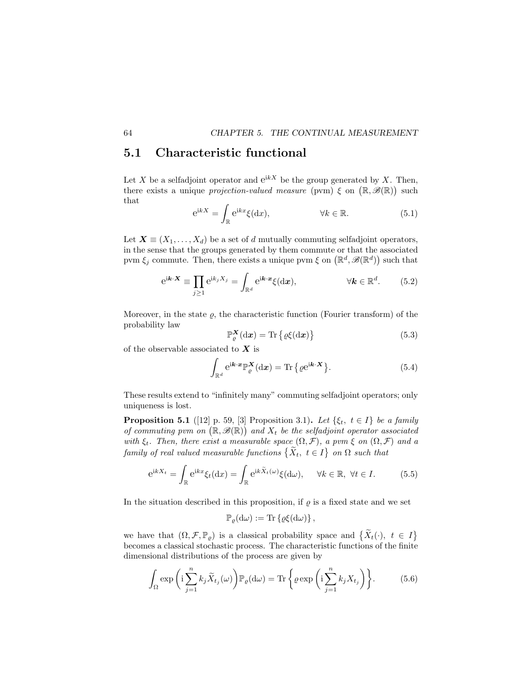### 5.1 Characteristic functional

Let X be a selfadjoint operator and  $e^{ikX}$  be the group generated by X. Then, there exists a unique *projection-valued measure* (pvm)  $\xi$  on  $(\mathbb{R}, \mathscr{B}(\mathbb{R}))$  such that

$$
e^{ikX} = \int_{\mathbb{R}} e^{ikx} \xi(dx), \qquad \forall k \in \mathbb{R}.
$$
 (5.1)

Let  $\mathbf{X} \equiv (X_1, \ldots, X_d)$  be a set of d mutually commuting selfadjoint operators, in the sense that the groups generated by them commute or that the associated pvm  $\xi_j$  commute. Then, there exists a unique pvm  $\xi$  on  $(\mathbb{R}^d, \mathscr{B}(\mathbb{R}^d))$  such that

$$
e^{i\mathbf{k}\cdot\mathbf{X}} \equiv \prod_{j\geq 1} e^{ik_j X_j} = \int_{\mathbb{R}^d} e^{i\mathbf{k}\cdot\mathbf{x}} \xi(\mathrm{d}\mathbf{x}), \qquad \forall \mathbf{k} \in \mathbb{R}^d. \qquad (5.2)
$$

Moreover, in the state  $\rho$ , the characteristic function (Fourier transform) of the probability law

$$
\mathbb{P}_{\varrho}^{\boldsymbol{X}}(\mathrm{d}\boldsymbol{x}) = \mathrm{Tr}\left\{\varrho \xi(\mathrm{d}\boldsymbol{x})\right\} \tag{5.3}
$$

of the observable associated to  $X$  is

$$
\int_{\mathbb{R}^d} e^{i\mathbf{k}\cdot\mathbf{x}} \mathbb{P}_{\varrho}^{\mathbf{X}}(\mathrm{d}\mathbf{x}) = \mathrm{Tr}\left\{\varrho e^{i\mathbf{k}\cdot\mathbf{X}}\right\}.
$$
\n(5.4)

These results extend to "infinitely many" commuting selfadjoint operators; only uniqueness is lost.

**Proposition 5.1** ([12] p. 59, [3] Proposition 3.1). Let  $\{\xi_t, t \in I\}$  be a family of commuting pvm on  $(R, \mathcal{B}(R))$  and  $X_t$  be the selfadjoint operator associated with  $\xi_t$ . Then, there exist a measurable space  $(\Omega, \mathcal{F})$ , a pvm  $\xi$  on  $(\Omega, \mathcal{F})$  and a family of real valued measurable functions  $\{X_t, t \in I\}$  on  $\Omega$  such that

$$
e^{ikX_t} = \int_{\mathbb{R}} e^{ikx} \xi_t(dx) = \int_{\mathbb{R}} e^{ik\tilde{X}_t(\omega)} \xi(d\omega), \quad \forall k \in \mathbb{R}, \ \forall t \in I.
$$
 (5.5)

In the situation described in this proposition, if  $\rho$  is a fixed state and we set

$$
\mathbb{P}_{\varrho}(\mathrm{d}\omega) := \mathrm{Tr} \left\{ \varrho \xi(\mathrm{d}\omega) \right\},\,
$$

we have that  $(\Omega, \mathcal{F}, \mathbb{P}_{\varrho})$  is a classical probability space and  $\{\widetilde{X}_t(\cdot), t \in I\}$ becomes a classical stochastic process. The characteristic functions of the finite dimensional distributions of the process are given by

$$
\int_{\Omega} \exp\left(i \sum_{j=1}^{n} k_j \widetilde{X}_{t_j}(\omega)\right) \mathbb{P}_{\varrho}(\mathrm{d}\omega) = \mathrm{Tr}\left\{\varrho \exp\left(i \sum_{j=1}^{n} k_j X_{t_j}\right)\right\}.
$$
 (5.6)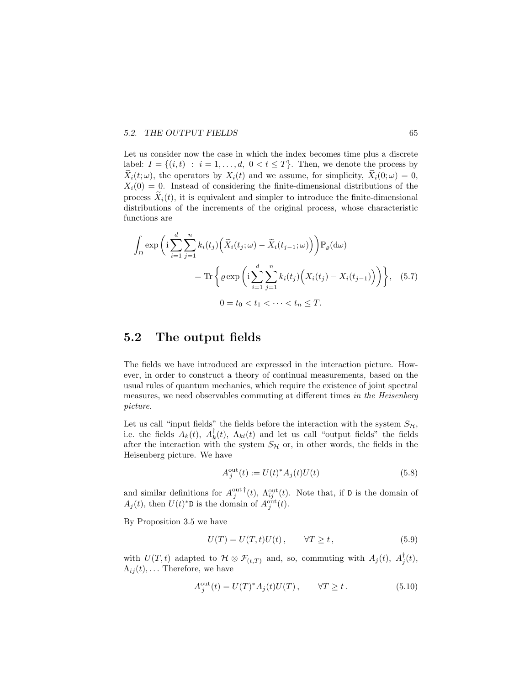### 5.2. THE OUTPUT FIELDS 65

Let us consider now the case in which the index becomes time plus a discrete label:  $I = \{(i, t) : i = 1, \ldots, d, 0 < t \leq T\}$ . Then, we denote the process by  $\tilde{X}_i(t;\omega)$ , the operators by  $X_i(t)$  and we assume, for simplicity,  $\tilde{X}_i(0;\omega) = 0$ ,  $X_i(0) = 0$ . Instead of considering the finite-dimensional distributions of the process  $\tilde{X}_i(t)$ , it is equivalent and simpler to introduce the finite-dimensional distributions of the increments of the original process, whose characteristic functions are

$$
\int_{\Omega} \exp\left(i\sum_{i=1}^{d} \sum_{j=1}^{n} k_i(t_j) \left(\tilde{X}_i(t_j; \omega) - \tilde{X}_i(t_{j-1}; \omega)\right)\right) \mathbb{P}_{\varrho}(\mathrm{d}\omega)
$$
\n
$$
= \mathrm{Tr}\left\{\varrho \exp\left(i\sum_{i=1}^{d} \sum_{j=1}^{n} k_i(t_j) \left(X_i(t_j) - X_i(t_{j-1})\right)\right)\right\}, \quad (5.7)
$$
\n
$$
0 = t_0 < t_1 < \cdots < t_n \leq T.
$$

### 5.2 The output fields

The fields we have introduced are expressed in the interaction picture. However, in order to construct a theory of continual measurements, based on the usual rules of quantum mechanics, which require the existence of joint spectral measures, we need observables commuting at different times in the Heisenberg picture.

Let us call "input fields" the fields before the interaction with the system  $S_{H}$ , i.e. the fields  $A_k(t)$ ,  $A_k^{\dagger}(t)$ ,  $\Lambda_{kl}(t)$  and let us call "output fields" the fields after the interaction with the system  $S_H$  or, in other words, the fields in the Heisenberg picture. We have

$$
A_j^{\text{out}}(t) := U(t)^* A_j(t) U(t)
$$
\n(5.8)

and similar definitions for  $A_j^{\text{out }\dagger}(t)$ ,  $\Lambda_{ij}^{\text{out}}(t)$ . Note that, if D is the domain of  $A_j(t)$ , then  $U(t)^*D$  is the domain of  $A_j^{\text{out}}(t)$ .

By Proposition 3.5 we have

$$
U(T) = U(T, t)U(t), \qquad \forall T \ge t,
$$
\n
$$
(5.9)
$$

with  $U(T,t)$  adapted to  $\mathcal{H} \otimes \mathcal{F}_{(t,T)}$  and, so, commuting with  $A_j(t)$ ,  $A_j^{\dagger}(t)$ ,  $\Lambda_{ij}(t), \ldots$  Therefore, we have

$$
A_j^{\text{out}}(t) = U(T)^* A_j(t) U(T) , \qquad \forall T \ge t . \tag{5.10}
$$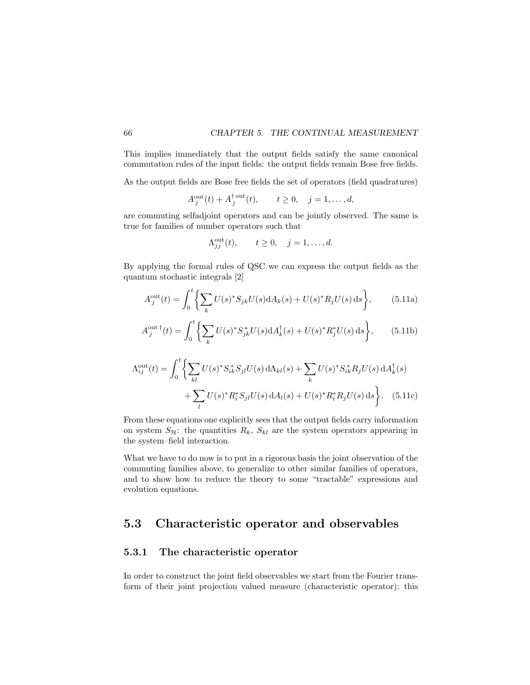#### 66 CHAPTER 5. THE CONTINUAL MEASUREMENT

This implies immediately that the output fields satisfy the same canonical commutation rules of the input fields: the output fields remain Bose free fields.

As the output fields are Bose free fields the set of operators (field quadratures)

$$
A_j^{\text{out}}(t) + A_j^{\dagger \text{out}}(t), \qquad t \ge 0, \quad j = 1, \dots, d,
$$

are commuting selfadjoint operators and can be jointly observed. The same is true for families of number operators such that

$$
\Lambda_{jj}^{\text{out}}(t), \qquad t \ge 0, \quad j = 1, \dots, d.
$$

By applying the formal rules of QSC we can express the output fields as the quantum stochastic integrals [2]

$$
A_j^{\text{out}}(t) = \int_0^t \left\{ \sum_k U(s)^* S_{jk} U(s) \mathrm{d}A_k(s) + U(s)^* R_j U(s) \, \mathrm{d}s \right\},\tag{5.11a}
$$

$$
A_j^{\text{out}\dagger}(t) = \int_0^t \left\{ \sum_k U(s)^* S_{jk}^* U(s) \mathrm{d} A_k^\dagger(s) + U(s)^* R_j^* U(s) \, \mathrm{d} s \right\},\tag{5.11b}
$$

$$
\Lambda_{ij}^{\text{out}}(t) = \int_0^t \left\{ \sum_{kl} U(s)^* S_{ik}^* S_{jl} U(s) \, d\Lambda_{kl}(s) + \sum_k U(s)^* S_{ik}^* R_j U(s) \, dA_k^{\dagger}(s) \right. \\ \left. + \sum_l U(s)^* R_i^* S_{jl} U(s) \, dA_l(s) + U(s)^* R_i^* R_j U(s) \, ds \right\}.
$$
 (5.11c)

From these equations one explicitly sees that the output fields carry information on system  $S_{H}$ : the quantities  $R_k$ ,  $S_{kl}$  are the system operators appearing in the system–field interaction.

What we have to do now is to put in a rigorous basis the joint observation of the commuting families above, to generalize to other similar families of operators, and to show how to reduce the theory to some "tractable" expressions and evolution equations.

### 5.3 Characteristic operator and observables

### 5.3.1 The characteristic operator

In order to construct the joint field observables we start from the Fourier transform of their joint projection valued measure (characteristic operator); this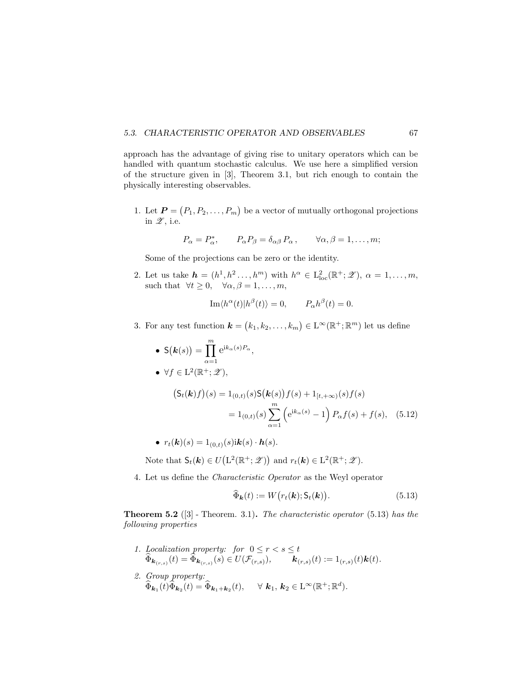## 5.3. CHARACTERISTIC OPERATOR AND OBSERVABLES 67

approach has the advantage of giving rise to unitary operators which can be handled with quantum stochastic calculus. We use here a simplified version of the structure given in [3], Theorem 3.1, but rich enough to contain the physically interesting observables.

1. Let  $\boldsymbol{P} = (P_1, P_2, \ldots, P_m)$  be a vector of mutually orthogonal projections in  $\mathscr{Z}$ , i.e.

$$
P_{\alpha} = P_{\alpha}^*,
$$
  $P_{\alpha}P_{\beta} = \delta_{\alpha\beta}P_{\alpha}, \quad \forall \alpha, \beta = 1, ..., m;$ 

Some of the projections can be zero or the identity.

2. Let us take  $\mathbf{h} = (h^1, h^2, \dots, h^m)$  with  $h^{\alpha} \in L^2_{loc}(\mathbb{R}^+; \mathscr{Z}), \alpha = 1, \dots, m$ , such that  $\forall t \geq 0$ ,  $\forall \alpha, \beta = 1, \ldots, m$ ,

$$
\operatorname{Im}\langle h^{\alpha}(t)|h^{\beta}(t)\rangle = 0, \qquad P_{\alpha}h^{\beta}(t) = 0.
$$

- 3. For any test function  $\mathbf{k} = (k_1, k_2, \dots, k_m) \in \mathbb{L}^{\infty}(\mathbb{R}^+; \mathbb{R}^m)$  let us define
	- $S(\boldsymbol{k}(s)) = \prod^{m}$  $\alpha=1$  $e^{ik_{\alpha}(s)P_{\alpha}},$ •  $\forall f \in \mathcal{L}^2(\mathbb{R}^+; \mathscr{Z}),$

$$
\begin{aligned} \left(\mathsf{S}_{t}(\mathbf{k})f\right)(s) &= 1_{(0,t)}(s)\mathsf{S}\left(\mathbf{k}(s)\right)f(s) + 1_{[t,+\infty)}(s)f(s) \\ &= 1_{(0,t)}(s)\sum_{\alpha=1}^{m} \left(\mathrm{e}^{\mathrm{i}k_{\alpha}(s)} - 1\right)P_{\alpha}f(s) + f(s), \quad (5.12) \end{aligned}
$$

• 
$$
r_t(\mathbf{k})(s) = 1_{(0,t)}(s)\mathbf{i}\mathbf{k}(s) \cdot \mathbf{h}(s).
$$

Note that  $\mathsf{S}_t(\mathbf{k}) \in U(L^2(\mathbb{R}^+;\mathscr{Z}))$  and  $r_t(\mathbf{k}) \in L^2(\mathbb{R}^+;\mathscr{Z})$ .

4. Let us define the Characteristic Operator as the Weyl operator

$$
\widehat{\Phi}_{\boldsymbol{k}}(t) := W(r_t(\boldsymbol{k}); \mathsf{S}_t(\boldsymbol{k})). \tag{5.13}
$$

**Theorem 5.2** ([3] - Theorem. 3.1). The characteristic operator  $(5.13)$  has the following properties

- 1. Localization property: for  $0 \le r < s \le t$  $\Phi_{\bm{k}_{(r,s)}}(t) = \Phi_{\bm{k}_{(r,s)}}(s) \in U(\mathcal{F}_{(r,s)}), \quad \mathbf{k}_{(r,s)}(t) := 1_{(r,s)}(t)\bm{k}(t).$
- 2. Group property:  $\widehat{\Phi}_{\boldsymbol{k}_1}(t)\widehat{\Phi}_{\boldsymbol{k}_2}(t) = \widehat{\Phi}_{\boldsymbol{k}_1+\boldsymbol{k}_2}(t), \quad \forall \boldsymbol{k}_1, \boldsymbol{k}_2 \in \mathrm{L}^{\infty}(\mathbb{R}^+;\mathbb{R}^d).$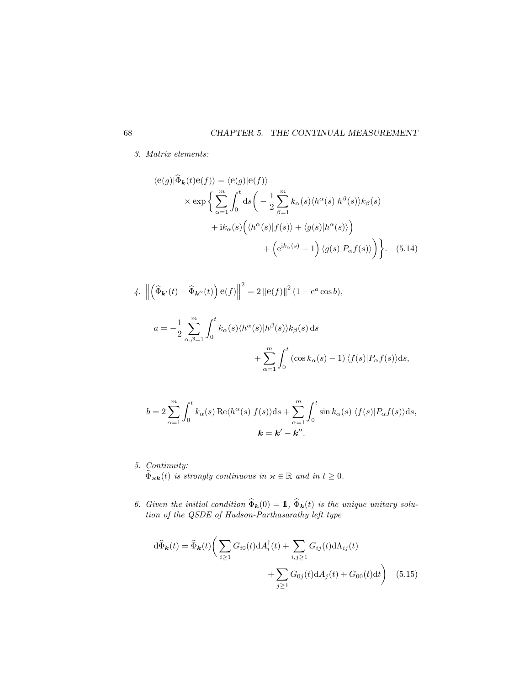3. Matrix elements:

$$
\langle e(g)|\widehat{\Phi}_{\mathbf{k}}(t)e(f)\rangle = \langle e(g)|e(f)\rangle
$$
  
 
$$
\times \exp\left\{\sum_{\alpha=1}^{m} \int_{0}^{t} ds \left(-\frac{1}{2}\sum_{\beta=1}^{m} k_{\alpha}(s) \langle h^{\alpha}(s)|h^{\beta}(s)\rangle k_{\beta}(s) + ik_{\alpha}(s)\left(\langle h^{\alpha}(s)|f(s)\rangle + \langle g(s)|h^{\alpha}(s)\rangle\right)\right) + \left(e^{ik_{\alpha}(s)} - 1\right)\langle g(s)|P_{\alpha}f(s)\rangle\right)\}.
$$
 (5.14)

4. 
$$
\left\| \left( \widehat{\Phi}_{\mathbf{k}'}(t) - \widehat{\Phi}_{\mathbf{k}''}(t) \right) e(f) \right\|^2 = 2 \left\| e(f) \right\|^2 (1 - e^a \cos b),
$$
  
\n
$$
a = -\frac{1}{2} \sum_{\alpha,\beta=1}^m \int_0^t k_\alpha(s) \langle h^\alpha(s) | h^\beta(s) \rangle k_\beta(s) ds + \sum_{\alpha=1}^m \int_0^t \left( \cos k_\alpha(s) - 1 \right) \langle f(s) | P_\alpha f(s) \rangle ds,
$$

$$
b = 2\sum_{\alpha=1}^{m} \int_{0}^{t} k_{\alpha}(s) \operatorname{Re}\langle h^{\alpha}(s)|f(s)\rangle ds + \sum_{\alpha=1}^{m} \int_{0}^{t} \sin k_{\alpha}(s) \langle f(s)|P_{\alpha}f(s)\rangle ds,
$$

$$
\mathbf{k} = \mathbf{k}' - \mathbf{k}''.
$$

5. Continuity:

 $\widehat{\Phi}_{\varkappa k}(t)$  is strongly continuous in  $\varkappa \in \mathbb{R}$  and in  $t \geq 0$ .

6. Given the initial condition  $\widehat{\Phi}_{\mathbf{k}}(0) = \mathbf{1}$ ,  $\widehat{\Phi}_{\mathbf{k}}(t)$  is the unique unitary solution of the QSDE of Hudson-Parthasarathy left type

$$
d\widehat{\Phi}_{\boldsymbol{k}}(t) = \widehat{\Phi}_{\boldsymbol{k}}(t) \bigg( \sum_{i \ge 1} G_{i0}(t) dA_i^{\dagger}(t) + \sum_{i,j \ge 1} G_{ij}(t) dA_{ij}(t) + \sum_{j \ge 1} G_{0j}(t) dA_j(t) + G_{00}(t) dt \bigg)
$$
(5.15)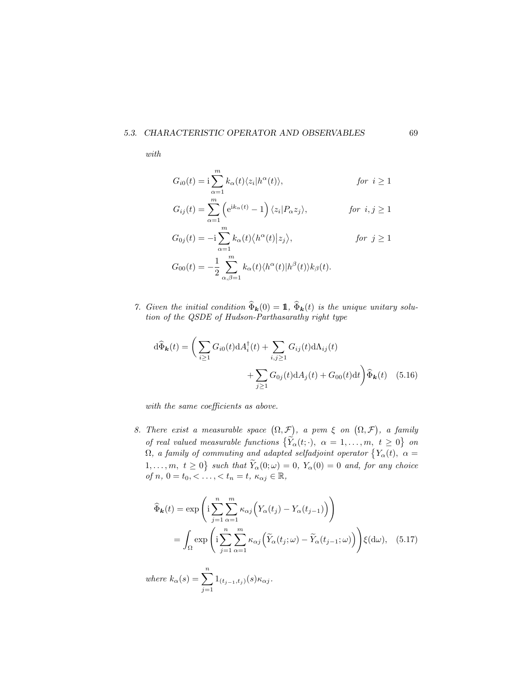with

$$
G_{i0}(t) = i \sum_{\alpha=1}^{m} k_{\alpha}(t) \langle z_i | h^{\alpha}(t) \rangle, \qquad \text{for } i \ge 1
$$

$$
G_{ij}(t) = \sum_{\alpha=1}^{m} \left( e^{ik_{\alpha}(t)} - 1 \right) \langle z_i | P_{\alpha} z_j \rangle, \qquad \text{for } i, j \ge 1
$$

$$
G_{0j}(t) = -i \sum_{\alpha=1}^{m} k_{\alpha}(t) \langle h^{\alpha}(t) | z_j \rangle, \qquad \text{for } j \ge 1
$$
  

$$
G_{00}(t) = -\frac{1}{2} \sum_{\alpha,\beta=1}^{m} k_{\alpha}(t) \langle h^{\alpha}(t) | h^{\beta}(t) \rangle k_{\beta}(t).
$$

7. Given the initial condition  $\widehat{\Phi}_{\bf k}(0) = 1$ ,  $\widehat{\Phi}_{\bf k}(t)$  is the unique unitary solution of the QSDE of Hudson-Parthasarathy right type

$$
\begin{aligned} \mathbf{d}\widehat{\Phi}_{\mathbf{k}}(t) &= \bigg(\sum_{i\geq 1} G_{i0}(t)\mathbf{d}A_i^\dagger(t) + \sum_{i,j\geq 1} G_{ij}(t)\mathbf{d}\Lambda_{ij}(t) \\ &+ \sum_{j\geq 1} G_{0j}(t)\mathbf{d}A_j(t) + G_{00}(t)\mathbf{d}t\bigg)\widehat{\Phi}_{\mathbf{k}}(t) \end{aligned} \tag{5.16}
$$

with the same coefficients as above.

8. There exist a measurable space  $(\Omega, \mathcal{F})$ , a pvm  $\xi$  on  $(\Omega, \mathcal{F})$ , a family of real valued measurable functions  $\{\tilde{Y}_{\alpha}(t; \cdot), \alpha = 1, \ldots, m, t \geq 0\}$  on  $\Omega$ , a family of commuting and adapted selfadjoint operator  ${Y_\alpha(t), \ \alpha =}$  $1, \ldots, m, t \ge 0$  such that  $Y_\alpha(0; \omega) = 0$ ,  $Y_\alpha(0) = 0$  and, for any choice of  $n, 0 = t_0, \langle \ldots, \langle t_n = t, \kappa_{\alpha j} \in \mathbb{R}, \rangle$ 

$$
\widehat{\Phi}_{\mathbf{k}}(t) = \exp\left(\mathrm{i}\sum_{j=1}^{n}\sum_{\alpha=1}^{m} \kappa_{\alpha j} \left(Y_{\alpha}(t_{j}) - Y_{\alpha}(t_{j-1})\right)\right)
$$
\n
$$
= \int_{\Omega} \exp\left(\mathrm{i}\sum_{j=1}^{n}\sum_{\alpha=1}^{m} \kappa_{\alpha j} \left(\widetilde{Y}_{\alpha}(t_{j}; \omega) - \widetilde{Y}_{\alpha}(t_{j-1}; \omega)\right)\right) \xi(\mathrm{d}\omega), \quad (5.17)
$$

where  $k_{\alpha}(s) = \sum_{n=1}^{\infty}$  $j=1$  $1_{(t_{j-1},t_j)}(s) \kappa_{\alpha j}$ .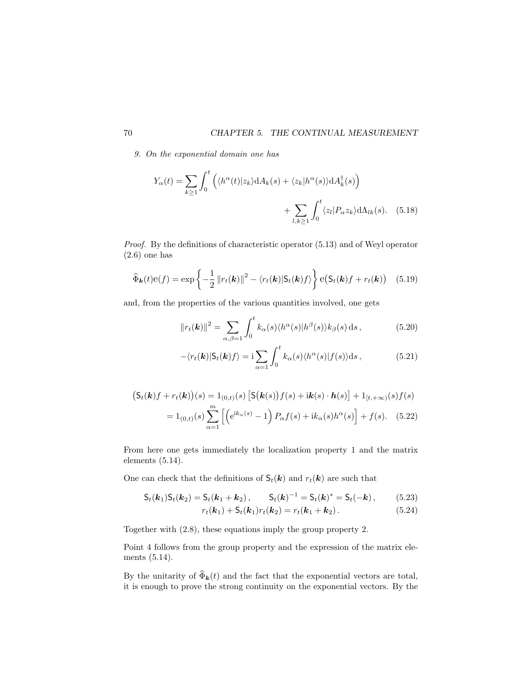9. On the exponential domain one has

$$
Y_{\alpha}(t) = \sum_{k \ge 1} \int_0^t \left( \langle h^{\alpha}(t) | z_k \rangle \mathrm{d}A_k(s) + \langle z_k | h^{\alpha}(s) \rangle \mathrm{d}A_k^{\dagger}(s) \right) + \sum_{l,k \ge 1} \int_0^t \langle z_l | P_{\alpha} z_k \rangle \mathrm{d}\Lambda_{lk}(s). \tag{5.18}
$$

Proof. By the definitions of characteristic operator (5.13) and of Weyl operator (2.6) one has

$$
\widehat{\Phi}_{\mathbf{k}}(t)\mathbf{e}(f) = \exp\left\{-\frac{1}{2}\left\|r_t(\mathbf{k})\right\|^2 - \langle r_t(\mathbf{k})|\mathsf{S}_t(\mathbf{k})f\rangle\right\}\mathbf{e}\big(\mathsf{S}_t(\mathbf{k})f + r_t(\mathbf{k})\big) \tag{5.19}
$$

and, from the properties of the various quantities involved, one gets

$$
||r_t(\mathbf{k})||^2 = \sum_{\alpha,\beta=1} \int_0^t k_\alpha(s) \langle h^\alpha(s) | h^\beta(s) \rangle k_\beta(s) \, \mathrm{d}s \,, \tag{5.20}
$$

$$
-\langle r_t(\mathbf{k})|S_t(\mathbf{k})f\rangle = i \sum_{\alpha=1} \int_0^t k_\alpha(s) \langle h^\alpha(s)|f(s)\rangle ds, \qquad (5.21)
$$

$$
\begin{aligned} \left( \mathsf{S}_{t}(\mathbf{k})f + r_{t}(\mathbf{k}) \right)(s) &= 1_{(0,t)}(s) \left[ \mathsf{S}\big(\mathbf{k}(s)\big)f(s) + \mathrm{i}\mathbf{k}(s) \cdot \mathbf{h}(s) \right] + 1_{[t, +\infty)}(s)f(s) \\ &= 1_{(0,t)}(s) \sum_{\alpha=1}^{m} \left[ \left( e^{\mathrm{i}k_{\alpha}(s)} - 1 \right) P_{\alpha}f(s) + \mathrm{i}k_{\alpha}(s)h^{\alpha}(s) \right] + f(s). \end{aligned} \tag{5.22}
$$

From here one gets immediately the localization property 1 and the matrix elements (5.14).

One can check that the definitions of  $S_t(\mathbf{k})$  and  $r_t(\mathbf{k})$  are such that

$$
S_t(k_1)S_t(k_2) = S_t(k_1 + k_2), \t S_t(k)^{-1} = S_t(k)^* = S_t(-k), \t (5.23)
$$
  
\n
$$
r_t(k_1) + S_t(k_1)r_t(k_2) = r_t(k_1 + k_2).
$$
 (5.24)

Together with (2.8), these equations imply the group property 2.

Point 4 follows from the group property and the expression of the matrix elements (5.14).

By the unitarity of  $\widehat{\Phi}_{\mathbf{k}}(t)$  and the fact that the exponential vectors are total, it is enough to prove the strong continuity on the exponential vectors. By the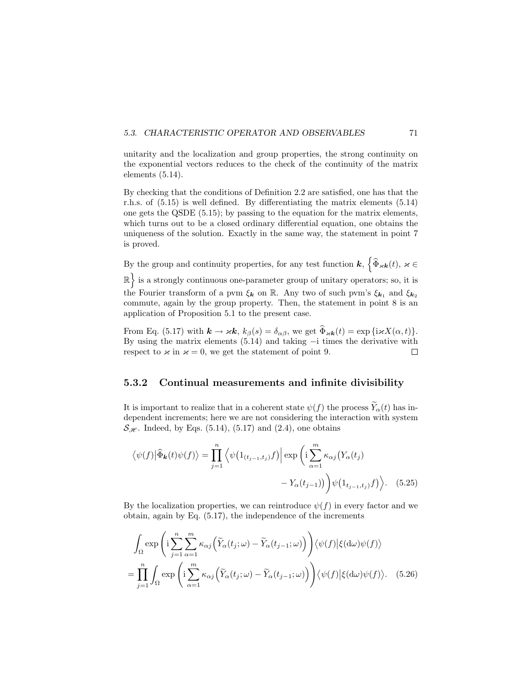## 5.3. CHARACTERISTIC OPERATOR AND OBSERVABLES 71

unitarity and the localization and group properties, the strong continuity on the exponential vectors reduces to the check of the continuity of the matrix elements (5.14).

By checking that the conditions of Definition 2.2 are satisfied, one has that the r.h.s. of (5.15) is well defined. By differentiating the matrix elements (5.14) one gets the QSDE (5.15); by passing to the equation for the matrix elements, which turns out to be a closed ordinary differential equation, one obtains the uniqueness of the solution. Exactly in the same way, the statement in point 7 is proved.

By the group and continuity properties, for any test function  $\mathbf{k}$ ,  $\left\{\widehat{\Phi}_{\varkappa\boldsymbol{k}}(t), \, \varkappa \in$ 

 $\mathbb{R}$  is a strongly continuous one-parameter group of unitary operators; so, it is the Fourier transform of a pvm  $\xi_k$  on R. Any two of such pvm's  $\xi_{k_1}$  and  $\xi_{k_2}$ commute, again by the group property. Then, the statement in point 8 is an application of Proposition 5.1 to the present case.

From Eq. (5.17) with  $\mathbf{k} \to \varkappa \mathbf{k}$ ,  $k_\beta(s) = \delta_{\alpha\beta}$ , we get  $\widehat{\Phi}_{\varkappa \mathbf{k}}(t) = \exp{\{\mathrm{i}\varkappa X(\alpha, t)\}}$ . By using the matrix elements  $(5.14)$  and taking  $-i$  times the derivative with respect to  $\varkappa$  in  $\varkappa = 0$ , we get the statement of point 9.  $\Box$ 

## 5.3.2 Continual measurements and infinite divisibility

It is important to realize that in a coherent state  $\psi(f)$  the process  $\widetilde{Y}_{\alpha}(t)$  has independent increments; here we are not considering the interaction with system  $\mathcal{S}_{\mathcal{H}}$ . Indeed, by Eqs. (5.14), (5.17) and (2.4), one obtains

$$
\langle \psi(f) | \hat{\Phi}_{\mathbf{k}}(t) \psi(f) \rangle = \prod_{j=1}^{n} \langle \psi(1_{(t_{j-1}, t_j)} f) | \exp \left( i \sum_{\alpha=1}^{m} \kappa_{\alpha j} (Y_{\alpha}(t_j) - Y_{\alpha}(t_{j-1})) \right) \psi(1_{t_{j-1}, t_j)} f) \rangle. \tag{5.25}
$$

By the localization properties, we can reintroduce  $\psi(f)$  in every factor and we obtain, again by Eq. (5.17), the independence of the increments

$$
\int_{\Omega} \exp\left(i\sum_{j=1}^{n} \sum_{\alpha=1}^{m} \kappa_{\alpha j} \left(\widetilde{Y}_{\alpha}(t_{j};\omega) - \widetilde{Y}_{\alpha}(t_{j-1};\omega)\right)\right) \langle \psi(f)|\xi(\mathrm{d}\omega)\psi(f)\rangle
$$

$$
= \prod_{j=1}^{n} \int_{\Omega} \exp\left(i\sum_{\alpha=1}^{m} \kappa_{\alpha j} \left(\widetilde{Y}_{\alpha}(t_{j};\omega) - \widetilde{Y}_{\alpha}(t_{j-1};\omega)\right)\right) \langle \psi(f)|\xi(\mathrm{d}\omega)\psi(f)\rangle. \quad (5.26)
$$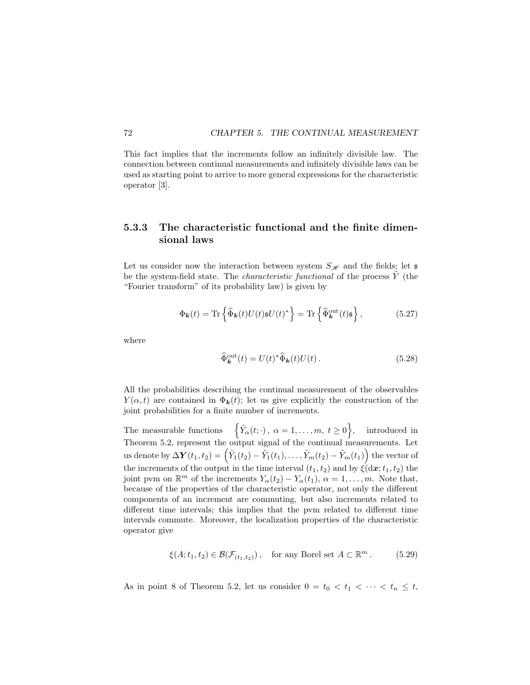This fact implies that the increments follow an infinitely divisible law. The connection between continual measurements and infinitely divisible laws can be used as starting point to arrive to more general expressions for the characteristic operator [3].

## 5.3.3 The characteristic functional and the finite dimensional laws

Let us consider now the interaction between system  $S_{\mathscr{H}}$  and the fields; let s be the system-field state. The *characteristic functional* of the process  $\tilde{Y}$  (the "Fourier transform" of its probability law) is given by

$$
\Phi_{\mathbf{k}}(t) = \text{Tr}\left\{\widehat{\Phi}_{\mathbf{k}}(t)U(t)\mathfrak{s}U(t)^{*}\right\} = \text{Tr}\left\{\widehat{\Phi}_{\mathbf{k}}^{\text{out}}(t)\mathfrak{s}\right\},\tag{5.27}
$$

where

$$
\widehat{\Phi}_{\mathbf{k}}^{\text{out}}(t) = U(t)^* \widehat{\Phi}_{\mathbf{k}}(t) U(t).
$$
\n(5.28)

All the probabilities describing the continual measurement of the observables  $Y(\alpha, t)$  are contained in  $\Phi_{\mathbf{k}}(t)$ ; let us give explicitly the construction of the joint probabilities for a finite number of increments.

The measurable functions  $\left\{ \tilde{Y}_{\alpha}(t; \cdot), \ \alpha = 1, \ldots, m, \ t \geq 0 \right\}$ , introduced in Theorem 5.2, represent the output signal of the continual measurements. Let us denote by  $\Delta \bm Y(t_1,t_2)=\left(\tilde Y_1(t_2)-\tilde Y_1(t_1),\ldots,\tilde Y_m(t_2)-\tilde Y_m(t_1)\right)$  the vector of the increments of the output in the time interval  $(t_1, t_2)$  and by  $\xi(\mathrm{d}\boldsymbol{x}; t_1, t_2)$  the joint pvm on  $\mathbb{R}^m$  of the increments  $Y_\alpha(t_2) - Y_\alpha(t_1), \ \alpha = 1, \ldots, m$ . Note that, because of the properties of the characteristic operator, not only the different components of an increment are commuting, but also increments related to different time intervals; this implies that the pvm related to different time intervals commute. Moreover, the localization properties of the characteristic operator give

$$
\xi(A; t_1, t_2) \in \mathcal{B}(\mathcal{F}_{(t_1, t_2)}), \quad \text{for any Borel set } A \subset \mathbb{R}^m. \tag{5.29}
$$

As in point 8 of Theorem 5.2, let us consider  $0 = t_0 < t_1 < \cdots < t_n \leq t$ ,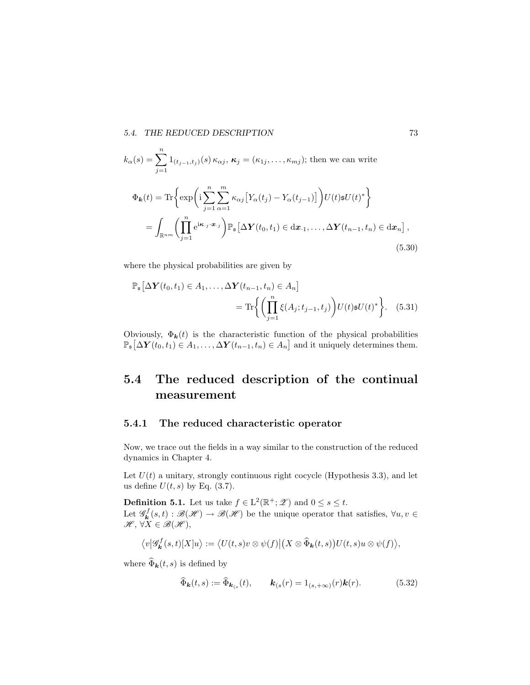$$
k_{\alpha}(s) = \sum_{j=1}^{n} 1_{(t_{j-1}, t_j)}(s) \kappa_{\alpha j}, \kappa_{j} = (\kappa_{1j}, \dots, \kappa_{mj}); \text{ then we can write}
$$

$$
\Phi_{\mathbf{k}}(t) = \text{Tr}\left\{ \exp\left(i \sum_{j=1}^{n} \sum_{\alpha=1}^{m} \kappa_{\alpha j} \left[Y_{\alpha}(t_{j}) - Y_{\alpha}(t_{j-1})\right]\right) U(t) \mathfrak{s} U(t)^{*}\right\}
$$

$$
= \int_{\mathbb{R}^{nm}} \left(\prod_{j=1}^{n} e^{i\kappa_{\cdot j} \cdot \mathbf{x}_{\cdot j}}\right) \mathbb{P}_{\mathfrak{s}}\left[\Delta \mathbf{Y}(t_{0}, t_{1}) \in \mathrm{d}\mathbf{x}_{\cdot 1}, \dots, \Delta \mathbf{Y}(t_{n-1}, t_{n}) \in \mathrm{d}\mathbf{x}_{n}\right], \tag{5.30}
$$

where the physical probabilities are given by

$$
\mathbb{P}_{\mathfrak{s}}\left[\Delta \mathbf{Y}(t_0, t_1) \in A_1, \dots, \Delta \mathbf{Y}(t_{n-1}, t_n) \in A_n\right]
$$

$$
= \text{Tr}\left\{ \left(\prod_{j=1}^n \xi(A_j; t_{j-1}, t_j)\right) U(t) \mathfrak{s} U(t)^* \right\}.
$$
(5.31)

Obviously,  $\Phi_{\mathbf{k}}(t)$  is the characteristic function of the physical probabilities  $\mathbb{P}_{\mathfrak{s}}\left[\Delta \mathbf{Y}(t_0,t_1)\in A_1,\ldots,\Delta \mathbf{Y}(t_{n-1},t_n)\in A_n\right]$  and it uniquely determines them.

## 5.4 The reduced description of the continual measurement

## 5.4.1 The reduced characteristic operator

Now, we trace out the fields in a way similar to the construction of the reduced dynamics in Chapter 4.

Let  $U(t)$  a unitary, strongly continuous right cocycle (Hypothesis 3.3), and let us define  $U(t, s)$  by Eq. (3.7).

**Definition 5.1.** Let us take  $f \in L^2(\mathbb{R}^+; \mathcal{Z})$  and  $0 \le s \le t$ . Let  $\mathscr{G}_{\mathbf{k}}^{f}(s,t):\mathscr{B}(\mathscr{H})\to\mathscr{B}(\mathscr{H})$  be the unique operator that satisfies,  $\forall u,v\in\mathscr{H}$  $\mathscr{H}, \forall X \in \mathscr{B}(\mathscr{H}),$ 

$$
\langle v|\mathscr{G}_{\mathbf{k}}^{f}(s,t)[X]u\rangle := \langle U(t,s)v\otimes \psi(f) | (X\otimes \widehat{\Phi}_{\mathbf{k}}(t,s)) U(t,s)u \otimes \psi(f)\rangle,
$$

where  $\widehat{\Phi}_{\mathbf{k}}(t, s)$  is defined by

$$
\widehat{\Phi}_{\mathbf{k}}(t,s) := \widehat{\Phi}_{\mathbf{k}_{(s}}(t), \qquad \mathbf{k}_{(s)}(r) = 1_{(s,+\infty)}(r)\mathbf{k}(r). \tag{5.32}
$$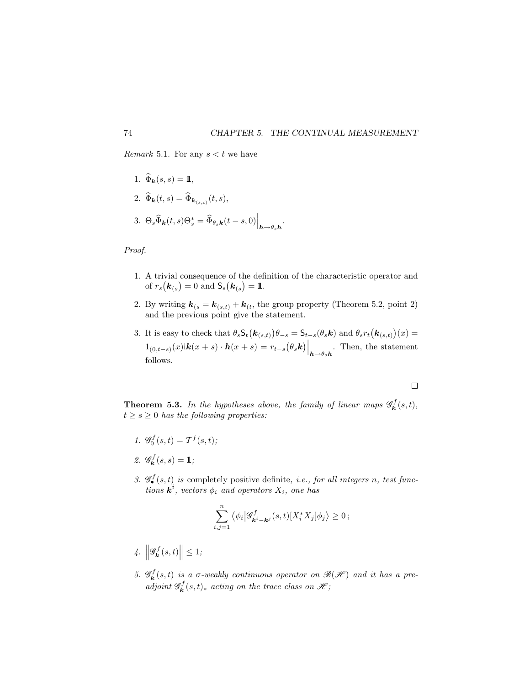*Remark* 5.1. For any  $s < t$  we have

1.  $\widehat{\Phi}_{\mathbf{k}}(s, s) = \mathbf{1}$ , 2.  $\Phi_{\bm{k}}(t,s) = \Phi_{\bm{k}_{(s,t)}}(t,s),$ 3.  $\Theta_s \widehat{\Phi}_{\boldsymbol{k}}(t,s) \Theta_s^* = \widehat{\Phi}_{\theta_s \boldsymbol{k}}(t-s,0) \Big|_{\boldsymbol{h} \to \theta_s \boldsymbol{h}}.$ 

Proof.

- 1. A trivial consequence of the definition of the characteristic operator and of  $r_s(\boldsymbol{k}_{(s)})=0$  and  $\mathsf{S}_s(\boldsymbol{k}_{(s)})=\mathbb{1}$ .
- 2. By writing  $\mathbf{k}_{(s)} = \mathbf{k}_{(s,t)} + \mathbf{k}_{(t)}$ , the group property (Theorem 5.2, point 2) and the previous point give the statement.
- 3. It is easy to check that  $\theta_s \mathsf{S}_t(\mathbf{k}_{(s,t)}) \theta_{-s} = \mathsf{S}_{t-s}(\theta_s \mathbf{k})$  and  $\theta_s r_t(\mathbf{k}_{(s,t)}) (x) =$  $1_{(0,t-s)}(x)$ **ik** $(x+s) \cdot h(x+s) = r_{t-s}(\theta_s \mathbf{k}) \Big|_{\mathbf{h} \to \theta_s \mathbf{h}}$ . Then, the statement follows.

 $\Box$ 

**Theorem 5.3.** In the hypotheses above, the family of linear maps  $\mathscr{G}_{\mathbf{k}}^{f}(s,t)$ ,  $t \geq s \geq 0$  has the following properties:

- 1.  $\mathscr{G}_0^f(s,t) = \mathcal{T}^f(s,t);$
- 2.  $\mathscr{G}_{\bm{k}}^{f}(s,s) = 1,$
- 3.  $\mathscr{G}_{\bullet}^{f}(s,t)$  is completely positive definite, *i.e.*, for all integers *n*, test functions  $\mathbf{k}^i$ , vectors  $\phi_i$  and operators  $X_i$ , one has

$$
\sum_{i,j=1}^n\big\langle \phi_i \big| \mathscr{G}^f_{\pmb{k}^i-\pmb{k}^j}(s,t)[X_i^*X_j]\phi_j \big\rangle \geq 0\,;
$$

- 4.  $\left\|\mathscr{G}_{\mathbf{k}}^{f}(s,t)\right\| \leq 1;$
- 5.  $\mathscr{G}_{\mathbf{k}}^{f}(s,t)$  is a  $\sigma$ -weakly continuous operator on  $\mathscr{B}(\mathscr{H})$  and it has a preadjoint  $\mathscr{G}_{\mathbf{k}}^f(s,t)_*$  acting on the trace class on  $\mathscr{H};$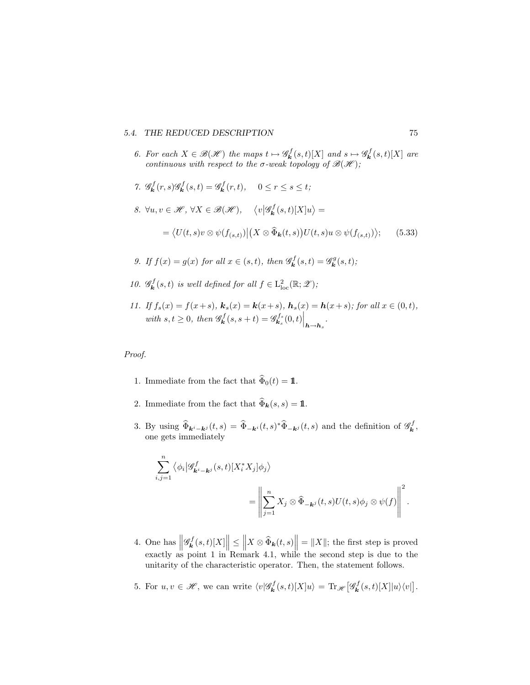#### 5.4. THE REDUCED DESCRIPTION 75

6. For each  $X \in \mathcal{B}(\mathcal{H})$  the maps  $t \mapsto \mathcal{G}_{\mathbf{k}}^{f}(s,t)[X]$  and  $s \mapsto \mathcal{G}_{\mathbf{k}}^{f}(s,t)[X]$  are continuous with respect to the  $\sigma$ -weak topology of  $\mathscr{B}(\mathscr{H})$ ;

7. 
$$
\mathscr{G}_{\mathbf{k}}^{f}(r,s)\mathscr{G}_{\mathbf{k}}^{f}(s,t) = \mathscr{G}_{\mathbf{k}}^{f}(r,t), \quad 0 \leq r \leq s \leq t;
$$

8.  $\forall u, v \in \mathcal{H}, \forall X \in \mathcal{B}(\mathcal{H}), \quad \langle v | \mathcal{G}_{\mathbf{k}}^{f}(s,t) | X | u \rangle =$  $=\big\langle U(t,s)v\otimes \psi(f_{(s,t)})\big|\big(X\otimes \widehat{\Phi}_{\boldsymbol{k}}(t,s)\big)U(t,s)u\otimes \psi(f_{(s,t)})\big\rangle$  $(5.33)$ 

$$
\textit{9. If $f(x)=g(x)$ for all $x\in (s,t)$, then $\mathscr{G}^f_{\pmb{k}}(s,t)=\mathscr{G}^g_{\pmb{k}}(s,t)$;}
$$

- 10.  $\mathscr{G}_{\mathbf{k}}^{f}(s,t)$  is well defined for all  $f \in L^2_{\text{loc}}(\mathbb{R}; \mathscr{Z})$ ;
- 11. If  $f_s(x) = f(x+s)$ ,  $k_s(x) = k(x+s)$ ,  $h_s(x) = h(x+s)$ ; for all  $x \in (0,t)$ , with  $s, t \geq 0$ , then  $\mathscr{G}_{\mathbf{k}}^{f}(s, s+t) = \mathscr{G}_{\mathbf{k}_s}^{f_s}(0, t) \Big|_{\mathbf{k} \to \mathbf{k}_s}$ .

#### Proof.

- 1. Immediate from the fact that  $\widehat{\Phi}_0(t) = 1$ .
- 2. Immediate from the fact that  $\widehat{\Phi}_{\mathbf{k}}(s, s) = \mathbf{1}$ .
- 3. By using  $\widehat{\Phi}_{\mathbf{k}^i-\mathbf{k}^j}(t,s) = \widehat{\Phi}_{-\mathbf{k}^i}(t,s)^*\widehat{\Phi}_{-\mathbf{k}^j}(t,s)$  and the definition of  $\mathscr{G}_{\mathbf{k}}^f$ , one gets immediately

$$
\sum_{i,j=1}^{n} \left\langle \phi_i | \mathcal{G}_{\mathbf{k}^i - \mathbf{k}^j}^f(s, t) [X_i^* X_j] \phi_j \right\rangle
$$
  
= 
$$
\left\| \sum_{j=1}^{n} X_j \otimes \widehat{\Phi}_{-\mathbf{k}^j}(t, s) U(t, s) \phi_j \otimes \psi(f) \right\|^2.
$$

- 4. One has  $\left\| \mathscr{G}_{\mathbf{k}}^{f}(s,t)[X] \right\| \leq \left\| X \otimes \widehat{\Phi}_{\mathbf{k}}(t,s) \right\| = \|X\|$ ; the first step is proved exactly as point 1 in Remark 4.1, while the second step is due to the unitarity of the characteristic operator. Then, the statement follows.
- 5. For  $u, v \in \mathcal{H}$ , we can write  $\langle v | \mathcal{G}_{\mathbf{k}}^{f}(s,t) [X] u \rangle = \text{Tr}_{\mathcal{H}} \big[ \mathcal{G}_{\mathbf{k}}^{f}(s,t) [X] |u \rangle \langle v | \big].$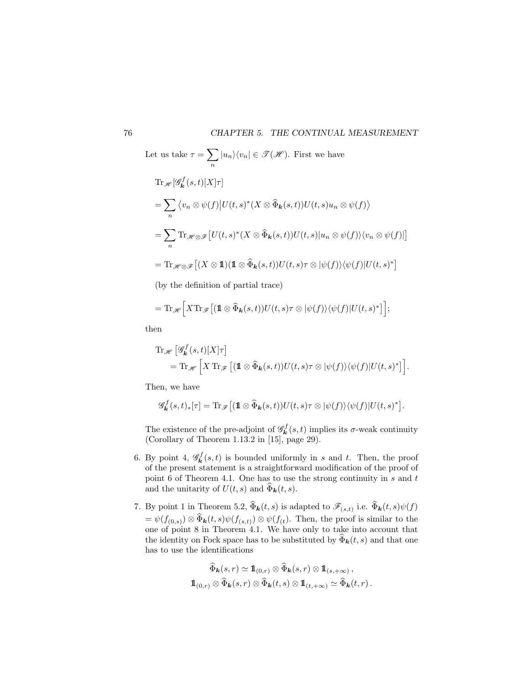Let us take 
$$
\tau = \sum_{n} |u_n\rangle\langle v_n| \in \mathcal{T}(\mathcal{H})
$$
. First we have  
\n
$$
\text{Tr}_{\mathcal{H}}[\mathcal{G}_{\mathbf{k}}^{f}(s,t)[X]\tau]
$$
\n
$$
= \sum_{n} \langle v_n \otimes \psi(f) | U(t,s)^{*}(X \otimes \hat{\Phi}_{\mathbf{k}}(s,t)) U(t,s) u_n \otimes \psi(f) \rangle
$$
\n
$$
= \sum_{n} \text{Tr}_{\mathcal{H} \otimes \mathcal{F}} [U(t,s)^{*}(X \otimes \hat{\Phi}_{\mathbf{k}}(s,t)) U(t,s) | u_n \otimes \psi(f) \rangle \langle v_n \otimes \psi(f) |]
$$
\n
$$
= \text{Tr}_{\mathcal{H} \otimes \mathcal{F}} [(X \otimes \mathbf{1})(\mathbf{1} \otimes \hat{\Phi}_{\mathbf{k}}(s,t)) U(t,s) \tau \otimes |\psi(f) \rangle \langle \psi(f) | U(t,s)^{*} ]
$$

(by the definition of partial trace)

$$
= \mathrm{Tr}_{\mathscr{H}}\Big[X\mathrm{Tr}_{\mathscr{F}}\big[(\mathbb{1}\otimes \widehat{\Phi}_{\bm{k}}(s,t))U(t,s)\tau\otimes |\psi(f)\rangle\langle \psi(f)|U(t,s)^{*}\big]\Big];
$$

then

$$
\begin{split} \mathrm{Tr}_{\mathscr{H}}\left[ & \mathscr{G}_{\mathbf{k}}^{f}(s,t)[X]\tau \right] \\ & = \mathrm{Tr}_{\mathscr{H}}\left[ X \, \mathrm{Tr}_{\mathscr{F}}\left[ (\mathbb{1} \otimes \widehat{\Phi}_{\mathbf{k}}(s,t))U(t,s)\tau \otimes |\psi(f)\rangle \langle \psi(f)|U(t,s)^{*} \right] \right]. \end{split}
$$

Then, we have

$$
\mathscr{G}_{\mathbf{k}}^{f}(s,t)_{*}[\tau] = \mathrm{Tr}_{\mathscr{F}}\big[(\mathbb{1} \otimes \widehat{\Phi}_{\mathbf{k}}(s,t))U(t,s)\tau \otimes |\psi(f)\rangle\langle \psi(f)|U(t,s)^{*}\big].
$$

The existence of the pre-adjoint of  $\mathscr{G}_{\mathbf{k}}^{f}(s,t)$  implies its  $\sigma$ -weak continuity (Corollary of Theorem 1.13.2 in [15], page 29).

- 6. By point 4,  $\mathscr{G}_{\mathbf{k}}^{f}(s,t)$  is bounded uniformly in s and t. Then, the proof of the present statement is a straightforward modification of the proof of point 6 of Theorem 4.1. One has to use the strong continuity in  $s$  and  $t$ and the unitarity of  $U(t, s)$  and  $\Phi_{\mathbf{k}}(t, s)$ .
- 7. By point 1 in Theorem 5.2,  $\Phi_{\bm{k}}(t,s)$  is adapted to  $\mathscr{F}_{(s,t)}$  i.e.  $\Phi_{\bm{k}}(t,s)\psi(f)$  $=\psi(f_{(0,s)})\otimes \Phi_{\mathbf{k}}(t,s)\psi(f_{(s,t)})\otimes \psi(f_{(t)})$ . Then, the proof is similar to the one of point 8 in Theorem 4.1. We have only to take into account that the identity on Fock space has to be substituted by  $\widehat{\Phi}_{\mathbf{k}}(t, s)$  and that one has to use the identifications

$$
\widehat{\Phi}_{\mathbf{k}}(s,r) \simeq \mathbb{1}_{(0,r)} \otimes \widehat{\Phi}_{\mathbf{k}}(s,r) \otimes \mathbb{1}_{(s,+\infty)},
$$
  

$$
\mathbb{1}_{(0,r)} \otimes \widehat{\Phi}_{\mathbf{k}}(s,r) \otimes \widehat{\Phi}_{\mathbf{k}}(t,s) \otimes \mathbb{1}_{(t,+\infty)} \simeq \widehat{\Phi}_{\mathbf{k}}(t,r).
$$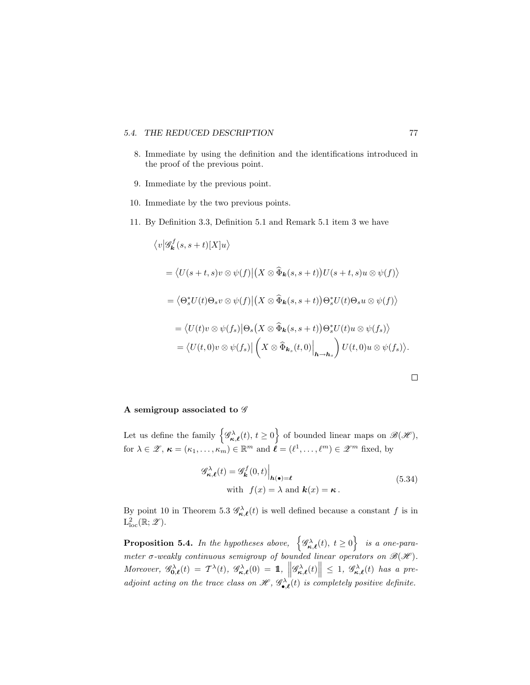## 5.4. THE REDUCED DESCRIPTION 77

- 8. Immediate by using the definition and the identifications introduced in the proof of the previous point.
- 9. Immediate by the previous point.
- 10. Immediate by the two previous points.
- 11. By Definition 3.3, Definition 5.1 and Remark 5.1 item 3 we have

$$
\langle v|\mathscr{G}_{\mathbf{k}}^{f}(s,s+t)[X]u\rangle
$$
  
=\langle U(s+t,s)v \otimes \psi(f)|(X \otimes \widehat{\Phi}\_{\mathbf{k}}(s,s+t))U(s+t,s)u \otimes \psi(f)\rangle  
=\langle \Theta\_{s}^{\*}U(t)\Theta\_{s}v \otimes \psi(f)|(X \otimes \widehat{\Phi}\_{\mathbf{k}}(s,s+t))\Theta\_{s}^{\*}U(t)\Theta\_{s}u \otimes \psi(f)\rangle  
=\langle U(t)v \otimes \psi(f\_{s})|\Theta\_{s}(X \otimes \widehat{\Phi}\_{\mathbf{k}}(s,s+t))\Theta\_{s}^{\*}U(t)u \otimes \psi(f\_{s})\rangle  
=\langle U(t,0)v \otimes \psi(f\_{s})|\left(X \otimes \widehat{\Phi}\_{\mathbf{k}\_{s}}(t,0)\Big|\_{\mathbf{h}\to\mathbf{h}\_{s}}\right)U(t,0)u \otimes \psi(f\_{s})\rangle.

#### A semigroup associated to  $\mathscr G$

Let us define the family  $\{\mathscr{G}^\lambda_{\kappa,\ell}(t), t\geq 0\}$  of bounded linear maps on  $\mathscr{B}(\mathscr{H})$ , for  $\lambda \in \mathscr{Z}, \kappa = (\kappa_1, \ldots, \kappa_m) \in \mathbb{R}^m$  and  $\ell = (\ell^1, \ldots, \ell^m) \in \mathscr{Z}^m$  fixed, by

$$
\mathcal{G}_{\kappa,\ell}^{\lambda}(t) = \mathcal{G}_{\mathbf{k}}^{f}(0,t) \Big|_{\mathbf{h}(\bullet) = \ell} \tag{5.34}
$$
  
with  $f(x) = \lambda$  and  $\mathbf{k}(x) = \kappa$ .

By point 10 in Theorem 5.3  $\mathscr{G}_{\kappa,\ell}^{\lambda}(t)$  is well defined because a constant f is in  $L^2_{\text{loc}}(\mathbb{R}; \mathscr{Z})$ .

**Proposition 5.4.** In the hypotheses above,  $\{\mathscr{G}_{\kappa,\ell}^{\lambda}(t), t \geq 0\}$  is a one-parameter  $\sigma$ -weakly continuous semigroup of bounded linear operators on  $\mathscr{B}(\mathscr{H})$ . Moreover,  $\mathscr{G}_{0,\ell}^{\lambda}(t) = \mathcal{T}^{\lambda}(t)$ ,  $\mathscr{G}_{\kappa,\ell}^{\lambda}(0) = 1$ ,  $\left\|\mathscr{G}_{\kappa,\ell}^{\lambda}(t)\right\| \leq 1$ ,  $\mathscr{G}_{\kappa,\ell}^{\lambda}(t)$  has a preadjoint acting on the trace class on  $\mathscr{H}, \mathscr{G}_{\bullet,\ell}^{\lambda}(t)$  is completely positive definite.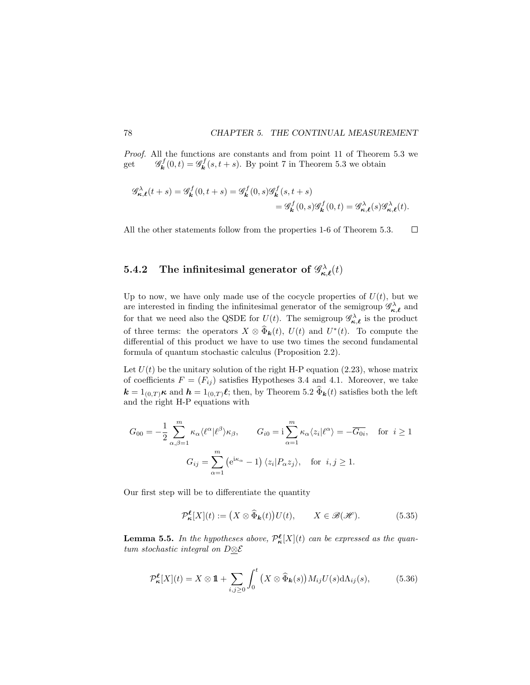Proof. All the functions are constants and from point 11 of Theorem 5.3 we  $get$  $\mathbf{g}_{\mathbf{k}}^{f}(0,t) = \mathcal{G}_{\mathbf{k}}^{f}(s,t+s)$ . By point 7 in Theorem 5.3 we obtain

$$
\begin{aligned} \mathscr{G}^\lambda_{\kappa,\ell}(t+s) &= \mathscr{G}^f_{\pmb{k}}(0,t+s) = \mathscr{G}^f_{\pmb{k}}(0,s) \mathscr{G}^f_{\pmb{k}}(s,t+s) \\ &= \mathscr{G}^f_{\pmb{k}}(0,s) \mathscr{G}^f_{\pmb{k}}(0,t) = \mathscr{G}^\lambda_{\kappa,\ell}(s) \mathscr{G}^\lambda_{\kappa,\ell}(t). \end{aligned}
$$

All the other statements follow from the properties 1-6 of Theorem 5.3.  $\Box$ 

## 5.4.2 The infinitesimal generator of  $\mathscr{G}^\lambda_{\kappa,\ell}(t)$

Up to now, we have only made use of the cocycle properties of  $U(t)$ , but we are interested in finding the infinitesimal generator of the semigroup  $\mathscr{G}_{\kappa,\ell}^{\lambda}$  and for that we need also the QSDE for  $U(t)$ . The semigroup  $\mathscr{G}_{\kappa,\ell}^{\lambda}$  is the product of three terms: the operators  $X \otimes \widehat{\Phi}_{\bm{k}}(t)$ ,  $U(t)$  and  $U^*(t)$ . To compute the differential of this product we have to use two times the second fundamental formula of quantum stochastic calculus (Proposition 2.2).

Let  $U(t)$  be the unitary solution of the right H-P equation (2.23), whose matrix of coefficients  $F = (F_{ij})$  satisfies Hypotheses 3.4 and 4.1. Moreover, we take  $k = 1_{(0,T)}\kappa$  and  $h = 1_{(0,T)}\ell$ ; then, by Theorem 5.2  $\widehat{\Phi}_{k}(t)$  satisfies both the left and the right H-P equations with

$$
G_{00} = -\frac{1}{2} \sum_{\alpha,\beta=1}^{m} \kappa_{\alpha} \langle \ell^{\alpha} | \ell^{\beta} \rangle \kappa_{\beta}, \qquad G_{i0} = i \sum_{\alpha=1}^{m} \kappa_{\alpha} \langle z_{i} | \ell^{\alpha} \rangle = -\overline{G_{0i}}, \quad \text{for} \ \ i \ge 1
$$

$$
G_{ij} = \sum_{\alpha=1}^{m} (e^{i\kappa_{\alpha}} - 1) \langle z_{i} | P_{\alpha} z_{j} \rangle, \quad \text{for} \ \ i, j \ge 1.
$$

Our first step will be to differentiate the quantity

$$
\mathcal{P}_{\kappa}^{\ell}[X](t) := \big(X \otimes \widehat{\Phi}_{\kappa}(t)\big)U(t), \qquad X \in \mathcal{B}(\mathcal{H}).\tag{5.35}
$$

**Lemma 5.5.** In the hypotheses above,  $\mathcal{P}_{\kappa}^{\ell}[X](t)$  can be expressed as the quantum stochastic integral on D⊗E

$$
\mathcal{P}_{\kappa}^{\ell}[X](t) = X \otimes \mathbf{1} + \sum_{i,j \ge 0} \int_0^t \left( X \otimes \widehat{\Phi}_{\kappa}(s) \right) M_{ij} U(s) \mathrm{d} \Lambda_{ij}(s), \tag{5.36}
$$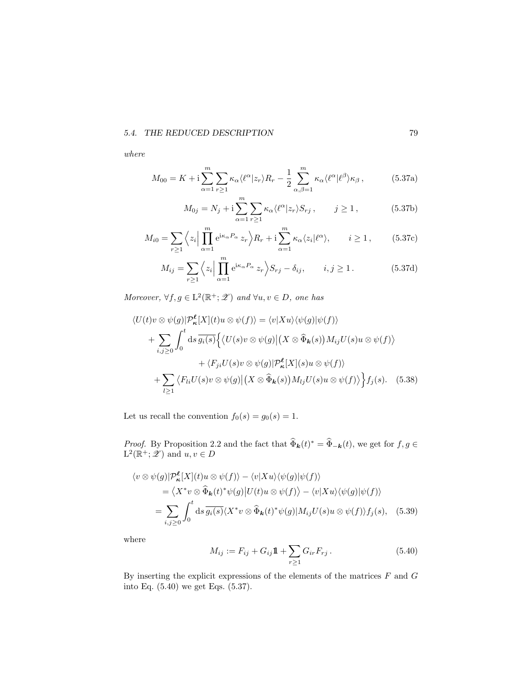## 5.4. THE REDUCED DESCRIPTION 79

where

$$
M_{00} = K + i \sum_{\alpha=1}^{m} \sum_{r\geq 1} \kappa_{\alpha} \langle \ell^{\alpha} | z_r \rangle R_r - \frac{1}{2} \sum_{\alpha,\beta=1}^{m} \kappa_{\alpha} \langle \ell^{\alpha} | \ell^{\beta} \rangle \kappa_{\beta} ,
$$
 (5.37a)

$$
M_{0j} = N_j + i \sum_{\alpha=1}^{m} \sum_{r \ge 1} \kappa_{\alpha} \langle \ell^{\alpha} | z_r \rangle S_{rj}, \qquad j \ge 1, \qquad (5.37b)
$$

$$
M_{i0} = \sum_{r \ge 1} \left\langle z_i \Big| \prod_{\alpha=1}^m e^{i\kappa_\alpha P_\alpha} z_r \right\rangle R_r + i \sum_{\alpha=1}^m \kappa_\alpha \langle z_i | \ell^\alpha \rangle, \qquad i \ge 1, \qquad (5.37c)
$$

$$
M_{ij} = \sum_{r \ge 1} \left\langle z_i \middle| \prod_{\alpha=1}^m e^{i\kappa_\alpha P_\alpha} z_r \right\rangle S_{rj} - \delta_{ij}, \qquad i, j \ge 1. \tag{5.37d}
$$

Moreover,  $\forall f, g \in L^2(\mathbb{R}^+; \mathscr{Z})$  and  $\forall u, v \in D$ , one has

$$
\langle U(t)v \otimes \psi(g) | \mathcal{P}_{\kappa}^{\ell}[X](t)u \otimes \psi(f) \rangle = \langle v | Xu \rangle \langle \psi(g) | \psi(f) \rangle
$$
  
+ 
$$
\sum_{i,j \geq 0} \int_0^t ds \overline{g_i(s)} \Big\{ \langle U(s)v \otimes \psi(g) | (X \otimes \widehat{\Phi}_{\kappa}(s)) M_{ij} U(s) u \otimes \psi(f) \rangle
$$
  
+ 
$$
\langle F_{ji} U(s)v \otimes \psi(g) | \mathcal{P}_{\kappa}^{\ell}[X](s) u \otimes \psi(f) \rangle
$$
  
+ 
$$
\sum_{l \geq 1} \langle F_{li} U(s)v \otimes \psi(g) | (X \otimes \widehat{\Phi}_{\kappa}(s)) M_{lj} U(s) u \otimes \psi(f) \rangle \Big\} f_j(s).
$$
 (5.38)

Let us recall the convention  $f_0(s) = g_0(s) = 1$ .

*Proof.* By Proposition 2.2 and the fact that  $\widehat{\Phi}_{\mathbf{k}}(t)^* = \widehat{\Phi}_{-\mathbf{k}}(t)$ , we get for  $f, g \in L^2(\mathbb{R}^+; \mathcal{Z})$  and  $u, v \in D$ 

$$
\langle v \otimes \psi(g) | \mathcal{P}_{\kappa}^{\ell}[X](t) u \otimes \psi(f) \rangle - \langle v | Xu \rangle \langle \psi(g) | \psi(f) \rangle
$$
  
=  $\langle X^* v \otimes \widehat{\Phi}_{\kappa}(t)^* \psi(g) | U(t) u \otimes \psi(f) \rangle - \langle v | Xu \rangle \langle \psi(g) | \psi(f) \rangle$   
= 
$$
\sum_{i,j \geq 0} \int_0^t ds \overline{g_i(s)} \langle X^* v \otimes \widehat{\Phi}_{\kappa}(t)^* \psi(g) | M_{ij} U(s) u \otimes \psi(f) \rangle f_j(s), \quad (5.39)
$$

where

$$
M_{ij} := F_{ij} + G_{ij} \mathbf{1} + \sum_{r \ge 1} G_{ir} F_{rj} . \tag{5.40}
$$

By inserting the explicit expressions of the elements of the matrices  $F$  and  $G$ into Eq. (5.40) we get Eqs. (5.37).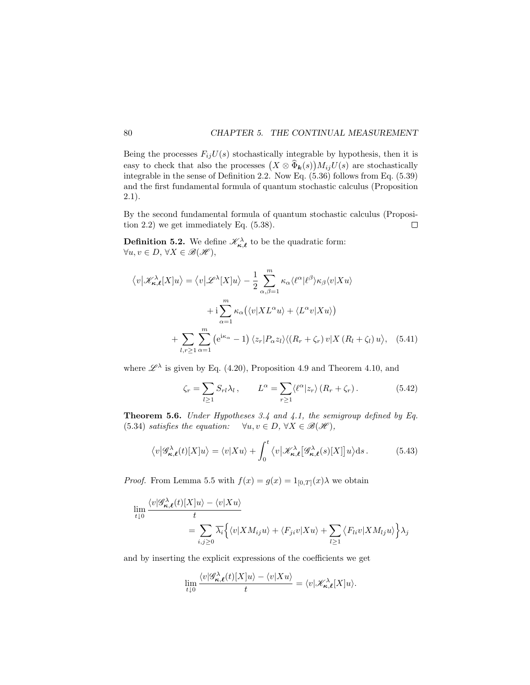Being the processes  $F_{ij}U(s)$  stochastically integrable by hypothesis, then it is easy to check that also the processes  $(X \otimes \widehat{\Phi}_{\bm{k}}(s))M_{ij}U(s)$  are stochastically integrable in the sense of Definition 2.2. Now Eq. (5.36) follows from Eq. (5.39) and the first fundamental formula of quantum stochastic calculus (Proposition 2.1).

By the second fundamental formula of quantum stochastic calculus (Proposition 2.2) we get immediately Eq. (5.38).  $\Box$ 

**Definition 5.2.** We define  $\mathscr{K}_{\kappa,\ell}^{\lambda}$  to be the quadratic form:  $\forall u, v \in D, \forall X \in \mathscr{B}(\mathscr{H}),$ 

$$
\langle v | \mathcal{K}_{\kappa,\ell}^{\lambda}[X]u \rangle = \langle v | \mathcal{L}^{\lambda}[X]u \rangle - \frac{1}{2} \sum_{\alpha,\beta=1}^{m} \kappa_{\alpha} \langle \ell^{\alpha} | \ell^{\beta} \rangle \kappa_{\beta} \langle v | Xu \rangle
$$

$$
+ i \sum_{\alpha=1}^{m} \kappa_{\alpha} (\langle v | XL^{\alpha}u \rangle + \langle L^{\alpha}v | Xu \rangle)
$$

$$
+ \sum_{l,r \ge 1} \sum_{\alpha=1}^{m} (e^{i\kappa_{\alpha}} - 1) \langle z_{r} | P_{\alpha}z_{l} \rangle \langle (R_{r} + \zeta_{r}) v | X (R_{l} + \zeta_{l}) u \rangle, \quad (5.41)
$$

where  $\mathscr{L}^{\lambda}$  is given by Eq. (4.20), Proposition 4.9 and Theorem 4.10, and

$$
\zeta_r = \sum_{l \ge 1} S_{rl} \lambda_l, \qquad L^{\alpha} = \sum_{r \ge 1} \langle \ell^{\alpha} | z_r \rangle (R_r + \zeta_r). \tag{5.42}
$$

**Theorem 5.6.** Under Hypotheses 3.4 and 4.1, the semigroup defined by Eq. (5.34) satisfies the equation:  $\forall u, v \in D, \forall X \in \mathcal{B}(\mathcal{H}),$ 

$$
\langle v|\mathscr{G}_{\kappa,\ell}^{\lambda}(t)[X]u\rangle = \langle v|Xu\rangle + \int_0^t \langle v|\mathscr{K}_{\kappa,\ell}^{\lambda}[\mathscr{G}_{\kappa,\ell}^{\lambda}(s)[X]]u\rangle ds. \tag{5.43}
$$

*Proof.* From Lemma 5.5 with  $f(x) = g(x) = 1_{[0,T]}(x)\lambda$  we obtain

$$
\lim_{t \downarrow 0} \frac{\langle v | \mathscr{G}_{\kappa,\ell}^{\lambda}(t) [X] u \rangle - \langle v | X u \rangle}{t}
$$
\n
$$
= \sum_{i,j \ge 0} \overline{\lambda_i} \Big\{ \langle v | X M_{ij} u \rangle + \langle F_{ji} v | X u \rangle + \sum_{l \ge 1} \langle F_{li} v | X M_{lj} u \rangle \Big\} \lambda_j
$$

and by inserting the explicit expressions of the coefficients we get

$$
\lim_{t\downarrow 0} \frac{\langle v|\mathscr{G}^{\lambda}_{\kappa,\ell}(t)[X]u\rangle - \langle v|Xu\rangle}{t} = \langle v|\mathscr{K}^{\lambda}_{\kappa,\ell}[X]u\rangle.
$$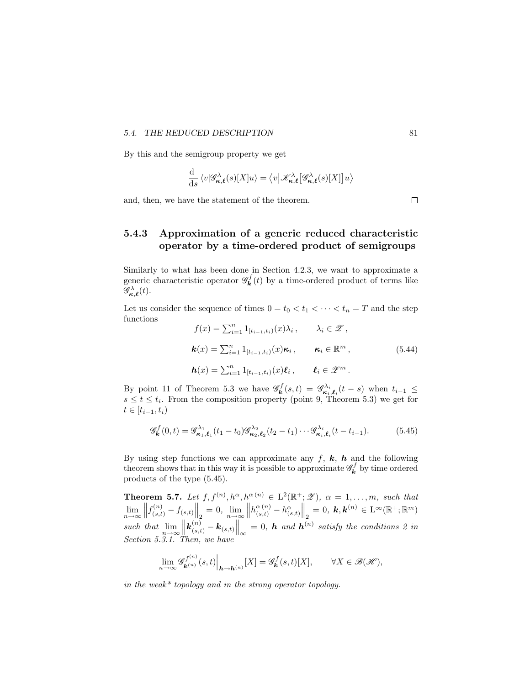#### 5.4. THE REDUCED DESCRIPTION 81

By this and the semigroup property we get

$$
\frac{\mathrm{d}}{\mathrm{d}s} \langle v | \mathscr{G}_{\kappa,\ell}^{\lambda}(s)[X]u \rangle = \langle v | \mathscr{K}_{\kappa,\ell}^{\lambda} [\mathscr{G}_{\kappa,\ell}^{\lambda}(s)[X]]u \rangle
$$

and, then, we have the statement of the theorem.

## 5.4.3 Approximation of a generic reduced characteristic operator by a time-ordered product of semigroups

Similarly to what has been done in Section 4.2.3, we want to approximate a generic characteristic operator  $\mathscr{G}_{\mathbf{k}}^{f}(t)$  by a time-ordered product of terms like  $\mathscr{G}^\lambda_{\boldsymbol{\kappa},\boldsymbol{\ell}}(t).$ 

Let us consider the sequence of times  $0 = t_0 < t_1 < \cdots < t_n = T$  and the step functions

$$
f(x) = \sum_{i=1}^{n} 1_{[t_{i-1}, t_i)}(x)\lambda_i, \qquad \lambda_i \in \mathcal{Z},
$$
  

$$
\mathbf{k}(x) = \sum_{i=1}^{n} 1_{[t_{i-1}, t_i)}(x)\kappa_i, \qquad \kappa_i \in \mathbb{R}^m,
$$
  

$$
\mathbf{h}(x) = \sum_{i=1}^{n} 1_{[t_{i-1}, t_i)}(x)\boldsymbol{\ell}_i, \qquad \boldsymbol{\ell}_i \in \mathcal{Z}^m.
$$
  
(5.44)

By point 11 of Theorem 5.3 we have  $\mathscr{G}_{\mathbf{k}}^{f}(s,t) = \mathscr{G}_{\kappa_i,\ell_i}^{\lambda_i}(t-s)$  when  $t_{i-1} \leq$  $s \leq t \leq t_i$ . From the composition property (point 9, Theorem 5.3) we get for  $t \in [t_{i-1}, t_i)$ 

$$
\mathscr{G}_{\mathbf{k}}^{f}(0,t) = \mathscr{G}_{\kappa_1,\ell_1}^{\lambda_1}(t_1-t_0)\mathscr{G}_{\kappa_2,\ell_2}^{\lambda_2}(t_2-t_1)\cdots\mathscr{G}_{\kappa_i,\ell_i}^{\lambda_i}(t-t_{i-1}).\tag{5.45}
$$

By using step functions we can approximate any  $f, k, h$  and the following theorem shows that in this way it is possible to approximate  $\mathscr{G}_{\bm{k}}^f$  by time ordered products of the type (5.45).

**Theorem 5.7.** Let  $f, f^{(n)}, h^{\alpha}, h^{\alpha}(n) \in L^2(\mathbb{R}^+; \mathcal{Z})$ ,  $\alpha = 1, \ldots, m$ , such that  $\lim_{n \to \infty} \left\| f_{(s,t)}^{(n)} - f_{(s,t)} \right\|_2 = 0, \lim_{n \to \infty} \left\| h_{(s,t)}^{\alpha(n)} - h_{(s,t)}^{\alpha} \right\|_2 = 0, \ k, k^{(n)} \in L^{\infty}(\mathbb{R}^+; \mathbb{R}^m)$ such that  $\lim_{n\to\infty}$   $\left\|\mathbf{k}_{(s,t)}^{(n)} - \mathbf{k}_{(s,t)}\right\|_{\infty} = 0$ , **h** and  $\mathbf{h}^{(n)}$  satisfy the conditions 2 in Section 5.3.1. Then, we have

$$
\lim_{n\to\infty} \mathscr{G}_{\mathbf{k}^{(n)}}^{f^{(n)}}(s,t)\Big|_{\mathbf{h}\to\mathbf{h}^{(n)}}[X] = \mathscr{G}_{\mathbf{k}}^{f}(s,t)[X], \qquad \forall X \in \mathscr{B}(\mathscr{H}),
$$

in the weak\* topology and in the strong operator topology.

 $\Box$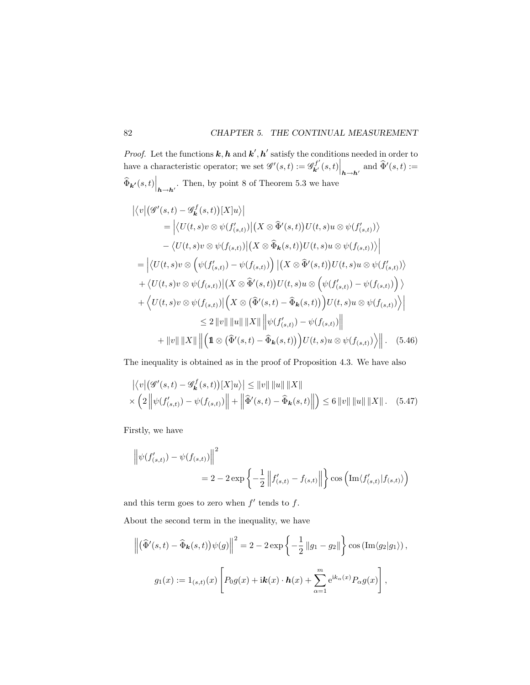*Proof.* Let the functions  $k, h$  and  $k', h'$  satisfy the conditions needed in order to have a characteristic operator; we set  $\mathscr{G}'(s,t) := \mathscr{G}_{\mathbf{k}'}^{f'}(s,t)|_{\mathbf{h}\to\mathbf{h}'}$  and  $\widehat{\Phi}'(s,t) :=$  $\widehat{\Phi}_{\boldsymbol{k}'}(s,t)\Big|_{\boldsymbol{h}\to\boldsymbol{h}'}$ . Then, by point 8 of Theorem 5.3 we have

$$
\begin{split}\n&\left|\langle v \right| \left(\mathcal{G}'(s,t) - \mathcal{G}_{\mathbf{k}}^{f}(s,t)\right) [X] u \rangle \right| \\
&= \left| \langle U(t,s) v \otimes \psi(f'_{(s,t)}) \right| (X \otimes \widehat{\Phi}'(s,t)) U(t,s) u \otimes \psi(f'_{(s,t)}) \rangle \\
&- \langle U(t,s) v \otimes \psi(f_{(s,t)}) \right| (X \otimes \widehat{\Phi}_{\mathbf{k}}(s,t)) U(t,s) u \otimes \psi(f_{(s,t)}) \rangle \right| \\
&= \left| \langle U(t,s) v \otimes \left( \psi(f'_{(s,t)}) - \psi(f_{(s,t)}) \right) \left| (X \otimes \widehat{\Phi}'(s,t)) U(t,s) u \otimes \psi(f'_{(s,t)}) \right\rangle \\
&+ \langle U(t,s) v \otimes \psi(f_{(s,t)}) \right| (X \otimes \widehat{\Phi}'(s,t)) U(t,s) u \otimes \left( \psi(f'_{(s,t)}) - \psi(f_{(s,t)}) \right) \rangle \\
&\leq 2 \left\| v \right\| \left\| u \right\| \left\| X \right\| \left\| \psi(f'_{(s,t)}) - \psi(f_{(s,t)}) \right\| \\
&+ \left\| v \right\| \left\| X \right\| \left\| \left( \mathbb{1} \otimes (\widehat{\Phi}'(s,t) - \widehat{\Phi}_{\mathbf{k}}(s,t)) \right) U(t,s) u \otimes \psi(f_{(s,t)}) \right\|.\n\end{split} \tag{5.46}
$$

The inequality is obtained as in the proof of Proposition 4.3. We have also

$$
\left| \langle v | (\mathcal{G}'(s,t) - \mathcal{G}_{\mathbf{k}}^{f}(s,t)) [X] u \rangle \right| \leq ||v|| \, ||u|| \, ||X||
$$
  
 
$$
\times \left( 2 \left| \psi(f_{(s,t)}) - \psi(f_{(s,t)}) \right| \right| + \left| \hat{\Phi}'(s,t) - \hat{\Phi}_{\mathbf{k}}(s,t) \right| \right) \leq 6 ||v|| \, ||u|| \, ||X||. \quad (5.47)
$$

Firstly, we have

$$
\left\| \psi(f_{(s,t)}) - \psi(f_{(s,t)}) \right\|^2 = 2 - 2 \exp \left\{ -\frac{1}{2} \left\| f_{(s,t)}' - f_{(s,t)} \right\| \right\} \cos \left( \text{Im} \langle f_{(s,t)}' | f_{(s,t)} \rangle \right)
$$

and this term goes to zero when  $f'$  tends to  $f$ .

About the second term in the inequality, we have

$$
\left\| \left( \widehat{\Phi}'(s,t) - \widehat{\Phi}_{\mathbf{k}}(s,t) \right) \psi(g) \right\|^2 = 2 - 2 \exp \left\{ -\frac{1}{2} \left\| g_1 - g_2 \right\| \right\} \cos \left( \text{Im} \langle g_2 | g_1 \rangle \right),
$$

$$
g_1(x) := 1_{(s,t)}(x) \left[ P_0 g(x) + i\mathbf{k}(x) \cdot \mathbf{h}(x) + \sum_{\alpha=1}^m e^{i k_\alpha(x)} P_\alpha g(x) \right],
$$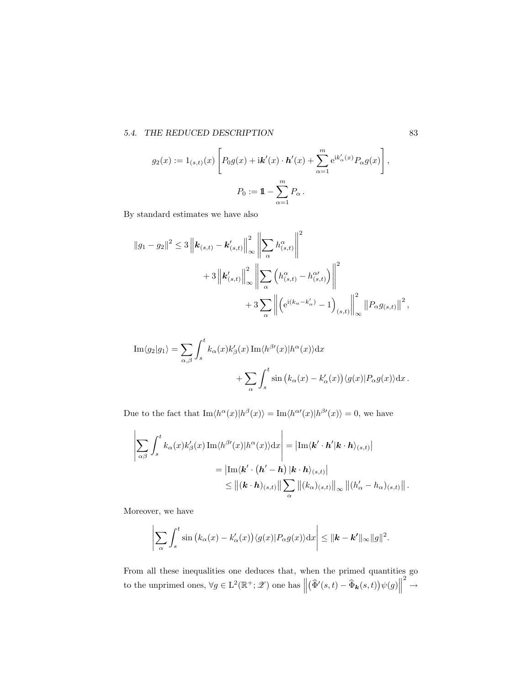## 5.4. THE REDUCED DESCRIPTION 83

$$
g_2(x) := 1_{(s,t)}(x) \left[ P_0 g(x) + \mathrm{i} \mathbf{k}'(x) \cdot \mathbf{h}'(x) + \sum_{\alpha=1}^m e^{\mathrm{i} k'_{\alpha}(x)} P_{\alpha} g(x) \right],
$$

$$
P_0 := \mathbf{1} - \sum_{\alpha=1}^m P_{\alpha}.
$$

By standard estimates we have also

$$
\begin{split} \left\|g_1 - g_2\right\|^2 &\leq 3\left\|\boldsymbol{k}_{(s,t)} - \boldsymbol{k}_{(s,t)}'\right\|_{\infty}^2 \left\|\sum_{\alpha} h_{(s,t)}^{\alpha}\right\|^2 \\ &+ 3\left\|\boldsymbol{k}_{(s,t)}'\right\|_{\infty}^2 \left\|\sum_{\alpha} \left(h_{(s,t)}^{\alpha} - h_{(s,t)}^{\alpha\prime}\right)\right\|^2 \\ &+ 3\sum_{\alpha} \left\|\left(e^{i\left(k_{\alpha} - k_{\alpha}^{\prime}\right)} - 1\right)_{(s,t)}\right\|_{\infty}^2 \left\|P_{\alpha} g_{(s,t)}\right\|^2, \end{split}
$$

Im
$$
\langle g_2|g_1\rangle
$$
 =  $\sum_{\alpha,\beta}\int_s^t k_{\alpha}(x)k'_{\beta}(x)\operatorname{Im}\langle h^{\beta\prime}(x)|h^{\alpha}(x)\rangle dx$   
+  $\sum_{\alpha}\int_s^t \sin (k_{\alpha}(x) - k'_{\alpha}(x))\langle g(x)|P_{\alpha}g(x)\rangle dx$ .

Due to the fact that  $\text{Im}\langle h^{\alpha}(x)|h^{\beta}(x)\rangle = \text{Im}\langle h^{\alpha\prime}(x)|h^{\beta\prime}(x)\rangle = 0$ , we have

$$
\left| \sum_{\alpha\beta} \int_s^t k_\alpha(x) k'_\beta(x) \operatorname{Im} \langle h^{\beta\prime}(x) | h^\alpha(x) \rangle \mathrm{d}x \right| = \left| \operatorname{Im} \langle \mathbf{k}' \cdot \mathbf{h}' | \mathbf{k} \cdot \mathbf{h} \rangle_{(s,t)} \right|
$$
  
\n
$$
= \left| \operatorname{Im} \langle \mathbf{k}' \cdot (\mathbf{h}' - \mathbf{h}) | \mathbf{k} \cdot \mathbf{h} \rangle_{(s,t)} \right|
$$
  
\n
$$
\leq \| (\mathbf{k} \cdot \mathbf{h})_{(s,t)} \| \sum_{\alpha} \| (k_\alpha)_{(s,t)} \|_\infty \| (h'_\alpha - h_\alpha)_{(s,t)} \|.
$$

Moreover, we have

$$
\left|\sum_{\alpha}\int_{s}^{t}\sin(k_{\alpha}(x)-k'_{\alpha}(x))\langle g(x)|P_{\alpha}g(x)\rangle dx\right| \leq\|\mathbf{k}-\mathbf{k'}\|_{\infty}\|g\|^{2}.
$$

From all these inequalities one deduces that, when the primed quantities go to the unprimed ones,  $\forall g \in L^2(\mathbb{R}^+; \mathscr{Z})$  one has  $\Vert$  $\left( \widehat{\Phi}'(s,t) - \widehat{\Phi}_{\pmb{k}}(s,t) \right) \psi(g) \Big\|$  $\begin{array}{c} 2 \end{array} \longrightarrow$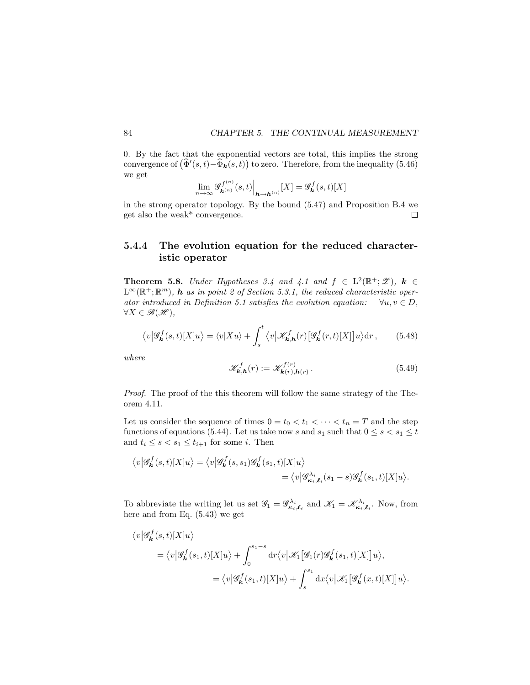0. By the fact that the exponential vectors are total, this implies the strong convergence of  $(\widehat{\Phi}'(s,t)-\widehat{\Phi}_{\boldsymbol{k}}(s,t))$  to zero. Therefore, from the inequality (5.46) we get

$$
\lim_{n \to \infty} \mathcal{G}_{\mathbf{k}^{(n)}}^{f^{(n)}}(s,t) \Big|_{\mathbf{h} \to \mathbf{h}^{(n)}}[X] = \mathcal{G}_{\mathbf{k}}^{f}(s,t)[X]
$$

in the strong operator topology. By the bound (5.47) and Proposition B.4 we get also the weak\* convergence.  $\Box$ 

## 5.4.4 The evolution equation for the reduced characteristic operator

**Theorem 5.8.** Under Hypotheses 3.4 and 4.1 and  $f \in L^2(\mathbb{R}^+;\mathcal{Z})$ ,  $k \in$  $L^{\infty}(\mathbb{R}^+;\mathbb{R}^m)$ , h as in point 2 of Section 5.3.1, the reduced characteristic operator introduced in Definition 5.1 satisfies the evolution equation:  $\forall u, v \in D$ ,  $\forall X \in \mathcal{B}(\mathcal{H}),$ 

$$
\langle v|\mathscr{G}_{\mathbf{k}}^{f}(s,t)[X]u\rangle = \langle v|Xu\rangle + \int_{s}^{t} \langle v|\mathscr{K}_{\mathbf{k},\mathbf{h}}^{f}(r)[\mathscr{G}_{\mathbf{k}}^{f}(r,t)[X]]u\rangle dr, \qquad (5.48)
$$

where

f

$$
\mathcal{K}_{\mathbf{k},\mathbf{h}}^{f}(r) := \mathcal{K}_{\mathbf{k}(r),\mathbf{h}(r)}^{f(r)}.
$$
\n(5.49)

Proof. The proof of the this theorem will follow the same strategy of the Theorem 4.11.

Let us consider the sequence of times  $0 = t_0 < t_1 < \cdots < t_n = T$  and the step functions of equations (5.44). Let us take now s and  $s_1$  such that  $0 \leq s < s_1 \leq t$ and  $t_i \leq s < s_1 \leq t_{i+1}$  for some *i*. Then

$$
\langle v|\mathscr{G}_{\pmb{k}}^{f}(s,t)[X]u\rangle = \langle v|\mathscr{G}_{\pmb{k}}^{f}(s,s_1)\mathscr{G}_{\pmb{k}}^{f}(s_1,t)[X]u\rangle
$$
  

$$
= \langle v|\mathscr{G}_{\pmb{\kappa}_i,\pmb{\ell}_i}^{\lambda_i}(s_1-s)\mathscr{G}_{\pmb{k}}^{f}(s_1,t)[X]u\rangle.
$$

To abbreviate the writing let us set  $\mathscr{G}_1 = \mathscr{G}_{\kappa_i,\ell_i}^{\lambda_i}$  and  $\mathscr{K}_1 = \mathscr{K}_{\kappa_i,\ell_i}^{\lambda_i}$ . Now, from here and from Eq. (5.43) we get

$$
\langle v|\mathscr{G}_{\mathbf{k}}^{f}(s,t)[X]u\rangle
$$
  
=  $\langle v|\mathscr{G}_{\mathbf{k}}^{f}(s_{1},t)[X]u\rangle + \int_{0}^{s_{1}-s}dr\langle v|\mathscr{K}_{1}[\mathscr{G}_{1}(r)\mathscr{G}_{\mathbf{k}}^{f}(s_{1},t)[X]]u\rangle,$   
=  $\langle v|\mathscr{G}_{\mathbf{k}}^{f}(s_{1},t)[X]u\rangle + \int_{s}^{s_{1}}dx\langle v|\mathscr{K}_{1}[\mathscr{G}_{\mathbf{k}}^{f}(x,t)[X]]u\rangle.$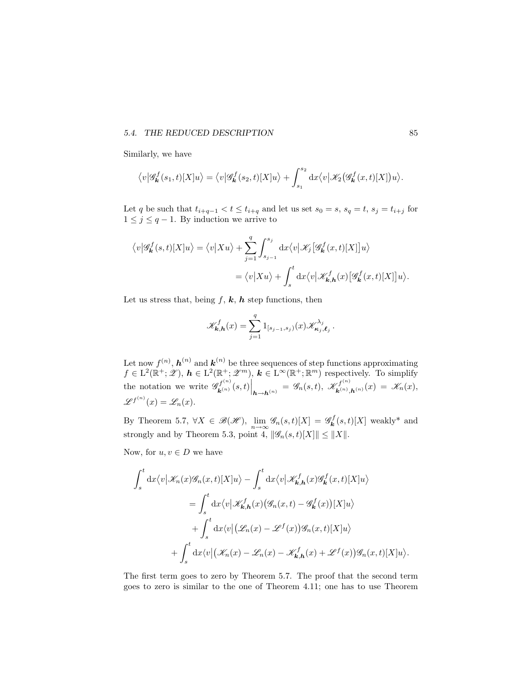#### 5.4. THE REDUCED DESCRIPTION 85

Similarly, we have

$$
\langle v|\mathscr{G}_{\mathbf{k}}^{f}(s_1,t)[X]u\rangle = \langle v|\mathscr{G}_{\mathbf{k}}^{f}(s_2,t)[X]u\rangle + \int_{s_1}^{s_2} dx \langle v|\mathscr{K}_{2}(\mathscr{G}_{\mathbf{k}}^{f}(x,t)[X])u\rangle.
$$

Let q be such that  $t_{i+q-1} < t \leq t_{i+q}$  and let us set  $s_0 = s$ ,  $s_q = t$ ,  $s_j = t_{i+1}$  for  $1 \leq j \leq q-1$ . By induction we arrive to

$$
\langle v | \mathcal{G}_{\mathbf{k}}^{f}(s,t) [X] u \rangle = \langle v | Xu \rangle + \sum_{j=1}^{q} \int_{s_{j-1}}^{s_{j}} dx \langle v | \mathcal{K}_{j} [\mathcal{G}_{\mathbf{k}}^{f}(x,t) [X]] u \rangle
$$
  

$$
= \langle v | Xu \rangle + \int_{s}^{t} dx \langle v | \mathcal{K}_{\mathbf{k}, \mathbf{h}}^{f}(x) [\mathcal{G}_{\mathbf{k}}^{f}(x,t) [X]] u \rangle.
$$

Let us stress that, being  $f, k, h$  step functions, then

$$
\mathscr{K}_{\mathbf{k},\mathbf{h}}^{f}(x) = \sum_{j=1}^{q} 1_{[s_{j-1},s_j)}(x) \mathscr{K}_{\kappa_j,\ell_j}^{\lambda_j}.
$$

Let now  $f^{(n)}$ ,  $h^{(n)}$  and  $k^{(n)}$  be three sequences of step functions approximating  $f \in L^2(\mathbb{R}^+;\mathscr{Z}), h \in L^2(\mathbb{R}^+;\mathscr{Z}^m), k \in L^\infty(\mathbb{R}^+;\mathbb{R}^m)$  respectively. To simplify the notation we write  $\mathscr{G}_{\mathbf{k}^{(n)}}^{f^{(n)}}(s,t)\Big|_{\mathbf{h}\to\mathbf{h}^{(n)}} = \mathscr{G}_n(s,t), \ \mathscr{K}_{\mathbf{k}^{(n)}}^{f^{(n)}}$  $\mathcal{K}_{\boldsymbol{k}^{(n)},\boldsymbol{h}^{(n)}}^{(r)}(x) = \mathscr{K}_n(x),$  $\mathscr{L}^{f^{(n)}}(x) = \mathscr{L}_n(x).$ 

By Theorem 5.7,  $\forall X \in \mathcal{B}(\mathcal{H})$ ,  $\lim_{n \to \infty} \mathcal{G}_n(s,t)[X] = \mathcal{G}_{\mathbf{k}}^f(s,t)[X]$  weakly\* and strongly and by Theorem 5.3, point 4,  $\|\mathscr{G}_n(s,t)[X]\| \leq \|X\|$ .

Now, for  $u, v \in D$  we have

$$
\int_{s}^{t} dx \langle v | \mathcal{K}_{n}(x) \mathcal{G}_{n}(x,t) [X] u \rangle - \int_{s}^{t} dx \langle v | \mathcal{K}_{k,h}^{f}(x) \mathcal{G}_{k}^{f}(x,t) [X] u \rangle
$$
  
\n
$$
= \int_{s}^{t} dx \langle v | \mathcal{K}_{k,h}^{f}(x) (\mathcal{G}_{n}(x,t) - \mathcal{G}_{k}^{f}(x)) [X] u \rangle
$$
  
\n
$$
+ \int_{s}^{t} dx \langle v | (\mathcal{L}_{n}(x) - \mathcal{L}^{f}(x)) \mathcal{G}_{n}(x,t) [X] u \rangle
$$
  
\n
$$
+ \int_{s}^{t} dx \langle v | (\mathcal{K}_{n}(x) - \mathcal{L}_{n}(x) - \mathcal{K}_{k,h}^{f}(x) + \mathcal{L}^{f}(x)) \mathcal{G}_{n}(x,t) [X] u \rangle.
$$

The first term goes to zero by Theorem 5.7. The proof that the second term goes to zero is similar to the one of Theorem 4.11; one has to use Theorem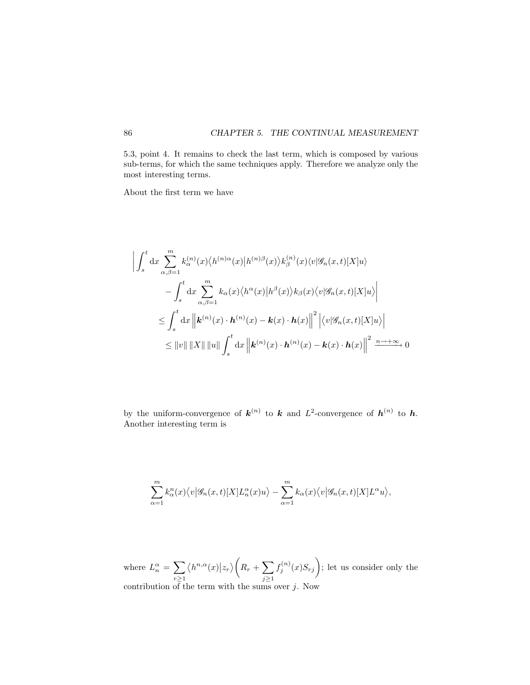5.3, point 4. It remains to check the last term, which is composed by various sub-terms, for which the same techniques apply. Therefore we analyze only the most interesting terms.

About the first term we have

$$
\left| \int_{s}^{t} dx \sum_{\alpha,\beta=1}^{m} k_{\alpha}^{(n)}(x) \langle h^{(n)\alpha}(x) | h^{(n)\beta}(x) \rangle k_{\beta}^{(n)}(x) \langle v | \mathcal{G}_{n}(x,t) [X] u \rangle \right|
$$
  

$$
- \int_{s}^{t} dx \sum_{\alpha,\beta=1}^{m} k_{\alpha}(x) \langle h^{\alpha}(x) | h^{\beta}(x) \rangle k_{\beta}(x) \langle v | \mathcal{G}_{n}(x,t) [X] u \rangle \right|
$$
  

$$
\leq \int_{s}^{t} dx \left\| \mathbf{k}^{(n)}(x) \cdot \mathbf{h}^{(n)}(x) - \mathbf{k}(x) \cdot \mathbf{h}(x) \right\|^{2} \left| \langle v | \mathcal{G}_{n}(x,t) [X] u \rangle \right|
$$
  

$$
\leq ||v|| ||X|| ||u|| \int_{s}^{t} dx \left\| \mathbf{k}^{(n)}(x) \cdot \mathbf{h}^{(n)}(x) - \mathbf{k}(x) \cdot \mathbf{h}(x) \right\|^{2} \xrightarrow{n \to +\infty} 0
$$

by the uniform-convergence of  $k^{(n)}$  to k and  $L^2$ -convergence of  $h^{(n)}$  to h. Another interesting term is

$$
\sum_{\alpha=1}^m k_{\alpha}^n(x)\langle v|\mathscr{G}_n(x,t)[X]L_n^{\alpha}(x)u\rangle - \sum_{\alpha=1}^m k_{\alpha}(x)\langle v|\mathscr{G}_n(x,t)[X]L^{\alpha}u\rangle,
$$

where  $L_n^{\alpha} = \sum$  $r \geq 1$  $\big\langle h^{n,\alpha}(x)\big\vert z_r\big\rangle\bigg(R_r+\sum$  $j \geq 1$  $f_j^{(n)}(x)S_{rj}\bigg);$  let us consider only the contribution of the term with the sums over j. Now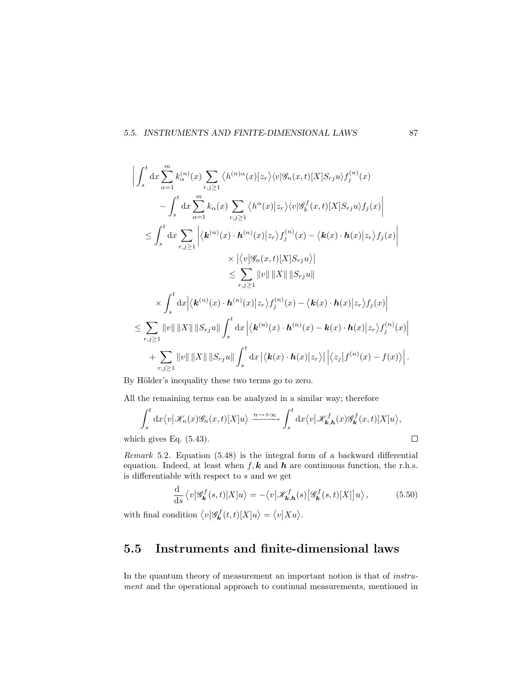## 5.5. INSTRUMENTS AND FINITE-DIMENSIONAL LAWS 87

$$
\left| \int_{s}^{t} dx \sum_{\alpha=1}^{m} k_{\alpha}^{(n)}(x) \sum_{r,j\geq 1} \langle h^{(n)\alpha}(x) | z_{r} \rangle \langle v | \mathcal{G}_{n}(x,t) [X] S_{rj} u \rangle f_{j}^{(n)}(x) \right|
$$
  
\n
$$
- \int_{s}^{t} dx \sum_{\alpha=1}^{m} k_{\alpha}(x) \sum_{r,j\geq 1} \langle h^{\alpha}(x) | z_{r} \rangle \langle v | \mathcal{G}_{k}^{f}(x,t) [X] S_{rj} u \rangle f_{j}(x) \right|
$$
  
\n
$$
\leq \int_{s}^{t} dx \sum_{r,j\geq 1} \left| \langle \mathbf{k}^{(n)}(x) \cdot \mathbf{h}^{(n)}(x) | z_{r} \rangle f_{j}^{(n)}(x) - \langle \mathbf{k}(x) \cdot \mathbf{h}(x) | z_{r} \rangle f_{j}(x) \right|
$$
  
\n
$$
\times \left| \langle v | \mathcal{G}_{n}(x,t) [X] S_{rj} u \rangle \right|
$$
  
\n
$$
\times \int_{s}^{t} dx \left| \langle \mathbf{k}^{(n)}(x) \cdot \mathbf{h}^{(n)}(x) | z_{r} \rangle f_{j}^{(n)}(x) - \langle \mathbf{k}(x) \cdot \mathbf{h}(x) | z_{r} \rangle f_{j}(x) \right|
$$
  
\n
$$
\leq \sum_{r,j\geq 1} ||v|| ||X|| ||S_{rj} u|| \int_{s}^{t} dx \left| \langle \mathbf{k}^{(n)}(x) \cdot \mathbf{h}^{(n)}(x) - \mathbf{k}(x) \cdot \mathbf{h}(x) | z_{r} \rangle f_{j}^{(n)}(x) \right|
$$
  
\n
$$
+ \sum_{r,j\geq 1} ||v|| ||X|| ||S_{rj} u|| \int_{s}^{t} dx \left| \langle \mathbf{k}^{(n)}(x) \cdot \mathbf{h}^{(n)}(x) - \mathbf{k}(x) \cdot \mathbf{h}(x) | z_{r} \rangle f_{j}^{(n)}(x) \right|
$$

By Hölder's inequality these two terms go to zero.

All the remaining terms can be analyzed in a similar way; therefore

$$
\int_{s}^{t} dx \langle v | \mathcal{K}_{n}(x) \mathcal{G}_{n}(x,t) [X] u \rangle \xrightarrow{n \to +\infty} \int_{s}^{t} dx \langle v | \mathcal{K}_{k,h}^{f}(x) \mathcal{G}_{k}^{f}(x,t) [X] u \rangle,
$$
\nch gives Eq. (5.43).

which gives Eq. (5.43).

Remark 5.2. Equation (5.48) is the integral form of a backward differential equation. Indeed, at least when  $f, k$  and  $h$  are continuous function, the r.h.s. is differentiable with respect to s and we get

$$
\frac{\mathrm{d}}{\mathrm{d}s} \left\langle v | \mathcal{G}_{\mathbf{k}}^{f}(s,t)[X]u \right\rangle = -\left\langle v | \mathcal{K}_{\mathbf{k},\mathbf{h}}^{f}(s)[\mathcal{G}_{\mathbf{k}}^{f}(s,t)[X]]u \right\rangle, \tag{5.50}
$$

with final condition  $\langle v | \mathcal{G}_{\mathbf{k}}^f(t,t) | X | u \rangle = \langle v | X u \rangle$ .

## 5.5 Instruments and finite-dimensional laws

In the quantum theory of measurement an important notion is that of instrument and the operational approach to continual measurements, mentioned in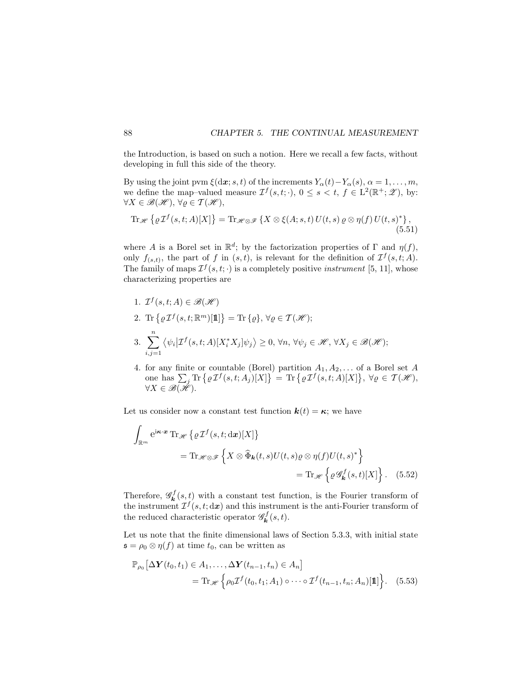the Introduction, is based on such a notion. Here we recall a few facts, without developing in full this side of the theory.

By using the joint pvm  $\xi(dx; s, t)$  of the increments  $Y_\alpha(t) - Y_\alpha(s), \alpha = 1, \ldots, m$ , we define the map-valued measure  $\mathcal{I}^f(s,t; \cdot)$ ,  $0 \leq s < t$ ,  $f \in L^2(\mathbb{R}^+; \mathscr{Z})$ , by:  $\forall X \in \mathcal{B}(\mathcal{H}), \forall \varrho \in \mathcal{T}(\mathcal{H}),$ 

$$
\operatorname{Tr}_{\mathscr{H}}\left\{\varrho\,\mathcal{I}^f(s,t;A)[X]\right\} = \operatorname{Tr}_{\mathscr{H}\otimes\mathscr{F}}\left\{X\otimes\xi(A;s,t)\,U(t,s)\,\varrho\otimes\eta(f)\,U(t,s)^*\right\},\tag{5.51}
$$

where A is a Borel set in  $\mathbb{R}^d$ ; by the factorization properties of  $\Gamma$  and  $\eta(f)$ , only  $f_{(s,t)}$ , the part of f in  $(s,t)$ , is relevant for the definition of  $\mathcal{I}^f(s,t;A)$ . The family of maps  $\mathcal{I}^f(s,t; \cdot)$  is a completely positive *instrument* [5, 11], whose characterizing properties are

1. 
$$
\mathcal{I}^f(s, t; A) \in \mathcal{B}(\mathcal{H})
$$
  
\n2. Tr  $\{ \varrho \mathcal{I}^f(s, t; \mathbb{R}^m)[\mathbb{1}]\} = \text{Tr } \{\varrho\}, \forall \varrho \in \mathcal{T}(\mathcal{H});$   
\n3.  $\sum_{i,j=1}^n \langle \psi_i | \mathcal{I}^f(s, t; A) [X_i^* X_j] \psi_j \rangle \geq 0, \forall n, \forall \psi_j \in \mathcal{H}, \forall X_j \in \mathcal{B}(\mathcal{H});$ 

4. for any finite or countable (Borel) partition  $A_1, A_2, \ldots$  of a Borel set A one has  $\sum_j \text{Tr} \{ \varrho \mathcal{I}^f(s, t; A_j)[X] \} = \text{Tr} \{ \varrho \mathcal{I}^f(s, t; A)[X] \}, \forall \varrho \in \mathcal{T}(\mathcal{H}),$  $\forall X \in \mathscr{B}(\check{\mathscr{H}}).$ 

Let us consider now a constant test function  $\mathbf{k}(t) = \boldsymbol{\kappa}$ ; we have

$$
\int_{\mathbb{R}^m} e^{i\kappa \cdot \mathbf{x}} \operatorname{Tr}_{\mathscr{H}} \left\{ \varrho \mathcal{I}^f(s, t; d\mathbf{x})[X] \right\} \n= \operatorname{Tr}_{\mathscr{H} \otimes \mathscr{F}} \left\{ X \otimes \widehat{\Phi}_{\mathbf{k}}(t, s) U(t, s) \varrho \otimes \eta(f) U(t, s)^* \right\} \n= \operatorname{Tr}_{\mathscr{H}} \left\{ \varrho \mathscr{G}_{\mathbf{k}}^f(s, t)[X] \right\}. \tag{5.52}
$$

Therefore,  $\mathscr{G}_{\mathbf{k}}^{f}(s,t)$  with a constant test function, is the Fourier transform of the instrument  $\mathcal{I}^f(s,t; dx)$  and this instrument is the anti-Fourier transform of the reduced characteristic operator  $\mathscr{G}_{\mathbf{k}}^{f}(s,t)$ .

Let us note that the finite dimensional laws of Section 5.3.3, with initial state  $\mathfrak{s} = \rho_0 \otimes \eta(f)$  at time  $t_0$ , can be written as

$$
\mathbb{P}_{\rho_0} \left[ \Delta \mathbf{Y}(t_0, t_1) \in A_1, \dots, \Delta \mathbf{Y}(t_{n-1}, t_n) \in A_n \right]
$$
  
=  $\text{Tr}_{\mathcal{H}} \left\{ \rho_0 \mathcal{I}^f(t_0, t_1; A_1) \circ \cdots \circ \mathcal{I}^f(t_{n-1}, t_n; A_n) [\mathbf{1}] \right\}.$  (5.53)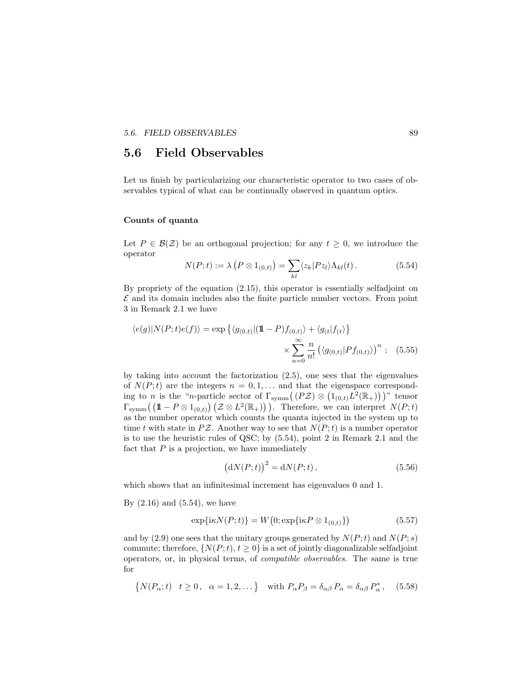## 5.6 Field Observables

Let us finish by particularizing our characteristic operator to two cases of observables typical of what can be continually observed in quantum optics.

#### Counts of quanta

Let  $P \in \mathcal{B}(\mathcal{Z})$  be an orthogonal projection; for any  $t \geq 0$ , we introduce the operator

$$
N(P;t) := \lambda\left(P \otimes 1_{(0,t)}\right) = \sum_{kl} \langle z_k | P z_l \rangle \Lambda_{kl}(t) \,. \tag{5.54}
$$

By propriety of the equation (2.15), this operator is essentially selfadjoint on  $\mathcal E$  and its domain includes also the finite particle number vectors. From point 3 in Remark 2.1 we have

$$
\langle e(g)|N(P;t)e(f)\rangle = \exp\left\{\langle g_{(0,t)}|(\mathbf{1}-P)f_{(0,t)}\rangle + \langle g_{(t}|f_{(t)}\rangle\right\} \times \sum_{n=0}^{\infty} \frac{n}{n!} \left(\langle g_{(0,t)}|Pf_{(0,t)}\rangle\right)^n; (5.55)
$$

by taking into account the factorization (2.5), one sees that the eigenvalues of  $N(P; t)$  are the integers  $n = 0, 1, \ldots$  and that the eigenspace corresponding to n is the "n-particle sector of  $\Gamma_{\text{symm}}((PZ) \otimes (1_{(0,t)}L^2(\mathbb{R}_+)))$ " tensor  $\Gamma_{\text{symm}}((\mathbf{1} - P \otimes 1_{(0,t)}) (\mathcal{Z} \otimes L^2(\mathbb{R}_+)))$ . Therefore, we can interpret  $N(P;t)$ as the number operator which counts the quanta injected in the system up to time t with state in  $PZ$ . Another way to see that  $N(P;t)$  is a number operator is to use the heuristic rules of QSC; by (5.54), point 2 in Remark 2.1 and the fact that  $P$  is a projection, we have immediately

$$
\left(\mathrm{d}N(P;t)\right)^2 = \mathrm{d}N(P;t)\,,\tag{5.56}
$$

which shows that an infinitesimal increment has eigenvalues 0 and 1.

By  $(2.16)$  and  $(5.54)$ , we have

$$
\exp\{i\kappa N(P;t)\} = W\big(0; \exp\{i\kappa P \otimes 1_{(0,t)}\}\big) \tag{5.57}
$$

and by (2.9) one sees that the unitary groups generated by  $N(P;t)$  and  $N(P;s)$ commute; therefore,  $\{N(P;t), t \geq 0\}$  is a set of jointly diagonalizable selfadjoint operators, or, in physical terms, of compatible observables. The same is true for

$$
\left\{ N(P_\alpha;t) \quad t \ge 0 \,, \quad \alpha = 1,2,\dots \right\} \quad \text{with } P_\alpha P_\beta = \delta_{\alpha\beta} P_\alpha = \delta_{\alpha\beta} P_\alpha^* \,, \quad (5.58)
$$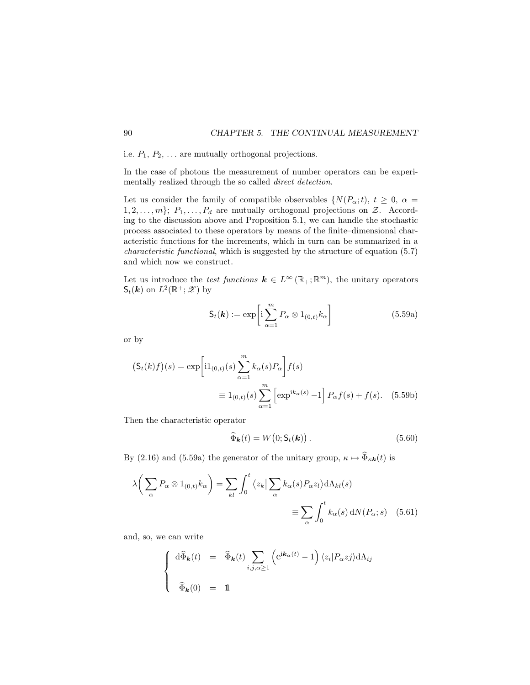i.e.  $P_1, P_2, \ldots$  are mutually orthogonal projections.

In the case of photons the measurement of number operators can be experimentally realized through the so called *direct detection*.

Let us consider the family of compatible observables  $\{N(P_\alpha;t), t \geq 0, \alpha =$  $1, 2, \ldots, m\}$ ;  $P_1, \ldots, P_d$  are mutually orthogonal projections on Z. According to the discussion above and Proposition 5.1, we can handle the stochastic process associated to these operators by means of the finite–dimensional characteristic functions for the increments, which in turn can be summarized in a characteristic functional, which is suggested by the structure of equation (5.7) and which now we construct.

Let us introduce the *test functions*  $\mathbf{k} \in L^{\infty}(\mathbb{R}_{+}; \mathbb{R}^{m})$ , the unitary operators  $\mathsf{S}_t(\mathbf{k})$  on  $L^2(\mathbb{R}^+;\mathscr{Z})$  by

$$
\mathsf{S}_{t}(\mathbf{k}) := \exp\left[\mathrm{i}\sum_{\alpha=1}^{m} P_{\alpha} \otimes \mathbb{1}_{(0,t)} k_{\alpha}\right]
$$
 (5.59a)

or by

$$
\begin{aligned} \left(\mathsf{S}_{t}(k)f\right)(s) &= \exp\left[\mathrm{i}1_{(0,t)}(s)\sum_{\alpha=1}^{m}k_{\alpha}(s)P_{\alpha}\right]f(s) \\ &\equiv 1_{(0,t)}(s)\sum_{\alpha=1}^{m}\left[\exp^{\mathrm{i}k_{\alpha}(s)}-1\right]P_{\alpha}f(s) + f(s). \end{aligned} \tag{5.59b}
$$

Then the characteristic operator

$$
\widehat{\Phi}_{\mathbf{k}}(t) = W(0; \mathsf{S}_t(\mathbf{k})). \tag{5.60}
$$

By (2.16) and (5.59a) the generator of the unitary group,  $\kappa \mapsto \widehat{\Phi}_{\kappa \mathbf{k}}(t)$  is

$$
\lambda \left( \sum_{\alpha} P_{\alpha} \otimes 1_{(0,t)} k_{\alpha} \right) = \sum_{kl} \int_{0}^{t} \langle z_{k} | \sum_{\alpha} k_{\alpha}(s) P_{\alpha} z_{l} \rangle d\Lambda_{kl}(s)
$$

$$
\equiv \sum_{\alpha} \int_{0}^{t} k_{\alpha}(s) dN(P_{\alpha}; s) \quad (5.61)
$$

and, so, we can write

$$
\begin{cases} \n\mathrm{d}\widehat{\Phi}_{\mathbf{k}}(t) = \widehat{\Phi}_{\mathbf{k}}(t) \sum_{i,j,\alpha \geq 1} \left( \mathrm{e}^{\mathrm{i}\mathbf{k}_{\alpha}(t)} - 1 \right) \langle z_i | P_{\alpha} z j \rangle \mathrm{d}\Lambda_{ij} \\ \n\widehat{\Phi}_{\mathbf{k}}(0) = 1 \n\end{cases}
$$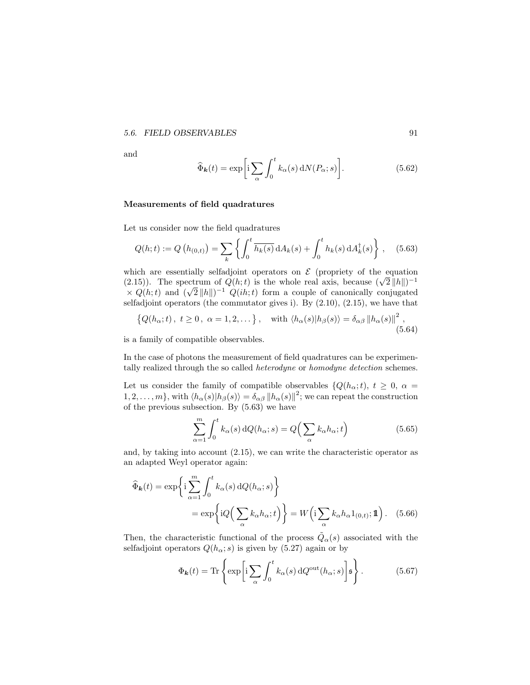## 5.6. FIELD OBSERVABLES 91

and

$$
\widehat{\Phi}_{\mathbf{k}}(t) = \exp\left[i\sum_{\alpha} \int_0^t k_{\alpha}(s) \, \mathrm{d}N(P_{\alpha}; s)\right].\tag{5.62}
$$

#### Measurements of field quadratures

Let us consider now the field quadratures

$$
Q(h;t) := Q\left(h_{(0,t)}\right) = \sum_{k} \left\{ \int_{0}^{t} \overline{h_{k}(s)} \, dA_{k}(s) + \int_{0}^{t} h_{k}(s) \, dA_{k}^{\dagger}(s) \right\}, \quad (5.63)
$$

which are essentially selfadjoint operators on  $\mathcal E$  (propriety of the equation which are essentially selfadjoint operators on  $\zeta$  (propriety of the equation (2.15)). The spectrum of  $Q(h;t)$  is the whole real axis, because  $(\sqrt{2}||h|)^{-1}$ 2.15)). The spectrum of  $Q(n;t)$  is the whole real axis, because  $(\sqrt{2} ||h||)^{-1}$ <br> $\times Q(h;t)$  and  $(\sqrt{2} ||h||)^{-1} Q(ih;t)$  form a couple of canonically conjugated selfadjoint operators (the commutator gives i). By (2.10), (2.15), we have that

$$
\left\{Q(h_{\alpha};t), t \ge 0, \alpha = 1,2,...\right\}, \text{ with } \langle h_{\alpha}(s)|h_{\beta}(s)\rangle = \delta_{\alpha\beta} \left\|h_{\alpha}(s)\right\|^{2},\tag{5.64}
$$

is a family of compatible observables.

In the case of photons the measurement of field quadratures can be experimentally realized through the so called *heterodyne* or *homodyne detection* schemes.

Let us consider the family of compatible observables  $\{Q(h_{\alpha};t), t \geq 0, \alpha =$  $1, 2, \ldots, m\},\$  with  $\langle h_\alpha(s)|h_\beta(s)\rangle = \delta_{\alpha\beta} ||h_\alpha(s)||^2$ ; we can repeat the construction of the previous subsection. By (5.63) we have

$$
\sum_{\alpha=1}^{m} \int_{0}^{t} k_{\alpha}(s) dQ(h_{\alpha}; s) = Q\left(\sum_{\alpha} k_{\alpha} h_{\alpha}; t\right)
$$
\n(5.65)

and, by taking into account (2.15), we can write the characteristic operator as an adapted Weyl operator again:

$$
\widehat{\Phi}_{\mathbf{k}}(t) = \exp\left\{i \sum_{\alpha=1}^{m} \int_{0}^{t} k_{\alpha}(s) dQ(h_{\alpha}; s)\right\}
$$

$$
= \exp\left\{iQ\left(\sum_{\alpha} k_{\alpha} h_{\alpha}; t\right)\right\} = W\left(i \sum_{\alpha} k_{\alpha} h_{\alpha} 1_{(0, t)}; \mathbf{1}\right). \quad (5.66)
$$

Then, the characteristic functional of the process  $\tilde{Q}_{\alpha}(s)$  associated with the selfadjoint operators  $Q(h_{\alpha}; s)$  is given by (5.27) again or by

$$
\Phi_{\mathbf{k}}(t) = \text{Tr}\left\{ \exp\left[i\sum_{\alpha} \int_0^t k_{\alpha}(s) dQ^{\text{out}}(h_{\alpha}; s)\right] \mathfrak{s} \right\}.
$$
 (5.67)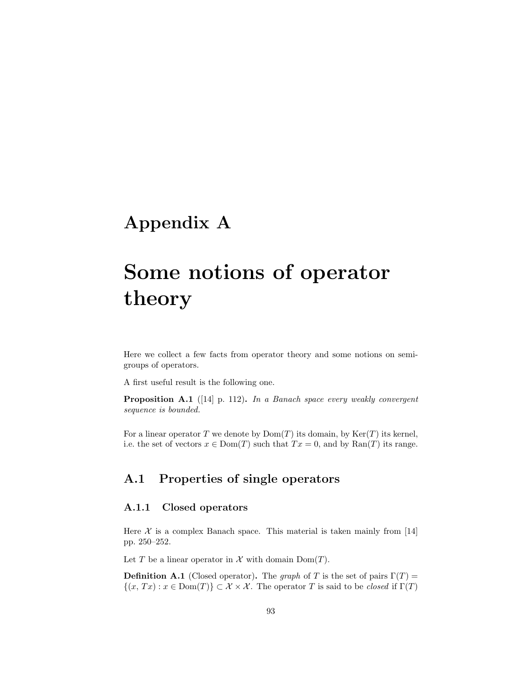## Appendix A

# Some notions of operator theory

Here we collect a few facts from operator theory and some notions on semigroups of operators.

A first useful result is the following one.

Proposition A.1 ([14] p. 112). In a Banach space every weakly convergent sequence is bounded.

For a linear operator T we denote by  $Dom(T)$  its domain, by  $Ker(T)$  its kernel, i.e. the set of vectors  $x \in Dom(T)$  such that  $Tx = 0$ , and by  $\text{Ran}(T)$  its range.

## A.1 Properties of single operators

## A.1.1 Closed operators

Here  $X$  is a complex Banach space. This material is taken mainly from [14] pp. 250–252.

Let T be a linear operator in X with domain  $Dom(T)$ .

**Definition A.1** (Closed operator). The *graph* of T is the set of pairs  $\Gamma(T)$  =  $\{(x, Tx) : x \in Dom(T)\} \subset \mathcal{X} \times \mathcal{X}$ . The operator T is said to be *closed* if  $\Gamma(T)$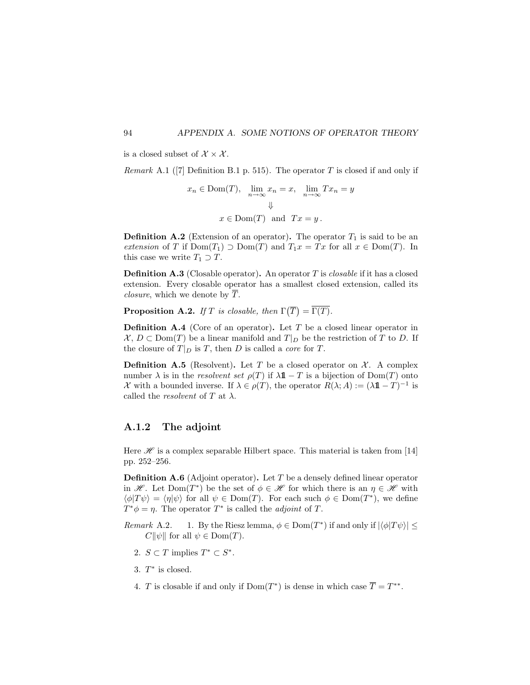## 94 APPENDIX A. SOME NOTIONS OF OPERATOR THEORY

is a closed subset of  $\mathcal{X} \times \mathcal{X}$ .

*Remark* A.1 ([7] Definition B.1 p. 515). The operator T is closed if and only if

$$
x_n \in \text{Dom}(T), \quad \lim_{n \to \infty} x_n = x, \quad \lim_{n \to \infty} Tx_n = y
$$
  
 $\Downarrow$   
 $x \in \text{Dom}(T) \text{ and } Tx = y.$ 

**Definition A.2** (Extension of an operator). The operator  $T_1$  is said to be an extension of T if  $Dom(T_1)$   $\supset$   $Dom(T)$  and  $T_1x = Tx$  for all  $x \in Dom(T)$ . In this case we write  $T_1 \supset T$ .

**Definition A.3** (Closable operator). An operator T is *closable* if it has a closed extension. Every closable operator has a smallest closed extension, called its *closure*, which we denote by  $\overline{T}$ .

**Proposition A.2.** If T is closable, then  $\Gamma(\overline{T}) = \overline{\Gamma(T)}$ .

**Definition A.4** (Core of an operator). Let  $T$  be a closed linear operator in  $\mathcal{X}, D \subset \text{Dom}(T)$  be a linear manifold and  $T|_D$  be the restriction of T to D. If the closure of  $T|_D$  is  $T$ , then  $D$  is called a *core* for  $T$ .

**Definition A.5** (Resolvent). Let T be a closed operator on  $\mathcal{X}$ . A complex number  $\lambda$  is in the *resolvent set*  $\rho(T)$  if  $\lambda \mathbf{1} - T$  is a bijection of Dom(T) onto X with a bounded inverse. If  $\lambda \in \rho(T)$ , the operator  $R(\lambda; A) := (\lambda \mathbf{1} - T)^{-1}$  is called the *resolvent* of T at  $\lambda$ .

## A.1.2 The adjoint

Here  $\mathscr H$  is a complex separable Hilbert space. This material is taken from [14] pp. 252–256.

**Definition A.6** (Adjoint operator). Let  $T$  be a densely defined linear operator in H. Let  $Dom(T^*)$  be the set of  $\phi \in \mathcal{H}$  for which there is an  $\eta \in \mathcal{H}$  with  $\langle \phi | T \psi \rangle = \langle \eta | \psi \rangle$  for all  $\psi \in \text{Dom}(T)$ . For each such  $\phi \in \text{Dom}(T^*)$ , we define  $T^*\phi = \eta$ . The operator  $T^*$  is called the *adjoint* of T.

Remark A.2. 1. By the Riesz lemma,  $\phi \in \text{Dom}(T^*)$  if and only if  $|\langle \phi | T \psi \rangle| \le$  $C\|\psi\|$  for all  $\psi \in \text{Dom}(T)$ .

- 2.  $S \subset T$  implies  $T^* \subset S^*$ .
- 3.  $T^*$  is closed.
- 4. T is closable if and only if  $Dom(T^*)$  is dense in which case  $\overline{T} = T^{**}$ .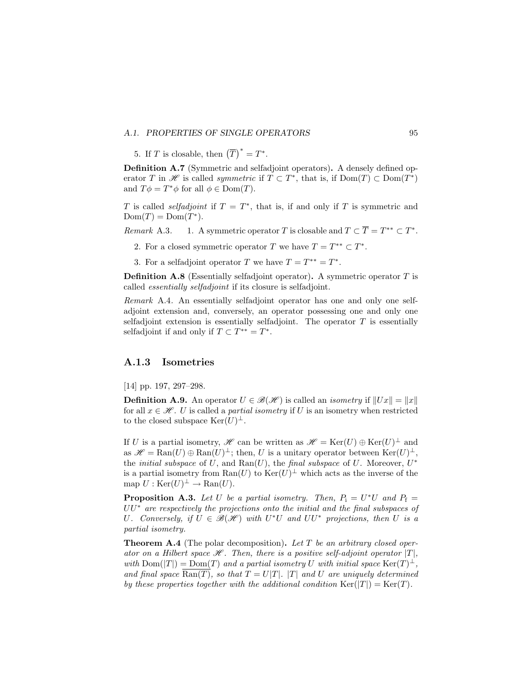## A.1. PROPERTIES OF SINGLE OPERATORS 95

5. If T is closable, then  $(\overline{T})^* = T^*$ .

Definition A.7 (Symmetric and selfadjoint operators). A densely defined operator T in  $\mathscr H$  is called *symmetric* if  $T \subset T^*$ , that is, if  $Dom(T) \subset Dom(T^*)$ and  $T\phi = T^*\phi$  for all  $\phi \in \text{Dom}(T)$ .

T is called *selfadjoint* if  $T = T^*$ , that is, if and only if T is symmetric and  $Dom(T) = Dom(T^*).$ 

Remark A.3. 1. A symmetric operator T is closable and  $T \subset \overline{T} = T^{**} \subset T^*$ .

2. For a closed symmetric operator T we have  $T = T^{**} \subset T^*$ .

3. For a selfadjoint operator T we have  $T = T^{**} = T^*$ .

**Definition A.8** (Essentially selfadjoint operator). A symmetric operator  $T$  is called essentially selfadjoint if its closure is selfadjoint.

Remark A.4. An essentially selfadjoint operator has one and only one selfadjoint extension and, conversely, an operator possessing one and only one selfadjoint extension is essentially selfadjoint. The operator T is essentially selfadjoint if and only if  $T \subset T^{**} = T^*$ .

## A.1.3 Isometries

[14] pp. 197, 297–298.

**Definition A.9.** An operator  $U \in \mathcal{B}(\mathcal{H})$  is called an *isometry* if  $||Ux|| = ||x||$ for all  $x \in \mathcal{H}$ . U is called a *partial isometry* if U is an isometry when restricted to the closed subspace  $\text{Ker}(U)^{\perp}$ .

If U is a partial isometry, H can be written as  $\mathscr{H} = \text{Ker}(U) \oplus \text{Ker}(U)^{\perp}$  and as  $\mathscr{H} = \text{Ran}(U) \oplus \text{Ran}(U)^{\perp}$ ; then, U is a unitary operator between  $\text{Ker}(U)^{\perp}$ , the *initial subspace* of U, and  $\text{Ran}(U)$ , the *final subspace* of U. Moreover,  $U^*$ is a partial isometry from  $\text{Ran}(U)$  to  $\text{Ker}(U)^{\perp}$  which acts as the inverse of the map  $U : \text{Ker}(U)^{\perp} \to \text{Ran}(U)$ .

**Proposition A.3.** Let U be a partial isometry. Then,  $P_i = U^*U$  and  $P_f =$  $UU^*$  are respectively the projections onto the initial and the final subspaces of U. Conversely, if  $U \in \mathcal{B}(\mathcal{H})$  with  $U^*U$  and  $UU^*$  projections, then U is a partial isometry.

**Theorem A.4** (The polar decomposition). Let  $T$  be an arbitrary closed operator on a Hilbert space  $\mathcal H$ . Then, there is a positive self-adjoint operator  $|T|$ , with  $Dom(|T|) = Dom(T)$  and a partial isometry U with initial space  $Ker(T)^{\perp}$ , and final space Ran(T), so that  $T = U|T|$ . |T| and U are uniquely determined by these properties together with the additional condition  $\text{Ker}(|T|) = \text{Ker}(T)$ .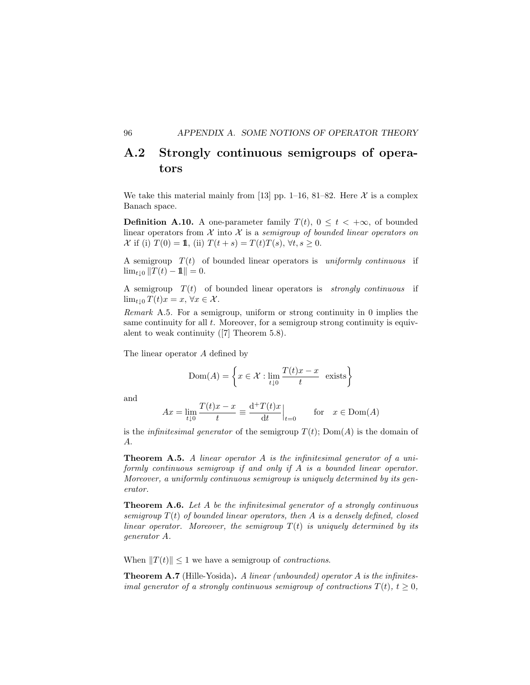## 96 APPENDIX A. SOME NOTIONS OF OPERATOR THEORY

## A.2 Strongly continuous semigroups of operators

We take this material mainly from [13] pp. 1–16, 81–82. Here  $\mathcal X$  is a complex Banach space.

**Definition A.10.** A one-parameter family  $T(t)$ ,  $0 \le t < +\infty$ , of bounded linear operators from  $X$  into  $X$  is a semigroup of bounded linear operators on *X* if (i)  $T(0) = 1$ , (ii)  $T(t + s) = T(t)T(s)$ , ∀t, s ≥ 0.

A semigroup  $T(t)$  of bounded linear operators is uniformly continuous if  $\lim_{t\to 0} ||T(t) - \mathbf{1}|| = 0.$ 

A semigroup  $T(t)$  of bounded linear operators is *strongly continuous* if  $\lim_{t\to 0} T(t)x = x, \,\forall x \in \mathcal{X}.$ 

Remark A.5. For a semigroup, uniform or strong continuity in 0 implies the same continuity for all  $t$ . Moreover, for a semigroup strong continuity is equivalent to weak continuity ([7] Theorem 5.8).

The linear operator A defined by

$$
Dom(A) = \left\{ x \in \mathcal{X} : \lim_{t \downarrow 0} \frac{T(t)x - x}{t} \text{ exists} \right\}
$$

and

$$
Ax = \lim_{t \downarrow 0} \frac{T(t)x - x}{t} \equiv \frac{d^+T(t)x}{dt} \Big|_{t=0} \quad \text{for} \quad x \in \text{Dom}(A)
$$

is the *infinitesimal generator* of the semigroup  $T(t)$ ; Dom(A) is the domain of A.

**Theorem A.5.** A linear operator A is the infinitesimal generator of a uniformly continuous semigroup if and only if A is a bounded linear operator. Moreover, a uniformly continuous semigroup is uniquely determined by its generator.

**Theorem A.6.** Let A be the infinitesimal generator of a strongly continuous semigroup  $T(t)$  of bounded linear operators, then A is a densely defined, closed linear operator. Moreover, the semigroup  $T(t)$  is uniquely determined by its generator A.

When  $||T(t)|| \le 1$  we have a semigroup of *contractions*.

**Theorem A.7** (Hille-Yosida). A linear (unbounded) operator A is the infinitesimal generator of a strongly continuous semigroup of contractions  $T(t)$ ,  $t \geq 0$ ,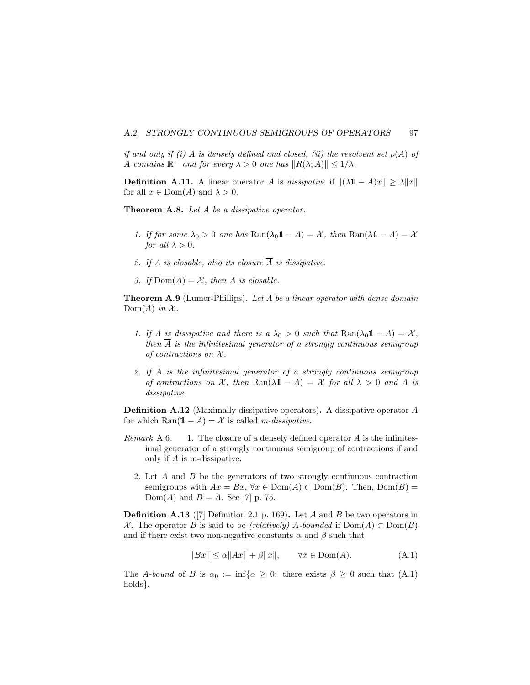## A.2. STRONGLY CONTINUOUS SEMIGROUPS OF OPERATORS 97

if and only if (i) A is densely defined and closed, (ii) the resolvent set  $\rho(A)$  of A contains  $\mathbb{R}^+$  and for every  $\lambda > 0$  one has  $||R(\lambda; A)|| \leq 1/\lambda$ .

**Definition A.11.** A linear operator A is dissipative if  $\|(\lambda \mathbf{1} - A)x\| \geq \lambda \|x\|$ for all  $x \in \text{Dom}(A)$  and  $\lambda > 0$ .

Theorem A.8. Let A be a dissipative operator.

- 1. If for some  $\lambda_0 > 0$  one has  $\text{Ran}(\lambda_0 \mathbf{1} A) = \mathcal{X}$ , then  $\text{Ran}(\lambda \mathbf{1} A) = \mathcal{X}$ for all  $\lambda > 0$ .
- 2. If A is closable, also its closure  $\overline{A}$  is dissipative.
- 3. If  $\overline{\mathrm{Dom}(A)} = \mathcal{X}$ , then A is closable.

**Theorem A.9** (Lumer-Phillips). Let A be a linear operator with dense domain  $Dom(A)$  in X.

- 1. If A is dissipative and there is a  $\lambda_0 > 0$  such that  $\text{Ran}(\lambda_0 \mathbf{1} A) = \mathcal{X}$ , then  $\overline{A}$  is the infinitesimal generator of a strongly continuous semigroup of contractions on  $\mathcal{X}$ .
- 2. If A is the infinitesimal generator of a strongly continuous semigroup of contractions on  $\mathcal X$ , then Ran( $\lambda \mathbb{1} - A$ ) =  $\mathcal X$  for all  $\lambda > 0$  and A is dissipative.

Definition A.12 (Maximally dissipative operators). A dissipative operator A for which Ran( $\mathbf{1} - A$ ) = X is called *m*-dissipative.

- Remark A.6. 1. The closure of a densely defined operator  $A$  is the infinitesimal generator of a strongly continuous semigroup of contractions if and only if A is m-dissipative.
	- 2. Let A and B be the generators of two strongly continuous contraction semigroups with  $Ax = Bx$ ,  $\forall x \in Dom(A) \subset Dom(B)$ . Then,  $Dom(B)$ Dom(A) and  $B = A$ . See [7] p. 75.

**Definition A.13** ([7] Definition 2.1 p. 169). Let A and B be two operators in X. The operator B is said to be (relatively) A-bounded if  $Dom(A) \subset Dom(B)$ and if there exist two non-negative constants  $\alpha$  and  $\beta$  such that

$$
||Bx|| \le \alpha ||Ax|| + \beta ||x||, \qquad \forall x \in \text{Dom}(A). \tag{A.1}
$$

The A-bound of B is  $\alpha_0 := \inf{\alpha \geq 0}$ : there exists  $\beta \geq 0$  such that  $(A.1)$ holds}.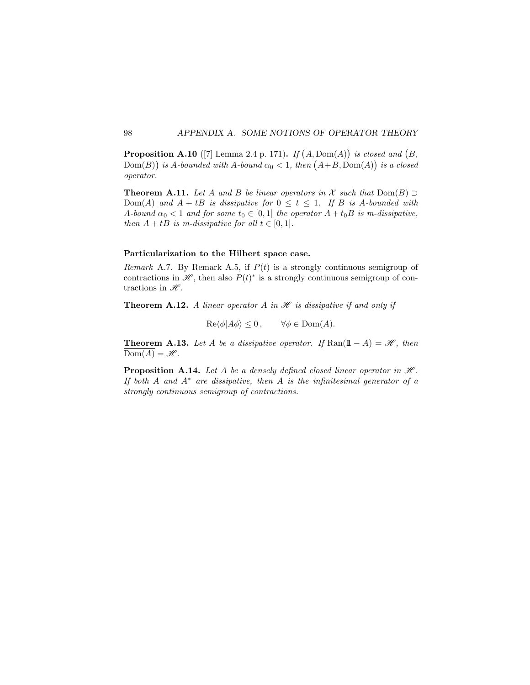## 98 APPENDIX A. SOME NOTIONS OF OPERATOR THEORY

**Proposition A.10** ([7] Lemma 2.4 p. 171). If  $(A, Dom(A))$  is closed and  $(B,$  $\mathrm{Dom}(B)\big)$  is A-bounded with A-bound  $\alpha_0 < 1$ , then  $(A+B, \mathrm{Dom}(A))$  is a closed operator.

**Theorem A.11.** Let A and B be linear operators in X such that Dom(B)  $\supset$ Dom(A) and  $A + tB$  is dissipative for  $0 \le t \le 1$ . If B is A-bounded with A-bound  $\alpha_0 < 1$  and for some  $t_0 \in [0, 1]$  the operator  $A + t_0B$  is m-dissipative, then  $A + tB$  is m-dissipative for all  $t \in [0, 1]$ .

#### Particularization to the Hilbert space case.

Remark A.7. By Remark A.5, if  $P(t)$  is a strongly continuous semigroup of contractions in  $\mathscr{H}$ , then also  $P(t)^*$  is a strongly continuous semigroup of contractions in  $\mathscr{H}$ .

**Theorem A.12.** A linear operator A in  $\mathcal{H}$  is dissipative if and only if

 $\text{Re}\langle \phi | A\phi \rangle \leq 0$ ,  $\forall \phi \in \text{Dom}(A)$ .

**Theorem A.13.** Let A be a dissipative operator. If  $\text{Ran}(\mathbf{1} - A) = \mathcal{H}$ , then  $Dom(A) = H$ .

**Proposition A.14.** Let A be a densely defined closed linear operator in  $H$ . If both A and  $A^*$  are dissipative, then A is the infinitesimal generator of a strongly continuous semigroup of contractions.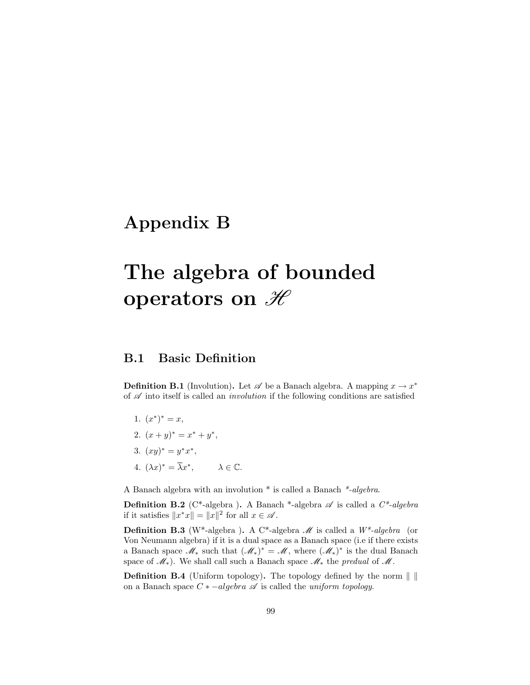## Appendix B

# The algebra of bounded operators on  $\mathscr H$

## B.1 Basic Definition

**Definition B.1** (Involution). Let  $\mathscr A$  be a Banach algebra. A mapping  $x \to x^*$ of  $\mathscr A$  into itself is called an *involution* if the following conditions are satisfied

- 1.  $(x^*)^* = x$ ,
- 2.  $(x+y)^* = x^* + y^*$ ,
- 3.  $(xy)^* = y^*x^*$ ,
- 4.  $(\lambda x)^* = \overline{\lambda} x^*, \qquad \lambda \in \mathbb{C}.$

A Banach algebra with an involution \* is called a Banach \*-algebra.

**Definition B.2** (C\*-algebra ). A Banach \*-algebra  $\mathscr A$  is called a  $C^*$ -algebra if it satisfies  $||x^*x|| = ||x||^2$  for all  $x \in \mathcal{A}$ .

**Definition B.3** (W<sup>\*</sup>-algebra ). A C<sup>\*</sup>-algebra  $\mathcal M$  is called a W<sup>\*</sup>-algebra (or Von Neumann algebra) if it is a dual space as a Banach space (i.e if there exists a Banach space  $\mathscr{M}_{*}$  such that  $(\mathscr{M}_{*})^{*} = \mathscr{M}$ , where  $(\mathscr{M}_{*})^{*}$  is the dual Banach space of  $\mathcal{M}_*$ ). We shall call such a Banach space  $\mathcal{M}_*$  the predual of  $\mathcal{M}$ .

**Definition B.4** (Uniform topology). The topology defined by the norm  $\|\ \|$ on a Banach space  $C * - algebra \mathcal{A}$  is called the *uniform topology*.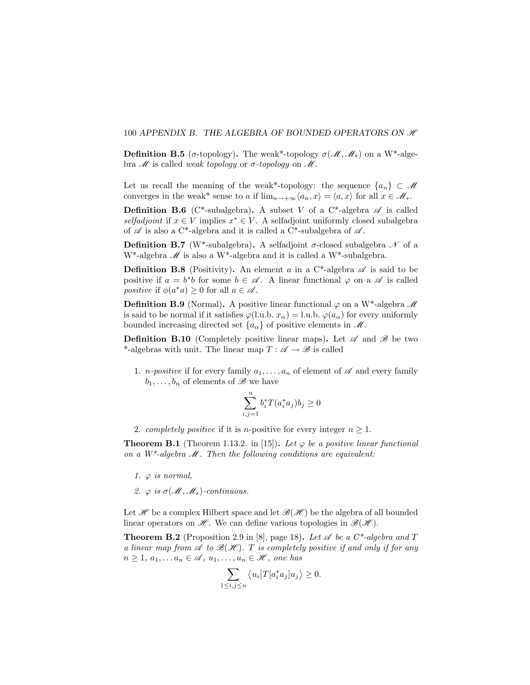## 100 APPENDIX B. THE ALGEBRA OF BOUNDED OPERATORS ON  $H$

**Definition B.5** ( $\sigma$ -topology). The weak\*-topology  $\sigma(\mathcal{M},\mathcal{M}_*)$  on a W\*-algebra  $M$  is called weak topology or  $\sigma$ -topology on  $M$ .

Let us recall the meaning of the weak\*-topology: the sequence  $\{a_n\} \subset \mathcal{M}$ converges in the weak\* sense to a if  $\lim_{n\to+\infty}\langle a_n, x\rangle = \langle a, x\rangle$  for all  $x \in \mathcal{M}_*$ .

**Definition B.6** (C\*-subalgebra). A subset V of a C\*-algebra  $\mathscr A$  is called selfadjoint if  $x \in V$  implies  $x^* \in V$ . A selfadjoint uniformly closed subalgebra of  $\mathscr A$  is also a C<sup>\*</sup>-algebra and it is called a C<sup>\*</sup>-subalgebra of  $\mathscr A$ .

**Definition B.7** (W<sup>\*</sup>-subalgebra). A selfadjoint  $\sigma$ -closed subalgebra  $\mathcal N$  of a W<sup>\*</sup>-algebra  $\mathscr M$  is also a W<sup>\*</sup>-algebra and it is called a W<sup>\*</sup>-subalgebra.

**Definition B.8** (Positivity). An element a in a C<sup>\*</sup>-algebra  $\mathscr A$  is said to be positive if  $a = b^*b$  for some  $b \in \mathcal{A}$ . A linear functional  $\varphi$  on a  $\mathcal A$  is called positive if  $\phi(a^*a) \geq 0$  for all  $a \in \mathscr{A}$ .

**Definition B.9** (Normal). A positive linear functional  $\varphi$  on a W<sup>\*</sup>-algebra  $\mathcal{M}$ is said to be normal if it satisfies  $\varphi$ (l.u.b.  $x_{\alpha}$ ) = l.u.b.  $\varphi$ ( $a_{\alpha}$ ) for every uniformly bounded increasing directed set  $\{a_{\alpha}\}\$  of positive elements in  $\mathcal{M}$ .

**Definition B.10** (Completely positive linear maps). Let  $\mathscr A$  and  $\mathscr B$  be two \*-algebras with unit. The linear map  $T : \mathscr{A} \to \mathscr{B}$  is called

1. *n-positive* if for every family  $a_1, \ldots, a_n$  of element of  $\mathscr A$  and every family  $b_1, \ldots, b_n$  of elements of  $\mathscr{B}$  we have

$$
\sum_{i,j=1}^n b_i^*T(a_i^*a_j)b_j\geq 0
$$

2. completely positive if it is n-positive for every integer  $n \geq 1$ .

**Theorem B.1** (Theorem 1.13.2. in [15]). Let  $\varphi$  be a positive linear functional on a  $W^*$ -algebra  $\mathcal M$ . Then the following conditions are equivalent:

- 1.  $\varphi$  is normal,
- 2.  $\varphi$  is  $\sigma(M, \mathcal{M}_*)$ -continuous.

Let  $\mathcal{H}$  be a complex Hilbert space and let  $\mathcal{B}(\mathcal{H})$  be the algebra of all bounded linear operators on  $\mathcal{H}$ . We can define various topologies in  $\mathcal{B}(\mathcal{H})$ .

**Theorem B.2** (Proposition 2.9 in [8], page 18). Let  $\mathscr A$  be a C\*-algebra and T a linear map from  $\mathscr A$  to  $\mathscr B(\mathscr H)$ . T is completely positive if and only if for any  $n \geq 1, a_1, \ldots a_n \in \mathscr{A}, u_1, \ldots, u_n \in \mathscr{H},$  one has

$$
\sum_{1 \le i,j \le n} \langle u_i | T[a_i^* a_j] u_j \rangle \ge 0.
$$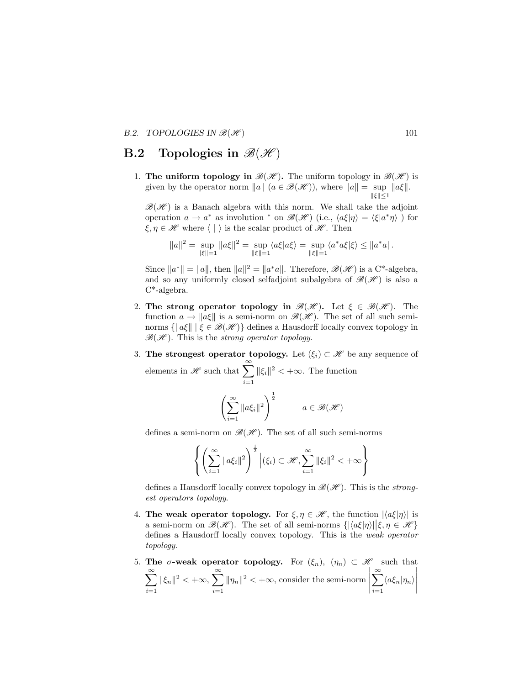## B.2. TOPOLOGIES IN  $\mathcal{B}(\mathcal{H})$  101

## **B.2** Topologies in  $\mathcal{B}(\mathcal{H})$

1. The uniform topology in  $\mathcal{B}(\mathcal{H})$ . The uniform topology in  $\mathcal{B}(\mathcal{H})$  is given by the operator norm  $||a||$   $(a \in \mathcal{B}(\mathcal{H}))$ , where  $||a|| = \sup ||a\xi||$ .  $\|\xi\|\leq 1$ 

 $\mathscr{B}(\mathscr{H})$  is a Banach algebra with this norm. We shall take the adjoint operation  $a \to a^*$  as involution \* on  $\mathscr{B}(\mathscr{H})$  (i.e.,  $\langle a\xi|\eta\rangle = \langle \xi|a^*\eta\rangle$ ) for  $\xi, \eta \in \mathcal{H}$  where  $\langle | \rangle$  is the scalar product of  $\mathcal{H}$ . Then

$$
||a||^2 = \sup_{||\xi||=1} ||a\xi||^2 = \sup_{||\xi||=1} \langle a\xi | a\xi \rangle = \sup_{||\xi||=1} \langle a^* a\xi | \xi \rangle \le ||a^* a||.
$$

Since  $||a^*|| = ||a||$ , then  $||a||^2 = ||a^*a||$ . Therefore,  $\mathscr{B}(\mathscr{H})$  is a C<sup>\*</sup>-algebra, and so any uniformly closed selfadjoint subalgebra of  $\mathscr{B}(\mathscr{H})$  is also a C\*-algebra.

- 2. The strong operator topology in  $\mathscr{B}(\mathscr{H})$ . Let  $\xi \in \mathscr{B}(\mathscr{H})$ . The function  $a \to \|a\xi\|$  is a semi-norm on  $\mathscr{B}(\mathscr{H})$ . The set of all such seminorms  $\{\|a\xi\| \mid \xi \in \mathcal{B}(\mathcal{H})\}\$ defines a Hausdorff locally convex topology in  $\mathscr{B}(\mathscr{H})$ . This is the strong operator topology.
- 3. The strongest operator topology. Let  $(\xi_i) \subset \mathcal{H}$  be any sequence of elements in  $\mathscr H$  such that  $\sum_{n=1}^{\infty}$  $i=1$  $\|\xi_i\|^2 < +\infty$ . The function

$$
\left(\sum_{i=1}^{\infty} \|a\xi_i\|^2\right)^{\frac{1}{2}} \qquad a \in \mathcal{B}(\mathcal{H})
$$

defines a semi-norm on  $\mathscr{B}(\mathscr{H})$ . The set of all such semi-norms

$$
\left\{ \left( \sum_{i=1}^{\infty} \|a\xi_i\|^2 \right)^{\frac{1}{2}} \Big| (\xi_i) \subset \mathscr{H}, \sum_{i=1}^{\infty} \|\xi_i\|^2 < +\infty \right\}
$$

defines a Hausdorff locally convex topology in  $\mathscr{B}(\mathscr{H})$ . This is the *strong*est operators topology.

- 4. The weak operator topology. For  $\xi, \eta \in \mathcal{H}$ , the function  $|\langle a\xi|\eta \rangle|$  is a semi-norm on  $\mathscr{B}(\mathscr{H})$ . The set of all semi-norms  $\{|\langle a\xi|\eta\rangle | \xi, \eta \in \mathscr{H}\}\$ defines a Hausdorff locally convex topology. This is the weak operator topology.
- 5. The  $\sigma$ -weak operator topology. For  $(\xi_n)$ ,  $(\eta_n) \subset \mathcal{H}$  such that  $\sum^{\infty}$  $i=1$  $\|\xi_n\|^2 < +\infty, \sum_{n=1}^{\infty}$  $i=1$  $\|\eta_n\|^2 < +\infty$ , consider the semi-norm  $\begin{array}{c} \hline \end{array}$  $\sum^{\infty}$  $i=1$  $\langle a\xi_n|\eta_n\rangle$  $\begin{array}{c} \hline \end{array}$

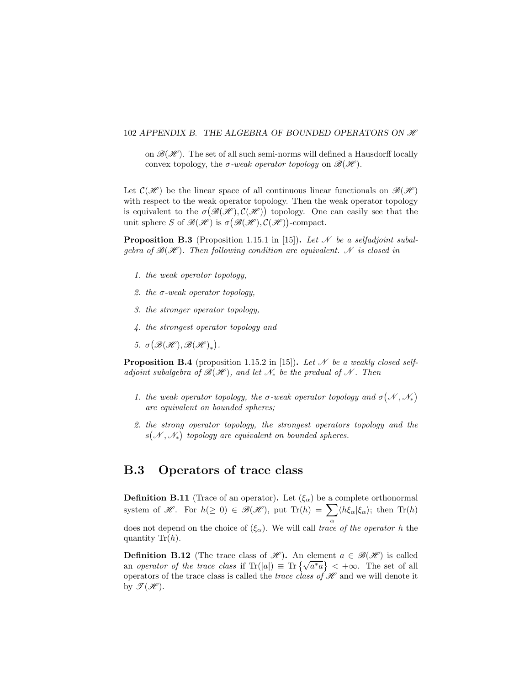on  $\mathscr{B}(\mathscr{H})$ . The set of all such semi-norms will defined a Hausdorff locally convex topology, the  $\sigma$ -weak operator topology on  $\mathscr{B}(\mathscr{H})$ .

Let  $\mathcal{C}(\mathcal{H})$  be the linear space of all continuous linear functionals on  $\mathcal{B}(\mathcal{H})$ with respect to the weak operator topology. Then the weak operator topology is equivalent to the  $\sigma(\mathcal{B}(\mathcal{H}), \mathcal{C}(\mathcal{H}))$  topology. One can easily see that the unit sphere S of  $\mathcal{B}(\mathcal{H})$  is  $\sigma(\mathcal{B}(\mathcal{H}), \mathcal{C}(\mathcal{H}))$ -compact.

**Proposition B.3** (Proposition 1.15.1 in [15]). Let N be a selfadjoint subalgebra of  $\mathcal{B}(\mathcal{H})$ . Then following condition are equivalent. N is closed in

- 1. the weak operator topology,
- 2. the  $\sigma$ -weak operator topology,
- 3. the stronger operator topology,
- 4. the strongest operator topology and
- 5.  $\sigma(\mathcal{B}(\mathcal{H}), \mathcal{B}(\mathcal{H})_{*}).$

**Proposition B.4** (proposition 1.15.2 in [15]). Let N be a weakly closed selfadjoint subalgebra of  $\mathcal{B}(\mathcal{H})$ , and let  $\mathcal{N}_*$  be the predual of  $\mathcal{N}$ . Then

- 1. the weak operator topology, the  $\sigma$ -weak operator topology and  $\sigma(\mathcal{N}, \mathcal{N}_*)$ are equivalent on bounded spheres;
- 2. the strong operator topology, the strongest operators topology and the  $s(\mathcal{N}, \mathcal{N}_*)$  topology are equivalent on bounded spheres.

## B.3 Operators of trace class

**Definition B.11** (Trace of an operator). Let  $(\xi_{\alpha})$  be a complete orthonormal system of H. For  $h(\geq 0) \in \mathcal{B}(\mathcal{H})$ , put  $\text{Tr}(h) = \sum$ α  $\langle h \xi_\alpha | \xi_\alpha \rangle$ ; then Tr(h) does not depend on the choice of  $(\xi_{\alpha})$ . We will call trace of the operator h the quantity  $\text{Tr}(h)$ .

**Definition B.12** (The trace class of  $\mathscr{H}$ ). An element  $a \in \mathscr{B}(\mathscr{H})$  is called **Definition B.12** (The trace class of  $\mathscr{K}$ ). An element  $a \in \mathscr{B}(\mathscr{K})$  is called<br>an *operator of the trace class* if  $\text{Tr}(|a|) \equiv \text{Tr} \{ \sqrt{a^* a} \} < +\infty$ . The set of all operators of the trace class is called the *trace class of*  $\mathscr H$  and we will denote it by  $\mathscr{T}(\mathscr{H})$ .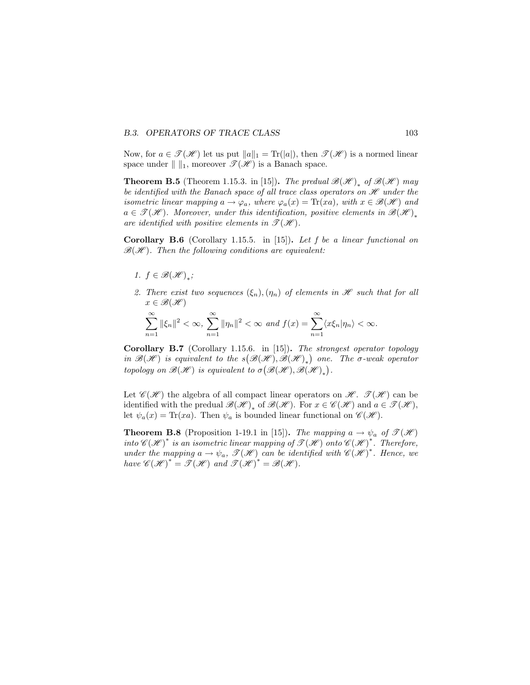## B.3. OPERATORS OF TRACE CLASS 103

Now, for  $a \in \mathcal{T}(\mathcal{H})$  let us put  $||a||_1 = \text{Tr}(|a|)$ , then  $\mathcal{T}(\mathcal{H})$  is a normed linear space under  $\| \ \|_1$ , moreover  $\mathscr{T}(\mathscr{H})$  is a Banach space.

**Theorem B.5** (Theorem 1.15.3. in [15]). The predual  $\mathscr{B}(\mathscr{H})_*$  of  $\mathscr{B}(\mathscr{H})$  may be identified with the Banach space of all trace class operators on  $\mathscr H$  under the isometric linear mapping  $a \to \varphi_a$ , where  $\varphi_a(x) = \text{Tr}(xa)$ , with  $x \in \mathcal{B}(\mathcal{H})$  and  $a \in \mathcal{T}(\mathcal{H})$ . Moreover, under this identification, positive elements in  $\mathcal{B}(\mathcal{H})_*$ are identified with positive elements in  $\mathcal{T}(H)$ .

**Corollary B.6** (Corollary 1.15.5. in [15]). Let f be a linear functional on  $\mathcal{B}(\mathcal{H})$ . Then the following conditions are equivalent:

- 1.  $f \in \mathscr{B}(\mathscr{H})_*$ ;
- 2. There exist two sequences  $(\xi_n),(\eta_n)$  of elements in  $\mathscr H$  such that for all  $x \in \mathscr{B}(\mathscr{H})$

$$
\sum_{n=1}^{\infty} \|\xi_n\|^2 < \infty, \ \sum_{n=1}^{\infty} \|\eta_n\|^2 < \infty \ and \ f(x) = \sum_{n=1}^{\infty} \langle x\xi_n|\eta_n\rangle < \infty.
$$

Corollary B.7 (Corollary 1.15.6. in [15]). The strongest operator topology in  $\mathscr{B}(\mathscr{H})$  is equivalent to the  $s(\mathscr{B}(\mathscr{H}),\mathscr{B}(\mathscr{H})_*)$  one. The  $\sigma$ -weak operator topology on  $\mathscr{B}(\mathscr{H})$  is equivalent to  $\sigma\big(\mathscr{B}(\mathscr{H}),\mathscr{B}(\mathscr{H})_*\big).$ 

Let  $\mathscr{C}(\mathscr{H})$  the algebra of all compact linear operators on  $\mathscr{H}$ .  $\mathscr{T}(\mathscr{H})$  can be identified with the predual  $\mathscr{B}(\mathscr{H})_*$  of  $\mathscr{B}(\mathscr{H})$ . For  $x \in \mathscr{C}(\mathscr{H})$  and  $a \in \mathscr{T}(\mathscr{H})$ , let  $\psi_a(x) = \text{Tr}(xa)$ . Then  $\psi_a$  is bounded linear functional on  $\mathscr{C}(\mathscr{H})$ .

**Theorem B.8** (Proposition 1-19.1 in [15]). The mapping  $a \to \psi_a$  of  $\mathscr{T}(\mathscr{H})$ into  $\mathscr{C}(\mathscr{H})^*$  is an isometric linear mapping of  $\mathscr{T}(\mathscr{H})$  onto  $\mathscr{C}(\mathscr{H})^*$ . Therefore, under the mapping  $a \to \psi_a$ ,  $\mathcal{T}(\mathcal{H})$  can be identified with  $\mathcal{C}(\mathcal{H})^*$ . Hence, we have  $\mathscr{C}(\mathscr{H})^* = \mathscr{T}(\mathscr{H})$  and  $\mathscr{T}(\mathscr{H})^* = \mathscr{B}(\mathscr{H})$ .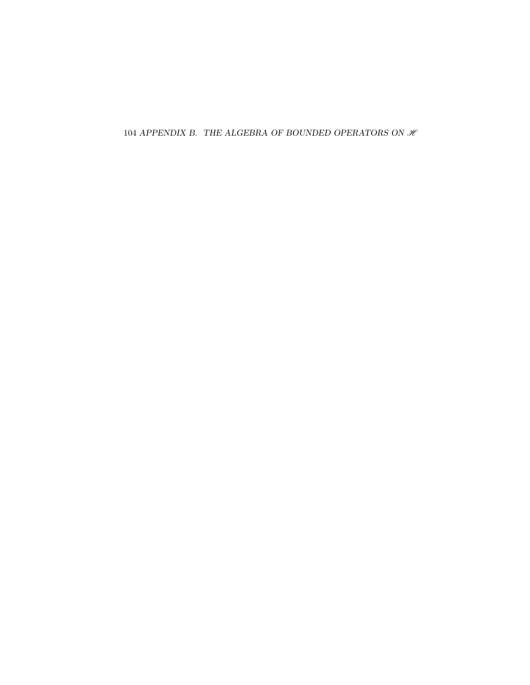104 APPENDIX B. THE ALGEBRA OF BOUNDED OPERATORS ON  $\mathscr H$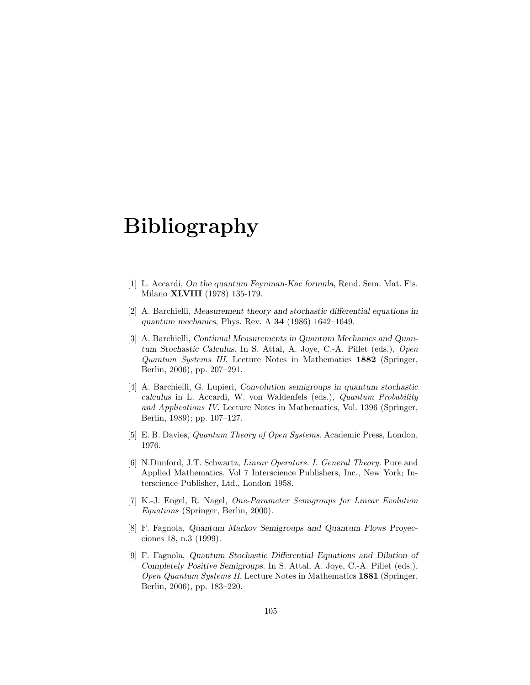## Bibliography

- [1] L. Accardi, On the quantum Feynman-Kac formula, Rend. Sem. Mat. Fis. Milano XLVIII (1978) 135-179.
- [2] A. Barchielli, Measurement theory and stochastic differential equations in quantum mechanics, Phys. Rev. A 34 (1986) 1642–1649.
- [3] A. Barchielli, Continual Measurements in Quantum Mechanics and Quantum Stochastic Calculus. In S. Attal, A. Joye, C.-A. Pillet (eds.), Open Quantum Systems III, Lecture Notes in Mathematics 1882 (Springer, Berlin, 2006), pp. 207–291.
- [4] A. Barchielli, G. Lupieri, Convolution semigroups in quantum stochastic calculus in L. Accardi, W. von Waldenfels (eds.), Quantum Probability and Applications IV. Lecture Notes in Mathematics, Vol. 1396 (Springer, Berlin, 1989); pp. 107–127.
- [5] E. B. Davies, Quantum Theory of Open Systems. Academic Press, London, 1976.
- [6] N.Dunford, J.T. Schwartz, Linear Operators. I. General Theory. Pure and Applied Mathematics, Vol 7 Interscience Publishers, Inc., New York; Interscience Publisher, Ltd., London 1958.
- [7] K.-J. Engel, R. Nagel, One-Parameter Semigroups for Linear Evolution Equations (Springer, Berlin, 2000).
- [8] F. Fagnola, Quantum Markov Semigroups and Quantum Flows Proyecciones 18, n.3 (1999).
- [9] F. Fagnola, Quantum Stochastic Differential Equations and Dilation of Completely Positive Semigroups. In S. Attal, A. Joye, C.-A. Pillet (eds.), Open Quantum Systems II, Lecture Notes in Mathematics 1881 (Springer, Berlin, 2006), pp. 183–220.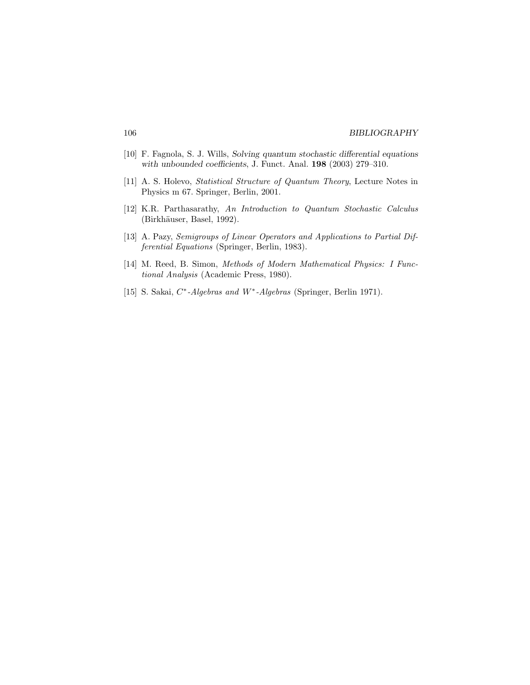- [10] F. Fagnola, S. J. Wills, Solving quantum stochastic differential equations with unbounded coefficients, J. Funct. Anal. 198 (2003) 279–310.
- [11] A. S. Holevo, Statistical Structure of Quantum Theory, Lecture Notes in Physics m 67. Springer, Berlin, 2001.
- [12] K.R. Parthasarathy, An Introduction to Quantum Stochastic Calculus (Birkhäuser, Basel, 1992).
- [13] A. Pazy, Semigroups of Linear Operators and Applications to Partial Differential Equations (Springer, Berlin, 1983).
- [14] M. Reed, B. Simon, Methods of Modern Mathematical Physics: I Functional Analysis (Academic Press, 1980).
- [15] S. Sakai, C<sup>\*</sup>-Algebras and W<sup>\*</sup>-Algebras (Springer, Berlin 1971).